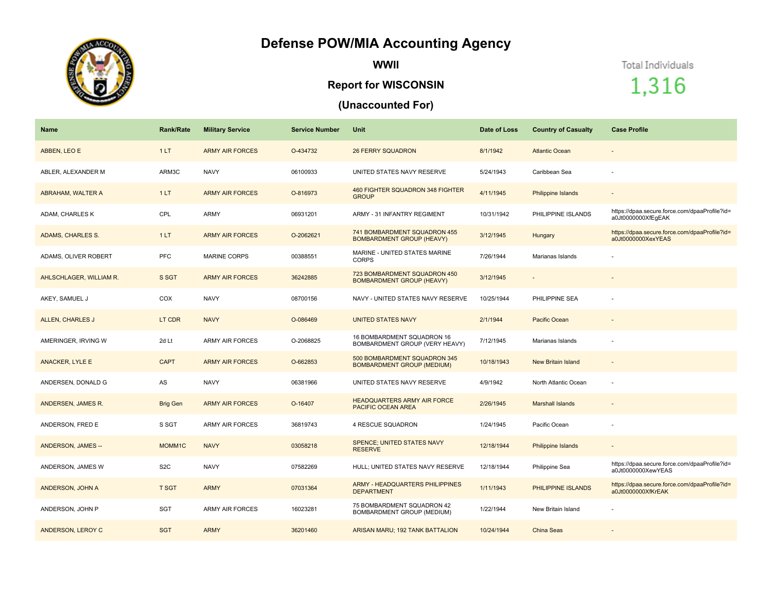## **Defense POW/MIA Accounting Agency**



**WWII**

## **Report for WISCONSIN**

## **(Unaccounted For)**

Total Individuals

1,316

| <b>Name</b>             | <b>Rank/Rate</b> | <b>Military Service</b> | <b>Service Number</b> | Unit                                                              | Date of Loss | <b>Country of Casualty</b> | <b>Case Profile</b>                                                 |
|-------------------------|------------------|-------------------------|-----------------------|-------------------------------------------------------------------|--------------|----------------------------|---------------------------------------------------------------------|
| ABBEN, LEO E            | 1LT              | <b>ARMY AIR FORCES</b>  | O-434732              | <b>26 FERRY SQUADRON</b>                                          | 8/1/1942     | <b>Atlantic Ocean</b>      | $\overline{\phantom{a}}$                                            |
| ABLER, ALEXANDER M      | ARM3C            | <b>NAVY</b>             | 06100933              | UNITED STATES NAVY RESERVE                                        | 5/24/1943    | Caribbean Sea              |                                                                     |
| ABRAHAM, WALTER A       | 1LT              | <b>ARMY AIR FORCES</b>  | O-816973              | 460 FIGHTER SQUADRON 348 FIGHTER<br><b>GROUP</b>                  | 4/11/1945    | <b>Philippine Islands</b>  |                                                                     |
| ADAM, CHARLES K         | CPL              | ARMY                    | 06931201              | ARMY - 31 INFANTRY REGIMENT                                       | 10/31/1942   | PHILIPPINE ISLANDS         | https://dpaa.secure.force.com/dpaaProfile?id=<br>a0Jt0000000XfEqEAK |
| ADAMS, CHARLES S.       | 1LT              | <b>ARMY AIR FORCES</b>  | O-2062621             | 741 BOMBARDMENT SQUADRON 455<br><b>BOMBARDMENT GROUP (HEAVY)</b>  | 3/12/1945    | Hungary                    | https://dpaa.secure.force.com/dpaaProfile?id=<br>a0Jt0000000XexYEAS |
| ADAMS, OLIVER ROBERT    | PFC              | <b>MARINE CORPS</b>     | 00388551              | MARINE - UNITED STATES MARINE<br><b>CORPS</b>                     | 7/26/1944    | Marianas Islands           |                                                                     |
| AHLSCHLAGER, WILLIAM R. | S SGT            | <b>ARMY AIR FORCES</b>  | 36242885              | 723 BOMBARDMENT SQUADRON 450<br><b>BOMBARDMENT GROUP (HEAVY)</b>  | 3/12/1945    |                            |                                                                     |
| AKEY, SAMUEL J          | COX              | <b>NAVY</b>             | 08700156              | NAVY - UNITED STATES NAVY RESERVE                                 | 10/25/1944   | PHILIPPINE SEA             |                                                                     |
| ALLEN, CHARLES J        | LT CDR           | <b>NAVY</b>             | O-086469              | <b>UNITED STATES NAVY</b>                                         | 2/1/1944     | Pacific Ocean              | $\sim$                                                              |
| AMERINGER, IRVING W     | 2d Lt            | <b>ARMY AIR FORCES</b>  | O-2068825             | 16 BOMBARDMENT SQUADRON 16<br>BOMBARDMENT GROUP (VERY HEAVY)      | 7/12/1945    | Marianas Islands           |                                                                     |
| <b>ANACKER, LYLE E</b>  | <b>CAPT</b>      | <b>ARMY AIR FORCES</b>  | O-662853              | 500 BOMBARDMENT SQUADRON 345<br><b>BOMBARDMENT GROUP (MEDIUM)</b> | 10/18/1943   | <b>New Britain Island</b>  |                                                                     |
| ANDERSEN. DONALD G      | AS               | <b>NAVY</b>             | 06381966              | UNITED STATES NAVY RESERVE                                        | 4/9/1942     | North Atlantic Ocean       |                                                                     |
| ANDERSEN, JAMES R.      | <b>Brig Gen</b>  | <b>ARMY AIR FORCES</b>  | O-16407               | <b>HEADQUARTERS ARMY AIR FORCE</b><br>PACIFIC OCEAN AREA          | 2/26/1945    | <b>Marshall Islands</b>    | $\sim$                                                              |
| ANDERSON, FRED E        | S SGT            | <b>ARMY AIR FORCES</b>  | 36819743              | 4 RESCUE SQUADRON                                                 | 1/24/1945    | Pacific Ocean              |                                                                     |
| ANDERSON, JAMES --      | MOMM1C           | <b>NAVY</b>             | 03058218              | <b>SPENCE; UNITED STATES NAVY</b><br><b>RESERVE</b>               | 12/18/1944   | Philippine Islands         |                                                                     |
| ANDERSON, JAMES W       | S <sub>2</sub> C | <b>NAVY</b>             | 07582269              | HULL; UNITED STATES NAVY RESERVE                                  | 12/18/1944   | Philippine Sea             | https://dpaa.secure.force.com/dpaaProfile?id=<br>a0Jt0000000XewYEAS |
| ANDERSON, JOHN A        | <b>T SGT</b>     | <b>ARMY</b>             | 07031364              | <b>ARMY - HEADQUARTERS PHILIPPINES</b><br><b>DEPARTMENT</b>       | 1/11/1943    | PHILIPPINE ISLANDS         | https://dpaa.secure.force.com/dpaaProfile?id=<br>a0Jt0000000XfKrEAK |
| ANDERSON, JOHN P        | <b>SGT</b>       | <b>ARMY AIR FORCES</b>  | 16023281              | 75 BOMBARDMENT SQUADRON 42<br>BOMBARDMENT GROUP (MEDIUM)          | 1/22/1944    | New Britain Island         |                                                                     |
| ANDERSON, LEROY C       | <b>SGT</b>       | <b>ARMY</b>             | 36201460              | ARISAN MARU; 192 TANK BATTALION                                   | 10/24/1944   | <b>China Seas</b>          |                                                                     |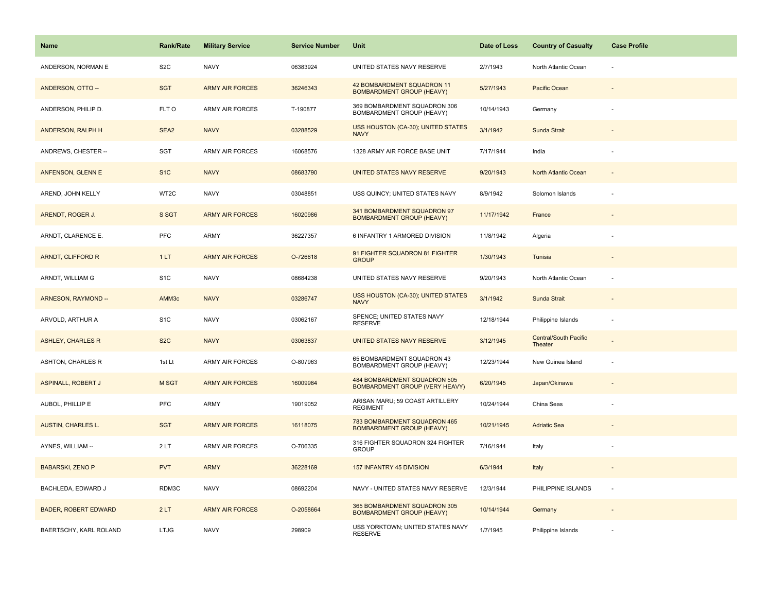| <b>Name</b>                 | <b>Rank/Rate</b> | <b>Military Service</b> | <b>Service Number</b> | Unit                                                                  | Date of Loss | <b>Country of Casualty</b>       | <b>Case Profile</b>      |
|-----------------------------|------------------|-------------------------|-----------------------|-----------------------------------------------------------------------|--------------|----------------------------------|--------------------------|
| ANDERSON, NORMAN E          | S <sub>2</sub> C | <b>NAVY</b>             | 06383924              | UNITED STATES NAVY RESERVE                                            | 2/7/1943     | North Atlantic Ocean             |                          |
| ANDERSON, OTTO --           | <b>SGT</b>       | <b>ARMY AIR FORCES</b>  | 36246343              | 42 BOMBARDMENT SQUADRON 11<br><b>BOMBARDMENT GROUP (HEAVY)</b>        | 5/27/1943    | Pacific Ocean                    |                          |
| ANDERSON, PHILIP D.         | FLT O            | ARMY AIR FORCES         | T-190877              | 369 BOMBARDMENT SQUADRON 306<br>BOMBARDMENT GROUP (HEAVY)             | 10/14/1943   | Germany                          |                          |
| ANDERSON, RALPH H           | SEA2             | <b>NAVY</b>             | 03288529              | USS HOUSTON (CA-30); UNITED STATES<br><b>NAVY</b>                     | 3/1/1942     | Sunda Strait                     |                          |
| ANDREWS, CHESTER --         | <b>SGT</b>       | ARMY AIR FORCES         | 16068576              | 1328 ARMY AIR FORCE BASE UNIT                                         | 7/17/1944    | India                            |                          |
| ANFENSON, GLENN E           | S <sub>1</sub> C | <b>NAVY</b>             | 08683790              | UNITED STATES NAVY RESERVE                                            | 9/20/1943    | North Atlantic Ocean             |                          |
| AREND, JOHN KELLY           | WT2C             | <b>NAVY</b>             | 03048851              | USS QUINCY; UNITED STATES NAVY                                        | 8/9/1942     | Solomon Islands                  |                          |
| ARENDT, ROGER J.            | S SGT            | <b>ARMY AIR FORCES</b>  | 16020986              | 341 BOMBARDMENT SQUADRON 97<br><b>BOMBARDMENT GROUP (HEAVY)</b>       | 11/17/1942   | France                           |                          |
| ARNDT, CLARENCE E.          | <b>PFC</b>       | ARMY                    | 36227357              | 6 INFANTRY 1 ARMORED DIVISION                                         | 11/8/1942    | Algeria                          |                          |
| ARNDT, CLIFFORD R           | 1LT              | <b>ARMY AIR FORCES</b>  | O-726618              | 91 FIGHTER SQUADRON 81 FIGHTER<br><b>GROUP</b>                        | 1/30/1943    | Tunisia                          |                          |
| ARNDT, WILLIAM G            | S <sub>1</sub> C | <b>NAVY</b>             | 08684238              | UNITED STATES NAVY RESERVE                                            | 9/20/1943    | North Atlantic Ocean             |                          |
| ARNESON, RAYMOND --         | AMM3c            | <b>NAVY</b>             | 03286747              | USS HOUSTON (CA-30); UNITED STATES<br><b>NAVY</b>                     | 3/1/1942     | Sunda Strait                     |                          |
| ARVOLD, ARTHUR A            | S <sub>1</sub> C | <b>NAVY</b>             | 03062167              | SPENCE; UNITED STATES NAVY<br><b>RESERVE</b>                          | 12/18/1944   | Philippine Islands               |                          |
| <b>ASHLEY, CHARLES R</b>    | S <sub>2</sub> C | <b>NAVY</b>             | 03063837              | UNITED STATES NAVY RESERVE                                            | 3/12/1945    | Central/South Pacific<br>Theater |                          |
| ASHTON, CHARLES R           | 1st Lt           | <b>ARMY AIR FORCES</b>  | O-807963              | 65 BOMBARDMENT SQUADRON 43<br>BOMBARDMENT GROUP (HEAVY)               | 12/23/1944   | New Guinea Island                |                          |
| <b>ASPINALL, ROBERT J</b>   | M SGT            | <b>ARMY AIR FORCES</b>  | 16009984              | 484 BOMBARDMENT SQUADRON 505<br><b>BOMBARDMENT GROUP (VERY HEAVY)</b> | 6/20/1945    | Japan/Okinawa                    |                          |
| AUBOL, PHILLIP E            | <b>PFC</b>       | ARMY                    | 19019052              | ARISAN MARU; 59 COAST ARTILLERY<br><b>REGIMENT</b>                    | 10/24/1944   | China Seas                       |                          |
| <b>AUSTIN, CHARLES L.</b>   | <b>SGT</b>       | <b>ARMY AIR FORCES</b>  | 16118075              | 783 BOMBARDMENT SQUADRON 465<br><b>BOMBARDMENT GROUP (HEAVY)</b>      | 10/21/1945   | <b>Adriatic Sea</b>              |                          |
| AYNES, WILLIAM --           | 2LT              | ARMY AIR FORCES         | O-706335              | 316 FIGHTER SQUADRON 324 FIGHTER<br><b>GROUP</b>                      | 7/16/1944    | Italy                            |                          |
| <b>BABARSKI, ZENO P</b>     | <b>PVT</b>       | <b>ARMY</b>             | 36228169              | 157 INFANTRY 45 DIVISION                                              | 6/3/1944     | Italy                            |                          |
| BACHLEDA, EDWARD J          | RDM3C            | <b>NAVY</b>             | 08692204              | NAVY - UNITED STATES NAVY RESERVE                                     | 12/3/1944    | PHILIPPINE ISLANDS               | $\overline{\phantom{a}}$ |
| <b>BADER, ROBERT EDWARD</b> | 2LT              | <b>ARMY AIR FORCES</b>  | O-2058664             | 365 BOMBARDMENT SQUADRON 305<br><b>BOMBARDMENT GROUP (HEAVY)</b>      | 10/14/1944   | Germany                          |                          |
| BAERTSCHY, KARL ROLAND      | <b>LTJG</b>      | <b>NAVY</b>             | 298909                | USS YORKTOWN; UNITED STATES NAVY<br><b>RESERVE</b>                    | 1/7/1945     | Philippine Islands               |                          |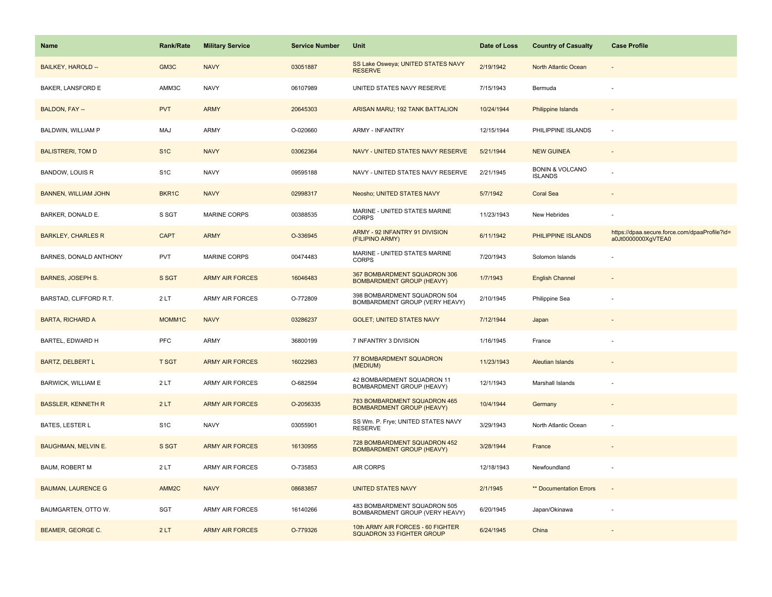| <b>Name</b>                 | <b>Rank/Rate</b>  | <b>Military Service</b> | <b>Service Number</b> | Unit                                                             | Date of Loss | <b>Country of Casualty</b>                   | <b>Case Profile</b>                                                 |
|-----------------------------|-------------------|-------------------------|-----------------------|------------------------------------------------------------------|--------------|----------------------------------------------|---------------------------------------------------------------------|
| BAILKEY, HAROLD --          | GM3C              | <b>NAVY</b>             | 03051887              | SS Lake Osweya; UNITED STATES NAVY<br><b>RESERVE</b>             | 2/19/1942    | North Atlantic Ocean                         |                                                                     |
| BAKER, LANSFORD E           | AMM3C             | <b>NAVY</b>             | 06107989              | UNITED STATES NAVY RESERVE                                       | 7/15/1943    | Bermuda                                      |                                                                     |
| BALDON, FAY --              | <b>PVT</b>        | <b>ARMY</b>             | 20645303              | ARISAN MARU; 192 TANK BATTALION                                  | 10/24/1944   | <b>Philippine Islands</b>                    |                                                                     |
| BALDWIN, WILLIAM P          | MAJ               | ARMY                    | O-020660              | <b>ARMY - INFANTRY</b>                                           | 12/15/1944   | PHILIPPINE ISLANDS                           |                                                                     |
| <b>BALISTRERI, TOM D</b>    | S <sub>1</sub> C  | <b>NAVY</b>             | 03062364              | NAVY - UNITED STATES NAVY RESERVE                                | 5/21/1944    | <b>NEW GUINEA</b>                            |                                                                     |
| BANDOW, LOUIS R             | S <sub>1</sub> C  | <b>NAVY</b>             | 09595188              | NAVY - UNITED STATES NAVY RESERVE                                | 2/21/1945    | <b>BONIN &amp; VOLCANO</b><br><b>ISLANDS</b> |                                                                     |
| <b>BANNEN, WILLIAM JOHN</b> | BKR1C             | <b>NAVY</b>             | 02998317              | Neosho; UNITED STATES NAVY                                       | 5/7/1942     | <b>Coral Sea</b>                             | $\sim$                                                              |
| BARKER, DONALD E.           | S SGT             | <b>MARINE CORPS</b>     | 00388535              | MARINE - UNITED STATES MARINE<br><b>CORPS</b>                    | 11/23/1943   | New Hebrides                                 |                                                                     |
| <b>BARKLEY, CHARLES R</b>   | <b>CAPT</b>       | <b>ARMY</b>             | O-336945              | ARMY - 92 INFANTRY 91 DIVISION<br>(FILIPINO ARMY)                | 6/11/1942    | PHILIPPINE ISLANDS                           | https://dpaa.secure.force.com/dpaaProfile?id=<br>a0Jt0000000XgVTEA0 |
| BARNES, DONALD ANTHONY      | <b>PVT</b>        | MARINE CORPS            | 00474483              | MARINE - UNITED STATES MARINE<br><b>CORPS</b>                    | 7/20/1943    | Solomon Islands                              |                                                                     |
| <b>BARNES, JOSEPH S.</b>    | S SGT             | <b>ARMY AIR FORCES</b>  | 16046483              | 367 BOMBARDMENT SQUADRON 306<br><b>BOMBARDMENT GROUP (HEAVY)</b> | 1/7/1943     | <b>English Channel</b>                       |                                                                     |
| BARSTAD, CLIFFORD R.T.      | 2LT               | ARMY AIR FORCES         | O-772809              | 398 BOMBARDMENT SQUADRON 504<br>BOMBARDMENT GROUP (VERY HEAVY)   | 2/10/1945    | Philippine Sea                               |                                                                     |
| <b>BARTA, RICHARD A</b>     | MOMM1C            | <b>NAVY</b>             | 03286237              | <b>GOLET: UNITED STATES NAVY</b>                                 | 7/12/1944    | Japan                                        |                                                                     |
| BARTEL, EDWARD H            | PFC               | <b>ARMY</b>             | 36800199              | 7 INFANTRY 3 DIVISION                                            | 1/16/1945    | France                                       |                                                                     |
| <b>BARTZ, DELBERT L</b>     | <b>T SGT</b>      | <b>ARMY AIR FORCES</b>  | 16022983              | 77 BOMBARDMENT SQUADRON<br>(MEDIUM)                              | 11/23/1943   | <b>Aleutian Islands</b>                      |                                                                     |
| BARWICK, WILLIAM E          | 2LT               | ARMY AIR FORCES         | O-682594              | 42 BOMBARDMENT SQUADRON 11<br>BOMBARDMENT GROUP (HEAVY)          | 12/1/1943    | Marshall Islands                             |                                                                     |
| <b>BASSLER, KENNETH R</b>   | 2LT               | <b>ARMY AIR FORCES</b>  | O-2056335             | 783 BOMBARDMENT SQUADRON 465<br><b>BOMBARDMENT GROUP (HEAVY)</b> | 10/4/1944    | Germany                                      |                                                                     |
| BATES, LESTER L             | S <sub>1</sub> C  | <b>NAVY</b>             | 03055901              | SS Wm. P. Frye; UNITED STATES NAVY<br><b>RESERVE</b>             | 3/29/1943    | North Atlantic Ocean                         |                                                                     |
| <b>BAUGHMAN, MELVIN E.</b>  | S SGT             | <b>ARMY AIR FORCES</b>  | 16130955              | 728 BOMBARDMENT SQUADRON 452<br><b>BOMBARDMENT GROUP (HEAVY)</b> | 3/28/1944    | France                                       |                                                                     |
| <b>BAUM, ROBERT M</b>       | 2LT               | ARMY AIR FORCES         | O-735853              | AIR CORPS                                                        | 12/18/1943   | Newfoundland                                 |                                                                     |
| <b>BAUMAN, LAURENCE G</b>   | AMM <sub>2C</sub> | <b>NAVY</b>             | 08683857              | <b>UNITED STATES NAVY</b>                                        | 2/1/1945     | ** Documentation Errors                      | $\sim$                                                              |
| BAUMGARTEN, OTTO W.         | SGT               | ARMY AIR FORCES         | 16140266              | 483 BOMBARDMENT SQUADRON 505<br>BOMBARDMENT GROUP (VERY HEAVY)   | 6/20/1945    | Japan/Okinawa                                |                                                                     |
| <b>BEAMER, GEORGE C.</b>    | 2LT               | <b>ARMY AIR FORCES</b>  | O-779326              | 10th ARMY AIR FORCES - 60 FIGHTER<br>SQUADRON 33 FIGHTER GROUP   | 6/24/1945    | China                                        |                                                                     |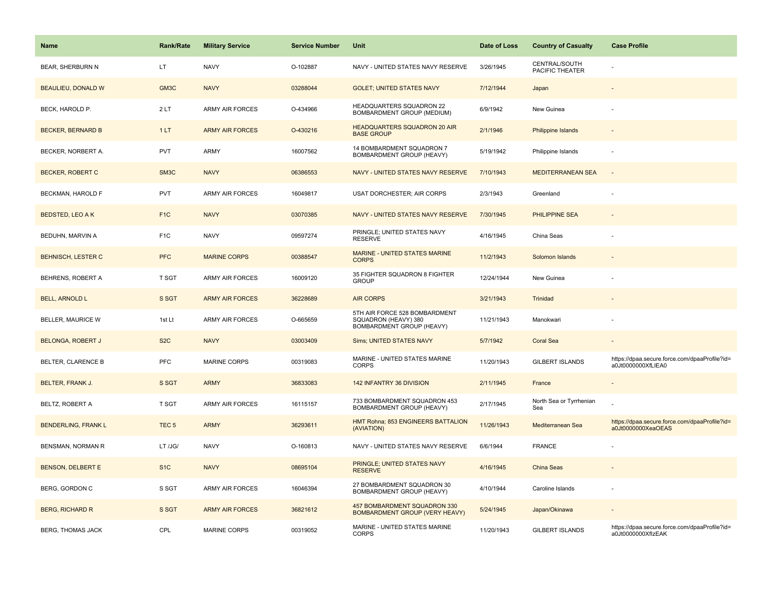| <b>Name</b>                | <b>Rank/Rate</b>  | <b>Military Service</b> | <b>Service Number</b> | Unit                                                                               | Date of Loss | <b>Country of Casualty</b>       | <b>Case Profile</b>                                                 |
|----------------------------|-------------------|-------------------------|-----------------------|------------------------------------------------------------------------------------|--------------|----------------------------------|---------------------------------------------------------------------|
| <b>BEAR, SHERBURN N</b>    | LT.               | <b>NAVY</b>             | O-102887              | NAVY - UNITED STATES NAVY RESERVE                                                  | 3/26/1945    | CENTRAL/SOUTH<br>PACIFIC THEATER |                                                                     |
| <b>BEAULIEU, DONALD W</b>  | GM3C              | <b>NAVY</b>             | 03288044              | <b>GOLET; UNITED STATES NAVY</b>                                                   | 7/12/1944    | Japan                            |                                                                     |
| BECK, HAROLD P.            | 2LT               | <b>ARMY AIR FORCES</b>  | O-434966              | HEADQUARTERS SQUADRON 22<br><b>BOMBARDMENT GROUP (MEDIUM)</b>                      | 6/9/1942     | New Guinea                       |                                                                     |
| <b>BECKER, BERNARD B</b>   | 1LT               | <b>ARMY AIR FORCES</b>  | O-430216              | <b>HEADQUARTERS SQUADRON 20 AIR</b><br><b>BASE GROUP</b>                           | 2/1/1946     | <b>Philippine Islands</b>        |                                                                     |
| BECKER, NORBERT A.         | <b>PVT</b>        | <b>ARMY</b>             | 16007562              | 14 BOMBARDMENT SQUADRON 7<br>BOMBARDMENT GROUP (HEAVY)                             | 5/19/1942    | Philippine Islands               |                                                                     |
| <b>BECKER, ROBERT C</b>    | SM <sub>3</sub> C | <b>NAVY</b>             | 06386553              | NAVY - UNITED STATES NAVY RESERVE                                                  | 7/10/1943    | <b>MEDITERRANEAN SEA</b>         |                                                                     |
| BECKMAN, HAROLD F          | <b>PVT</b>        | ARMY AIR FORCES         | 16049817              | USAT DORCHESTER; AIR CORPS                                                         | 2/3/1943     | Greenland                        |                                                                     |
| <b>BEDSTED, LEO A K</b>    | F <sub>1C</sub>   | <b>NAVY</b>             | 03070385              | NAVY - UNITED STATES NAVY RESERVE                                                  | 7/30/1945    | <b>PHILIPPINE SEA</b>            |                                                                     |
| BEDUHN, MARVIN A           | F <sub>1</sub> C  | <b>NAVY</b>             | 09597274              | PRINGLE; UNITED STATES NAVY<br><b>RESERVE</b>                                      | 4/16/1945    | China Seas                       |                                                                     |
| <b>BEHNISCH, LESTER C</b>  | <b>PFC</b>        | <b>MARINE CORPS</b>     | 00388547              | MARINE - UNITED STATES MARINE<br><b>CORPS</b>                                      | 11/2/1943    | Solomon Islands                  |                                                                     |
| <b>BEHRENS, ROBERT A</b>   | T SGT             | ARMY AIR FORCES         | 16009120              | 35 FIGHTER SQUADRON 8 FIGHTER<br><b>GROUP</b>                                      | 12/24/1944   | New Guinea                       |                                                                     |
| <b>BELL, ARNOLD L</b>      | S SGT             | <b>ARMY AIR FORCES</b>  | 36228689              | <b>AIR CORPS</b>                                                                   | 3/21/1943    | Trinidad                         |                                                                     |
| <b>BELLER, MAURICE W</b>   | 1st Lt            | <b>ARMY AIR FORCES</b>  | O-665659              | 5TH AIR FORCE 528 BOMBARDMENT<br>SQUADRON (HEAVY) 380<br>BOMBARDMENT GROUP (HEAVY) | 11/21/1943   | Manokwari                        |                                                                     |
| <b>BELONGA, ROBERT J</b>   | S <sub>2</sub> C  | <b>NAVY</b>             | 03003409              | Sims; UNITED STATES NAVY                                                           | 5/7/1942     | <b>Coral Sea</b>                 | $\sim$                                                              |
| BELTER, CLARENCE B         | <b>PFC</b>        | <b>MARINE CORPS</b>     | 00319083              | MARINE - UNITED STATES MARINE<br><b>CORPS</b>                                      | 11/20/1943   | <b>GILBERT ISLANDS</b>           | https://dpaa.secure.force.com/dpaaProfile?id=<br>a0Jt0000000XfLIEA0 |
| <b>BELTER, FRANK J.</b>    | S SGT             | <b>ARMY</b>             | 36833083              | 142 INFANTRY 36 DIVISION                                                           | 2/11/1945    | France                           |                                                                     |
| BELTZ, ROBERT A            | T SGT             | <b>ARMY AIR FORCES</b>  | 16115157              | 733 BOMBARDMENT SQUADRON 453<br>BOMBARDMENT GROUP (HEAVY)                          | 2/17/1945    | North Sea or Tyrrhenian<br>Sea   |                                                                     |
| <b>BENDERLING, FRANK L</b> | TEC <sub>5</sub>  | <b>ARMY</b>             | 36293611              | HMT Rohna; 853 ENGINEERS BATTALION<br>(AVIATION)                                   | 11/26/1943   | Mediterranean Sea                | https://dpaa.secure.force.com/dpaaProfile?id=<br>a0Jt0000000XeaOEAS |
| BENSMAN, NORMAN R          | LT /JG/           | <b>NAVY</b>             | O-160813              | NAVY - UNITED STATES NAVY RESERVE                                                  | 6/6/1944     | <b>FRANCE</b>                    |                                                                     |
| <b>BENSON, DELBERT E</b>   | S <sub>1</sub> C  | <b>NAVY</b>             | 08695104              | PRINGLE; UNITED STATES NAVY<br><b>RESERVE</b>                                      | 4/16/1945    | China Seas                       |                                                                     |
| <b>BERG, GORDON C</b>      | S SGT             | <b>ARMY AIR FORCES</b>  | 16046394              | 27 BOMBARDMENT SQUADRON 30<br>BOMBARDMENT GROUP (HEAVY)                            | 4/10/1944    | Caroline Islands                 |                                                                     |
| <b>BERG, RICHARD R</b>     | S SGT             | <b>ARMY AIR FORCES</b>  | 36821612              | 457 BOMBARDMENT SQUADRON 330<br><b>BOMBARDMENT GROUP (VERY HEAVY)</b>              | 5/24/1945    | Japan/Okinawa                    |                                                                     |
| <b>BERG, THOMAS JACK</b>   | CPL               | <b>MARINE CORPS</b>     | 00319052              | MARINE - UNITED STATES MARINE<br><b>CORPS</b>                                      | 11/20/1943   | <b>GILBERT ISLANDS</b>           | https://dpaa.secure.force.com/dpaaProfile?id=<br>a0Jt0000000XflzEAK |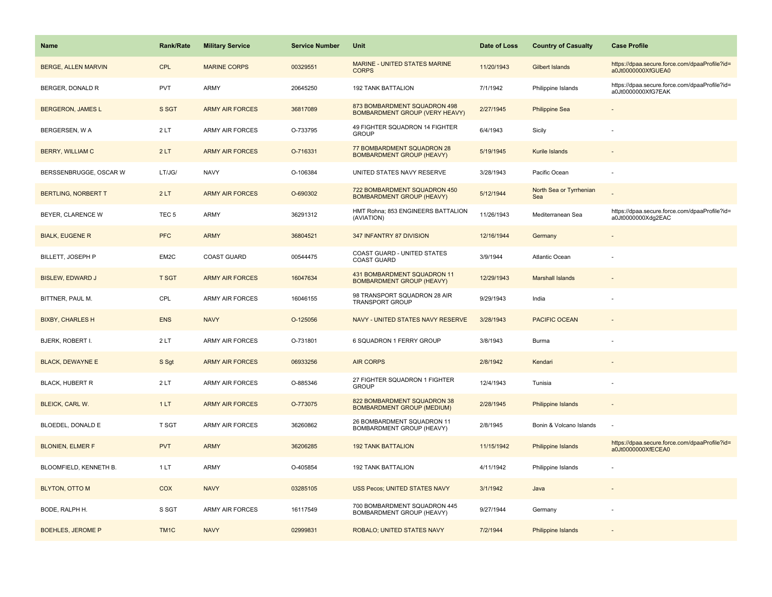| <b>Name</b>                | <b>Rank/Rate</b> | <b>Military Service</b> | <b>Service Number</b> | Unit                                                                  | Date of Loss | <b>Country of Casualty</b>     | <b>Case Profile</b>                                                 |
|----------------------------|------------------|-------------------------|-----------------------|-----------------------------------------------------------------------|--------------|--------------------------------|---------------------------------------------------------------------|
| <b>BERGE, ALLEN MARVIN</b> | <b>CPL</b>       | <b>MARINE CORPS</b>     | 00329551              | <b>MARINE - UNITED STATES MARINE</b><br><b>CORPS</b>                  | 11/20/1943   | Gilbert Islands                | https://dpaa.secure.force.com/dpaaProfile?id=<br>a0Jt0000000XfGUEA0 |
| BERGER, DONALD R           | PVT              | ARMY                    | 20645250              | 192 TANK BATTALION                                                    | 7/1/1942     | Philippine Islands             | https://dpaa.secure.force.com/dpaaProfile?id=<br>a0Jt0000000XfG7EAK |
| <b>BERGERON, JAMES L</b>   | S SGT            | <b>ARMY AIR FORCES</b>  | 36817089              | 873 BOMBARDMENT SQUADRON 498<br><b>BOMBARDMENT GROUP (VERY HEAVY)</b> | 2/27/1945    | <b>Philippine Sea</b>          |                                                                     |
| BERGERSEN, W A             | 2LT              | <b>ARMY AIR FORCES</b>  | O-733795              | 49 FIGHTER SQUADRON 14 FIGHTER<br><b>GROUP</b>                        | 6/4/1943     | Sicily                         |                                                                     |
| <b>BERRY, WILLIAM C</b>    | 2LT              | <b>ARMY AIR FORCES</b>  | O-716331              | 77 BOMBARDMENT SQUADRON 28<br><b>BOMBARDMENT GROUP (HEAVY)</b>        | 5/19/1945    | Kurile Islands                 |                                                                     |
| BERSSENBRUGGE, OSCAR W     | LT/JG/           | <b>NAVY</b>             | O-106384              | UNITED STATES NAVY RESERVE                                            | 3/28/1943    | Pacific Ocean                  |                                                                     |
| <b>BERTLING, NORBERT T</b> | 2LT              | <b>ARMY AIR FORCES</b>  | O-690302              | 722 BOMBARDMENT SQUADRON 450<br><b>BOMBARDMENT GROUP (HEAVY)</b>      | 5/12/1944    | North Sea or Tyrrhenian<br>Sea |                                                                     |
| BEYER, CLARENCE W          | TEC <sub>5</sub> | <b>ARMY</b>             | 36291312              | HMT Rohna; 853 ENGINEERS BATTALION<br>(AVIATION)                      | 11/26/1943   | Mediterranean Sea              | https://dpaa.secure.force.com/dpaaProfile?id=<br>a0Jt0000000Xdg2EAC |
| <b>BIALK, EUGENE R</b>     | <b>PFC</b>       | <b>ARMY</b>             | 36804521              | 347 INFANTRY 87 DIVISION                                              | 12/16/1944   | Germany                        |                                                                     |
| BILLETT, JOSEPH P          | EM2C             | COAST GUARD             | 00544475              | COAST GUARD - UNITED STATES<br><b>COAST GUARD</b>                     | 3/9/1944     | Atlantic Ocean                 |                                                                     |
| <b>BISLEW, EDWARD J</b>    | <b>T SGT</b>     | <b>ARMY AIR FORCES</b>  | 16047634              | 431 BOMBARDMENT SQUADRON 11<br><b>BOMBARDMENT GROUP (HEAVY)</b>       | 12/29/1943   | <b>Marshall Islands</b>        |                                                                     |
| BITTNER, PAUL M.           | CPL              | <b>ARMY AIR FORCES</b>  | 16046155              | 98 TRANSPORT SQUADRON 28 AIR<br><b>TRANSPORT GROUP</b>                | 9/29/1943    | India                          |                                                                     |
| <b>BIXBY, CHARLES H</b>    | <b>ENS</b>       | <b>NAVY</b>             | O-125056              | NAVY - UNITED STATES NAVY RESERVE                                     | 3/28/1943    | <b>PACIFIC OCEAN</b>           |                                                                     |
| BJERK, ROBERT I.           | 2LT              | <b>ARMY AIR FORCES</b>  | O-731801              | 6 SQUADRON 1 FERRY GROUP                                              | 3/8/1943     | Burma                          |                                                                     |
| <b>BLACK, DEWAYNE E</b>    | S Sgt            | <b>ARMY AIR FORCES</b>  | 06933256              | <b>AIR CORPS</b>                                                      | 2/8/1942     | Kendari                        |                                                                     |
| <b>BLACK, HUBERT R</b>     | 2LT              | <b>ARMY AIR FORCES</b>  | O-885346              | 27 FIGHTER SQUADRON 1 FIGHTER<br><b>GROUP</b>                         | 12/4/1943    | Tunisia                        |                                                                     |
| BLEICK, CARL W.            | 1LT              | <b>ARMY AIR FORCES</b>  | O-773075              | 822 BOMBARDMENT SQUADRON 38<br><b>BOMBARDMENT GROUP (MEDIUM)</b>      | 2/28/1945    | <b>Philippine Islands</b>      |                                                                     |
| BLOEDEL, DONALD E          | T SGT            | <b>ARMY AIR FORCES</b>  | 36260862              | 26 BOMBARDMENT SQUADRON 11<br><b>BOMBARDMENT GROUP (HEAVY)</b>        | 2/8/1945     | Bonin & Volcano Islands        |                                                                     |
| <b>BLONIEN, ELMER F</b>    | <b>PVT</b>       | <b>ARMY</b>             | 36206285              | <b>192 TANK BATTALION</b>                                             | 11/15/1942   | Philippine Islands             | https://dpaa.secure.force.com/dpaaProfile?id=<br>a0Jt0000000XfECEA0 |
| BLOOMFIELD, KENNETH B.     | 1LT              | <b>ARMY</b>             | O-405854              | <b>192 TANK BATTALION</b>                                             | 4/11/1942    | Philippine Islands             |                                                                     |
| <b>BLYTON, OTTO M</b>      | COX              | <b>NAVY</b>             | 03285105              | USS Pecos; UNITED STATES NAVY                                         | 3/1/1942     | Java                           |                                                                     |
| BODE, RALPH H.             | S SGT            | <b>ARMY AIR FORCES</b>  | 16117549              | 700 BOMBARDMENT SQUADRON 445<br>BOMBARDMENT GROUP (HEAVY)             | 9/27/1944    | Germany                        |                                                                     |
| <b>BOEHLES, JEROME P</b>   | TM <sub>1C</sub> | <b>NAVY</b>             | 02999831              | ROBALO; UNITED STATES NAVY                                            | 7/2/1944     | Philippine Islands             |                                                                     |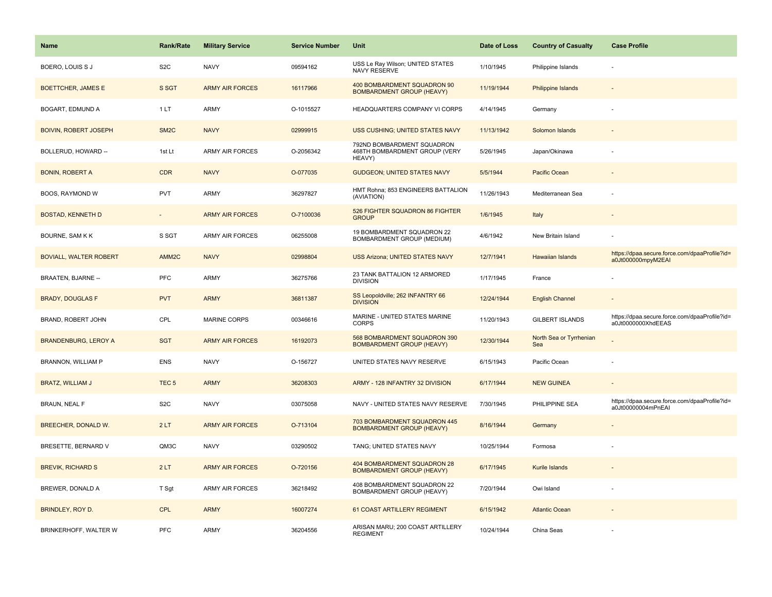| <b>Name</b>                   | <b>Rank/Rate</b>  | <b>Military Service</b> | <b>Service Number</b> | Unit                                                                  | Date of Loss | <b>Country of Casualty</b>     | <b>Case Profile</b>                                                 |
|-------------------------------|-------------------|-------------------------|-----------------------|-----------------------------------------------------------------------|--------------|--------------------------------|---------------------------------------------------------------------|
| BOERO, LOUIS S J              | S <sub>2</sub> C  | <b>NAVY</b>             | 09594162              | USS Le Ray Wilson; UNITED STATES<br>NAVY RESERVE                      | 1/10/1945    | Philippine Islands             |                                                                     |
| <b>BOETTCHER, JAMES E</b>     | S SGT             | <b>ARMY AIR FORCES</b>  | 16117966              | 400 BOMBARDMENT SQUADRON 90<br><b>BOMBARDMENT GROUP (HEAVY)</b>       | 11/19/1944   | <b>Philippine Islands</b>      |                                                                     |
| BOGART, EDMUND A              | 1LT               | ARMY                    | O-1015527             | HEADQUARTERS COMPANY VI CORPS                                         | 4/14/1945    | Germany                        |                                                                     |
| <b>BOIVIN, ROBERT JOSEPH</b>  | SM <sub>2</sub> C | <b>NAVY</b>             | 02999915              | USS CUSHING; UNITED STATES NAVY                                       | 11/13/1942   | Solomon Islands                |                                                                     |
| BOLLERUD, HOWARD --           | 1st Lt            | <b>ARMY AIR FORCES</b>  | O-2056342             | 792ND BOMBARDMENT SQUADRON<br>468TH BOMBARDMENT GROUP (VERY<br>HEAVY) | 5/26/1945    | Japan/Okinawa                  |                                                                     |
| <b>BONIN, ROBERT A</b>        | <b>CDR</b>        | <b>NAVY</b>             | O-077035              | <b>GUDGEON; UNITED STATES NAVY</b>                                    | 5/5/1944     | Pacific Ocean                  |                                                                     |
| BOOS, RAYMOND W               | <b>PVT</b>        | ARMY                    | 36297827              | HMT Rohna; 853 ENGINEERS BATTALION<br>(AVIATION)                      | 11/26/1943   | Mediterranean Sea              |                                                                     |
| <b>BOSTAD, KENNETH D</b>      | $\sim$            | <b>ARMY AIR FORCES</b>  | O-7100036             | 526 FIGHTER SQUADRON 86 FIGHTER<br><b>GROUP</b>                       | 1/6/1945     | Italy                          |                                                                     |
| BOURNE, SAM K K               | S SGT             | ARMY AIR FORCES         | 06255008              | 19 BOMBARDMENT SQUADRON 22<br>BOMBARDMENT GROUP (MEDIUM)              | 4/6/1942     | New Britain Island             |                                                                     |
| <b>BOVIALL, WALTER ROBERT</b> | AMM <sub>2C</sub> | <b>NAVY</b>             | 02998804              | <b>USS Arizona; UNITED STATES NAVY</b>                                | 12/7/1941    | <b>Hawaiian Islands</b>        | https://dpaa.secure.force.com/dpaaProfile?id=<br>a0Jt000000mpyM2EAI |
| <b>BRAATEN, BJARNE --</b>     | PFC               | ARMY                    | 36275766              | 23 TANK BATTALION 12 ARMORED<br><b>DIVISION</b>                       | 1/17/1945    | France                         |                                                                     |
| <b>BRADY, DOUGLAS F</b>       | <b>PVT</b>        | <b>ARMY</b>             | 36811387              | SS Leopoldville; 262 INFANTRY 66<br><b>DIVISION</b>                   | 12/24/1944   | <b>English Channel</b>         |                                                                     |
| BRAND, ROBERT JOHN            | CPL               | <b>MARINE CORPS</b>     | 00346616              | MARINE - UNITED STATES MARINE<br><b>CORPS</b>                         | 11/20/1943   | <b>GILBERT ISLANDS</b>         | https://dpaa.secure.force.com/dpaaProfile?id=<br>a0Jt0000000XhdEEAS |
| <b>BRANDENBURG, LEROY A</b>   | <b>SGT</b>        | <b>ARMY AIR FORCES</b>  | 16192073              | 568 BOMBARDMENT SQUADRON 390<br><b>BOMBARDMENT GROUP (HEAVY)</b>      | 12/30/1944   | North Sea or Tyrrhenian<br>Sea |                                                                     |
| BRANNON, WILLIAM P            | <b>ENS</b>        | <b>NAVY</b>             | O-156727              | UNITED STATES NAVY RESERVE                                            | 6/15/1943    | Pacific Ocean                  |                                                                     |
| <b>BRATZ, WILLIAM J</b>       | TEC <sub>5</sub>  | <b>ARMY</b>             | 36208303              | ARMY - 128 INFANTRY 32 DIVISION                                       | 6/17/1944    | <b>NEW GUINEA</b>              |                                                                     |
| <b>BRAUN, NEAL F</b>          | S <sub>2</sub> C  | <b>NAVY</b>             | 03075058              | NAVY - UNITED STATES NAVY RESERVE                                     | 7/30/1945    | PHILIPPINE SEA                 | https://dpaa.secure.force.com/dpaaProfile?id=<br>a0Jt00000004mPnEAI |
| <b>BREECHER, DONALD W.</b>    | 2LT               | <b>ARMY AIR FORCES</b>  | O-713104              | 703 BOMBARDMENT SQUADRON 445<br><b>BOMBARDMENT GROUP (HEAVY)</b>      | 8/16/1944    | Germany                        |                                                                     |
| BRESETTE, BERNARD V           | QM3C              | <b>NAVY</b>             | 03290502              | TANG; UNITED STATES NAVY                                              | 10/25/1944   | Formosa                        |                                                                     |
| <b>BREVIK, RICHARD S</b>      | 2LT               | <b>ARMY AIR FORCES</b>  | O-720156              | 404 BOMBARDMENT SQUADRON 28<br><b>BOMBARDMENT GROUP (HEAVY)</b>       | 6/17/1945    | Kurile Islands                 |                                                                     |
| BREWER, DONALD A              | T Sgt             | ARMY AIR FORCES         | 36218492              | 408 BOMBARDMENT SQUADRON 22<br>BOMBARDMENT GROUP (HEAVY)              | 7/20/1944    | Owi Island                     |                                                                     |
| BRINDLEY, ROY D.              | <b>CPL</b>        | <b>ARMY</b>             | 16007274              | 61 COAST ARTILLERY REGIMENT                                           | 6/15/1942    | <b>Atlantic Ocean</b>          |                                                                     |
| BRINKERHOFF, WALTER W         | PFC               | ARMY                    | 36204556              | ARISAN MARU; 200 COAST ARTILLERY<br><b>REGIMENT</b>                   | 10/24/1944   | China Seas                     |                                                                     |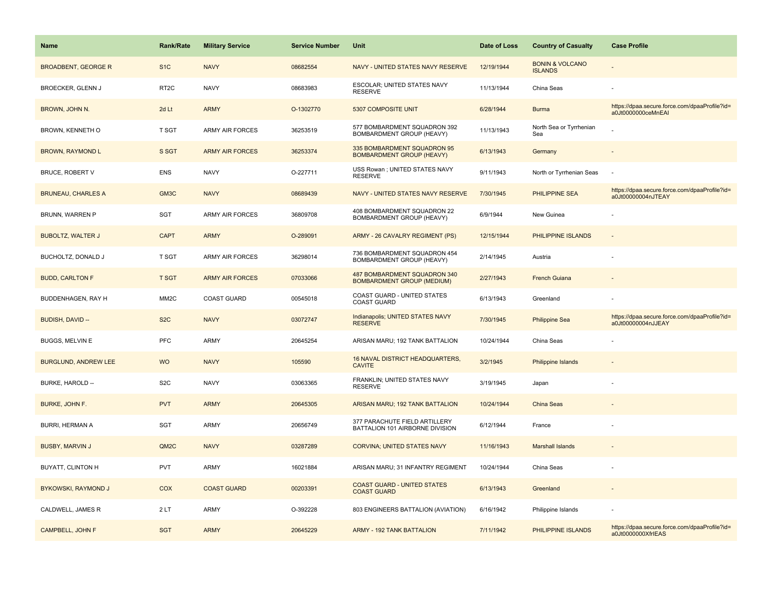| <b>Name</b>                 | <b>Rank/Rate</b>  | <b>Military Service</b> | <b>Service Number</b> | Unit                                                              | Date of Loss | <b>Country of Casualty</b>                   | <b>Case Profile</b>                                                 |
|-----------------------------|-------------------|-------------------------|-----------------------|-------------------------------------------------------------------|--------------|----------------------------------------------|---------------------------------------------------------------------|
| <b>BROADBENT, GEORGE R</b>  | S <sub>1</sub> C  | <b>NAVY</b>             | 08682554              | NAVY - UNITED STATES NAVY RESERVE                                 | 12/19/1944   | <b>BONIN &amp; VOLCANO</b><br><b>ISLANDS</b> |                                                                     |
| BROECKER, GLENN J           | RT <sub>2C</sub>  | <b>NAVY</b>             | 08683983              | ESCOLAR; UNITED STATES NAVY<br><b>RESERVE</b>                     | 11/13/1944   | China Seas                                   |                                                                     |
| BROWN, JOHN N.              | 2d Lt             | <b>ARMY</b>             | O-1302770             | 5307 COMPOSITE UNIT                                               | 6/28/1944    | <b>Burma</b>                                 | https://dpaa.secure.force.com/dpaaProfile?id=<br>a0Jt0000000ceMnEAI |
| BROWN, KENNETH O            | <b>T SGT</b>      | <b>ARMY AIR FORCES</b>  | 36253519              | 577 BOMBARDMENT SQUADRON 392<br>BOMBARDMENT GROUP (HEAVY)         | 11/13/1943   | North Sea or Tyrrhenian<br>Sea               |                                                                     |
| <b>BROWN, RAYMOND L</b>     | S SGT             | <b>ARMY AIR FORCES</b>  | 36253374              | 335 BOMBARDMENT SQUADRON 95<br><b>BOMBARDMENT GROUP (HEAVY)</b>   | 6/13/1943    | Germany                                      |                                                                     |
| <b>BRUCE, ROBERT V</b>      | <b>ENS</b>        | <b>NAVY</b>             | O-227711              | USS Rowan; UNITED STATES NAVY<br><b>RESERVE</b>                   | 9/11/1943    | North or Tyrrhenian Seas                     |                                                                     |
| <b>BRUNEAU, CHARLES A</b>   | GM3C              | <b>NAVY</b>             | 08689439              | NAVY - UNITED STATES NAVY RESERVE                                 | 7/30/1945    | PHILIPPINE SEA                               | https://dpaa.secure.force.com/dpaaProfile?id=<br>a0Jt00000004nJTEAY |
| BRUNN, WARREN P             | <b>SGT</b>        | <b>ARMY AIR FORCES</b>  | 36809708              | 408 BOMBARDMENT SQUADRON 22<br>BOMBARDMENT GROUP (HEAVY)          | 6/9/1944     | New Guinea                                   |                                                                     |
| <b>BUBOLTZ, WALTER J</b>    | <b>CAPT</b>       | <b>ARMY</b>             | O-289091              | ARMY - 26 CAVALRY REGIMENT (PS)                                   | 12/15/1944   | PHILIPPINE ISLANDS                           | $\sim$                                                              |
| BUCHOLTZ, DONALD J          | T SGT             | <b>ARMY AIR FORCES</b>  | 36298014              | 736 BOMBARDMENT SQUADRON 454<br>BOMBARDMENT GROUP (HEAVY)         | 2/14/1945    | Austria                                      |                                                                     |
| <b>BUDD, CARLTON F</b>      | <b>T SGT</b>      | <b>ARMY AIR FORCES</b>  | 07033066              | 487 BOMBARDMENT SQUADRON 340<br><b>BOMBARDMENT GROUP (MEDIUM)</b> | 2/27/1943    | <b>French Guiana</b>                         |                                                                     |
| BUDDENHAGEN, RAY H          | MM <sub>2</sub> C | <b>COAST GUARD</b>      | 00545018              | COAST GUARD - UNITED STATES<br><b>COAST GUARD</b>                 | 6/13/1943    | Greenland                                    |                                                                     |
| BUDISH, DAVID --            | S <sub>2</sub> C  | <b>NAVY</b>             | 03072747              | Indianapolis; UNITED STATES NAVY<br><b>RESERVE</b>                | 7/30/1945    | <b>Philippine Sea</b>                        | https://dpaa.secure.force.com/dpaaProfile?id=<br>a0Jt00000004nJJEAY |
| <b>BUGGS, MELVIN E</b>      | <b>PFC</b>        | ARMY                    | 20645254              | ARISAN MARU; 192 TANK BATTALION                                   | 10/24/1944   | China Seas                                   |                                                                     |
| <b>BURGLUND, ANDREW LEE</b> | <b>WO</b>         | <b>NAVY</b>             | 105590                | 16 NAVAL DISTRICT HEADQUARTERS,<br><b>CAVITE</b>                  | 3/2/1945     | <b>Philippine Islands</b>                    |                                                                     |
| BURKE, HAROLD --            | S <sub>2</sub> C  | <b>NAVY</b>             | 03063365              | FRANKLIN; UNITED STATES NAVY<br><b>RESERVE</b>                    | 3/19/1945    | Japan                                        |                                                                     |
| BURKE, JOHN F.              | <b>PVT</b>        | <b>ARMY</b>             | 20645305              | ARISAN MARU; 192 TANK BATTALION                                   | 10/24/1944   | China Seas                                   |                                                                     |
| <b>BURRI, HERMAN A</b>      | <b>SGT</b>        | ARMY                    | 20656749              | 377 PARACHUTE FIELD ARTILLERY<br>BATTALION 101 AIRBORNE DIVISION  | 6/12/1944    | France                                       |                                                                     |
| <b>BUSBY, MARVIN J</b>      | QM2C              | <b>NAVY</b>             | 03287289              | <b>CORVINA; UNITED STATES NAVY</b>                                | 11/16/1943   | <b>Marshall Islands</b>                      |                                                                     |
| BUYATT, CLINTON H           | <b>PVT</b>        | ARMY                    | 16021884              | ARISAN MARU; 31 INFANTRY REGIMENT                                 | 10/24/1944   | China Seas                                   |                                                                     |
| BYKOWSKI, RAYMOND J         | COX               | <b>COAST GUARD</b>      | 00203391              | <b>COAST GUARD - UNITED STATES</b><br><b>COAST GUARD</b>          | 6/13/1943    | Greenland                                    |                                                                     |
| CALDWELL, JAMES R           | 2LT               | ARMY                    | O-392228              | 803 ENGINEERS BATTALION (AVIATION)                                | 6/16/1942    | Philippine Islands                           |                                                                     |
| <b>CAMPBELL, JOHN F</b>     | <b>SGT</b>        | <b>ARMY</b>             | 20645229              | <b>ARMY - 192 TANK BATTALION</b>                                  | 7/11/1942    | PHILIPPINE ISLANDS                           | https://dpaa.secure.force.com/dpaaProfile?id=<br>a0Jt0000000XfrIEAS |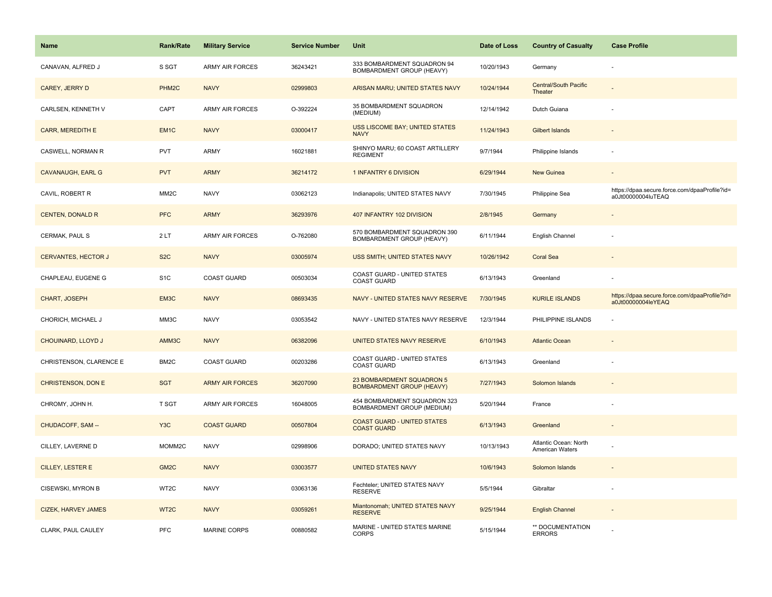| <b>Name</b>                | <b>Rank/Rate</b>   | <b>Military Service</b> | <b>Service Number</b> | Unit                                                          | Date of Loss | <b>Country of Casualty</b>               | <b>Case Profile</b>                                                 |
|----------------------------|--------------------|-------------------------|-----------------------|---------------------------------------------------------------|--------------|------------------------------------------|---------------------------------------------------------------------|
| CANAVAN, ALFRED J          | S SGT              | <b>ARMY AIR FORCES</b>  | 36243421              | 333 BOMBARDMENT SQUADRON 94<br>BOMBARDMENT GROUP (HEAVY)      | 10/20/1943   | Germany                                  |                                                                     |
| CAREY, JERRY D             | PHM <sub>2</sub> C | <b>NAVY</b>             | 02999803              | ARISAN MARU; UNITED STATES NAVY                               | 10/24/1944   | <b>Central/South Pacific</b><br>Theater  |                                                                     |
| CARLSEN, KENNETH V         | CAPT               | ARMY AIR FORCES         | O-392224              | 35 BOMBARDMENT SQUADRON<br>(MEDIUM)                           | 12/14/1942   | Dutch Guiana                             |                                                                     |
| CARR, MEREDITH E           | EM <sub>1C</sub>   | <b>NAVY</b>             | 03000417              | USS LISCOME BAY; UNITED STATES<br><b>NAVY</b>                 | 11/24/1943   | <b>Gilbert Islands</b>                   |                                                                     |
| CASWELL, NORMAN R          | <b>PVT</b>         | ARMY                    | 16021881              | SHINYO MARU; 60 COAST ARTILLERY<br><b>REGIMENT</b>            | 9/7/1944     | Philippine Islands                       |                                                                     |
| <b>CAVANAUGH, EARL G</b>   | <b>PVT</b>         | <b>ARMY</b>             | 36214172              | 1 INFANTRY 6 DIVISION                                         | 6/29/1944    | New Guinea                               | $\sim$                                                              |
| CAVIL, ROBERT R            | MM <sub>2</sub> C  | <b>NAVY</b>             | 03062123              | Indianapolis; UNITED STATES NAVY                              | 7/30/1945    | Philippine Sea                           | https://dpaa.secure.force.com/dpaaProfile?id=<br>a0Jt00000004luTEAQ |
| <b>CENTEN, DONALD R</b>    | <b>PFC</b>         | <b>ARMY</b>             | 36293976              | 407 INFANTRY 102 DIVISION                                     | 2/8/1945     | Germany                                  |                                                                     |
| CERMAK, PAUL S             | 2LT                | ARMY AIR FORCES         | O-762080              | 570 BOMBARDMENT SQUADRON 390<br>BOMBARDMENT GROUP (HEAVY)     | 6/11/1944    | English Channel                          |                                                                     |
| <b>CERVANTES, HECTOR J</b> | S <sub>2</sub> C   | <b>NAVY</b>             | 03005974              | USS SMITH; UNITED STATES NAVY                                 | 10/26/1942   | <b>Coral Sea</b>                         |                                                                     |
| CHAPLEAU, EUGENE G         | S <sub>1</sub> C   | <b>COAST GUARD</b>      | 00503034              | COAST GUARD - UNITED STATES<br><b>COAST GUARD</b>             | 6/13/1943    | Greenland                                |                                                                     |
| CHART, JOSEPH              | EM3C               | <b>NAVY</b>             | 08693435              | NAVY - UNITED STATES NAVY RESERVE                             | 7/30/1945    | <b>KURILE ISLANDS</b>                    | https://dpaa.secure.force.com/dpaaProfile?id=<br>a0Jt00000004leYEAQ |
| CHORICH, MICHAEL J         | MM3C               | <b>NAVY</b>             | 03053542              | NAVY - UNITED STATES NAVY RESERVE                             | 12/3/1944    | PHILIPPINE ISLANDS                       |                                                                     |
| CHOUINARD, LLOYD J         | AMM3C              | <b>NAVY</b>             | 06382096              | UNITED STATES NAVY RESERVE                                    | 6/10/1943    | <b>Atlantic Ocean</b>                    |                                                                     |
| CHRISTENSON, CLARENCE E    | BM2C               | COAST GUARD             | 00203286              | COAST GUARD - UNITED STATES<br><b>COAST GUARD</b>             | 6/13/1943    | Greenland                                |                                                                     |
| CHRISTENSON, DON E         | <b>SGT</b>         | <b>ARMY AIR FORCES</b>  | 36207090              | 23 BOMBARDMENT SQUADRON 5<br><b>BOMBARDMENT GROUP (HEAVY)</b> | 7/27/1943    | Solomon Islands                          |                                                                     |
| CHROMY, JOHN H.            | T SGT              | <b>ARMY AIR FORCES</b>  | 16048005              | 454 BOMBARDMENT SQUADRON 323<br>BOMBARDMENT GROUP (MEDIUM)    | 5/20/1944    | France                                   |                                                                     |
| CHUDACOFF, SAM --          | Y <sub>3</sub> C   | <b>COAST GUARD</b>      | 00507804              | <b>COAST GUARD - UNITED STATES</b><br><b>COAST GUARD</b>      | 6/13/1943    | Greenland                                |                                                                     |
| CILLEY, LAVERNE D          | MOMM2C             | <b>NAVY</b>             | 02998906              | DORADO: UNITED STATES NAVY                                    | 10/13/1943   | Atlantic Ocean: North<br>American Waters |                                                                     |
| CILLEY, LESTER E           | GM <sub>2C</sub>   | <b>NAVY</b>             | 03003577              | <b>UNITED STATES NAVY</b>                                     | 10/6/1943    | Solomon Islands                          |                                                                     |
| CISEWSKI, MYRON B          | WT2C               | <b>NAVY</b>             | 03063136              | Fechteler; UNITED STATES NAVY<br><b>RESERVE</b>               | 5/5/1944     | Gibraltar                                | ÷                                                                   |
| <b>CIZEK, HARVEY JAMES</b> | WT <sub>2</sub> C  | <b>NAVY</b>             | 03059261              | Miantonomah; UNITED STATES NAVY<br><b>RESERVE</b>             | 9/25/1944    | <b>English Channel</b>                   |                                                                     |
| CLARK, PAUL CAULEY         | PFC                | <b>MARINE CORPS</b>     | 00880582              | MARINE - UNITED STATES MARINE<br><b>CORPS</b>                 | 5/15/1944    | ** DOCUMENTATION<br><b>ERRORS</b>        |                                                                     |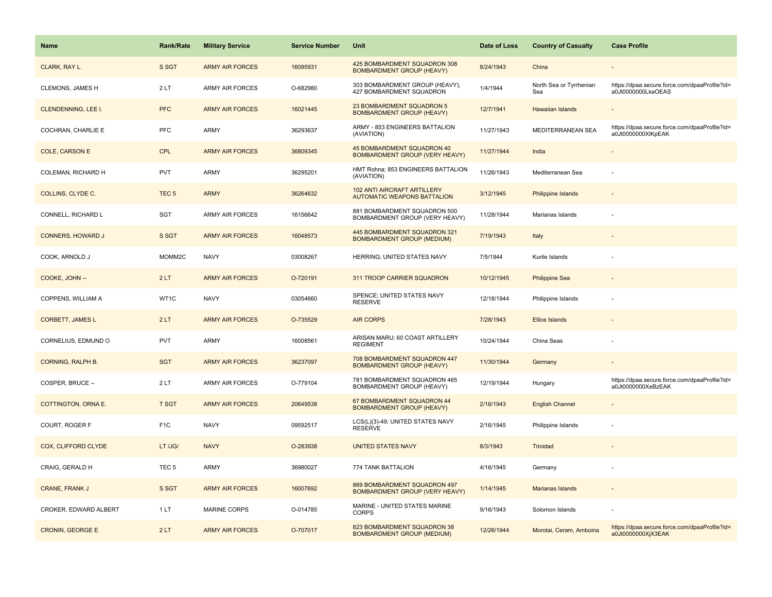| Name                       | <b>Rank/Rate</b> | <b>Military Service</b> | <b>Service Number</b> | Unit                                                              | Date of Loss | <b>Country of Casualty</b>     | <b>Case Profile</b>                                                 |
|----------------------------|------------------|-------------------------|-----------------------|-------------------------------------------------------------------|--------------|--------------------------------|---------------------------------------------------------------------|
| CLARK, RAY L.              | S SGT            | <b>ARMY AIR FORCES</b>  | 16095931              | 425 BOMBARDMENT SQUADRON 308<br><b>BOMBARDMENT GROUP (HEAVY)</b>  | 8/24/1943    | China                          |                                                                     |
| CLEMONS, JAMES H           | 2LT              | ARMY AIR FORCES         | O-682980              | 303 BOMBARDMENT GROUP (HEAVY),<br>427 BOMBARDMENT SQUADRON        | 1/4/1944     | North Sea or Tyrrhenian<br>Sea | https://dpaa.secure.force.com/dpaaProfile?id=<br>a0Jt0000000LkaOEAS |
| CLENDENNING, LEE I.        | <b>PFC</b>       | <b>ARMY AIR FORCES</b>  | 16021445              | 23 BOMBARDMENT SQUADRON 5<br><b>BOMBARDMENT GROUP (HEAVY)</b>     | 12/7/1941    | <b>Hawaiian Islands</b>        |                                                                     |
| COCHRAN, CHARLIE E         | <b>PFC</b>       | ARMY                    | 36293637              | ARMY - 853 ENGINEERS BATTALION<br>(AVIATION)                      | 11/27/1943   | <b>MEDITERRANEAN SEA</b>       | https://dpaa.secure.force.com/dpaaProfile?id=<br>a0Jt0000000XIKpEAK |
| <b>COLE, CARSON E</b>      | <b>CPL</b>       | <b>ARMY AIR FORCES</b>  | 36809345              | 45 BOMBARDMENT SQUADRON 40<br>BOMBARDMENT GROUP (VERY HEAVY)      | 11/27/1944   | India                          |                                                                     |
| COLEMAN, RICHARD H         | <b>PVT</b>       | ARMY                    | 36295201              | HMT Rohna; 853 ENGINEERS BATTALION<br>(AVIATION)                  | 11/26/1943   | Mediterranean Sea              |                                                                     |
| COLLINS, CLYDE C.          | TEC <sub>5</sub> | <b>ARMY</b>             | 36264632              | 102 ANTI AIRCRAFT ARTILLERY<br><b>AUTOMATIC WEAPONS BATTALION</b> | 3/12/1945    | Philippine Islands             |                                                                     |
| CONNELL, RICHARD L         | SGT              | <b>ARMY AIR FORCES</b>  | 16156642              | 881 BOMBARDMENT SQUADRON 500<br>BOMBARDMENT GROUP (VERY HEAVY)    | 11/28/1944   | Marianas Islands               |                                                                     |
| <b>CONNERS, HOWARD J</b>   | S SGT            | <b>ARMY AIR FORCES</b>  | 16048573              | 445 BOMBARDMENT SQUADRON 321<br><b>BOMBARDMENT GROUP (MEDIUM)</b> | 7/19/1943    | Italy                          |                                                                     |
| COOK, ARNOLD J             | MOMM2C           | <b>NAVY</b>             | 03008267              | HERRING; UNITED STATES NAVY                                       | 7/5/1944     | Kurile Islands                 |                                                                     |
| COOKE, JOHN --             | 2LT              | <b>ARMY AIR FORCES</b>  | O-720191              | 311 TROOP CARRIER SQUADRON                                        | 10/12/1945   | <b>Philippine Sea</b>          |                                                                     |
| COPPENS, WILLIAM A         | WT1C             | <b>NAVY</b>             | 03054660              | SPENCE; UNITED STATES NAVY<br><b>RESERVE</b>                      | 12/18/1944   | Philippine Islands             |                                                                     |
| <b>CORBETT, JAMES L</b>    | 2LT              | <b>ARMY AIR FORCES</b>  | O-735529              | <b>AIR CORPS</b>                                                  | 7/28/1943    | Ellice Islands                 |                                                                     |
| CORNELIUS, EDMUND O        | <b>PVT</b>       | ARMY                    | 16008561              | ARISAN MARU; 60 COAST ARTILLERY<br><b>REGIMENT</b>                | 10/24/1944   | China Seas                     |                                                                     |
| <b>CORNING, RALPH B.</b>   | <b>SGT</b>       | <b>ARMY AIR FORCES</b>  | 36237097              | 708 BOMBARDMENT SQUADRON 447<br><b>BOMBARDMENT GROUP (HEAVY)</b>  | 11/30/1944   | Germany                        |                                                                     |
| COSPER, BRUCE --           | 2LT              | <b>ARMY AIR FORCES</b>  | O-779104              | 781 BOMBARDMENT SQUADRON 465<br>BOMBARDMENT GROUP (HEAVY)         | 12/19/1944   | Hungary                        | https://dpaa.secure.force.com/dpaaProfile?id=<br>a0Jt0000000XeBzEAK |
| COTTINGTON, ORNA E.        | <b>T SGT</b>     | <b>ARMY AIR FORCES</b>  | 20649538              | 67 BOMBARDMENT SQUADRON 44<br><b>BOMBARDMENT GROUP (HEAVY)</b>    | 2/16/1943    | <b>English Channel</b>         |                                                                     |
| COURT, ROGER F             | F <sub>1</sub> C | <b>NAVY</b>             | 09592517              | LCS(L)(3)-49; UNITED STATES NAVY<br><b>RESERVE</b>                | 2/16/1945    | Philippine Islands             |                                                                     |
| <b>COX, CLIFFORD CLYDE</b> | LT /JG/          | <b>NAVY</b>             | O-283938              | <b>UNITED STATES NAVY</b>                                         | 8/3/1943     | Trinidad                       |                                                                     |
| CRAIG, GERALD H            | TEC <sub>5</sub> | ARMY                    | 36980027              | 774 TANK BATTALION                                                | 4/16/1945    | Germany                        |                                                                     |
| <b>CRANE, FRANK J</b>      | S SGT            | <b>ARMY AIR FORCES</b>  | 16007692              | 869 BOMBARDMENT SQUADRON 497<br>BOMBARDMENT GROUP (VERY HEAVY)    | 1/14/1945    | Marianas Islands               |                                                                     |
| CROKER, EDWARD ALBERT      | 1LT              | <b>MARINE CORPS</b>     | O-014785              | MARINE - UNITED STATES MARINE<br><b>CORPS</b>                     | 9/16/1943    | Solomon Islands                |                                                                     |
| <b>CRONIN, GEORGE E</b>    | 2LT              | <b>ARMY AIR FORCES</b>  | O-707017              | 823 BOMBARDMENT SQUADRON 38<br><b>BOMBARDMENT GROUP (MEDIUM)</b>  | 12/26/1944   | Morotai, Ceram, Amboina        | https://dpaa.secure.force.com/dpaaProfile?id=<br>a0Jt0000000XjX3EAK |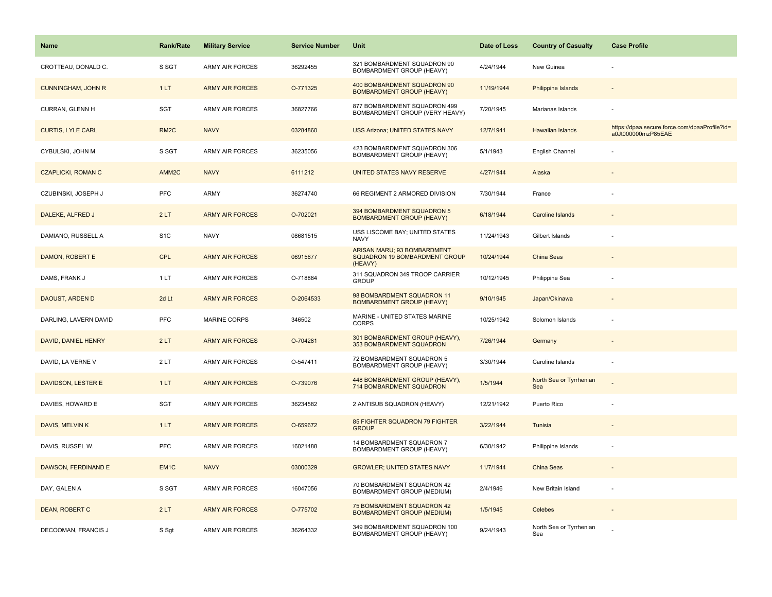| <b>Name</b>               | Rank/Rate         | <b>Military Service</b> | <b>Service Number</b> | Unit                                                                           | Date of Loss | <b>Country of Casualty</b>     | <b>Case Profile</b>                                                 |
|---------------------------|-------------------|-------------------------|-----------------------|--------------------------------------------------------------------------------|--------------|--------------------------------|---------------------------------------------------------------------|
| CROTTEAU, DONALD C.       | S SGT             | <b>ARMY AIR FORCES</b>  | 36292455              | 321 BOMBARDMENT SQUADRON 90<br>BOMBARDMENT GROUP (HEAVY)                       | 4/24/1944    | New Guinea                     |                                                                     |
| <b>CUNNINGHAM, JOHN R</b> | 1LT               | <b>ARMY AIR FORCES</b>  | O-771325              | 400 BOMBARDMENT SQUADRON 90<br><b>BOMBARDMENT GROUP (HEAVY)</b>                | 11/19/1944   | <b>Philippine Islands</b>      |                                                                     |
| CURRAN, GLENN H           | SGT               | <b>ARMY AIR FORCES</b>  | 36827766              | 877 BOMBARDMENT SQUADRON 499<br>BOMBARDMENT GROUP (VERY HEAVY)                 | 7/20/1945    | Marianas Islands               |                                                                     |
| <b>CURTIS, LYLE CARL</b>  | RM <sub>2</sub> C | <b>NAVY</b>             | 03284860              | <b>USS Arizona; UNITED STATES NAVY</b>                                         | 12/7/1941    | <b>Hawaiian Islands</b>        | https://dpaa.secure.force.com/dpaaProfile?id=<br>a0Jt000000mzP85EAE |
| CYBULSKI, JOHN M          | S SGT             | <b>ARMY AIR FORCES</b>  | 36235056              | 423 BOMBARDMENT SQUADRON 306<br>BOMBARDMENT GROUP (HEAVY)                      | 5/1/1943     | English Channel                |                                                                     |
| <b>CZAPLICKI, ROMAN C</b> | AMM <sub>2C</sub> | <b>NAVY</b>             | 6111212               | UNITED STATES NAVY RESERVE                                                     | 4/27/1944    | Alaska                         |                                                                     |
| CZUBINSKI, JOSEPH J       | <b>PFC</b>        | <b>ARMY</b>             | 36274740              | 66 REGIMENT 2 ARMORED DIVISION                                                 | 7/30/1944    | France                         |                                                                     |
| DALEKE, ALFRED J          | 2LT               | <b>ARMY AIR FORCES</b>  | O-702021              | 394 BOMBARDMENT SQUADRON 5<br><b>BOMBARDMENT GROUP (HEAVY)</b>                 | 6/18/1944    | Caroline Islands               |                                                                     |
| DAMIANO, RUSSELL A        | S <sub>1</sub> C  | <b>NAVY</b>             | 08681515              | USS LISCOME BAY; UNITED STATES<br><b>NAVY</b>                                  | 11/24/1943   | Gilbert Islands                |                                                                     |
| DAMON, ROBERT E           | <b>CPL</b>        | <b>ARMY AIR FORCES</b>  | 06915677              | ARISAN MARU; 93 BOMBARDMENT<br><b>SQUADRON 19 BOMBARDMENT GROUP</b><br>(HEAVY) | 10/24/1944   | <b>China Seas</b>              |                                                                     |
| DAMS, FRANK J             | 1 LT              | <b>ARMY AIR FORCES</b>  | O-718884              | 311 SQUADRON 349 TROOP CARRIER<br><b>GROUP</b>                                 | 10/12/1945   | Philippine Sea                 |                                                                     |
| DAOUST, ARDEN D           | 2d Lt             | <b>ARMY AIR FORCES</b>  | O-2064533             | 98 BOMBARDMENT SQUADRON 11<br><b>BOMBARDMENT GROUP (HEAVY)</b>                 | 9/10/1945    | Japan/Okinawa                  |                                                                     |
| DARLING, LAVERN DAVID     | <b>PFC</b>        | <b>MARINE CORPS</b>     | 346502                | MARINE - UNITED STATES MARINE<br><b>CORPS</b>                                  | 10/25/1942   | Solomon Islands                |                                                                     |
| DAVID, DANIEL HENRY       | 2LT               | <b>ARMY AIR FORCES</b>  | O-704281              | 301 BOMBARDMENT GROUP (HEAVY),<br>353 BOMBARDMENT SQUADRON                     | 7/26/1944    | Germany                        |                                                                     |
| DAVID, LA VERNE V         | 2LT               | <b>ARMY AIR FORCES</b>  | O-547411              | 72 BOMBARDMENT SQUADRON 5<br><b>BOMBARDMENT GROUP (HEAVY)</b>                  | 3/30/1944    | Caroline Islands               | ÷,                                                                  |
| <b>DAVIDSON, LESTER E</b> | 1LT               | <b>ARMY AIR FORCES</b>  | O-739076              | 448 BOMBARDMENT GROUP (HEAVY),<br><b>714 BOMBARDMENT SQUADRON</b>              | 1/5/1944     | North Sea or Tyrrhenian<br>Sea |                                                                     |
| DAVIES, HOWARD E          | SGT               | <b>ARMY AIR FORCES</b>  | 36234582              | 2 ANTISUB SQUADRON (HEAVY)                                                     | 12/21/1942   | Puerto Rico                    |                                                                     |
| DAVIS, MELVIN K           | 1LT               | <b>ARMY AIR FORCES</b>  | O-659672              | 85 FIGHTER SQUADRON 79 FIGHTER<br><b>GROUP</b>                                 | 3/22/1944    | Tunisia                        |                                                                     |
| DAVIS, RUSSEL W.          | <b>PFC</b>        | <b>ARMY AIR FORCES</b>  | 16021488              | 14 BOMBARDMENT SQUADRON 7<br>BOMBARDMENT GROUP (HEAVY)                         | 6/30/1942    | Philippine Islands             |                                                                     |
| DAWSON, FERDINAND E       | EM <sub>1C</sub>  | <b>NAVY</b>             | 03000329              | <b>GROWLER; UNITED STATES NAVY</b>                                             | 11/7/1944    | China Seas                     |                                                                     |
| DAY, GALEN A              | S SGT             | <b>ARMY AIR FORCES</b>  | 16047056              | 70 BOMBARDMENT SQUADRON 42<br>BOMBARDMENT GROUP (MEDIUM)                       | 2/4/1946     | New Britain Island             | ÷                                                                   |
| <b>DEAN, ROBERT C</b>     | 2LT               | <b>ARMY AIR FORCES</b>  | O-775702              | 75 BOMBARDMENT SQUADRON 42<br><b>BOMBARDMENT GROUP (MEDIUM)</b>                | 1/5/1945     | Celebes                        |                                                                     |
| DECOOMAN, FRANCIS J       | S Sgt             | <b>ARMY AIR FORCES</b>  | 36264332              | 349 BOMBARDMENT SQUADRON 100<br><b>BOMBARDMENT GROUP (HEAVY)</b>               | 9/24/1943    | North Sea or Tyrrhenian<br>Sea |                                                                     |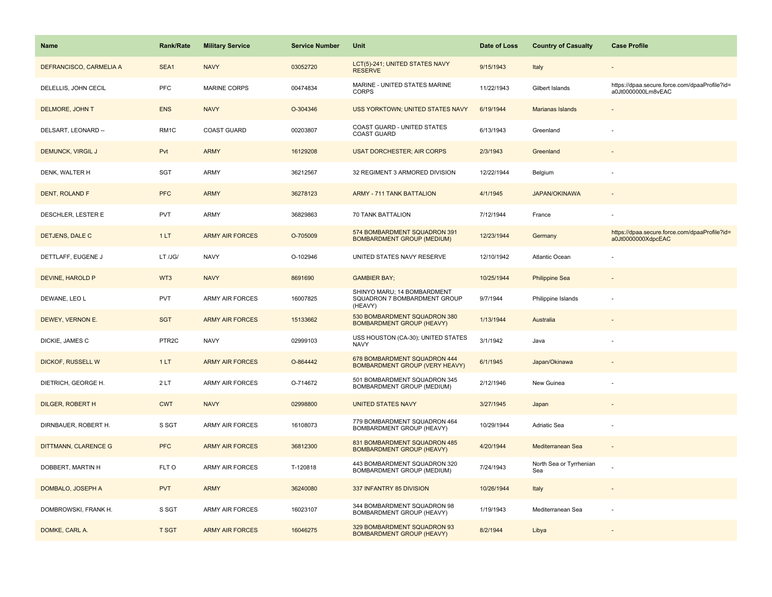| <b>Name</b>              | Rank/Rate         | <b>Military Service</b> | <b>Service Number</b> | Unit                                                                   | Date of Loss | <b>Country of Casualty</b>     | <b>Case Profile</b>                                                 |
|--------------------------|-------------------|-------------------------|-----------------------|------------------------------------------------------------------------|--------------|--------------------------------|---------------------------------------------------------------------|
| DEFRANCISCO, CARMELIA A  | SEA1              | <b>NAVY</b>             | 03052720              | LCT(5)-241; UNITED STATES NAVY<br><b>RESERVE</b>                       | 9/15/1943    | Italy                          |                                                                     |
| DELELLIS, JOHN CECIL     | <b>PFC</b>        | <b>MARINE CORPS</b>     | 00474834              | MARINE - UNITED STATES MARINE<br><b>CORPS</b>                          | 11/22/1943   | Gilbert Islands                | https://dpaa.secure.force.com/dpaaProfile?id=<br>a0Jt0000000Lm8vEAC |
| DELMORE, JOHN T          | <b>ENS</b>        | <b>NAVY</b>             | O-304346              | USS YORKTOWN; UNITED STATES NAVY                                       | 6/19/1944    | Marianas Islands               |                                                                     |
| DELSART, LEONARD --      | RM1C              | <b>COAST GUARD</b>      | 00203807              | COAST GUARD - UNITED STATES<br><b>COAST GUARD</b>                      | 6/13/1943    | Greenland                      |                                                                     |
| <b>DEMUNCK, VIRGIL J</b> | Pvt               | <b>ARMY</b>             | 16129208              | <b>USAT DORCHESTER; AIR CORPS</b>                                      | 2/3/1943     | Greenland                      |                                                                     |
| DENK, WALTER H           | SGT               | ARMY                    | 36212567              | 32 REGIMENT 3 ARMORED DIVISION                                         | 12/22/1944   | Belgium                        |                                                                     |
| DENT, ROLAND F           | <b>PFC</b>        | <b>ARMY</b>             | 36278123              | <b>ARMY - 711 TANK BATTALION</b>                                       | 4/1/1945     | <b>JAPAN/OKINAWA</b>           | $\sim$                                                              |
| DESCHLER, LESTER E       | <b>PVT</b>        | ARMY                    | 36829863              | 70 TANK BATTALION                                                      | 7/12/1944    | France                         |                                                                     |
| DETJENS, DALE C          | 1LT               | <b>ARMY AIR FORCES</b>  | O-705009              | 574 BOMBARDMENT SQUADRON 391<br><b>BOMBARDMENT GROUP (MEDIUM)</b>      | 12/23/1944   | Germany                        | https://dpaa.secure.force.com/dpaaProfile?id=<br>a0Jt0000000XdpcEAC |
| DETTLAFF, EUGENE J       | LT /JG/           | <b>NAVY</b>             | O-102946              | UNITED STATES NAVY RESERVE                                             | 12/10/1942   | Atlantic Ocean                 |                                                                     |
| <b>DEVINE, HAROLD P</b>  | WT3               | <b>NAVY</b>             | 8691690               | <b>GAMBIER BAY:</b>                                                    | 10/25/1944   | <b>Philippine Sea</b>          |                                                                     |
| DEWANE, LEO L            | <b>PVT</b>        | <b>ARMY AIR FORCES</b>  | 16007825              | SHINYO MARU; 14 BOMBARDMENT<br>SQUADRON 7 BOMBARDMENT GROUP<br>(HEAVY) | 9/7/1944     | Philippine Islands             |                                                                     |
| DEWEY, VERNON E.         | <b>SGT</b>        | <b>ARMY AIR FORCES</b>  | 15133662              | 530 BOMBARDMENT SQUADRON 380<br><b>BOMBARDMENT GROUP (HEAVY)</b>       | 1/13/1944    | Australia                      |                                                                     |
| DICKIE, JAMES C          | PTR <sub>2C</sub> | <b>NAVY</b>             | 02999103              | USS HOUSTON (CA-30); UNITED STATES<br><b>NAVY</b>                      | 3/1/1942     | Java                           |                                                                     |
| DICKOF, RUSSELL W        | 1LT               | <b>ARMY AIR FORCES</b>  | O-864442              | 678 BOMBARDMENT SQUADRON 444<br><b>BOMBARDMENT GROUP (VERY HEAVY)</b>  | 6/1/1945     | Japan/Okinawa                  |                                                                     |
| DIETRICH, GEORGE H.      | 2LT               | <b>ARMY AIR FORCES</b>  | O-714672              | 501 BOMBARDMENT SQUADRON 345<br>BOMBARDMENT GROUP (MEDIUM)             | 2/12/1946    | New Guinea                     |                                                                     |
| <b>DILGER, ROBERT H</b>  | <b>CWT</b>        | <b>NAVY</b>             | 02998800              | <b>UNITED STATES NAVY</b>                                              | 3/27/1945    | Japan                          |                                                                     |
| DIRNBAUER, ROBERT H.     | S SGT             | ARMY AIR FORCES         | 16108073              | 779 BOMBARDMENT SQUADRON 464<br>BOMBARDMENT GROUP (HEAVY)              | 10/29/1944   | Adriatic Sea                   |                                                                     |
| DITTMANN, CLARENCE G     | <b>PFC</b>        | <b>ARMY AIR FORCES</b>  | 36812300              | 831 BOMBARDMENT SQUADRON 485<br><b>BOMBARDMENT GROUP (HEAVY)</b>       | 4/20/1944    | Mediterranean Sea              |                                                                     |
| DOBBERT, MARTIN H        | FLT O             | <b>ARMY AIR FORCES</b>  | T-120818              | 443 BOMBARDMENT SQUADRON 320<br>BOMBARDMENT GROUP (MEDIUM)             | 7/24/1943    | North Sea or Tyrrhenian<br>Sea |                                                                     |
| DOMBALO, JOSEPH A        | <b>PVT</b>        | <b>ARMY</b>             | 36240080              | 337 INFANTRY 85 DIVISION                                               | 10/26/1944   | Italy                          | $\overline{\phantom{a}}$                                            |
| DOMBROWSKI, FRANK H.     | S SGT             | <b>ARMY AIR FORCES</b>  | 16023107              | 344 BOMBARDMENT SQUADRON 98<br>BOMBARDMENT GROUP (HEAVY)               | 1/19/1943    | Mediterranean Sea              |                                                                     |
| DOMKE, CARL A.           | <b>T SGT</b>      | <b>ARMY AIR FORCES</b>  | 16046275              | 329 BOMBARDMENT SQUADRON 93<br><b>BOMBARDMENT GROUP (HEAVY)</b>        | 8/2/1944     | Libya                          |                                                                     |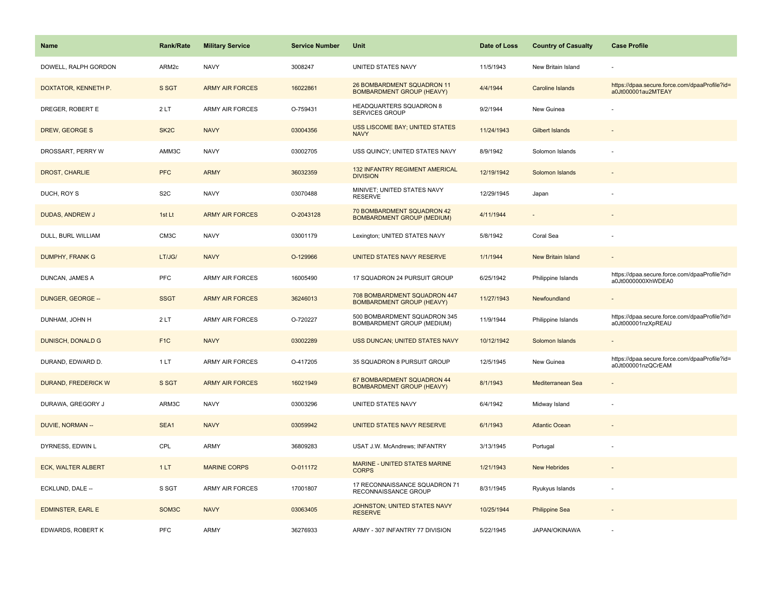| <b>Name</b>              | <b>Rank/Rate</b>   | <b>Military Service</b> | <b>Service Number</b> | Unit                                                             | Date of Loss | <b>Country of Casualty</b> | <b>Case Profile</b>                                                 |
|--------------------------|--------------------|-------------------------|-----------------------|------------------------------------------------------------------|--------------|----------------------------|---------------------------------------------------------------------|
| DOWELL, RALPH GORDON     | ARM2c              | <b>NAVY</b>             | 3008247               | UNITED STATES NAVY                                               | 11/5/1943    | New Britain Island         |                                                                     |
| DOXTATOR, KENNETH P.     | S SGT              | <b>ARMY AIR FORCES</b>  | 16022861              | 26 BOMBARDMENT SQUADRON 11<br><b>BOMBARDMENT GROUP (HEAVY)</b>   | 4/4/1944     | Caroline Islands           | https://dpaa.secure.force.com/dpaaProfile?id=<br>a0Jt000001au2MTEAY |
| DREGER, ROBERT E         | 2LT                | <b>ARMY AIR FORCES</b>  | O-759431              | HEADQUARTERS SQUADRON 8<br><b>SERVICES GROUP</b>                 | 9/2/1944     | New Guinea                 |                                                                     |
| DREW, GEORGE S           | SK <sub>2</sub> C  | <b>NAVY</b>             | 03004356              | <b>USS LISCOME BAY; UNITED STATES</b><br><b>NAVY</b>             | 11/24/1943   | <b>Gilbert Islands</b>     |                                                                     |
| DROSSART, PERRY W        | AMM3C              | <b>NAVY</b>             | 03002705              | USS QUINCY; UNITED STATES NAVY                                   | 8/9/1942     | Solomon Islands            |                                                                     |
| DROST, CHARLIE           | <b>PFC</b>         | <b>ARMY</b>             | 36032359              | <b>132 INFANTRY REGIMENT AMERICAL</b><br><b>DIVISION</b>         | 12/19/1942   | Solomon Islands            |                                                                     |
| DUCH, ROY S              | S <sub>2</sub> C   | <b>NAVY</b>             | 03070488              | MINIVET; UNITED STATES NAVY<br><b>RESERVE</b>                    | 12/29/1945   | Japan                      |                                                                     |
| DUDAS, ANDREW J          | 1st Lt             | <b>ARMY AIR FORCES</b>  | O-2043128             | 70 BOMBARDMENT SQUADRON 42<br><b>BOMBARDMENT GROUP (MEDIUM)</b>  | 4/11/1944    |                            |                                                                     |
| DULL, BURL WILLIAM       | CM3C               | <b>NAVY</b>             | 03001179              | Lexington; UNITED STATES NAVY                                    | 5/8/1942     | Coral Sea                  |                                                                     |
| <b>DUMPHY, FRANK G</b>   | LT/JG/             | <b>NAVY</b>             | O-129966              | UNITED STATES NAVY RESERVE                                       | 1/1/1944     | New Britain Island         |                                                                     |
| DUNCAN, JAMES A          | PFC                | <b>ARMY AIR FORCES</b>  | 16005490              | 17 SQUADRON 24 PURSUIT GROUP                                     | 6/25/1942    | Philippine Islands         | https://dpaa.secure.force.com/dpaaProfile?id=<br>a0Jt0000000XhWDEA0 |
| DUNGER, GEORGE --        | <b>SSGT</b>        | <b>ARMY AIR FORCES</b>  | 36246013              | 708 BOMBARDMENT SQUADRON 447<br><b>BOMBARDMENT GROUP (HEAVY)</b> | 11/27/1943   | Newfoundland               |                                                                     |
| DUNHAM, JOHN H           | 2LT                | <b>ARMY AIR FORCES</b>  | O-720227              | 500 BOMBARDMENT SQUADRON 345<br>BOMBARDMENT GROUP (MEDIUM)       | 11/9/1944    | Philippine Islands         | https://dpaa.secure.force.com/dpaaProfile?id=<br>a0Jt000001nzXpREAU |
| <b>DUNISCH, DONALD G</b> | F <sub>1</sub> C   | <b>NAVY</b>             | 03002289              | USS DUNCAN; UNITED STATES NAVY                                   | 10/12/1942   | Solomon Islands            |                                                                     |
| DURAND, EDWARD D.        | 1LT                | <b>ARMY AIR FORCES</b>  | O-417205              | 35 SQUADRON 8 PURSUIT GROUP                                      | 12/5/1945    | New Guinea                 | https://dpaa.secure.force.com/dpaaProfile?id=<br>a0Jt000001nzQCrEAM |
| DURAND, FREDERICK W      | S SGT              | <b>ARMY AIR FORCES</b>  | 16021949              | 67 BOMBARDMENT SQUADRON 44<br><b>BOMBARDMENT GROUP (HEAVY)</b>   | 8/1/1943     | Mediterranean Sea          |                                                                     |
| DURAWA, GREGORY J        | ARM3C              | <b>NAVY</b>             | 03003296              | UNITED STATES NAVY                                               | 6/4/1942     | Midway Island              |                                                                     |
| DUVIE, NORMAN --         | SEA1               | <b>NAVY</b>             | 03059942              | UNITED STATES NAVY RESERVE                                       | 6/1/1943     | <b>Atlantic Ocean</b>      |                                                                     |
| DYRNESS, EDWIN L         | CPL                | <b>ARMY</b>             | 36809283              | USAT J.W. McAndrews; INFANTRY                                    | 3/13/1945    | Portugal                   |                                                                     |
| ECK, WALTER ALBERT       | 1LT                | <b>MARINE CORPS</b>     | O-011172              | MARINE - UNITED STATES MARINE<br><b>CORPS</b>                    | 1/21/1943    | <b>New Hebrides</b>        |                                                                     |
| ECKLUND, DALE --         | S SGT              | <b>ARMY AIR FORCES</b>  | 17001807              | 17 RECONNAISSANCE SQUADRON 71<br>RECONNAISSANCE GROUP            | 8/31/1945    | Ryukyus Islands            |                                                                     |
| <b>EDMINSTER, EARL E</b> | SOM <sub>3</sub> C | <b>NAVY</b>             | 03063405              | JOHNSTON; UNITED STATES NAVY<br><b>RESERVE</b>                   | 10/25/1944   | <b>Philippine Sea</b>      |                                                                     |
| EDWARDS, ROBERT K        | PFC                | <b>ARMY</b>             | 36276933              | ARMY - 307 INFANTRY 77 DIVISION                                  | 5/22/1945    | JAPAN/OKINAWA              |                                                                     |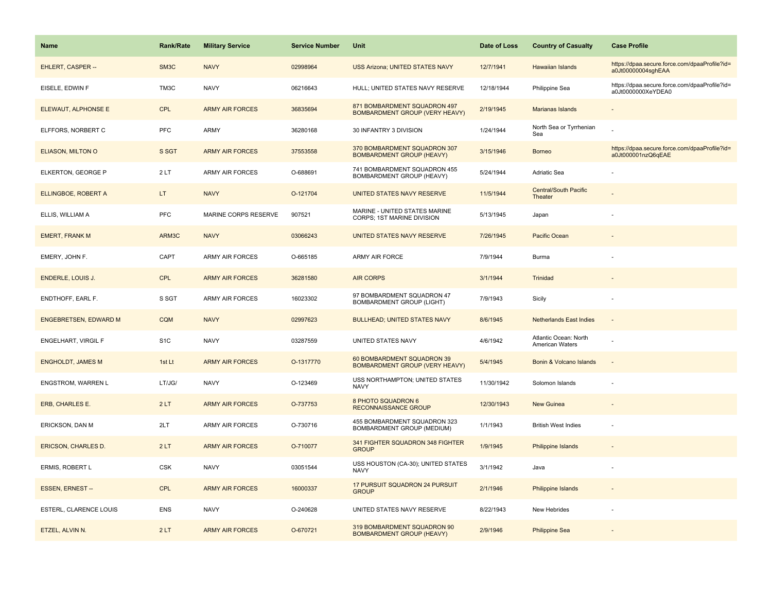| <b>Name</b>                  | Rank/Rate        | <b>Military Service</b> | <b>Service Number</b> | Unit                                                                  | Date of Loss | <b>Country of Casualty</b>               | <b>Case Profile</b>                                                 |
|------------------------------|------------------|-------------------------|-----------------------|-----------------------------------------------------------------------|--------------|------------------------------------------|---------------------------------------------------------------------|
| EHLERT, CASPER --            | SM3C             | <b>NAVY</b>             | 02998964              | <b>USS Arizona; UNITED STATES NAVY</b>                                | 12/7/1941    | Hawaiian Islands                         | https://dpaa.secure.force.com/dpaaProfile?id=<br>a0Jt00000004sghEAA |
| EISELE, EDWIN F              | TM3C             | <b>NAVY</b>             | 06216643              | HULL; UNITED STATES NAVY RESERVE                                      | 12/18/1944   | Philippine Sea                           | https://dpaa.secure.force.com/dpaaProfile?id=<br>a0Jt0000000XeYDEA0 |
| ELEWAUT, ALPHONSE E          | <b>CPL</b>       | <b>ARMY AIR FORCES</b>  | 36835694              | 871 BOMBARDMENT SQUADRON 497<br><b>BOMBARDMENT GROUP (VERY HEAVY)</b> | 2/19/1945    | Marianas Islands                         |                                                                     |
| ELFFORS, NORBERT C           | <b>PFC</b>       | ARMY                    | 36280168              | 30 INFANTRY 3 DIVISION                                                | 1/24/1944    | North Sea or Tyrrhenian<br>Sea           |                                                                     |
| ELIASON, MILTON O            | S SGT            | <b>ARMY AIR FORCES</b>  | 37553558              | 370 BOMBARDMENT SQUADRON 307<br><b>BOMBARDMENT GROUP (HEAVY)</b>      | 3/15/1946    | <b>Borneo</b>                            | https://dpaa.secure.force.com/dpaaProfile?id=<br>a0Jt000001nzQ6qEAE |
| ELKERTON, GEORGE P           | 2LT              | <b>ARMY AIR FORCES</b>  | O-688691              | 741 BOMBARDMENT SQUADRON 455<br>BOMBARDMENT GROUP (HEAVY)             | 5/24/1944    | Adriatic Sea                             |                                                                     |
| ELLINGBOE, ROBERT A          | LT.              | <b>NAVY</b>             | O-121704              | UNITED STATES NAVY RESERVE                                            | 11/5/1944    | <b>Central/South Pacific</b><br>Theater  |                                                                     |
| ELLIS, WILLIAM A             | PFC              | MARINE CORPS RESERVE    | 907521                | MARINE - UNITED STATES MARINE<br>CORPS; 1ST MARINE DIVISION           | 5/13/1945    | Japan                                    |                                                                     |
| <b>EMERT, FRANK M</b>        | ARM3C            | <b>NAVY</b>             | 03066243              | UNITED STATES NAVY RESERVE                                            | 7/26/1945    | Pacific Ocean                            |                                                                     |
| EMERY, JOHN F.               | CAPT             | <b>ARMY AIR FORCES</b>  | O-665185              | ARMY AIR FORCE                                                        | 7/9/1944     | Burma                                    |                                                                     |
| <b>ENDERLE, LOUIS J.</b>     | <b>CPL</b>       | <b>ARMY AIR FORCES</b>  | 36281580              | <b>AIR CORPS</b>                                                      | 3/1/1944     | Trinidad                                 |                                                                     |
| ENDTHOFF, EARL F.            | S SGT            | <b>ARMY AIR FORCES</b>  | 16023302              | 97 BOMBARDMENT SQUADRON 47<br><b>BOMBARDMENT GROUP (LIGHT)</b>        | 7/9/1943     | Sicily                                   |                                                                     |
| <b>ENGEBRETSEN, EDWARD M</b> | <b>CQM</b>       | <b>NAVY</b>             | 02997623              | <b>BULLHEAD; UNITED STATES NAVY</b>                                   | 8/6/1945     | <b>Netherlands East Indies</b>           |                                                                     |
| ENGELHART, VIRGIL F          | S <sub>1</sub> C | <b>NAVY</b>             | 03287559              | UNITED STATES NAVY                                                    | 4/6/1942     | Atlantic Ocean: North<br>American Waters |                                                                     |
| <b>ENGHOLDT, JAMES M</b>     | 1st Lt           | <b>ARMY AIR FORCES</b>  | O-1317770             | 60 BOMBARDMENT SQUADRON 39<br><b>BOMBARDMENT GROUP (VERY HEAVY)</b>   | 5/4/1945     | Bonin & Volcano Islands                  | $\sim$                                                              |
| ENGSTROM, WARREN L           | LT/JG/           | <b>NAVY</b>             | O-123469              | USS NORTHAMPTON; UNITED STATES<br>NAVY                                | 11/30/1942   | Solomon Islands                          |                                                                     |
| ERB, CHARLES E.              | 2LT              | <b>ARMY AIR FORCES</b>  | O-737753              | 8 PHOTO SQUADRON 6<br>RECONNAISSANCE GROUP                            | 12/30/1943   | <b>New Guinea</b>                        |                                                                     |
| ERICKSON, DAN M              | 2LT              | ARMY AIR FORCES         | O-730716              | 455 BOMBARDMENT SQUADRON 323<br>BOMBARDMENT GROUP (MEDIUM)            | 1/1/1943     | <b>British West Indies</b>               |                                                                     |
| <b>ERICSON, CHARLES D.</b>   | 2LT              | <b>ARMY AIR FORCES</b>  | O-710077              | 341 FIGHTER SQUADRON 348 FIGHTER<br><b>GROUP</b>                      | 1/9/1945     | Philippine Islands                       |                                                                     |
| ERMIS, ROBERT L              | <b>CSK</b>       | <b>NAVY</b>             | 03051544              | USS HOUSTON (CA-30); UNITED STATES<br><b>NAVY</b>                     | 3/1/1942     | Java                                     |                                                                     |
| ESSEN, ERNEST --             | <b>CPL</b>       | <b>ARMY AIR FORCES</b>  | 16000337              | 17 PURSUIT SQUADRON 24 PURSUIT<br><b>GROUP</b>                        | 2/1/1946     | <b>Philippine Islands</b>                |                                                                     |
| ESTERL, CLARENCE LOUIS       | ENS              | <b>NAVY</b>             | O-240628              | UNITED STATES NAVY RESERVE                                            | 8/22/1943    | New Hebrides                             |                                                                     |
| ETZEL, ALVIN N.              | 2LT              | <b>ARMY AIR FORCES</b>  | O-670721              | 319 BOMBARDMENT SQUADRON 90<br><b>BOMBARDMENT GROUP (HEAVY)</b>       | 2/9/1946     | <b>Philippine Sea</b>                    |                                                                     |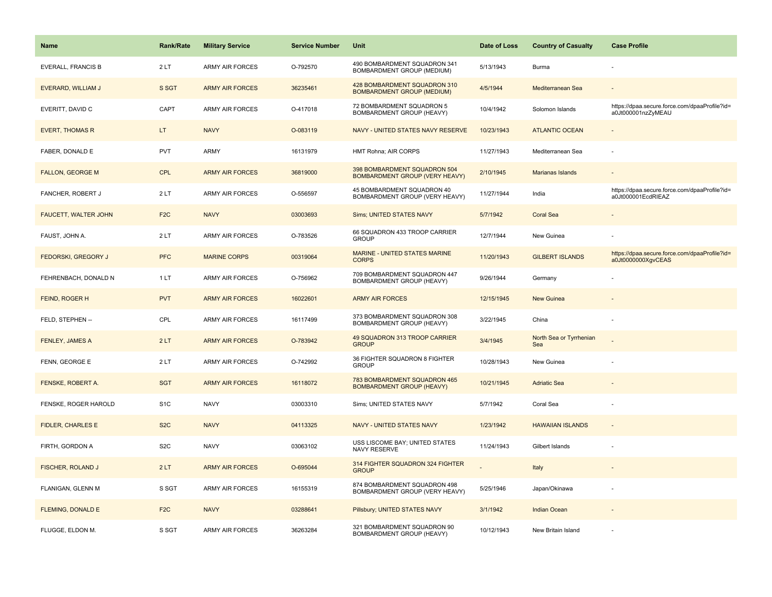| <b>Name</b>                | <b>Rank/Rate</b> | <b>Military Service</b> | <b>Service Number</b> | Unit                                                                  | Date of Loss | <b>Country of Casualty</b>     | <b>Case Profile</b>                                                 |
|----------------------------|------------------|-------------------------|-----------------------|-----------------------------------------------------------------------|--------------|--------------------------------|---------------------------------------------------------------------|
| <b>EVERALL, FRANCIS B</b>  | 2LT              | ARMY AIR FORCES         | O-792570              | 490 BOMBARDMENT SQUADRON 341<br>BOMBARDMENT GROUP (MEDIUM)            | 5/13/1943    | Burma                          |                                                                     |
| EVERARD, WILLIAM J         | S SGT            | <b>ARMY AIR FORCES</b>  | 36235461              | 428 BOMBARDMENT SQUADRON 310<br><b>BOMBARDMENT GROUP (MEDIUM)</b>     | 4/5/1944     | Mediterranean Sea              |                                                                     |
| EVERITT, DAVID C           | CAPT             | <b>ARMY AIR FORCES</b>  | O-417018              | 72 BOMBARDMENT SQUADRON 5<br>BOMBARDMENT GROUP (HEAVY)                | 10/4/1942    | Solomon Islands                | https://dpaa.secure.force.com/dpaaProfile?id=<br>a0Jt000001nzZyMEAU |
| <b>EVERT, THOMAS R</b>     | LT.              | <b>NAVY</b>             | O-083119              | NAVY - UNITED STATES NAVY RESERVE                                     | 10/23/1943   | <b>ATLANTIC OCEAN</b>          |                                                                     |
| FABER, DONALD E            | <b>PVT</b>       | <b>ARMY</b>             | 16131979              | HMT Rohna; AIR CORPS                                                  | 11/27/1943   | Mediterranean Sea              |                                                                     |
| <b>FALLON, GEORGE M</b>    | <b>CPL</b>       | <b>ARMY AIR FORCES</b>  | 36819000              | 398 BOMBARDMENT SQUADRON 504<br><b>BOMBARDMENT GROUP (VERY HEAVY)</b> | 2/10/1945    | <b>Marianas Islands</b>        |                                                                     |
| FANCHER, ROBERT J          | 2LT              | <b>ARMY AIR FORCES</b>  | O-556597              | 45 BOMBARDMENT SQUADRON 40<br>BOMBARDMENT GROUP (VERY HEAVY)          | 11/27/1944   | India                          | https://dpaa.secure.force.com/dpaaProfile?id=<br>a0Jt000001EcdRIEAZ |
| FAUCETT, WALTER JOHN       | F <sub>2</sub> C | <b>NAVY</b>             | 03003693              | <b>Sims; UNITED STATES NAVY</b>                                       | 5/7/1942     | <b>Coral Sea</b>               |                                                                     |
| FAUST, JOHN A.             | 2LT              | ARMY AIR FORCES         | O-783526              | 66 SQUADRON 433 TROOP CARRIER<br><b>GROUP</b>                         | 12/7/1944    | New Guinea                     |                                                                     |
| <b>FEDORSKI, GREGORY J</b> | <b>PFC</b>       | <b>MARINE CORPS</b>     | 00319064              | MARINE - UNITED STATES MARINE<br><b>CORPS</b>                         | 11/20/1943   | <b>GILBERT ISLANDS</b>         | https://dpaa.secure.force.com/dpaaProfile?id=<br>a0Jt0000000XgvCEAS |
| FEHRENBACH, DONALD N       | 1 LT             | ARMY AIR FORCES         | O-756962              | 709 BOMBARDMENT SQUADRON 447<br>BOMBARDMENT GROUP (HEAVY)             | 9/26/1944    | Germany                        |                                                                     |
| FEIND, ROGER H             | <b>PVT</b>       | <b>ARMY AIR FORCES</b>  | 16022601              | <b>ARMY AIR FORCES</b>                                                | 12/15/1945   | New Guinea                     |                                                                     |
| FELD, STEPHEN --           | CPL              | <b>ARMY AIR FORCES</b>  | 16117499              | 373 BOMBARDMENT SQUADRON 308<br>BOMBARDMENT GROUP (HEAVY)             | 3/22/1945    | China                          |                                                                     |
| FENLEY, JAMES A            | 2LT              | <b>ARMY AIR FORCES</b>  | O-783942              | 49 SQUADRON 313 TROOP CARRIER<br><b>GROUP</b>                         | 3/4/1945     | North Sea or Tyrrhenian<br>Sea |                                                                     |
| FENN, GEORGE E             | 2LT              | <b>ARMY AIR FORCES</b>  | O-742992              | 36 FIGHTER SQUADRON 8 FIGHTER<br><b>GROUP</b>                         | 10/28/1943   | New Guinea                     |                                                                     |
| FENSKE, ROBERT A.          | <b>SGT</b>       | <b>ARMY AIR FORCES</b>  | 16118072              | 783 BOMBARDMENT SQUADRON 465<br><b>BOMBARDMENT GROUP (HEAVY)</b>      | 10/21/1945   | <b>Adriatic Sea</b>            |                                                                     |
| FENSKE, ROGER HAROLD       | S <sub>1</sub> C | <b>NAVY</b>             | 03003310              | Sims; UNITED STATES NAVY                                              | 5/7/1942     | Coral Sea                      |                                                                     |
| <b>FIDLER, CHARLES E</b>   | S <sub>2</sub> C | <b>NAVY</b>             | 04113325              | NAVY - UNITED STATES NAVY                                             | 1/23/1942    | <b>HAWAIIAN ISLANDS</b>        |                                                                     |
| FIRTH, GORDON A            | S <sub>2</sub> C | <b>NAVY</b>             | 03063102              | USS LISCOME BAY; UNITED STATES<br>NAVY RESERVE                        | 11/24/1943   | Gilbert Islands                |                                                                     |
| FISCHER, ROLAND J          | 2LT              | <b>ARMY AIR FORCES</b>  | O-695044              | 314 FIGHTER SQUADRON 324 FIGHTER<br><b>GROUP</b>                      |              | Italy                          |                                                                     |
| FLANIGAN, GLENN M          | S SGT            | ARMY AIR FORCES         | 16155319              | 874 BOMBARDMENT SQUADRON 498<br>BOMBARDMENT GROUP (VERY HEAVY)        | 5/25/1946    | Japan/Okinawa                  |                                                                     |
| FLEMING, DONALD E          | F <sub>2C</sub>  | <b>NAVY</b>             | 03288641              | Pillsbury; UNITED STATES NAVY                                         | 3/1/1942     | <b>Indian Ocean</b>            |                                                                     |
| FLUGGE, ELDON M.           | S SGT            | <b>ARMY AIR FORCES</b>  | 36263284              | 321 BOMBARDMENT SQUADRON 90<br>BOMBARDMENT GROUP (HEAVY)              | 10/12/1943   | New Britain Island             |                                                                     |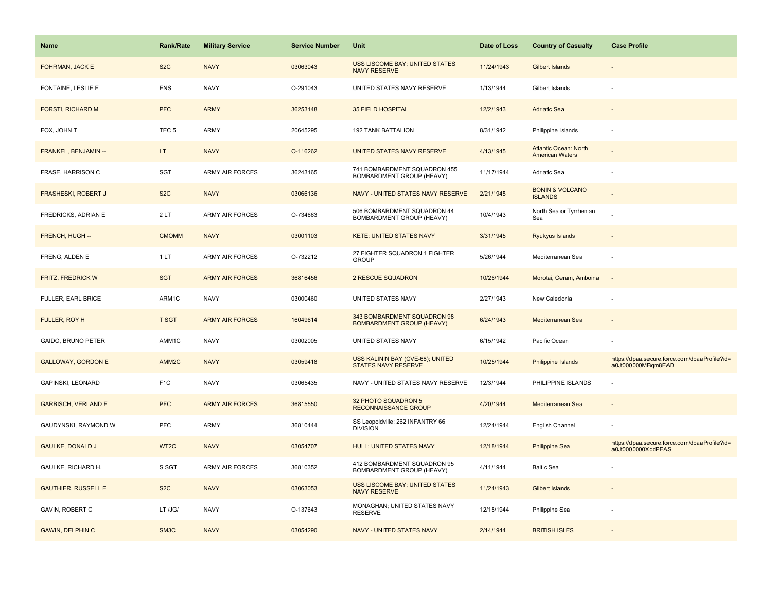| Name                       | <b>Rank/Rate</b>  | <b>Military Service</b> | <b>Service Number</b> | Unit                                                            | Date of Loss | <b>Country of Casualty</b>                             | <b>Case Profile</b>                                                 |
|----------------------------|-------------------|-------------------------|-----------------------|-----------------------------------------------------------------|--------------|--------------------------------------------------------|---------------------------------------------------------------------|
| FOHRMAN, JACK E            | S <sub>2</sub> C  | <b>NAVY</b>             | 03063043              | USS LISCOME BAY; UNITED STATES<br><b>NAVY RESERVE</b>           | 11/24/1943   | <b>Gilbert Islands</b>                                 |                                                                     |
| FONTAINE, LESLIE E         | ENS               | <b>NAVY</b>             | O-291043              | UNITED STATES NAVY RESERVE                                      | 1/13/1944    | Gilbert Islands                                        |                                                                     |
| <b>FORSTI, RICHARD M</b>   | <b>PFC</b>        | <b>ARMY</b>             | 36253148              | <b>35 FIELD HOSPITAL</b>                                        | 12/2/1943    | <b>Adriatic Sea</b>                                    |                                                                     |
| FOX, JOHN T                | TEC <sub>5</sub>  | ARMY                    | 20645295              | 192 TANK BATTALION                                              | 8/31/1942    | Philippine Islands                                     |                                                                     |
| FRANKEL, BENJAMIN --       | LT.               | <b>NAVY</b>             | O-116262              | UNITED STATES NAVY RESERVE                                      | 4/13/1945    | <b>Atlantic Ocean: North</b><br><b>American Waters</b> |                                                                     |
| FRASE, HARRISON C          | SGT               | ARMY AIR FORCES         | 36243165              | 741 BOMBARDMENT SQUADRON 455<br>BOMBARDMENT GROUP (HEAVY)       | 11/17/1944   | Adriatic Sea                                           |                                                                     |
| <b>FRASHESKI, ROBERT J</b> | S <sub>2</sub> C  | <b>NAVY</b>             | 03066136              | NAVY - UNITED STATES NAVY RESERVE                               | 2/21/1945    | <b>BONIN &amp; VOLCANO</b><br><b>ISLANDS</b>           |                                                                     |
| FREDRICKS, ADRIAN E        | 2LT               | <b>ARMY AIR FORCES</b>  | O-734663              | 506 BOMBARDMENT SQUADRON 44<br>BOMBARDMENT GROUP (HEAVY)        | 10/4/1943    | North Sea or Tyrrhenian<br>Sea                         |                                                                     |
| FRENCH, HUGH --            | <b>CMOMM</b>      | <b>NAVY</b>             | 03001103              | <b>KETE; UNITED STATES NAVY</b>                                 | 3/31/1945    | Ryukyus Islands                                        |                                                                     |
| FRENG, ALDEN E             | 1LT               | ARMY AIR FORCES         | O-732212              | 27 FIGHTER SQUADRON 1 FIGHTER<br><b>GROUP</b>                   | 5/26/1944    | Mediterranean Sea                                      |                                                                     |
| <b>FRITZ, FREDRICK W</b>   | <b>SGT</b>        | <b>ARMY AIR FORCES</b>  | 36816456              | 2 RESCUE SQUADRON                                               | 10/26/1944   | Morotai, Ceram, Amboina                                |                                                                     |
| FULLER, EARL BRICE         | ARM1C             | <b>NAVY</b>             | 03000460              | UNITED STATES NAVY                                              | 2/27/1943    | New Caledonia                                          |                                                                     |
| FULLER, ROY H              | <b>T SGT</b>      | <b>ARMY AIR FORCES</b>  | 16049614              | 343 BOMBARDMENT SQUADRON 98<br><b>BOMBARDMENT GROUP (HEAVY)</b> | 6/24/1943    | Mediterranean Sea                                      |                                                                     |
| GAIDO, BRUNO PETER         | AMM1C             | <b>NAVY</b>             | 03002005              | UNITED STATES NAVY                                              | 6/15/1942    | Pacific Ocean                                          |                                                                     |
| <b>GALLOWAY, GORDON E</b>  | AMM <sub>2C</sub> | <b>NAVY</b>             | 03059418              | USS KALININ BAY (CVE-68); UNITED<br><b>STATES NAVY RESERVE</b>  | 10/25/1944   | Philippine Islands                                     | https://dpaa.secure.force.com/dpaaProfile?id=<br>a0Jt000000MBqm8EAD |
| GAPINSKI, LEONARD          | F <sub>1</sub> C  | <b>NAVY</b>             | 03065435              | NAVY - UNITED STATES NAVY RESERVE                               | 12/3/1944    | PHILIPPINE ISLANDS                                     |                                                                     |
| <b>GARBISCH, VERLAND E</b> | <b>PFC</b>        | <b>ARMY AIR FORCES</b>  | 36815550              | 32 PHOTO SQUADRON 5<br>RECONNAISSANCE GROUP                     | 4/20/1944    | Mediterranean Sea                                      |                                                                     |
| GAUDYNSKI, RAYMOND W       | PFC               | ARMY                    | 36810444              | SS Leopoldville; 262 INFANTRY 66<br><b>DIVISION</b>             | 12/24/1944   | English Channel                                        |                                                                     |
| <b>GAULKE, DONALD J</b>    | WT <sub>2</sub> C | <b>NAVY</b>             | 03054707              | HULL; UNITED STATES NAVY                                        | 12/18/1944   | <b>Philippine Sea</b>                                  | https://dpaa.secure.force.com/dpaaProfile?id=<br>a0Jt0000000XddPEAS |
| GAULKE, RICHARD H.         | S SGT             | <b>ARMY AIR FORCES</b>  | 36810352              | 412 BOMBARDMENT SQUADRON 95<br>BOMBARDMENT GROUP (HEAVY)        | 4/11/1944    | <b>Baltic Sea</b>                                      |                                                                     |
| <b>GAUTHIER, RUSSELL F</b> | S <sub>2</sub> C  | <b>NAVY</b>             | 03063053              | USS LISCOME BAY; UNITED STATES<br><b>NAVY RESERVE</b>           | 11/24/1943   | <b>Gilbert Islands</b>                                 |                                                                     |
| GAVIN, ROBERT C            | LT /JG/           | <b>NAVY</b>             | O-137643              | MONAGHAN; UNITED STATES NAVY<br><b>RESERVE</b>                  | 12/18/1944   | Philippine Sea                                         |                                                                     |
| <b>GAWIN, DELPHIN C</b>    | SM <sub>3</sub> C | <b>NAVY</b>             | 03054290              | NAVY - UNITED STATES NAVY                                       | 2/14/1944    | <b>BRITISH ISLES</b>                                   |                                                                     |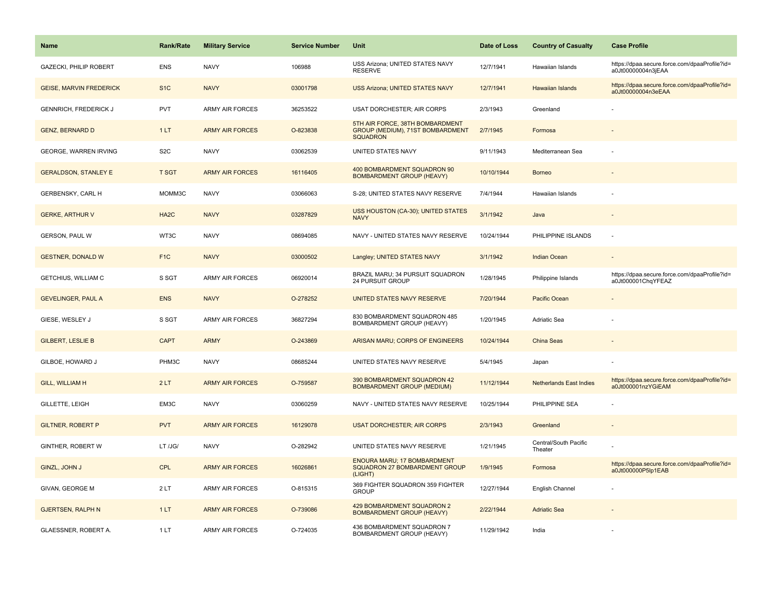| Name                           | Rank/Rate         | <b>Military Service</b> | <b>Service Number</b> | Unit                                                                                   | Date of Loss | <b>Country of Casualty</b>       | <b>Case Profile</b>                                                 |
|--------------------------------|-------------------|-------------------------|-----------------------|----------------------------------------------------------------------------------------|--------------|----------------------------------|---------------------------------------------------------------------|
| GAZECKI, PHILIP ROBERT         | <b>ENS</b>        | <b>NAVY</b>             | 106988                | USS Arizona; UNITED STATES NAVY<br><b>RESERVE</b>                                      | 12/7/1941    | Hawaiian Islands                 | https://dpaa.secure.force.com/dpaaProfile?id=<br>a0Jt00000004n3jEAA |
| <b>GEISE, MARVIN FREDERICK</b> | S <sub>1C</sub>   | <b>NAVY</b>             | 03001798              | <b>USS Arizona; UNITED STATES NAVY</b>                                                 | 12/7/1941    | <b>Hawaiian Islands</b>          | https://dpaa.secure.force.com/dpaaProfile?id=<br>a0Jt00000004n3eEAA |
| <b>GENNRICH, FREDERICK J</b>   | PVT               | <b>ARMY AIR FORCES</b>  | 36253522              | <b>USAT DORCHESTER; AIR CORPS</b>                                                      | 2/3/1943     | Greenland                        |                                                                     |
| <b>GENZ, BERNARD D</b>         | 1LT               | <b>ARMY AIR FORCES</b>  | O-823838              | 5TH AIR FORCE, 38TH BOMBARDMENT<br>GROUP (MEDIUM), 71ST BOMBARDMENT<br><b>SQUADRON</b> | 2/7/1945     | Formosa                          |                                                                     |
| GEORGE, WARREN IRVING          | S <sub>2</sub> C  | <b>NAVY</b>             | 03062539              | UNITED STATES NAVY                                                                     | 9/11/1943    | Mediterranean Sea                |                                                                     |
| <b>GERALDSON, STANLEY E</b>    | <b>T SGT</b>      | <b>ARMY AIR FORCES</b>  | 16116405              | 400 BOMBARDMENT SQUADRON 90<br><b>BOMBARDMENT GROUP (HEAVY)</b>                        | 10/10/1944   | <b>Borneo</b>                    |                                                                     |
| GERBENSKY, CARL H              | MOMM3C            | <b>NAVY</b>             | 03066063              | S-28; UNITED STATES NAVY RESERVE                                                       | 7/4/1944     | Hawaiian Islands                 |                                                                     |
| <b>GERKE, ARTHUR V</b>         | HA <sub>2</sub> C | <b>NAVY</b>             | 03287829              | USS HOUSTON (CA-30); UNITED STATES<br><b>NAVY</b>                                      | 3/1/1942     | Java                             |                                                                     |
| GERSON, PAUL W                 | WT3C              | <b>NAVY</b>             | 08694085              | NAVY - UNITED STATES NAVY RESERVE                                                      | 10/24/1944   | PHILIPPINE ISLANDS               |                                                                     |
| <b>GESTNER, DONALD W</b>       | F <sub>1C</sub>   | <b>NAVY</b>             | 03000502              | Langley; UNITED STATES NAVY                                                            | 3/1/1942     | <b>Indian Ocean</b>              |                                                                     |
| GETCHIUS, WILLIAM C            | S SGT             | <b>ARMY AIR FORCES</b>  | 06920014              | BRAZIL MARU; 34 PURSUIT SQUADRON<br>24 PURSUIT GROUP                                   | 1/28/1945    | Philippine Islands               | https://dpaa.secure.force.com/dpaaProfile?id=<br>a0Jt000001ChqYFEAZ |
| <b>GEVELINGER, PAUL A</b>      | <b>ENS</b>        | <b>NAVY</b>             | O-278252              | UNITED STATES NAVY RESERVE                                                             | 7/20/1944    | Pacific Ocean                    |                                                                     |
| GIESE, WESLEY J                | S SGT             | <b>ARMY AIR FORCES</b>  | 36827294              | 830 BOMBARDMENT SQUADRON 485<br>BOMBARDMENT GROUP (HEAVY)                              | 1/20/1945    | Adriatic Sea                     |                                                                     |
| <b>GILBERT, LESLIE B</b>       | <b>CAPT</b>       | <b>ARMY</b>             | O-243869              | ARISAN MARU; CORPS OF ENGINEERS                                                        | 10/24/1944   | China Seas                       |                                                                     |
| GILBOE, HOWARD J               | PHM3C             | <b>NAVY</b>             | 08685244              | UNITED STATES NAVY RESERVE                                                             | 5/4/1945     | Japan                            |                                                                     |
| <b>GILL, WILLIAM H</b>         | 2LT               | <b>ARMY AIR FORCES</b>  | O-759587              | 390 BOMBARDMENT SQUADRON 42<br><b>BOMBARDMENT GROUP (MEDIUM)</b>                       | 11/12/1944   | <b>Netherlands East Indies</b>   | https://dpaa.secure.force.com/dpaaProfile?id=<br>a0Jt000001nzYGiEAM |
| GILLETTE, LEIGH                | EM3C              | <b>NAVY</b>             | 03060259              | NAVY - UNITED STATES NAVY RESERVE                                                      | 10/25/1944   | PHILIPPINE SEA                   |                                                                     |
| <b>GILTNER, ROBERT P</b>       | <b>PVT</b>        | <b>ARMY AIR FORCES</b>  | 16129078              | <b>USAT DORCHESTER: AIR CORPS</b>                                                      | 2/3/1943     | Greenland                        |                                                                     |
| GINTHER, ROBERT W              | LT /JG/           | <b>NAVY</b>             | O-282942              | UNITED STATES NAVY RESERVE                                                             | 1/21/1945    | Central/South Pacific<br>Theater |                                                                     |
| GINZL, JOHN J                  | <b>CPL</b>        | <b>ARMY AIR FORCES</b>  | 16026861              | <b>ENOURA MARU; 17 BOMBARDMENT</b><br>SQUADRON 27 BOMBARDMENT GROUP<br>(LIGHT)         | 1/9/1945     | Formosa                          | https://dpaa.secure.force.com/dpaaProfile?id=<br>a0Jt000000P5lp1EAB |
| GIVAN, GEORGE M                | 2LT               | <b>ARMY AIR FORCES</b>  | O-815315              | 369 FIGHTER SQUADRON 359 FIGHTER<br><b>GROUP</b>                                       | 12/27/1944   | English Channel                  |                                                                     |
| <b>GJERTSEN, RALPH N</b>       | 1LT               | <b>ARMY AIR FORCES</b>  | O-739086              | 429 BOMBARDMENT SQUADRON 2<br><b>BOMBARDMENT GROUP (HEAVY)</b>                         | 2/22/1944    | <b>Adriatic Sea</b>              |                                                                     |
| GLAESSNER, ROBERT A.           | 1LT               | <b>ARMY AIR FORCES</b>  | O-724035              | 436 BOMBARDMENT SQUADRON 7<br>BOMBARDMENT GROUP (HEAVY)                                | 11/29/1942   | India                            |                                                                     |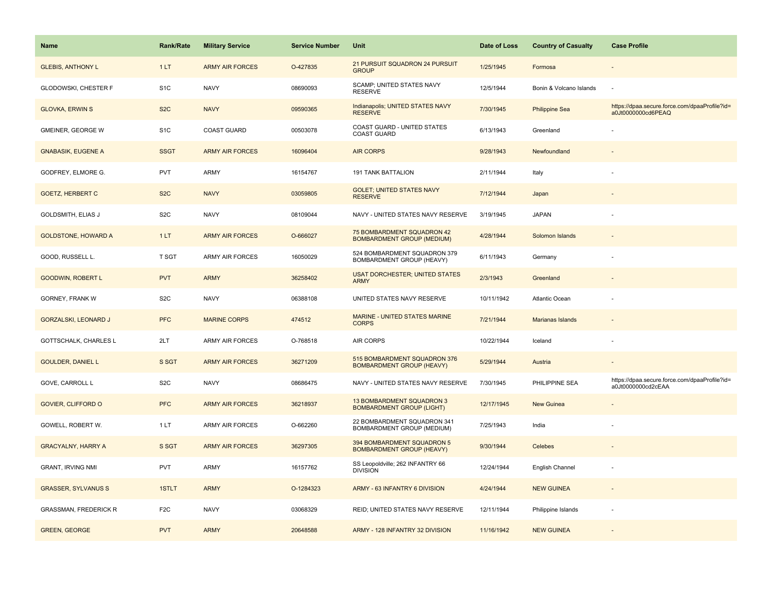| <b>Name</b>                  | Rank/Rate        | <b>Military Service</b> | <b>Service Number</b> | Unit                                                             | Date of Loss | <b>Country of Casualty</b> | <b>Case Profile</b>                                                 |
|------------------------------|------------------|-------------------------|-----------------------|------------------------------------------------------------------|--------------|----------------------------|---------------------------------------------------------------------|
| <b>GLEBIS, ANTHONY L</b>     | 1LT              | <b>ARMY AIR FORCES</b>  | O-427835              | 21 PURSUIT SQUADRON 24 PURSUIT<br><b>GROUP</b>                   | 1/25/1945    | Formosa                    |                                                                     |
| GLODOWSKI, CHESTER F         | S <sub>1</sub> C | <b>NAVY</b>             | 08690093              | SCAMP; UNITED STATES NAVY<br><b>RESERVE</b>                      | 12/5/1944    | Bonin & Volcano Islands    | ÷,                                                                  |
| <b>GLOVKA, ERWIN S</b>       | S <sub>2</sub> C | <b>NAVY</b>             | 09590365              | Indianapolis; UNITED STATES NAVY<br><b>RESERVE</b>               | 7/30/1945    | <b>Philippine Sea</b>      | https://dpaa.secure.force.com/dpaaProfile?id=<br>a0Jt0000000cd6PEAQ |
| GMEINER, GEORGE W            | S <sub>1</sub> C | <b>COAST GUARD</b>      | 00503078              | COAST GUARD - UNITED STATES<br><b>COAST GUARD</b>                | 6/13/1943    | Greenland                  |                                                                     |
| <b>GNABASIK, EUGENE A</b>    | <b>SSGT</b>      | <b>ARMY AIR FORCES</b>  | 16096404              | <b>AIR CORPS</b>                                                 | 9/28/1943    | Newfoundland               |                                                                     |
| GODFREY, ELMORE G.           | <b>PVT</b>       | ARMY                    | 16154767              | <b>191 TANK BATTALION</b>                                        | 2/11/1944    | Italy                      |                                                                     |
| <b>GOETZ, HERBERT C</b>      | S <sub>2</sub> C | <b>NAVY</b>             | 03059805              | <b>GOLET: UNITED STATES NAVY</b><br><b>RESERVE</b>               | 7/12/1944    | Japan                      |                                                                     |
| GOLDSMITH, ELIAS J           | S <sub>2</sub> C | <b>NAVY</b>             | 08109044              | NAVY - UNITED STATES NAVY RESERVE                                | 3/19/1945    | <b>JAPAN</b>               |                                                                     |
| <b>GOLDSTONE, HOWARD A</b>   | 1LT              | <b>ARMY AIR FORCES</b>  | O-666027              | 75 BOMBARDMENT SQUADRON 42<br><b>BOMBARDMENT GROUP (MEDIUM)</b>  | 4/28/1944    | Solomon Islands            |                                                                     |
| GOOD, RUSSELL L.             | T SGT            | ARMY AIR FORCES         | 16050029              | 524 BOMBARDMENT SQUADRON 379<br>BOMBARDMENT GROUP (HEAVY)        | 6/11/1943    | Germany                    |                                                                     |
| <b>GOODWIN, ROBERT L</b>     | <b>PVT</b>       | <b>ARMY</b>             | 36258402              | <b>USAT DORCHESTER; UNITED STATES</b><br><b>ARMY</b>             | 2/3/1943     | Greenland                  |                                                                     |
| GORNEY, FRANK W              | S <sub>2</sub> C | <b>NAVY</b>             | 06388108              | UNITED STATES NAVY RESERVE                                       | 10/11/1942   | Atlantic Ocean             |                                                                     |
| <b>GORZALSKI, LEONARD J</b>  | <b>PFC</b>       | <b>MARINE CORPS</b>     | 474512                | <b>MARINE - UNITED STATES MARINE</b><br><b>CORPS</b>             | 7/21/1944    | <b>Marianas Islands</b>    |                                                                     |
| GOTTSCHALK, CHARLES L        | 2LT              | ARMY AIR FORCES         | O-768518              | AIR CORPS                                                        | 10/22/1944   | Iceland                    |                                                                     |
| <b>GOULDER, DANIEL L</b>     | S SGT            | <b>ARMY AIR FORCES</b>  | 36271209              | 515 BOMBARDMENT SQUADRON 376<br><b>BOMBARDMENT GROUP (HEAVY)</b> | 5/29/1944    | Austria                    |                                                                     |
| GOVE, CARROLL L              | S <sub>2</sub> C | <b>NAVY</b>             | 08686475              | NAVY - UNITED STATES NAVY RESERVE                                | 7/30/1945    | PHILIPPINE SEA             | https://dpaa.secure.force.com/dpaaProfile?id=<br>a0Jt0000000cd2cEAA |
| <b>GOVIER, CLIFFORD O</b>    | <b>PFC</b>       | <b>ARMY AIR FORCES</b>  | 36218937              | 13 BOMBARDMENT SQUADRON 3<br><b>BOMBARDMENT GROUP (LIGHT)</b>    | 12/17/1945   | <b>New Guinea</b>          |                                                                     |
| GOWELL, ROBERT W.            | 1LT              | ARMY AIR FORCES         | O-662260              | 22 BOMBARDMENT SQUADRON 341<br>BOMBARDMENT GROUP (MEDIUM)        | 7/25/1943    | India                      |                                                                     |
| <b>GRACYALNY, HARRY A</b>    | S SGT            | <b>ARMY AIR FORCES</b>  | 36297305              | 394 BOMBARDMENT SQUADRON 5<br><b>BOMBARDMENT GROUP (HEAVY)</b>   | 9/30/1944    | Celebes                    |                                                                     |
| <b>GRANT, IRVING NMI</b>     | <b>PVT</b>       | <b>ARMY</b>             | 16157762              | SS Leopoldville; 262 INFANTRY 66<br><b>DIVISION</b>              | 12/24/1944   | English Channel            |                                                                     |
| <b>GRASSER, SYLVANUS S</b>   | 1STLT            | <b>ARMY</b>             | O-1284323             | ARMY - 63 INFANTRY 6 DIVISION                                    | 4/24/1944    | <b>NEW GUINEA</b>          |                                                                     |
| <b>GRASSMAN, FREDERICK R</b> | F <sub>2</sub> C | <b>NAVY</b>             | 03068329              | REID; UNITED STATES NAVY RESERVE                                 | 12/11/1944   | Philippine Islands         |                                                                     |
| <b>GREEN, GEORGE</b>         | <b>PVT</b>       | <b>ARMY</b>             | 20648588              | ARMY - 128 INFANTRY 32 DIVISION                                  | 11/16/1942   | <b>NEW GUINEA</b>          |                                                                     |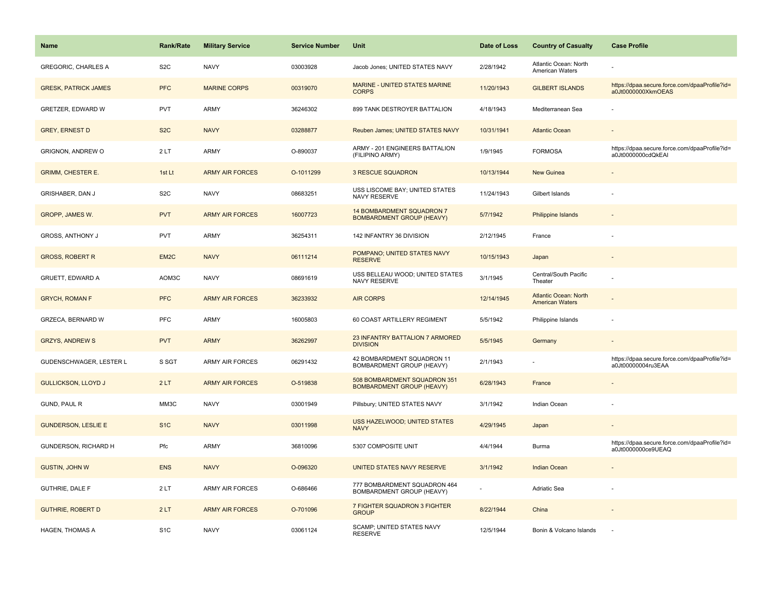| <b>Name</b>                 | Rank/Rate         | <b>Military Service</b> | <b>Service Number</b> | Unit                                                             | Date of Loss | <b>Country of Casualty</b>                             | <b>Case Profile</b>                                                 |
|-----------------------------|-------------------|-------------------------|-----------------------|------------------------------------------------------------------|--------------|--------------------------------------------------------|---------------------------------------------------------------------|
| <b>GREGORIC, CHARLES A</b>  | S <sub>2</sub> C  | <b>NAVY</b>             | 03003928              | Jacob Jones; UNITED STATES NAVY                                  | 2/28/1942    | Atlantic Ocean: North<br>American Waters               |                                                                     |
| <b>GRESK, PATRICK JAMES</b> | <b>PFC</b>        | <b>MARINE CORPS</b>     | 00319070              | MARINE - UNITED STATES MARINE<br><b>CORPS</b>                    | 11/20/1943   | <b>GILBERT ISLANDS</b>                                 | https://dpaa.secure.force.com/dpaaProfile?id=<br>a0Jt0000000XkmOEAS |
| GRETZER, EDWARD W           | <b>PVT</b>        | <b>ARMY</b>             | 36246302              | 899 TANK DESTROYER BATTALION                                     | 4/18/1943    | Mediterranean Sea                                      |                                                                     |
| <b>GREY, ERNEST D</b>       | S <sub>2</sub> C  | <b>NAVY</b>             | 03288877              | Reuben James; UNITED STATES NAVY                                 | 10/31/1941   | <b>Atlantic Ocean</b>                                  |                                                                     |
| GRIGNON, ANDREW O           | 2LT               | <b>ARMY</b>             | O-890037              | ARMY - 201 ENGINEERS BATTALION<br>(FILIPINO ARMY)                | 1/9/1945     | <b>FORMOSA</b>                                         | https://dpaa.secure.force.com/dpaaProfile?id=<br>a0Jt0000000cdQkEAI |
| <b>GRIMM, CHESTER E.</b>    | 1st Lt            | <b>ARMY AIR FORCES</b>  | O-1011299             | <b>3 RESCUE SQUADRON</b>                                         | 10/13/1944   | <b>New Guinea</b>                                      | $\blacksquare$                                                      |
| GRISHABER, DAN J            | S <sub>2</sub> C  | <b>NAVY</b>             | 08683251              | USS LISCOME BAY; UNITED STATES<br>NAVY RESERVE                   | 11/24/1943   | Gilbert Islands                                        |                                                                     |
| GROPP, JAMES W.             | <b>PVT</b>        | <b>ARMY AIR FORCES</b>  | 16007723              | 14 BOMBARDMENT SQUADRON 7<br><b>BOMBARDMENT GROUP (HEAVY)</b>    | 5/7/1942     | <b>Philippine Islands</b>                              |                                                                     |
| GROSS, ANTHONY J            | <b>PVT</b>        | ARMY                    | 36254311              | 142 INFANTRY 36 DIVISION                                         | 2/12/1945    | France                                                 |                                                                     |
| <b>GROSS, ROBERT R</b>      | EM <sub>2</sub> C | <b>NAVY</b>             | 06111214              | POMPANO; UNITED STATES NAVY<br><b>RESERVE</b>                    | 10/15/1943   | Japan                                                  |                                                                     |
| GRUETT, EDWARD A            | AOM3C             | <b>NAVY</b>             | 08691619              | USS BELLEAU WOOD; UNITED STATES<br>NAVY RESERVE                  | 3/1/1945     | Central/South Pacific<br>Theater                       |                                                                     |
| <b>GRYCH, ROMAN F</b>       | <b>PFC</b>        | <b>ARMY AIR FORCES</b>  | 36233932              | <b>AIR CORPS</b>                                                 | 12/14/1945   | <b>Atlantic Ocean: North</b><br><b>American Waters</b> |                                                                     |
| GRZECA, BERNARD W           | <b>PFC</b>        | <b>ARMY</b>             | 16005803              | 60 COAST ARTILLERY REGIMENT                                      | 5/5/1942     | Philippine Islands                                     |                                                                     |
| <b>GRZYS, ANDREW S</b>      | <b>PVT</b>        | <b>ARMY</b>             | 36262997              | 23 INFANTRY BATTALION 7 ARMORED<br><b>DIVISION</b>               | 5/5/1945     | Germany                                                | $\overline{\phantom{a}}$                                            |
| GUDENSCHWAGER, LESTER L     | S SGT             | <b>ARMY AIR FORCES</b>  | 06291432              | 42 BOMBARDMENT SQUADRON 11<br>BOMBARDMENT GROUP (HEAVY)          | 2/1/1943     |                                                        | https://dpaa.secure.force.com/dpaaProfile?id=<br>a0Jt00000004ru3EAA |
| <b>GULLICKSON, LLOYD J</b>  | 2LT               | <b>ARMY AIR FORCES</b>  | O-519838              | 508 BOMBARDMENT SQUADRON 351<br><b>BOMBARDMENT GROUP (HEAVY)</b> | 6/28/1943    | France                                                 |                                                                     |
| GUND, PAUL R                | MM3C              | <b>NAVY</b>             | 03001949              | Pillsbury; UNITED STATES NAVY                                    | 3/1/1942     | Indian Ocean                                           |                                                                     |
| <b>GUNDERSON, LESLIE E</b>  | S <sub>1</sub> C  | <b>NAVY</b>             | 03011998              | <b>USS HAZELWOOD; UNITED STATES</b><br><b>NAVY</b>               | 4/29/1945    | Japan                                                  |                                                                     |
| GUNDERSON, RICHARD H        | Pfc               | <b>ARMY</b>             | 36810096              | 5307 COMPOSITE UNIT                                              | 4/4/1944     | Burma                                                  | https://dpaa.secure.force.com/dpaaProfile?id=<br>a0Jt0000000ce9UEAQ |
| <b>GUSTIN, JOHN W</b>       | <b>ENS</b>        | <b>NAVY</b>             | O-096320              | UNITED STATES NAVY RESERVE                                       | 3/1/1942     | <b>Indian Ocean</b>                                    | $\sim$                                                              |
| GUTHRIE, DALE F             | 2LT               | <b>ARMY AIR FORCES</b>  | O-686466              | 777 BOMBARDMENT SQUADRON 464<br>BOMBARDMENT GROUP (HEAVY)        |              | Adriatic Sea                                           |                                                                     |
| <b>GUTHRIE, ROBERT D</b>    | 2LT               | <b>ARMY AIR FORCES</b>  | O-701096              | 7 FIGHTER SQUADRON 3 FIGHTER<br><b>GROUP</b>                     | 8/22/1944    | China                                                  |                                                                     |
| HAGEN, THOMAS A             | S <sub>1</sub> C  | <b>NAVY</b>             | 03061124              | <b>SCAMP: UNITED STATES NAVY</b><br><b>RESERVE</b>               | 12/5/1944    | Bonin & Volcano Islands                                |                                                                     |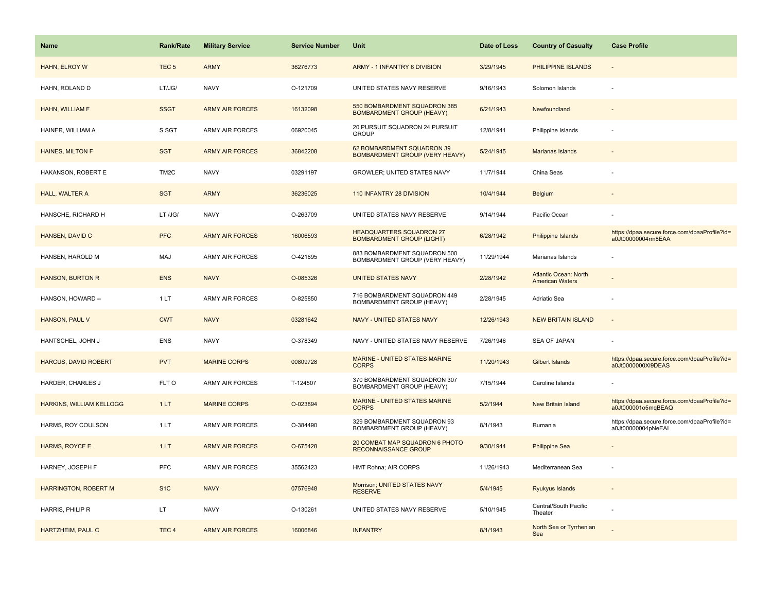| Name                            | <b>Rank/Rate</b>  | <b>Military Service</b> | <b>Service Number</b> | <b>Unit</b>                                                         | Date of Loss | <b>Country of Casualty</b>                             | <b>Case Profile</b>                                                 |
|---------------------------------|-------------------|-------------------------|-----------------------|---------------------------------------------------------------------|--------------|--------------------------------------------------------|---------------------------------------------------------------------|
| HAHN, ELROY W                   | TEC <sub>5</sub>  | <b>ARMY</b>             | 36276773              | ARMY - 1 INFANTRY 6 DIVISION                                        | 3/29/1945    | PHILIPPINE ISLANDS                                     |                                                                     |
| HAHN, ROLAND D                  | LT/JG/            | <b>NAVY</b>             | O-121709              | UNITED STATES NAVY RESERVE                                          | 9/16/1943    | Solomon Islands                                        |                                                                     |
| HAHN, WILLIAM F                 | <b>SSGT</b>       | <b>ARMY AIR FORCES</b>  | 16132098              | 550 BOMBARDMENT SQUADRON 385<br><b>BOMBARDMENT GROUP (HEAVY)</b>    | 6/21/1943    | Newfoundland                                           |                                                                     |
| HAINER, WILLIAM A               | S SGT             | ARMY AIR FORCES         | 06920045              | 20 PURSUIT SQUADRON 24 PURSUIT<br><b>GROUP</b>                      | 12/8/1941    | Philippine Islands                                     |                                                                     |
| <b>HAINES, MILTON F</b>         | <b>SGT</b>        | <b>ARMY AIR FORCES</b>  | 36842208              | 62 BOMBARDMENT SQUADRON 39<br>BOMBARDMENT GROUP (VERY HEAVY)        | 5/24/1945    | Marianas Islands                                       |                                                                     |
| HAKANSON, ROBERT E              | TM <sub>2</sub> C | <b>NAVY</b>             | 03291197              | <b>GROWLER; UNITED STATES NAVY</b>                                  | 11/7/1944    | China Seas                                             |                                                                     |
| HALL, WALTER A                  | <b>SGT</b>        | <b>ARMY</b>             | 36236025              | 110 INFANTRY 28 DIVISION                                            | 10/4/1944    | Belgium                                                |                                                                     |
| HANSCHE, RICHARD H              | LT /JG/           | <b>NAVY</b>             | O-263709              | UNITED STATES NAVY RESERVE                                          | 9/14/1944    | Pacific Ocean                                          |                                                                     |
| HANSEN, DAVID C                 | <b>PFC</b>        | <b>ARMY AIR FORCES</b>  | 16006593              | <b>HEADQUARTERS SQUADRON 27</b><br><b>BOMBARDMENT GROUP (LIGHT)</b> | 6/28/1942    | Philippine Islands                                     | https://dpaa.secure.force.com/dpaaProfile?id=<br>a0Jt00000004rm8EAA |
| HANSEN, HAROLD M                | MAJ               | ARMY AIR FORCES         | O-421695              | 883 BOMBARDMENT SQUADRON 500<br>BOMBARDMENT GROUP (VERY HEAVY)      | 11/29/1944   | Marianas Islands                                       |                                                                     |
| <b>HANSON, BURTON R</b>         | <b>ENS</b>        | <b>NAVY</b>             | O-085326              | <b>UNITED STATES NAVY</b>                                           | 2/28/1942    | <b>Atlantic Ocean: North</b><br><b>American Waters</b> |                                                                     |
| HANSON, HOWARD --               | 1 LT              | <b>ARMY AIR FORCES</b>  | O-825850              | 716 BOMBARDMENT SQUADRON 449<br>BOMBARDMENT GROUP (HEAVY)           | 2/28/1945    | Adriatic Sea                                           |                                                                     |
| HANSON, PAUL V                  | <b>CWT</b>        | <b>NAVY</b>             | 03281642              | <b>NAVY - UNITED STATES NAVY</b>                                    | 12/26/1943   | <b>NEW BRITAIN ISLAND</b>                              |                                                                     |
| HANTSCHEL, JOHN J               | <b>ENS</b>        | <b>NAVY</b>             | O-378349              | NAVY - UNITED STATES NAVY RESERVE                                   | 7/26/1946    | SEA OF JAPAN                                           |                                                                     |
| <b>HARCUS, DAVID ROBERT</b>     | <b>PVT</b>        | <b>MARINE CORPS</b>     | 00809728              | <b>MARINE - UNITED STATES MARINE</b><br><b>CORPS</b>                | 11/20/1943   | Gilbert Islands                                        | https://dpaa.secure.force.com/dpaaProfile?id=<br>a0Jt0000000XI9DEAS |
| HARDER, CHARLES J               | FLT O             | <b>ARMY AIR FORCES</b>  | T-124507              | 370 BOMBARDMENT SQUADRON 307<br>BOMBARDMENT GROUP (HEAVY)           | 7/15/1944    | Caroline Islands                                       |                                                                     |
| <b>HARKINS, WILLIAM KELLOGG</b> | 1LT               | <b>MARINE CORPS</b>     | O-023894              | MARINE - UNITED STATES MARINE<br><b>CORPS</b>                       | 5/2/1944     | <b>New Britain Island</b>                              | https://dpaa.secure.force.com/dpaaProfile?id=<br>a0Jt000001o5mqBEAQ |
| HARMS, ROY COULSON              | 1LT               | ARMY AIR FORCES         | O-384490              | 329 BOMBARDMENT SQUADRON 93<br>BOMBARDMENT GROUP (HEAVY)            | 8/1/1943     | Rumania                                                | https://dpaa.secure.force.com/dpaaProfile?id=<br>a0Jt00000004pNeEAI |
| <b>HARMS, ROYCE E</b>           | 1LT               | <b>ARMY AIR FORCES</b>  | O-675428              | 20 COMBAT MAP SQUADRON 6 PHOTO<br><b>RECONNAISSANCE GROUP</b>       | 9/30/1944    | <b>Philippine Sea</b>                                  |                                                                     |
| HARNEY, JOSEPH F                | PFC               | <b>ARMY AIR FORCES</b>  | 35562423              | HMT Rohna; AIR CORPS                                                | 11/26/1943   | Mediterranean Sea                                      |                                                                     |
| <b>HARRINGTON, ROBERT M</b>     | S <sub>1C</sub>   | <b>NAVY</b>             | 07576948              | Morrison; UNITED STATES NAVY<br><b>RESERVE</b>                      | 5/4/1945     | Ryukyus Islands                                        | $\sim$                                                              |
| HARRIS, PHILIP R                | LT.               | <b>NAVY</b>             | O-130261              | UNITED STATES NAVY RESERVE                                          | 5/10/1945    | Central/South Pacific<br>Theater                       |                                                                     |
| HARTZHEIM, PAUL C               | TEC <sub>4</sub>  | <b>ARMY AIR FORCES</b>  | 16006846              | <b>INFANTRY</b>                                                     | 8/1/1943     | North Sea or Tyrrhenian<br>Sea                         |                                                                     |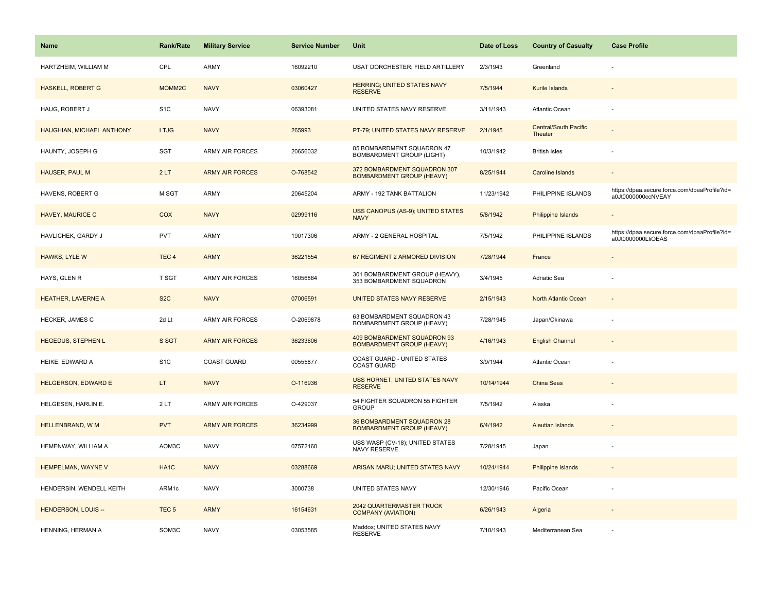| <b>Name</b>                      | Rank/Rate         | <b>Military Service</b> | <b>Service Number</b> | Unit                                                             | Date of Loss | <b>Country of Casualty</b>              | <b>Case Profile</b>                                                 |
|----------------------------------|-------------------|-------------------------|-----------------------|------------------------------------------------------------------|--------------|-----------------------------------------|---------------------------------------------------------------------|
| HARTZHEIM, WILLIAM M             | CPL               | <b>ARMY</b>             | 16092210              | USAT DORCHESTER; FIELD ARTILLERY                                 | 2/3/1943     | Greenland                               |                                                                     |
| <b>HASKELL, ROBERT G</b>         | MOMM2C            | <b>NAVY</b>             | 03060427              | HERRING; UNITED STATES NAVY<br><b>RESERVE</b>                    | 7/5/1944     | Kurile Islands                          |                                                                     |
| HAUG, ROBERT J                   | S <sub>1</sub> C  | <b>NAVY</b>             | 06393081              | UNITED STATES NAVY RESERVE                                       | 3/11/1943    | Atlantic Ocean                          |                                                                     |
| <b>HAUGHIAN, MICHAEL ANTHONY</b> | <b>LTJG</b>       | <b>NAVY</b>             | 265993                | PT-79; UNITED STATES NAVY RESERVE                                | 2/1/1945     | <b>Central/South Pacific</b><br>Theater |                                                                     |
| HAUNTY, JOSEPH G                 | SGT               | <b>ARMY AIR FORCES</b>  | 20656032              | 85 BOMBARDMENT SQUADRON 47<br><b>BOMBARDMENT GROUP (LIGHT)</b>   | 10/3/1942    | <b>British Isles</b>                    |                                                                     |
| <b>HAUSER, PAUL M</b>            | 2LT               | <b>ARMY AIR FORCES</b>  | O-768542              | 372 BOMBARDMENT SQUADRON 307<br><b>BOMBARDMENT GROUP (HEAVY)</b> | 8/25/1944    | <b>Caroline Islands</b>                 | $\overline{\phantom{a}}$                                            |
| HAVENS, ROBERT G                 | M SGT             | <b>ARMY</b>             | 20645204              | ARMY - 192 TANK BATTALION                                        | 11/23/1942   | PHILIPPINE ISLANDS                      | https://dpaa.secure.force.com/dpaaProfile?id=<br>a0Jt0000000ccNVEAY |
| <b>HAVEY, MAURICE C</b>          | <b>COX</b>        | <b>NAVY</b>             | 02999116              | USS CANOPUS (AS-9); UNITED STATES<br><b>NAVY</b>                 | 5/8/1942     | Philippine Islands                      |                                                                     |
| HAVLICHEK, GARDY J               | <b>PVT</b>        | ARMY                    | 19017306              | ARMY - 2 GENERAL HOSPITAL                                        | 7/5/1942     | PHILIPPINE ISLANDS                      | https://dpaa.secure.force.com/dpaaProfile?id=<br>a0Jt0000000LIiOEAS |
| <b>HAWKS, LYLE W</b>             | TEC <sub>4</sub>  | <b>ARMY</b>             | 36221554              | 67 REGIMENT 2 ARMORED DIVISION                                   | 7/28/1944    | France                                  |                                                                     |
| HAYS, GLEN R                     | T SGT             | ARMY AIR FORCES         | 16056864              | 301 BOMBARDMENT GROUP (HEAVY),<br>353 BOMBARDMENT SQUADRON       | 3/4/1945     | Adriatic Sea                            |                                                                     |
| <b>HEATHER, LAVERNE A</b>        | S <sub>2</sub> C  | <b>NAVY</b>             | 07006591              | UNITED STATES NAVY RESERVE                                       | 2/15/1943    | North Atlantic Ocean                    |                                                                     |
| <b>HECKER, JAMES C</b>           | 2d Lt             | <b>ARMY AIR FORCES</b>  | O-2069878             | 63 BOMBARDMENT SQUADRON 43<br>BOMBARDMENT GROUP (HEAVY)          | 7/28/1945    | Japan/Okinawa                           |                                                                     |
| <b>HEGEDUS, STEPHEN L</b>        | S SGT             | <b>ARMY AIR FORCES</b>  | 36233606              | 409 BOMBARDMENT SQUADRON 93<br><b>BOMBARDMENT GROUP (HEAVY)</b>  | 4/16/1943    | <b>English Channel</b>                  | $\overline{a}$                                                      |
| HEIKE, EDWARD A                  | S <sub>1</sub> C  | <b>COAST GUARD</b>      | 00555877              | COAST GUARD - UNITED STATES<br><b>COAST GUARD</b>                | 3/9/1944     | Atlantic Ocean                          |                                                                     |
| <b>HELGERSON, EDWARD E</b>       | LT.               | <b>NAVY</b>             | O-116936              | USS HORNET; UNITED STATES NAVY<br><b>RESERVE</b>                 | 10/14/1944   | <b>China Seas</b>                       |                                                                     |
| HELGESEN, HARLIN E.              | 2LT               | <b>ARMY AIR FORCES</b>  | O-429037              | 54 FIGHTER SQUADRON 55 FIGHTER<br><b>GROUP</b>                   | 7/5/1942     | Alaska                                  |                                                                     |
| HELLENBRAND, W M                 | <b>PVT</b>        | <b>ARMY AIR FORCES</b>  | 36234999              | 36 BOMBARDMENT SQUADRON 28<br><b>BOMBARDMENT GROUP (HEAVY)</b>   | 6/4/1942     | <b>Aleutian Islands</b>                 |                                                                     |
| HEMENWAY, WILLIAM A              | AOM3C             | <b>NAVY</b>             | 07572160              | USS WASP (CV-18); UNITED STATES<br><b>NAVY RESERVE</b>           | 7/28/1945    | Japan                                   |                                                                     |
| HEMPELMAN, WAYNE V               | HA <sub>1</sub> C | <b>NAVY</b>             | 03288669              | ARISAN MARU; UNITED STATES NAVY                                  | 10/24/1944   | <b>Philippine Islands</b>               |                                                                     |
| HENDERSIN, WENDELL KEITH         | ARM1c             | <b>NAVY</b>             | 3000738               | UNITED STATES NAVY                                               | 12/30/1946   | Pacific Ocean                           |                                                                     |
| <b>HENDERSON, LOUIS --</b>       | TEC <sub>5</sub>  | <b>ARMY</b>             | 16154631              | 2042 QUARTERMASTER TRUCK<br><b>COMPANY (AVIATION)</b>            | 6/26/1943    | Algeria                                 |                                                                     |
| HENNING, HERMAN A                | SOM3C             | <b>NAVY</b>             | 03053585              | Maddox; UNITED STATES NAVY<br><b>RESERVE</b>                     | 7/10/1943    | Mediterranean Sea                       |                                                                     |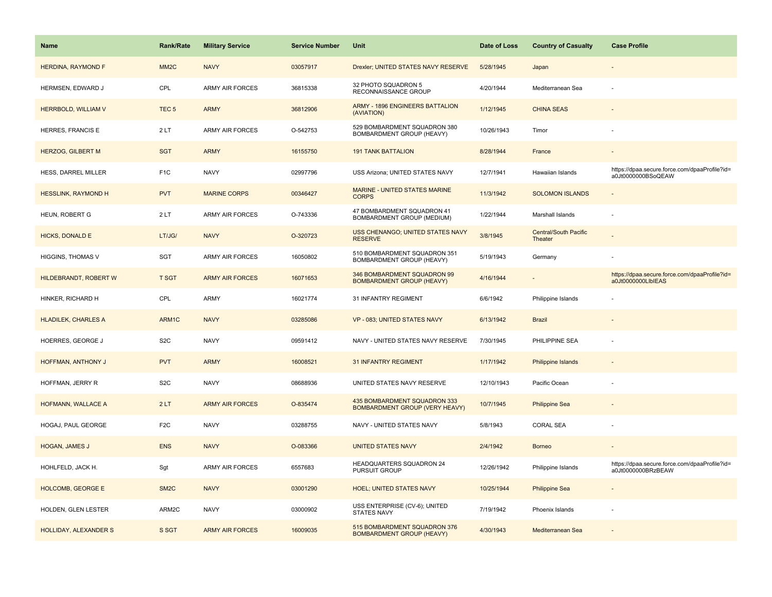| <b>Name</b>                | <b>Rank/Rate</b>  | <b>Military Service</b> | <b>Service Number</b> | Unit                                                                  | Date of Loss | <b>Country of Casualty</b>              | <b>Case Profile</b>                                                 |
|----------------------------|-------------------|-------------------------|-----------------------|-----------------------------------------------------------------------|--------------|-----------------------------------------|---------------------------------------------------------------------|
| <b>HERDINA, RAYMOND F</b>  | MM <sub>2</sub> C | <b>NAVY</b>             | 03057917              | Drexler; UNITED STATES NAVY RESERVE                                   | 5/28/1945    | Japan                                   |                                                                     |
| HERMSEN, EDWARD J          | CPL               | <b>ARMY AIR FORCES</b>  | 36815338              | 32 PHOTO SQUADRON 5<br>RECONNAISSANCE GROUP                           | 4/20/1944    | Mediterranean Sea                       |                                                                     |
| HERRBOLD, WILLIAM V        | TEC <sub>5</sub>  | <b>ARMY</b>             | 36812906              | <b>ARMY - 1896 ENGINEERS BATTALION</b><br>(AVIATION)                  | 1/12/1945    | <b>CHINA SEAS</b>                       |                                                                     |
| HERRES, FRANCIS E          | 2LT               | <b>ARMY AIR FORCES</b>  | O-542753              | 529 BOMBARDMENT SQUADRON 380<br>BOMBARDMENT GROUP (HEAVY)             | 10/26/1943   | Timor                                   |                                                                     |
| <b>HERZOG, GILBERT M</b>   | <b>SGT</b>        | <b>ARMY</b>             | 16155750              | <b>191 TANK BATTALION</b>                                             | 8/28/1944    | France                                  |                                                                     |
| HESS, DARREL MILLER        | F <sub>1</sub> C  | <b>NAVY</b>             | 02997796              | USS Arizona; UNITED STATES NAVY                                       | 12/7/1941    | Hawaiian Islands                        | https://dpaa.secure.force.com/dpaaProfile?id=<br>a0Jt0000000BSoQEAW |
| <b>HESSLINK, RAYMOND H</b> | <b>PVT</b>        | <b>MARINE CORPS</b>     | 00346427              | <b>MARINE - UNITED STATES MARINE</b><br><b>CORPS</b>                  | 11/3/1942    | <b>SOLOMON ISLANDS</b>                  |                                                                     |
| HEUN, ROBERT G             | 2LT               | <b>ARMY AIR FORCES</b>  | O-743336              | 47 BOMBARDMENT SQUADRON 41<br>BOMBARDMENT GROUP (MEDIUM)              | 1/22/1944    | Marshall Islands                        |                                                                     |
| <b>HICKS, DONALD E</b>     | LT/JG/            | <b>NAVY</b>             | O-320723              | <b>USS CHENANGO; UNITED STATES NAVY</b><br><b>RESERVE</b>             | 3/8/1945     | <b>Central/South Pacific</b><br>Theater |                                                                     |
| HIGGINS, THOMAS V          | <b>SGT</b>        | <b>ARMY AIR FORCES</b>  | 16050802              | 510 BOMBARDMENT SQUADRON 351<br>BOMBARDMENT GROUP (HEAVY)             | 5/19/1943    | Germany                                 |                                                                     |
| HILDEBRANDT, ROBERT W      | <b>T SGT</b>      | <b>ARMY AIR FORCES</b>  | 16071653              | 346 BOMBARDMENT SQUADRON 99<br><b>BOMBARDMENT GROUP (HEAVY)</b>       | 4/16/1944    |                                         | https://dpaa.secure.force.com/dpaaProfile?id=<br>a0Jt0000000LIbIEAS |
| HINKER, RICHARD H          | CPL               | <b>ARMY</b>             | 16021774              | 31 INFANTRY REGIMENT                                                  | 6/6/1942     | Philippine Islands                      |                                                                     |
| <b>HLADILEK, CHARLES A</b> | ARM1C             | <b>NAVY</b>             | 03285086              | VP - 083; UNITED STATES NAVY                                          | 6/13/1942    | <b>Brazil</b>                           |                                                                     |
| HOERRES, GEORGE J          | S <sub>2</sub> C  | <b>NAVY</b>             | 09591412              | NAVY - UNITED STATES NAVY RESERVE                                     | 7/30/1945    | PHILIPPINE SEA                          |                                                                     |
| HOFFMAN, ANTHONY J         | <b>PVT</b>        | <b>ARMY</b>             | 16008521              | <b>31 INFANTRY REGIMENT</b>                                           | 1/17/1942    | Philippine Islands                      |                                                                     |
| HOFFMAN, JERRY R           | S <sub>2</sub> C  | <b>NAVY</b>             | 08688936              | UNITED STATES NAVY RESERVE                                            | 12/10/1943   | Pacific Ocean                           |                                                                     |
| HOFMANN, WALLACE A         | 2LT               | <b>ARMY AIR FORCES</b>  | O-835474              | 435 BOMBARDMENT SQUADRON 333<br><b>BOMBARDMENT GROUP (VERY HEAVY)</b> | 10/7/1945    | <b>Philippine Sea</b>                   |                                                                     |
| HOGAJ, PAUL GEORGE         | F <sub>2</sub> C  | <b>NAVY</b>             | 03288755              | NAVY - UNITED STATES NAVY                                             | 5/8/1943     | <b>CORAL SEA</b>                        |                                                                     |
| HOGAN, JAMES J             | <b>ENS</b>        | <b>NAVY</b>             | O-083366              | <b>UNITED STATES NAVY</b>                                             | 2/4/1942     | <b>Borneo</b>                           |                                                                     |
| HOHLFELD, JACK H.          | Sgt               | ARMY AIR FORCES         | 6557683               | HEADQUARTERS SQUADRON 24<br><b>PURSUIT GROUP</b>                      | 12/26/1942   | Philippine Islands                      | https://dpaa.secure.force.com/dpaaProfile?id=<br>a0Jt0000000BRzBEAW |
| <b>HOLCOMB, GEORGE E</b>   | SM <sub>2</sub> C | <b>NAVY</b>             | 03001290              | <b>HOEL; UNITED STATES NAVY</b>                                       | 10/25/1944   | <b>Philippine Sea</b>                   |                                                                     |
| HOLDEN, GLEN LESTER        | ARM2C             | <b>NAVY</b>             | 03000902              | USS ENTERPRISE (CV-6); UNITED<br><b>STATES NAVY</b>                   | 7/19/1942    | Phoenix Islands                         |                                                                     |
| HOLLIDAY, ALEXANDER S      | S SGT             | <b>ARMY AIR FORCES</b>  | 16009035              | 515 BOMBARDMENT SQUADRON 376<br><b>BOMBARDMENT GROUP (HEAVY)</b>      | 4/30/1943    | Mediterranean Sea                       |                                                                     |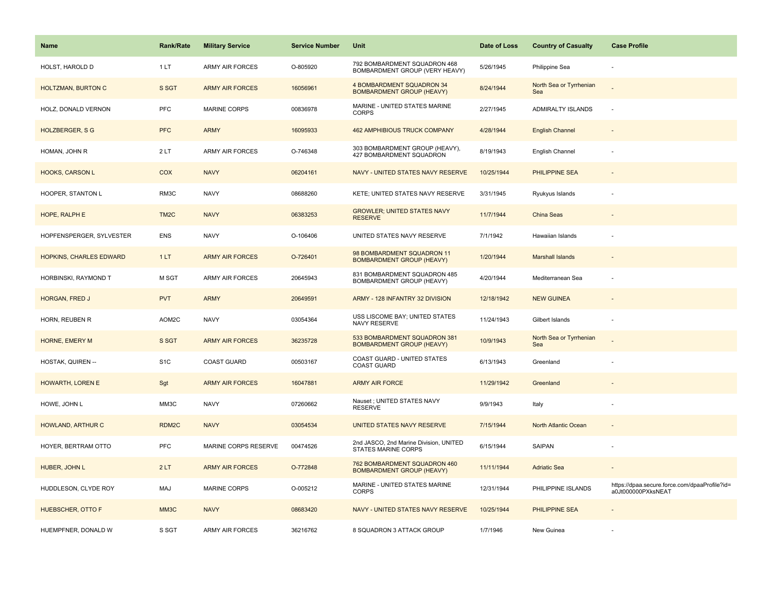| <b>Name</b>               | <b>Rank/Rate</b>  | <b>Military Service</b> | <b>Service Number</b> | Unit                                                             | Date of Loss | <b>Country of Casualty</b>     | <b>Case Profile</b>                                                 |
|---------------------------|-------------------|-------------------------|-----------------------|------------------------------------------------------------------|--------------|--------------------------------|---------------------------------------------------------------------|
| HOLST, HAROLD D           | 1LT               | <b>ARMY AIR FORCES</b>  | O-805920              | 792 BOMBARDMENT SQUADRON 468<br>BOMBARDMENT GROUP (VERY HEAVY)   | 5/26/1945    | Philippine Sea                 |                                                                     |
| <b>HOLTZMAN, BURTON C</b> | S SGT             | <b>ARMY AIR FORCES</b>  | 16056961              | 4 BOMBARDMENT SQUADRON 34<br><b>BOMBARDMENT GROUP (HEAVY)</b>    | 8/24/1944    | North Sea or Tyrrhenian<br>Sea |                                                                     |
| HOLZ, DONALD VERNON       | <b>PFC</b>        | <b>MARINE CORPS</b>     | 00836978              | MARINE - UNITED STATES MARINE<br><b>CORPS</b>                    | 2/27/1945    | ADMIRALTY ISLANDS              |                                                                     |
| <b>HOLZBERGER, S G</b>    | <b>PFC</b>        | <b>ARMY</b>             | 16095933              | <b>462 AMPHIBIOUS TRUCK COMPANY</b>                              | 4/28/1944    | <b>English Channel</b>         |                                                                     |
| HOMAN, JOHN R             | 2LT               | <b>ARMY AIR FORCES</b>  | O-746348              | 303 BOMBARDMENT GROUP (HEAVY),<br>427 BOMBARDMENT SQUADRON       | 8/19/1943    | English Channel                |                                                                     |
| <b>HOOKS, CARSON L</b>    | COX               | <b>NAVY</b>             | 06204161              | NAVY - UNITED STATES NAVY RESERVE                                | 10/25/1944   | PHILIPPINE SEA                 |                                                                     |
| HOOPER, STANTON L         | RM3C              | <b>NAVY</b>             | 08688260              | KETE; UNITED STATES NAVY RESERVE                                 | 3/31/1945    | Ryukyus Islands                |                                                                     |
| HOPE, RALPH E             | TM <sub>2</sub> C | <b>NAVY</b>             | 06383253              | <b>GROWLER; UNITED STATES NAVY</b><br><b>RESERVE</b>             | 11/7/1944    | <b>China Seas</b>              |                                                                     |
| HOPFENSPERGER, SYLVESTER  | <b>ENS</b>        | <b>NAVY</b>             | O-106406              | UNITED STATES NAVY RESERVE                                       | 7/1/1942     | Hawaiian Islands               |                                                                     |
| HOPKINS, CHARLES EDWARD   | 1LT               | <b>ARMY AIR FORCES</b>  | O-726401              | 98 BOMBARDMENT SQUADRON 11<br><b>BOMBARDMENT GROUP (HEAVY)</b>   | 1/20/1944    | <b>Marshall Islands</b>        |                                                                     |
| HORBINSKI, RAYMOND T      | M SGT             | <b>ARMY AIR FORCES</b>  | 20645943              | 831 BOMBARDMENT SQUADRON 485<br>BOMBARDMENT GROUP (HEAVY)        | 4/20/1944    | Mediterranean Sea              |                                                                     |
| HORGAN, FRED J            | <b>PVT</b>        | <b>ARMY</b>             | 20649591              | ARMY - 128 INFANTRY 32 DIVISION                                  | 12/18/1942   | <b>NEW GUINEA</b>              |                                                                     |
| HORN, REUBEN R            | AOM2C             | <b>NAVY</b>             | 03054364              | USS LISCOME BAY; UNITED STATES<br>NAVY RESERVE                   | 11/24/1943   | Gilbert Islands                |                                                                     |
| HORNE, EMERY M            | S SGT             | <b>ARMY AIR FORCES</b>  | 36235728              | 533 BOMBARDMENT SQUADRON 381<br><b>BOMBARDMENT GROUP (HEAVY)</b> | 10/9/1943    | North Sea or Tyrrhenian<br>Sea |                                                                     |
| HOSTAK, QUIREN --         | S <sub>1</sub> C  | <b>COAST GUARD</b>      | 00503167              | COAST GUARD - UNITED STATES<br><b>COAST GUARD</b>                | 6/13/1943    | Greenland                      |                                                                     |
| <b>HOWARTH, LOREN E</b>   | Sgt               | <b>ARMY AIR FORCES</b>  | 16047881              | <b>ARMY AIR FORCE</b>                                            | 11/29/1942   | Greenland                      |                                                                     |
| HOWE, JOHN L              | MM3C              | <b>NAVY</b>             | 07260662              | Nauset ; UNITED STATES NAVY<br><b>RESERVE</b>                    | 9/9/1943     | Italy                          |                                                                     |
| HOWLAND, ARTHUR C         | RDM <sub>2C</sub> | <b>NAVY</b>             | 03054534              | UNITED STATES NAVY RESERVE                                       | 7/15/1944    | North Atlantic Ocean           |                                                                     |
| HOYER, BERTRAM OTTO       | <b>PFC</b>        | MARINE CORPS RESERVE    | 00474526              | 2nd JASCO, 2nd Marine Division, UNITED<br>STATES MARINE CORPS    | 6/15/1944    | SAIPAN                         |                                                                     |
| HUBER, JOHN L             | 2LT               | <b>ARMY AIR FORCES</b>  | O-772848              | 762 BOMBARDMENT SQUADRON 460<br><b>BOMBARDMENT GROUP (HEAVY)</b> | 11/11/1944   | <b>Adriatic Sea</b>            |                                                                     |
| HUDDLESON, CLYDE ROY      | MAJ               | <b>MARINE CORPS</b>     | O-005212              | MARINE - UNITED STATES MARINE<br><b>CORPS</b>                    | 12/31/1944   | PHILIPPINE ISLANDS             | https://dpaa.secure.force.com/dpaaProfile?id=<br>a0Jt000000PXksNEAT |
| <b>HUEBSCHER, OTTO F</b>  | MM <sub>3</sub> C | <b>NAVY</b>             | 08683420              | NAVY - UNITED STATES NAVY RESERVE                                | 10/25/1944   | <b>PHILIPPINE SEA</b>          |                                                                     |
| HUEMPFNER, DONALD W       | S SGT             | <b>ARMY AIR FORCES</b>  | 36216762              | 8 SQUADRON 3 ATTACK GROUP                                        | 1/7/1946     | New Guinea                     |                                                                     |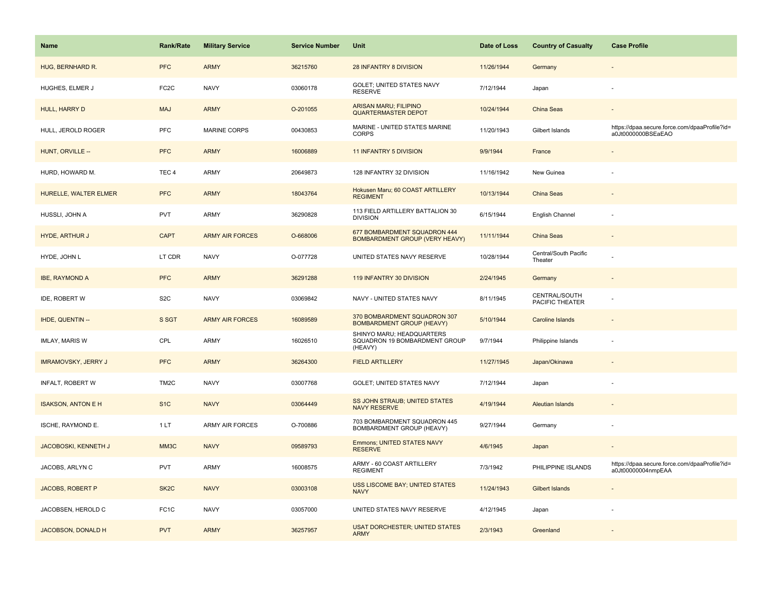| Name                       | Rank/Rate         | <b>Military Service</b> | <b>Service Number</b> | Unit                                                                  | Date of Loss | <b>Country of Casualty</b>       | <b>Case Profile</b>                                                 |
|----------------------------|-------------------|-------------------------|-----------------------|-----------------------------------------------------------------------|--------------|----------------------------------|---------------------------------------------------------------------|
| HUG, BERNHARD R.           | <b>PFC</b>        | <b>ARMY</b>             | 36215760              | 28 INFANTRY 8 DIVISION                                                | 11/26/1944   | Germany                          |                                                                     |
| HUGHES, ELMER J            | FC <sub>2</sub> C | <b>NAVY</b>             | 03060178              | GOLET; UNITED STATES NAVY<br><b>RESERVE</b>                           | 7/12/1944    | Japan                            |                                                                     |
| HULL, HARRY D              | <b>MAJ</b>        | <b>ARMY</b>             | O-201055              | <b>ARISAN MARU; FILIPINO</b><br><b>QUARTERMASTER DEPOT</b>            | 10/24/1944   | China Seas                       |                                                                     |
| HULL, JEROLD ROGER         | <b>PFC</b>        | <b>MARINE CORPS</b>     | 00430853              | MARINE - UNITED STATES MARINE<br><b>CORPS</b>                         | 11/20/1943   | Gilbert Islands                  | https://dpaa.secure.force.com/dpaaProfile?id=<br>a0Jt0000000BSEaEAO |
| HUNT, ORVILLE --           | <b>PFC</b>        | <b>ARMY</b>             | 16006889              | <b>11 INFANTRY 5 DIVISION</b>                                         | 9/9/1944     | France                           |                                                                     |
| HURD, HOWARD M.            | TEC <sub>4</sub>  | <b>ARMY</b>             | 20649873              | 128 INFANTRY 32 DIVISION                                              | 11/16/1942   | New Guinea                       |                                                                     |
| HURELLE, WALTER ELMER      | <b>PFC</b>        | <b>ARMY</b>             | 18043764              | Hokusen Maru; 60 COAST ARTILLERY<br><b>REGIMENT</b>                   | 10/13/1944   | China Seas                       |                                                                     |
| HUSSLI, JOHN A             | <b>PVT</b>        | ARMY                    | 36290828              | 113 FIELD ARTILLERY BATTALION 30<br><b>DIVISION</b>                   | 6/15/1944    | English Channel                  |                                                                     |
| <b>HYDE, ARTHUR J</b>      | <b>CAPT</b>       | <b>ARMY AIR FORCES</b>  | O-668006              | 677 BOMBARDMENT SQUADRON 444<br>BOMBARDMENT GROUP (VERY HEAVY)        | 11/11/1944   | <b>China Seas</b>                |                                                                     |
| HYDE, JOHN L               | LT CDR            | <b>NAVY</b>             | O-077728              | UNITED STATES NAVY RESERVE                                            | 10/28/1944   | Central/South Pacific<br>Theater |                                                                     |
| <b>IBE, RAYMOND A</b>      | <b>PFC</b>        | <b>ARMY</b>             | 36291288              | 119 INFANTRY 30 DIVISION                                              | 2/24/1945    | Germany                          |                                                                     |
| IDE, ROBERT W              | S <sub>2</sub> C  | <b>NAVY</b>             | 03069842              | NAVY - UNITED STATES NAVY                                             | 8/11/1945    | CENTRAL/SOUTH<br>PACIFIC THEATER |                                                                     |
| IHDE, QUENTIN --           | S SGT             | <b>ARMY AIR FORCES</b>  | 16089589              | 370 BOMBARDMENT SQUADRON 307<br><b>BOMBARDMENT GROUP (HEAVY)</b>      | 5/10/1944    | <b>Caroline Islands</b>          |                                                                     |
| <b>IMLAY, MARIS W</b>      | CPL               | <b>ARMY</b>             | 16026510              | SHINYO MARU; HEADQUARTERS<br>SQUADRON 19 BOMBARDMENT GROUP<br>(HEAVY) | 9/7/1944     | Philippine Islands               |                                                                     |
| <b>IMRAMOVSKY, JERRY J</b> | <b>PFC</b>        | <b>ARMY</b>             | 36264300              | <b>FIELD ARTILLERY</b>                                                | 11/27/1945   | Japan/Okinawa                    |                                                                     |
| INFALT, ROBERT W           | TM <sub>2</sub> C | <b>NAVY</b>             | 03007768              | GOLET; UNITED STATES NAVY                                             | 7/12/1944    | Japan                            |                                                                     |
| <b>ISAKSON, ANTON E H</b>  | S <sub>1C</sub>   | <b>NAVY</b>             | 03064449              | SS JOHN STRAUB; UNITED STATES<br><b>NAVY RESERVE</b>                  | 4/19/1944    | <b>Aleutian Islands</b>          |                                                                     |
| ISCHE, RAYMOND E.          | 1LT               | <b>ARMY AIR FORCES</b>  | O-700886              | 703 BOMBARDMENT SQUADRON 445<br>BOMBARDMENT GROUP (HEAVY)             | 9/27/1944    | Germany                          | ÷,                                                                  |
| JACOBOSKI, KENNETH J       | MM3C              | <b>NAVY</b>             | 09589793              | <b>Emmons; UNITED STATES NAVY</b><br><b>RESERVE</b>                   | 4/6/1945     | Japan                            |                                                                     |
| JACOBS, ARLYN C            | <b>PVT</b>        | ARMY                    | 16008575              | ARMY - 60 COAST ARTILLERY<br><b>REGIMENT</b>                          | 7/3/1942     | PHILIPPINE ISLANDS               | https://dpaa.secure.force.com/dpaaProfile?id=<br>a0Jt00000004nmpEAA |
| <b>JACOBS, ROBERT P</b>    | SK <sub>2</sub> C | <b>NAVY</b>             | 03003108              | USS LISCOME BAY; UNITED STATES<br><b>NAVY</b>                         | 11/24/1943   | <b>Gilbert Islands</b>           |                                                                     |
| JACOBSEN, HEROLD C         | FC <sub>1</sub> C | <b>NAVY</b>             | 03057000              | UNITED STATES NAVY RESERVE                                            | 4/12/1945    | Japan                            |                                                                     |
| JACOBSON, DONALD H         | <b>PVT</b>        | <b>ARMY</b>             | 36257957              | <b>USAT DORCHESTER; UNITED STATES</b><br><b>ARMY</b>                  | 2/3/1943     | Greenland                        |                                                                     |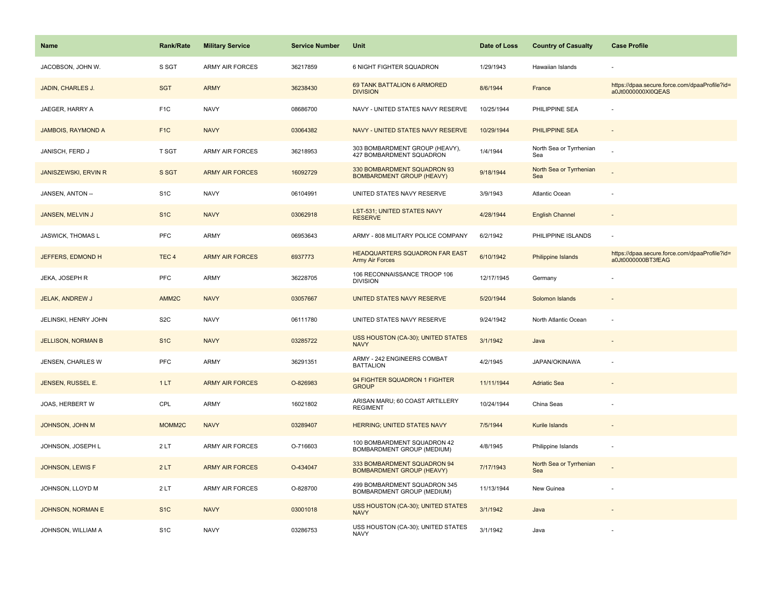| <b>Name</b>                 | <b>Rank/Rate</b>   | <b>Military Service</b> | <b>Service Number</b> | Unit                                                              | Date of Loss | <b>Country of Casualty</b>     | <b>Case Profile</b>                                                 |
|-----------------------------|--------------------|-------------------------|-----------------------|-------------------------------------------------------------------|--------------|--------------------------------|---------------------------------------------------------------------|
| JACOBSON, JOHN W.           | S SGT              | <b>ARMY AIR FORCES</b>  | 36217859              | 6 NIGHT FIGHTER SQUADRON                                          | 1/29/1943    | Hawaiian Islands               |                                                                     |
| JADIN, CHARLES J.           | <b>SGT</b>         | <b>ARMY</b>             | 36238430              | 69 TANK BATTALION 6 ARMORED<br><b>DIVISION</b>                    | 8/6/1944     | France                         | https://dpaa.secure.force.com/dpaaProfile?id=<br>a0Jt0000000XI0QEAS |
| JAEGER, HARRY A             | F <sub>1</sub> C   | <b>NAVY</b>             | 08686700              | NAVY - UNITED STATES NAVY RESERVE                                 | 10/25/1944   | PHILIPPINE SEA                 |                                                                     |
| <b>JAMBOIS, RAYMOND A</b>   | F <sub>1</sub> C   | <b>NAVY</b>             | 03064382              | NAVY - UNITED STATES NAVY RESERVE                                 | 10/29/1944   | <b>PHILIPPINE SEA</b>          |                                                                     |
| JANISCH, FERD J             | <b>T SGT</b>       | <b>ARMY AIR FORCES</b>  | 36218953              | 303 BOMBARDMENT GROUP (HEAVY),<br>427 BOMBARDMENT SQUADRON        | 1/4/1944     | North Sea or Tyrrhenian<br>Sea |                                                                     |
| <b>JANISZEWSKI, ERVIN R</b> | S SGT              | <b>ARMY AIR FORCES</b>  | 16092729              | 330 BOMBARDMENT SQUADRON 93<br><b>BOMBARDMENT GROUP (HEAVY)</b>   | 9/18/1944    | North Sea or Tyrrhenian<br>Sea |                                                                     |
| JANSEN, ANTON --            | S <sub>1</sub> C   | <b>NAVY</b>             | 06104991              | UNITED STATES NAVY RESERVE                                        | 3/9/1943     | Atlantic Ocean                 |                                                                     |
| JANSEN, MELVIN J            | S <sub>1</sub> C   | <b>NAVY</b>             | 03062918              | LST-531; UNITED STATES NAVY<br><b>RESERVE</b>                     | 4/28/1944    | <b>English Channel</b>         |                                                                     |
| JASWICK, THOMAS L           | PFC                | <b>ARMY</b>             | 06953643              | ARMY - 808 MILITARY POLICE COMPANY                                | 6/2/1942     | PHILIPPINE ISLANDS             | $\overline{\phantom{a}}$                                            |
| JEFFERS, EDMOND H           | TEC <sub>4</sub>   | <b>ARMY AIR FORCES</b>  | 6937773               | HEADQUARTERS SQUADRON FAR EAST<br><b>Army Air Forces</b>          | 6/10/1942    | <b>Philippine Islands</b>      | https://dpaa.secure.force.com/dpaaProfile?id=<br>a0Jt0000000BT3fEAG |
| JEKA, JOSEPH R              | PFC                | <b>ARMY</b>             | 36228705              | 106 RECONNAISSANCE TROOP 106<br><b>DIVISION</b>                   | 12/17/1945   | Germany                        |                                                                     |
| <b>JELAK, ANDREW J</b>      | AMM <sub>2C</sub>  | <b>NAVY</b>             | 03057667              | UNITED STATES NAVY RESERVE                                        | 5/20/1944    | Solomon Islands                | $\sim$                                                              |
| JELINSKI, HENRY JOHN        | S <sub>2</sub> C   | <b>NAVY</b>             | 06111780              | UNITED STATES NAVY RESERVE                                        | 9/24/1942    | North Atlantic Ocean           |                                                                     |
| <b>JELLISON, NORMAN B</b>   | S <sub>1C</sub>    | <b>NAVY</b>             | 03285722              | USS HOUSTON (CA-30); UNITED STATES<br><b>NAVY</b>                 | 3/1/1942     | Java                           |                                                                     |
| JENSEN, CHARLES W           | PFC                | <b>ARMY</b>             | 36291351              | ARMY - 242 ENGINEERS COMBAT<br><b>BATTALION</b>                   | 4/2/1945     | JAPAN/OKINAWA                  |                                                                     |
| JENSEN, RUSSEL E.           | 1LT                | <b>ARMY AIR FORCES</b>  | O-826983              | 94 FIGHTER SQUADRON 1 FIGHTER<br><b>GROUP</b>                     | 11/11/1944   | <b>Adriatic Sea</b>            |                                                                     |
| JOAS, HERBERT W             | CPL                | <b>ARMY</b>             | 16021802              | ARISAN MARU; 60 COAST ARTILLERY<br><b>REGIMENT</b>                | 10/24/1944   | China Seas                     |                                                                     |
| <b>JOHNSON, JOHN M</b>      | MOMM <sub>2C</sub> | <b>NAVY</b>             | 03289407              | HERRING; UNITED STATES NAVY                                       | 7/5/1944     | Kurile Islands                 |                                                                     |
| JOHNSON, JOSEPH L           | 2LT                | <b>ARMY AIR FORCES</b>  | O-716603              | 100 BOMBARDMENT SQUADRON 42<br>BOMBARDMENT GROUP (MEDIUM)         | 4/8/1945     | Philippine Islands             |                                                                     |
| JOHNSON, LEWIS F            | 2LT                | <b>ARMY AIR FORCES</b>  | O-434047              | 333 BOMBARDMENT SQUADRON 94<br><b>BOMBARDMENT GROUP (HEAVY)</b>   | 7/17/1943    | North Sea or Tyrrhenian<br>Sea |                                                                     |
| JOHNSON, LLOYD M            | 2LT                | <b>ARMY AIR FORCES</b>  | O-828700              | 499 BOMBARDMENT SQUADRON 345<br><b>BOMBARDMENT GROUP (MEDIUM)</b> | 11/13/1944   | New Guinea                     | $\sim$                                                              |
| JOHNSON, NORMAN E           | S <sub>1</sub> C   | <b>NAVY</b>             | 03001018              | USS HOUSTON (CA-30); UNITED STATES<br><b>NAVY</b>                 | 3/1/1942     | Java                           |                                                                     |
| JOHNSON, WILLIAM A          | S <sub>1</sub> C   | <b>NAVY</b>             | 03286753              | USS HOUSTON (CA-30); UNITED STATES<br><b>NAVY</b>                 | 3/1/1942     | Java                           |                                                                     |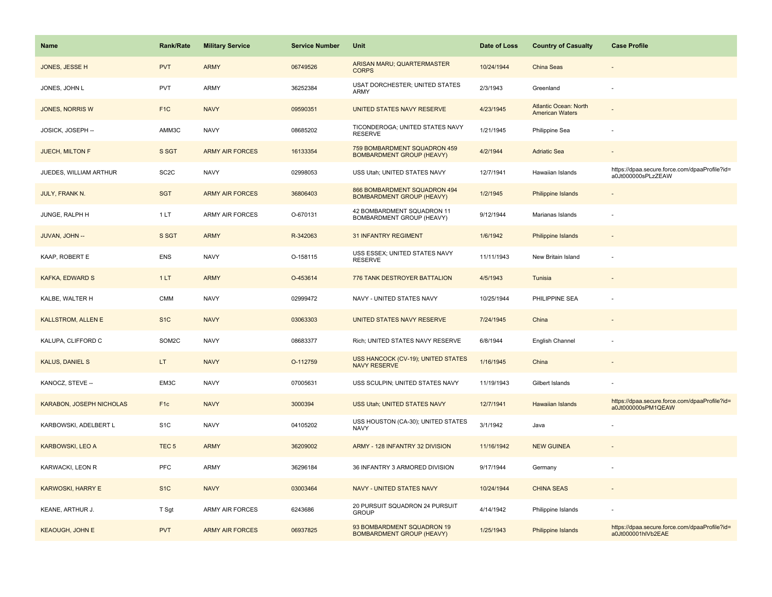| Name                            | <b>Rank/Rate</b>  | <b>Military Service</b> | <b>Service Number</b> | Unit                                                             | Date of Loss | <b>Country of Casualty</b>                      | <b>Case Profile</b>                                                 |
|---------------------------------|-------------------|-------------------------|-----------------------|------------------------------------------------------------------|--------------|-------------------------------------------------|---------------------------------------------------------------------|
| JONES, JESSE H                  | <b>PVT</b>        | <b>ARMY</b>             | 06749526              | ARISAN MARU; QUARTERMASTER<br><b>CORPS</b>                       | 10/24/1944   | China Seas                                      |                                                                     |
| JONES, JOHN L                   | PVT               | <b>ARMY</b>             | 36252384              | <b>USAT DORCHESTER; UNITED STATES</b><br>ARMY                    | 2/3/1943     | Greenland                                       |                                                                     |
| JONES, NORRIS W                 | F <sub>1</sub> C  | <b>NAVY</b>             | 09590351              | UNITED STATES NAVY RESERVE                                       | 4/23/1945    | Atlantic Ocean: North<br><b>American Waters</b> |                                                                     |
| JOSICK, JOSEPH --               | AMM3C             | <b>NAVY</b>             | 08685202              | TICONDEROGA; UNITED STATES NAVY<br><b>RESERVE</b>                | 1/21/1945    | Philippine Sea                                  |                                                                     |
| JUECH, MILTON F                 | S SGT             | <b>ARMY AIR FORCES</b>  | 16133354              | 759 BOMBARDMENT SQUADRON 459<br><b>BOMBARDMENT GROUP (HEAVY)</b> | 4/2/1944     | <b>Adriatic Sea</b>                             |                                                                     |
| JUEDES, WILLIAM ARTHUR          | SC <sub>2</sub> C | <b>NAVY</b>             | 02998053              | USS Utah; UNITED STATES NAVY                                     | 12/7/1941    | Hawaiian Islands                                | https://dpaa.secure.force.com/dpaaProfile?id=<br>a0Jt000000sPLzZEAW |
| <b>JULY, FRANK N.</b>           | <b>SGT</b>        | <b>ARMY AIR FORCES</b>  | 36806403              | 866 BOMBARDMENT SQUADRON 494<br><b>BOMBARDMENT GROUP (HEAVY)</b> | 1/2/1945     | Philippine Islands                              |                                                                     |
| JUNGE, RALPH H                  | 1LT               | <b>ARMY AIR FORCES</b>  | O-670131              | 42 BOMBARDMENT SQUADRON 11<br>BOMBARDMENT GROUP (HEAVY)          | 9/12/1944    | Marianas Islands                                |                                                                     |
| JUVAN, JOHN --                  | S SGT             | <b>ARMY</b>             | R-342063              | <b>31 INFANTRY REGIMENT</b>                                      | 1/6/1942     | <b>Philippine Islands</b>                       |                                                                     |
| KAAP, ROBERT E                  | <b>ENS</b>        | <b>NAVY</b>             | O-158115              | USS ESSEX; UNITED STATES NAVY<br><b>RESERVE</b>                  | 11/11/1943   | New Britain Island                              |                                                                     |
| <b>KAFKA, EDWARD S</b>          | 1LT               | <b>ARMY</b>             | O-453614              | 776 TANK DESTROYER BATTALION                                     | 4/5/1943     | Tunisia                                         |                                                                     |
| KALBE, WALTER H                 | <b>CMM</b>        | <b>NAVY</b>             | 02999472              | NAVY - UNITED STATES NAVY                                        | 10/25/1944   | PHILIPPINE SEA                                  |                                                                     |
| <b>KALLSTROM, ALLEN E</b>       | S <sub>1</sub> C  | <b>NAVY</b>             | 03063303              | UNITED STATES NAVY RESERVE                                       | 7/24/1945    | China                                           |                                                                     |
| KALUPA, CLIFFORD C              | SOM2C             | <b>NAVY</b>             | 08683377              | Rich; UNITED STATES NAVY RESERVE                                 | 6/8/1944     | English Channel                                 |                                                                     |
| <b>KALUS, DANIEL S</b>          | LT.               | <b>NAVY</b>             | O-112759              | <b>USS HANCOCK (CV-19); UNITED STATES</b><br><b>NAVY RESERVE</b> | 1/16/1945    | China                                           |                                                                     |
| KANOCZ, STEVE --                | EM3C              | <b>NAVY</b>             | 07005631              | USS SCULPIN; UNITED STATES NAVY                                  | 11/19/1943   | Gilbert Islands                                 |                                                                     |
| <b>KARABON, JOSEPH NICHOLAS</b> | F <sub>1c</sub>   | <b>NAVY</b>             | 3000394               | USS Utah; UNITED STATES NAVY                                     | 12/7/1941    | <b>Hawaiian Islands</b>                         | https://dpaa.secure.force.com/dpaaProfile?id=<br>a0Jt000000sPM1QEAW |
| KARBOWSKI, ADELBERT L           | S <sub>1</sub> C  | <b>NAVY</b>             | 04105202              | USS HOUSTON (CA-30); UNITED STATES<br><b>NAVY</b>                | 3/1/1942     | Java                                            |                                                                     |
| <b>KARBOWSKI, LEO A</b>         | TEC <sub>5</sub>  | <b>ARMY</b>             | 36209002              | ARMY - 128 INFANTRY 32 DIVISION                                  | 11/16/1942   | <b>NEW GUINEA</b>                               |                                                                     |
| KARWACKI, LEON R                | PFC               | <b>ARMY</b>             | 36296184              | 36 INFANTRY 3 ARMORED DIVISION                                   | 9/17/1944    | Germany                                         |                                                                     |
| <b>KARWOSKI, HARRY E</b>        | S <sub>1</sub> C  | <b>NAVY</b>             | 03003464              | NAVY - UNITED STATES NAVY                                        | 10/24/1944   | <b>CHINA SEAS</b>                               |                                                                     |
| KEANE, ARTHUR J.                | T Sgt             | <b>ARMY AIR FORCES</b>  | 6243686               | 20 PURSUIT SQUADRON 24 PURSUIT<br><b>GROUP</b>                   | 4/14/1942    | Philippine Islands                              |                                                                     |
| <b>KEAOUGH, JOHN E</b>          | <b>PVT</b>        | <b>ARMY AIR FORCES</b>  | 06937825              | 93 BOMBARDMENT SQUADRON 19<br><b>BOMBARDMENT GROUP (HEAVY)</b>   | 1/25/1943    | Philippine Islands                              | https://dpaa.secure.force.com/dpaaProfile?id=<br>a0Jt000001hlVb2EAE |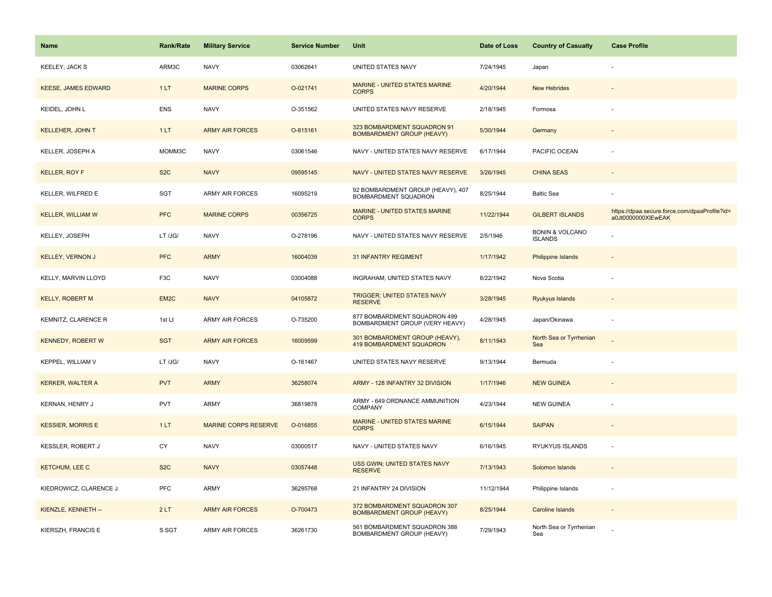| <b>Name</b>                | <b>Rank/Rate</b>  | <b>Military Service</b>     | <b>Service Number</b> | Unit                                                              | Date of Loss | <b>Country of Casualty</b>                   | <b>Case Profile</b>                                                 |
|----------------------------|-------------------|-----------------------------|-----------------------|-------------------------------------------------------------------|--------------|----------------------------------------------|---------------------------------------------------------------------|
| <b>KEELEY, JACK S</b>      | ARM3C             | <b>NAVY</b>                 | 03062641              | UNITED STATES NAVY                                                | 7/24/1945    | Japan                                        |                                                                     |
| <b>KEESE, JAMES EDWARD</b> | 1LT               | <b>MARINE CORPS</b>         | O-021741              | MARINE - UNITED STATES MARINE<br><b>CORPS</b>                     | 4/20/1944    | <b>New Hebrides</b>                          |                                                                     |
| KEIDEL, JOHN L             | ENS               | <b>NAVY</b>                 | O-351562              | UNITED STATES NAVY RESERVE                                        | 2/18/1945    | Formosa                                      |                                                                     |
| <b>KELLEHER, JOHN T</b>    | 1LT               | <b>ARMY AIR FORCES</b>      | O-815161              | 323 BOMBARDMENT SQUADRON 91<br><b>BOMBARDMENT GROUP (HEAVY)</b>   | 5/30/1944    | Germany                                      |                                                                     |
| KELLER, JOSEPH A           | MOMM3C            | <b>NAVY</b>                 | 03061546              | NAVY - UNITED STATES NAVY RESERVE                                 | 6/17/1944    | PACIFIC OCEAN                                |                                                                     |
| <b>KELLER, ROY F</b>       | S <sub>2</sub> C  | <b>NAVY</b>                 | 09595145              | NAVY - UNITED STATES NAVY RESERVE                                 | 3/26/1945    | <b>CHINA SEAS</b>                            |                                                                     |
| KELLER, WILFRED E          | <b>SGT</b>        | ARMY AIR FORCES             | 16095219              | 92 BOMBARDMENT GROUP (HEAVY), 407<br>BOMBARDMENT SQUADRON         | 8/25/1944    | <b>Baltic Sea</b>                            |                                                                     |
| <b>KELLER, WILLIAM W</b>   | <b>PFC</b>        | <b>MARINE CORPS</b>         | 00356725              | MARINE - UNITED STATES MARINE<br><b>CORPS</b>                     | 11/22/1944   | <b>GILBERT ISLANDS</b>                       | https://dpaa.secure.force.com/dpaaProfile?id=<br>a0Jt0000000XIEwEAK |
| KELLEY, JOSEPH             | LT /JG/           | <b>NAVY</b>                 | O-278196              | NAVY - UNITED STATES NAVY RESERVE                                 | 2/5/1946     | <b>BONIN &amp; VOLCANO</b><br><b>ISLANDS</b> |                                                                     |
| <b>KELLEY, VERNON J</b>    | <b>PFC</b>        | <b>ARMY</b>                 | 16004039              | 31 INFANTRY REGIMENT                                              | 1/17/1942    | <b>Philippine Islands</b>                    |                                                                     |
| KELLY, MARVIN LLOYD        | F <sub>3</sub> C  | <b>NAVY</b>                 | 03004088              | INGRAHAM; UNITED STATES NAVY                                      | 8/22/1942    | Nova Scotia                                  |                                                                     |
| <b>KELLY, ROBERT M</b>     | EM <sub>2</sub> C | <b>NAVY</b>                 | 04105872              | <b>TRIGGER; UNITED STATES NAVY</b><br><b>RESERVE</b>              | 3/28/1945    | <b>Ryukyus Islands</b>                       |                                                                     |
| KEMNITZ, CLARENCE R        | 1st Lt            | ARMY AIR FORCES             | O-735200              | 877 BOMBARDMENT SQUADRON 499<br>BOMBARDMENT GROUP (VERY HEAVY)    | 4/28/1945    | Japan/Okinawa                                |                                                                     |
| <b>KENNEDY, ROBERT W</b>   | <b>SGT</b>        | <b>ARMY AIR FORCES</b>      | 16009599              | 301 BOMBARDMENT GROUP (HEAVY),<br><b>419 BOMBARDMENT SQUADRON</b> | 8/11/1943    | North Sea or Tyrrhenian<br>Sea               |                                                                     |
| <b>KEPPEL, WILLIAM V</b>   | LT /JG/           | <b>NAVY</b>                 | O-161467              | UNITED STATES NAVY RESERVE                                        | 9/13/1944    | Bermuda                                      |                                                                     |
| <b>KERKER, WALTER A</b>    | <b>PVT</b>        | <b>ARMY</b>                 | 36258074              | ARMY - 128 INFANTRY 32 DIVISION                                   | 1/17/1946    | <b>NEW GUINEA</b>                            |                                                                     |
| KERNAN, HENRY J            | <b>PVT</b>        | ARMY                        | 36819878              | ARMY - 649 ORDNANCE AMMUNITION<br><b>COMPANY</b>                  | 4/23/1944    | <b>NEW GUINEA</b>                            |                                                                     |
| <b>KESSIER, MORRIS E</b>   | 1LT               | <b>MARINE CORPS RESERVE</b> | O-016855              | MARINE - UNITED STATES MARINE<br><b>CORPS</b>                     | 6/15/1944    | <b>SAIPAN</b>                                |                                                                     |
| KESSLER, ROBERT J          | CY                | <b>NAVY</b>                 | 03000517              | NAVY - UNITED STATES NAVY                                         | 6/16/1945    | RYUKYUS ISLANDS                              |                                                                     |
| <b>KETCHUM, LEE C</b>      | S <sub>2</sub> C  | <b>NAVY</b>                 | 03057448              | USS GWIN; UNITED STATES NAVY<br><b>RESERVE</b>                    | 7/13/1943    | Solomon Islands                              |                                                                     |
| KIEDROWICZ, CLARENCE J.    | <b>PFC</b>        | ARMY                        | 36295768              | 21 INFANTRY 24 DIVISION                                           | 11/12/1944   | Philippine Islands                           |                                                                     |
| KIENZLE, KENNETH --        | 2LT               | <b>ARMY AIR FORCES</b>      | O-700473              | 372 BOMBARDMENT SQUADRON 307<br><b>BOMBARDMENT GROUP (HEAVY)</b>  | 8/25/1944    | <b>Caroline Islands</b>                      |                                                                     |
| KIERSZH, FRANCIS E         | S SGT             | ARMY AIR FORCES             | 36261730              | 561 BOMBARDMENT SQUADRON 388<br>BOMBARDMENT GROUP (HEAVY)         | 7/29/1943    | North Sea or Tyrrhenian<br>Sea               |                                                                     |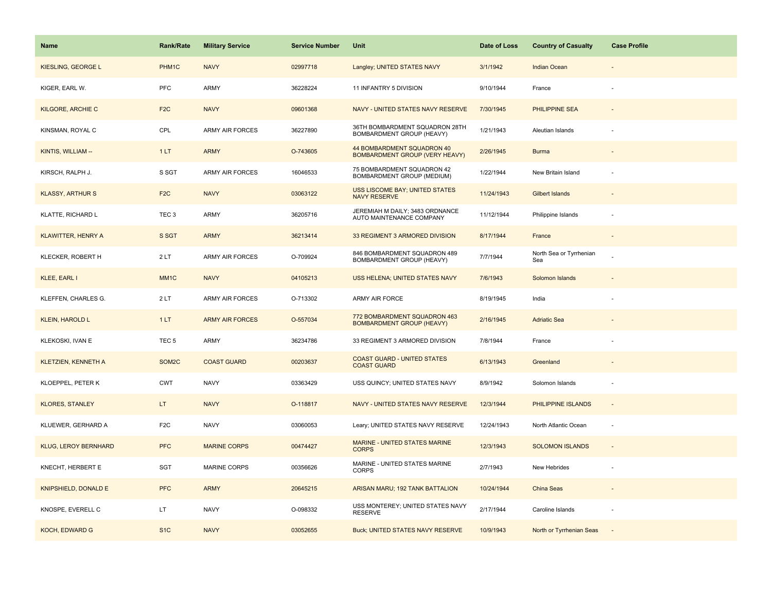| <b>Name</b>                 | <b>Rank/Rate</b>  | <b>Military Service</b> | <b>Service Number</b> | Unit                                                             | Date of Loss | <b>Country of Casualty</b>     | <b>Case Profile</b>      |
|-----------------------------|-------------------|-------------------------|-----------------------|------------------------------------------------------------------|--------------|--------------------------------|--------------------------|
| KIESLING, GEORGE L          | PHM1C             | <b>NAVY</b>             | 02997718              | Langley; UNITED STATES NAVY                                      | 3/1/1942     | Indian Ocean                   |                          |
| KIGER, EARL W.              | PFC               | ARMY                    | 36228224              | 11 INFANTRY 5 DIVISION                                           | 9/10/1944    | France                         |                          |
| <b>KILGORE, ARCHIE C</b>    | F <sub>2</sub> C  | <b>NAVY</b>             | 09601368              | NAVY - UNITED STATES NAVY RESERVE                                | 7/30/1945    | PHILIPPINE SEA                 |                          |
| KINSMAN, ROYAL C            | CPL               | <b>ARMY AIR FORCES</b>  | 36227890              | 36TH BOMBARDMENT SQUADRON 28TH<br>BOMBARDMENT GROUP (HEAVY)      | 1/21/1943    | Aleutian Islands               |                          |
| KINTIS, WILLIAM --          | 1LT               | <b>ARMY</b>             | O-743605              | 44 BOMBARDMENT SQUADRON 40<br>BOMBARDMENT GROUP (VERY HEAVY)     | 2/26/1945    | <b>Burma</b>                   |                          |
| KIRSCH, RALPH J.            | S SGT             | <b>ARMY AIR FORCES</b>  | 16046533              | 75 BOMBARDMENT SQUADRON 42<br>BOMBARDMENT GROUP (MEDIUM)         | 1/22/1944    | New Britain Island             |                          |
| <b>KLASSY, ARTHURS</b>      | F <sub>2</sub> C  | <b>NAVY</b>             | 03063122              | <b>USS LISCOME BAY; UNITED STATES</b><br><b>NAVY RESERVE</b>     | 11/24/1943   | <b>Gilbert Islands</b>         |                          |
| KLATTE, RICHARD L           | TEC <sub>3</sub>  | ARMY                    | 36205716              | JEREMIAH M DAILY; 3483 ORDNANCE<br>AUTO MAINTENANCE COMPANY      | 11/12/1944   | Philippine Islands             |                          |
| <b>KLAWITTER, HENRY A</b>   | S SGT             | <b>ARMY</b>             | 36213414              | 33 REGIMENT 3 ARMORED DIVISION                                   | 8/17/1944    | France                         |                          |
| KLECKER, ROBERT H           | 2LT               | ARMY AIR FORCES         | O-709924              | 846 BOMBARDMENT SQUADRON 489<br>BOMBARDMENT GROUP (HEAVY)        | 7/7/1944     | North Sea or Tyrrhenian<br>Sea |                          |
| KLEE, EARL I                | MM <sub>1</sub> C | <b>NAVY</b>             | 04105213              | USS HELENA; UNITED STATES NAVY                                   | 7/6/1943     | Solomon Islands                |                          |
| KLEFFEN, CHARLES G.         | 2LT               | ARMY AIR FORCES         | O-713302              | ARMY AIR FORCE                                                   | 8/19/1945    | India                          |                          |
| <b>KLEIN, HAROLD L</b>      | 1LT               | <b>ARMY AIR FORCES</b>  | O-557034              | 772 BOMBARDMENT SQUADRON 463<br><b>BOMBARDMENT GROUP (HEAVY)</b> | 2/16/1945    | <b>Adriatic Sea</b>            |                          |
| KLEKOSKI, IVAN E            | TEC <sub>5</sub>  | ARMY                    | 36234786              | 33 REGIMENT 3 ARMORED DIVISION                                   | 7/8/1944     | France                         |                          |
| <b>KLETZIEN, KENNETH A</b>  | SOM2C             | <b>COAST GUARD</b>      | 00203637              | <b>COAST GUARD - UNITED STATES</b><br><b>COAST GUARD</b>         | 6/13/1943    | Greenland                      |                          |
| KLOEPPEL, PETER K           | <b>CWT</b>        | <b>NAVY</b>             | 03363429              | USS QUINCY; UNITED STATES NAVY                                   | 8/9/1942     | Solomon Islands                |                          |
| <b>KLORES, STANLEY</b>      | LT.               | <b>NAVY</b>             | O-118817              | NAVY - UNITED STATES NAVY RESERVE                                | 12/3/1944    | PHILIPPINE ISLANDS             | $\sim$                   |
| KLUEWER, GERHARD A          | F <sub>2</sub> C  | <b>NAVY</b>             | 03060053              | Leary; UNITED STATES NAVY RESERVE                                | 12/24/1943   | North Atlantic Ocean           | $\overline{\phantom{a}}$ |
| <b>KLUG, LEROY BERNHARD</b> | <b>PFC</b>        | <b>MARINE CORPS</b>     | 00474427              | MARINE - UNITED STATES MARINE<br><b>CORPS</b>                    | 12/3/1943    | <b>SOLOMON ISLANDS</b>         |                          |
| KNECHT, HERBERT E           | <b>SGT</b>        | <b>MARINE CORPS</b>     | 00356626              | MARINE - UNITED STATES MARINE<br><b>CORPS</b>                    | 2/7/1943     | New Hebrides                   |                          |
| KNIPSHIELD, DONALD E        | <b>PFC</b>        | <b>ARMY</b>             | 20645215              | ARISAN MARU; 192 TANK BATTALION                                  | 10/24/1944   | China Seas                     |                          |
| KNOSPE, EVERELL C           | LT.               | <b>NAVY</b>             | O-098332              | USS MONTEREY; UNITED STATES NAVY<br><b>RESERVE</b>               | 2/17/1944    | Caroline Islands               |                          |
| KOCH, EDWARD G              | S <sub>1C</sub>   | <b>NAVY</b>             | 03052655              | <b>Buck; UNITED STATES NAVY RESERVE</b>                          | 10/9/1943    | North or Tyrrhenian Seas       |                          |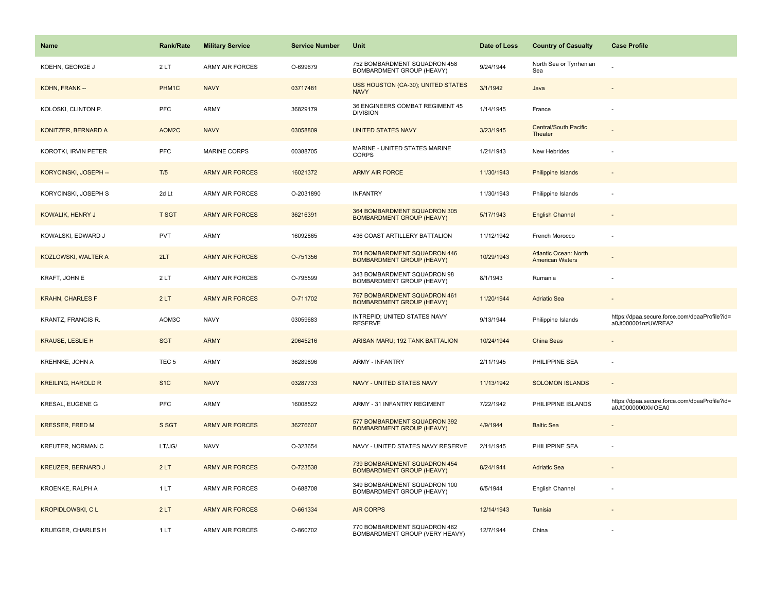| Name                      | <b>Rank/Rate</b> | <b>Military Service</b> | <b>Service Number</b> | Unit                                                             | Date of Loss | <b>Country of Casualty</b>                             | <b>Case Profile</b>                                                 |
|---------------------------|------------------|-------------------------|-----------------------|------------------------------------------------------------------|--------------|--------------------------------------------------------|---------------------------------------------------------------------|
| KOEHN, GEORGE J           | 2LT              | <b>ARMY AIR FORCES</b>  | O-699679              | 752 BOMBARDMENT SQUADRON 458<br>BOMBARDMENT GROUP (HEAVY)        | 9/24/1944    | North Sea or Tyrrhenian<br>Sea                         |                                                                     |
| KOHN, FRANK --            | PHM1C            | <b>NAVY</b>             | 03717481              | USS HOUSTON (CA-30); UNITED STATES<br><b>NAVY</b>                | 3/1/1942     | Java                                                   |                                                                     |
| KOLOSKI, CLINTON P.       | <b>PFC</b>       | ARMY                    | 36829179              | 36 ENGINEERS COMBAT REGIMENT 45<br><b>DIVISION</b>               | 1/14/1945    | France                                                 |                                                                     |
| KONITZER, BERNARD A       | AOM2C            | <b>NAVY</b>             | 03058809              | <b>UNITED STATES NAVY</b>                                        | 3/23/1945    | Central/South Pacific<br>Theater                       |                                                                     |
| KOROTKI, IRVIN PETER      | <b>PFC</b>       | <b>MARINE CORPS</b>     | 00388705              | MARINE - UNITED STATES MARINE<br><b>CORPS</b>                    | 1/21/1943    | New Hebrides                                           |                                                                     |
| KORYCINSKI, JOSEPH --     | T/5              | <b>ARMY AIR FORCES</b>  | 16021372              | <b>ARMY AIR FORCE</b>                                            | 11/30/1943   | Philippine Islands                                     |                                                                     |
| KORYCINSKI, JOSEPH S      | 2d Lt            | ARMY AIR FORCES         | O-2031890             | <b>INFANTRY</b>                                                  | 11/30/1943   | Philippine Islands                                     | $\sim$                                                              |
| KOWALIK, HENRY J          | <b>T SGT</b>     | <b>ARMY AIR FORCES</b>  | 36216391              | 364 BOMBARDMENT SQUADRON 305<br><b>BOMBARDMENT GROUP (HEAVY)</b> | 5/17/1943    | <b>English Channel</b>                                 |                                                                     |
| KOWALSKI, EDWARD J        | PVT              | ARMY                    | 16092865              | 436 COAST ARTILLERY BATTALION                                    | 11/12/1942   | French Morocco                                         |                                                                     |
| KOZLOWSKI, WALTER A       | 2LT              | <b>ARMY AIR FORCES</b>  | O-751356              | 704 BOMBARDMENT SQUADRON 446<br><b>BOMBARDMENT GROUP (HEAVY)</b> | 10/29/1943   | <b>Atlantic Ocean: North</b><br><b>American Waters</b> |                                                                     |
| KRAFT, JOHN E             | 2LT              | <b>ARMY AIR FORCES</b>  | O-795599              | 343 BOMBARDMENT SQUADRON 98<br>BOMBARDMENT GROUP (HEAVY)         | 8/1/1943     | Rumania                                                |                                                                     |
| <b>KRAHN, CHARLES F</b>   | 2LT              | <b>ARMY AIR FORCES</b>  | O-711702              | 767 BOMBARDMENT SQUADRON 461<br><b>BOMBARDMENT GROUP (HEAVY)</b> | 11/20/1944   | <b>Adriatic Sea</b>                                    |                                                                     |
| KRANTZ, FRANCIS R.        | AOM3C            | <b>NAVY</b>             | 03059683              | INTREPID; UNITED STATES NAVY<br><b>RESERVE</b>                   | 9/13/1944    | Philippine Islands                                     | https://dpaa.secure.force.com/dpaaProfile?id=<br>a0Jt000001nzUWREA2 |
| <b>KRAUSE, LESLIE H</b>   | <b>SGT</b>       | <b>ARMY</b>             | 20645216              | ARISAN MARU; 192 TANK BATTALION                                  | 10/24/1944   | China Seas                                             |                                                                     |
| KREHNKE, JOHN A           | TEC <sub>5</sub> | ARMY                    | 36289896              | <b>ARMY - INFANTRY</b>                                           | 2/11/1945    | PHILIPPINE SEA                                         | $\sim$                                                              |
| <b>KREILING, HAROLD R</b> | S <sub>1</sub> C | <b>NAVY</b>             | 03287733              | NAVY - UNITED STATES NAVY                                        | 11/13/1942   | <b>SOLOMON ISLANDS</b>                                 |                                                                     |
| KRESAL, EUGENE G          | PFC              | ARMY                    | 16008522              | ARMY - 31 INFANTRY REGIMENT                                      | 7/22/1942    | PHILIPPINE ISLANDS                                     | https://dpaa.secure.force.com/dpaaProfile?id=<br>a0Jt0000000XkIOEA0 |
| <b>KRESSER, FRED M</b>    | S SGT            | <b>ARMY AIR FORCES</b>  | 36276607              | 577 BOMBARDMENT SQUADRON 392<br><b>BOMBARDMENT GROUP (HEAVY)</b> | 4/9/1944     | <b>Baltic Sea</b>                                      |                                                                     |
| KREUTER, NORMAN C         | LT/JG/           | <b>NAVY</b>             | O-323654              | NAVY - UNITED STATES NAVY RESERVE                                | 2/11/1945    | PHILIPPINE SEA                                         |                                                                     |
| <b>KREUZER, BERNARD J</b> | 2LT              | <b>ARMY AIR FORCES</b>  | O-723538              | 739 BOMBARDMENT SQUADRON 454<br><b>BOMBARDMENT GROUP (HEAVY)</b> | 8/24/1944    | <b>Adriatic Sea</b>                                    |                                                                     |
| KROENKE, RALPH A          | 1 LT             | ARMY AIR FORCES         | O-688708              | 349 BOMBARDMENT SQUADRON 100<br>BOMBARDMENT GROUP (HEAVY)        | 6/5/1944     | English Channel                                        |                                                                     |
| <b>KROPIDLOWSKI, CL</b>   | 2LT              | <b>ARMY AIR FORCES</b>  | O-661334              | <b>AIR CORPS</b>                                                 | 12/14/1943   | Tunisia                                                |                                                                     |
| KRUEGER, CHARLES H        | 1LT              | <b>ARMY AIR FORCES</b>  | O-860702              | 770 BOMBARDMENT SQUADRON 462<br>BOMBARDMENT GROUP (VERY HEAVY)   | 12/7/1944    | China                                                  |                                                                     |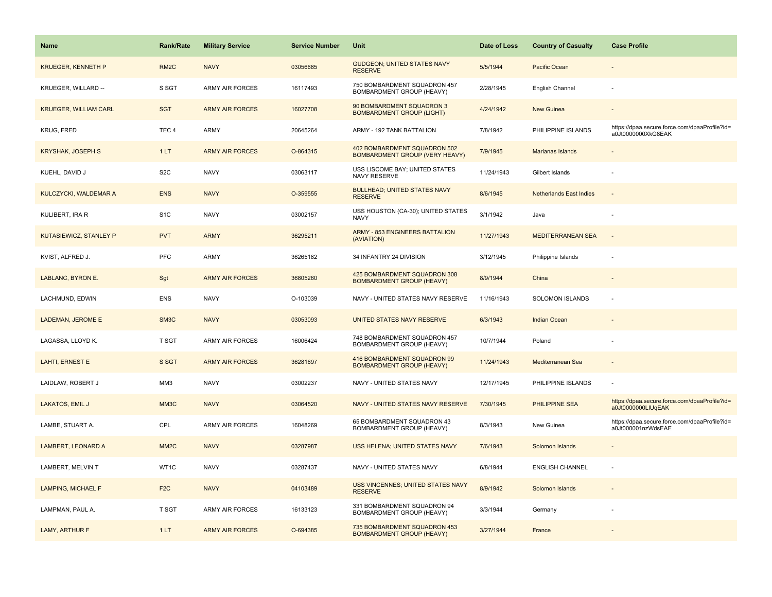| Name                          | <b>Rank/Rate</b>  | <b>Military Service</b> | <b>Service Number</b> | Unit                                                                  | Date of Loss | <b>Country of Casualty</b>     | <b>Case Profile</b>                                                 |
|-------------------------------|-------------------|-------------------------|-----------------------|-----------------------------------------------------------------------|--------------|--------------------------------|---------------------------------------------------------------------|
| <b>KRUEGER, KENNETH P</b>     | RM <sub>2</sub> C | <b>NAVY</b>             | 03056685              | <b>GUDGEON; UNITED STATES NAVY</b><br><b>RESERVE</b>                  | 5/5/1944     | Pacific Ocean                  |                                                                     |
| KRUEGER, WILLARD --           | S SGT             | <b>ARMY AIR FORCES</b>  | 16117493              | 750 BOMBARDMENT SQUADRON 457<br>BOMBARDMENT GROUP (HEAVY)             | 2/28/1945    | English Channel                |                                                                     |
| <b>KRUEGER, WILLIAM CARL</b>  | <b>SGT</b>        | <b>ARMY AIR FORCES</b>  | 16027708              | 90 BOMBARDMENT SQUADRON 3<br><b>BOMBARDMENT GROUP (LIGHT)</b>         | 4/24/1942    | <b>New Guinea</b>              |                                                                     |
| <b>KRUG, FRED</b>             | TEC <sub>4</sub>  | <b>ARMY</b>             | 20645264              | ARMY - 192 TANK BATTALION                                             | 7/8/1942     | PHILIPPINE ISLANDS             | https://dpaa.secure.force.com/dpaaProfile?id=<br>a0Jt0000000XkG8EAK |
| <b>KRYSHAK, JOSEPH S</b>      | 1LT               | <b>ARMY AIR FORCES</b>  | O-864315              | 402 BOMBARDMENT SQUADRON 502<br><b>BOMBARDMENT GROUP (VERY HEAVY)</b> | 7/9/1945     | Marianas Islands               |                                                                     |
| KUEHL, DAVID J                | S <sub>2</sub> C  | <b>NAVY</b>             | 03063117              | USS LISCOME BAY; UNITED STATES<br>NAVY RESERVE                        | 11/24/1943   | Gilbert Islands                |                                                                     |
| KULCZYCKI, WALDEMAR A         | <b>ENS</b>        | <b>NAVY</b>             | O-359555              | <b>BULLHEAD; UNITED STATES NAVY</b><br><b>RESERVE</b>                 | 8/6/1945     | <b>Netherlands East Indies</b> | $\sim$                                                              |
| KULIBERT, IRA R               | S <sub>1</sub> C  | <b>NAVY</b>             | 03002157              | USS HOUSTON (CA-30); UNITED STATES<br><b>NAVY</b>                     | 3/1/1942     | Java                           |                                                                     |
| <b>KUTASIEWICZ, STANLEY P</b> | <b>PVT</b>        | <b>ARMY</b>             | 36295211              | <b>ARMY - 853 ENGINEERS BATTALION</b><br>(AVIATION)                   | 11/27/1943   | <b>MEDITERRANEAN SEA</b>       | $\sim$                                                              |
| KVIST, ALFRED J.              | PFC               | <b>ARMY</b>             | 36265182              | 34 INFANTRY 24 DIVISION                                               | 3/12/1945    | Philippine Islands             |                                                                     |
| LABLANC, BYRON E.             | Sgt               | <b>ARMY AIR FORCES</b>  | 36805260              | 425 BOMBARDMENT SQUADRON 308<br><b>BOMBARDMENT GROUP (HEAVY)</b>      | 8/9/1944     | China                          |                                                                     |
| LACHMUND, EDWIN               | <b>ENS</b>        | <b>NAVY</b>             | O-103039              | NAVY - UNITED STATES NAVY RESERVE                                     | 11/16/1943   | <b>SOLOMON ISLANDS</b>         |                                                                     |
| LADEMAN, JEROME E             | SM <sub>3</sub> C | <b>NAVY</b>             | 03053093              | UNITED STATES NAVY RESERVE                                            | 6/3/1943     | <b>Indian Ocean</b>            |                                                                     |
| LAGASSA, LLOYD K.             | T SGT             | <b>ARMY AIR FORCES</b>  | 16006424              | 748 BOMBARDMENT SQUADRON 457<br><b>BOMBARDMENT GROUP (HEAVY)</b>      | 10/7/1944    | Poland                         |                                                                     |
| LAHTI, ERNEST E               | S SGT             | <b>ARMY AIR FORCES</b>  | 36281697              | 416 BOMBARDMENT SQUADRON 99<br><b>BOMBARDMENT GROUP (HEAVY)</b>       | 11/24/1943   | Mediterranean Sea              |                                                                     |
| LAIDLAW, ROBERT J             | MM3               | <b>NAVY</b>             | 03002237              | NAVY - UNITED STATES NAVY                                             | 12/17/1945   | PHILIPPINE ISLANDS             | $\sim$                                                              |
| LAKATOS, EMIL J               | MM3C              | <b>NAVY</b>             | 03064520              | NAVY - UNITED STATES NAVY RESERVE                                     | 7/30/1945    | PHILIPPINE SEA                 | https://dpaa.secure.force.com/dpaaProfile?id=<br>a0Jt0000000LIUqEAK |
| LAMBE, STUART A.              | CPL               | <b>ARMY AIR FORCES</b>  | 16048269              | 65 BOMBARDMENT SQUADRON 43<br>BOMBARDMENT GROUP (HEAVY)               | 8/3/1943     | New Guinea                     | https://dpaa.secure.force.com/dpaaProfile?id=<br>a0Jt000001nzWdsEAE |
| LAMBERT, LEONARD A            | MM <sub>2</sub> C | <b>NAVY</b>             | 03287987              | USS HELENA; UNITED STATES NAVY                                        | 7/6/1943     | Solomon Islands                |                                                                     |
| LAMBERT, MELVIN T             | WT1C              | <b>NAVY</b>             | 03287437              | NAVY - UNITED STATES NAVY                                             | 6/8/1944     | <b>ENGLISH CHANNEL</b>         |                                                                     |
| <b>LAMPING, MICHAEL F</b>     | F <sub>2C</sub>   | <b>NAVY</b>             | 04103489              | USS VINCENNES; UNITED STATES NAVY<br><b>RESERVE</b>                   | 8/9/1942     | Solomon Islands                |                                                                     |
| LAMPMAN, PAUL A.              | T SGT             | <b>ARMY AIR FORCES</b>  | 16133123              | 331 BOMBARDMENT SQUADRON 94<br>BOMBARDMENT GROUP (HEAVY)              | 3/3/1944     | Germany                        |                                                                     |
| LAMY, ARTHUR F                | 1LT               | <b>ARMY AIR FORCES</b>  | O-694385              | 735 BOMBARDMENT SQUADRON 453<br><b>BOMBARDMENT GROUP (HEAVY)</b>      | 3/27/1944    | France                         |                                                                     |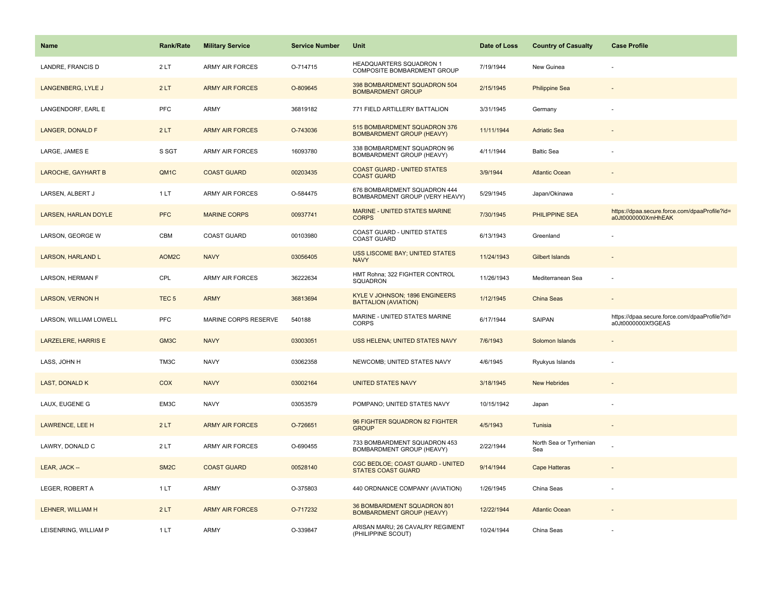| <b>Name</b>                 | <b>Rank/Rate</b>  | <b>Military Service</b> | <b>Service Number</b> | Unit                                                             | Date of Loss | <b>Country of Casualty</b>     | <b>Case Profile</b>                                                 |
|-----------------------------|-------------------|-------------------------|-----------------------|------------------------------------------------------------------|--------------|--------------------------------|---------------------------------------------------------------------|
| LANDRE, FRANCIS D           | 2LT               | <b>ARMY AIR FORCES</b>  | O-714715              | HEADQUARTERS SQUADRON 1<br>COMPOSITE BOMBARDMENT GROUP           | 7/19/1944    | New Guinea                     |                                                                     |
| LANGENBERG, LYLE J          | 2LT               | <b>ARMY AIR FORCES</b>  | O-809645              | 398 BOMBARDMENT SQUADRON 504<br><b>BOMBARDMENT GROUP</b>         | 2/15/1945    | <b>Philippine Sea</b>          |                                                                     |
| LANGENDORF, EARL E          | <b>PFC</b>        | ARMY                    | 36819182              | 771 FIELD ARTILLERY BATTALION                                    | 3/31/1945    | Germany                        |                                                                     |
| LANGER, DONALD F            | 2LT               | <b>ARMY AIR FORCES</b>  | O-743036              | 515 BOMBARDMENT SQUADRON 376<br><b>BOMBARDMENT GROUP (HEAVY)</b> | 11/11/1944   | <b>Adriatic Sea</b>            |                                                                     |
| LARGE, JAMES E              | S SGT             | <b>ARMY AIR FORCES</b>  | 16093780              | 338 BOMBARDMENT SQUADRON 96<br>BOMBARDMENT GROUP (HEAVY)         | 4/11/1944    | <b>Baltic Sea</b>              |                                                                     |
| <b>LAROCHE, GAYHART B</b>   | QM <sub>1</sub> C | <b>COAST GUARD</b>      | 00203435              | <b>COAST GUARD - UNITED STATES</b><br><b>COAST GUARD</b>         | 3/9/1944     | <b>Atlantic Ocean</b>          |                                                                     |
| LARSEN, ALBERT J            | 1 LT              | ARMY AIR FORCES         | O-584475              | 676 BOMBARDMENT SQUADRON 444<br>BOMBARDMENT GROUP (VERY HEAVY)   | 5/29/1945    | Japan/Okinawa                  |                                                                     |
| <b>LARSEN, HARLAN DOYLE</b> | <b>PFC</b>        | <b>MARINE CORPS</b>     | 00937741              | MARINE - UNITED STATES MARINE<br><b>CORPS</b>                    | 7/30/1945    | <b>PHILIPPINE SEA</b>          | https://dpaa.secure.force.com/dpaaProfile?id=<br>a0Jt0000000XmHhEAK |
| LARSON, GEORGE W            | CBM               | COAST GUARD             | 00103980              | COAST GUARD - UNITED STATES<br><b>COAST GUARD</b>                | 6/13/1943    | Greenland                      |                                                                     |
| <b>LARSON, HARLAND L</b>    | AOM2C             | <b>NAVY</b>             | 03056405              | USS LISCOME BAY; UNITED STATES<br><b>NAVY</b>                    | 11/24/1943   | <b>Gilbert Islands</b>         |                                                                     |
| LARSON, HERMAN F            | CPL               | <b>ARMY AIR FORCES</b>  | 36222634              | HMT Rohna; 322 FIGHTER CONTROL<br>SQUADRON                       | 11/26/1943   | Mediterranean Sea              |                                                                     |
| <b>LARSON, VERNON H</b>     | TEC <sub>5</sub>  | <b>ARMY</b>             | 36813694              | KYLE V JOHNSON; 1896 ENGINEERS<br><b>BATTALION (AVIATION)</b>    | 1/12/1945    | China Seas                     |                                                                     |
| LARSON, WILLIAM LOWELL      | <b>PFC</b>        | MARINE CORPS RESERVE    | 540188                | MARINE - UNITED STATES MARINE<br><b>CORPS</b>                    | 6/17/1944    | SAIPAN                         | https://dpaa.secure.force.com/dpaaProfile?id=<br>a0Jt0000000Xf3GEAS |
| <b>LARZELERE, HARRIS E</b>  | GM3C              | <b>NAVY</b>             | 03003051              | USS HELENA; UNITED STATES NAVY                                   | 7/6/1943     | Solomon Islands                |                                                                     |
| LASS, JOHN H                | TM3C              | <b>NAVY</b>             | 03062358              | NEWCOMB; UNITED STATES NAVY                                      | 4/6/1945     | Ryukyus Islands                |                                                                     |
| <b>LAST, DONALD K</b>       | COX               | <b>NAVY</b>             | 03002164              | <b>UNITED STATES NAVY</b>                                        | 3/18/1945    | <b>New Hebrides</b>            |                                                                     |
| LAUX, EUGENE G              | EM3C              | <b>NAVY</b>             | 03053579              | POMPANO; UNITED STATES NAVY                                      | 10/15/1942   | Japan                          |                                                                     |
| <b>LAWRENCE, LEE H</b>      | 2LT               | <b>ARMY AIR FORCES</b>  | O-726651              | 96 FIGHTER SQUADRON 82 FIGHTER<br><b>GROUP</b>                   | 4/5/1943     | Tunisia                        |                                                                     |
| LAWRY, DONALD C             | 2LT               | <b>ARMY AIR FORCES</b>  | O-690455              | 733 BOMBARDMENT SQUADRON 453<br>BOMBARDMENT GROUP (HEAVY)        | 2/22/1944    | North Sea or Tyrrhenian<br>Sea |                                                                     |
| LEAR, JACK --               | SM <sub>2</sub> C | <b>COAST GUARD</b>      | 00528140              | CGC BEDLOE; COAST GUARD - UNITED<br><b>STATES COAST GUARD</b>    | 9/14/1944    | <b>Cape Hatteras</b>           |                                                                     |
| LEGER, ROBERT A             | 1 LT              | ARMY                    | O-375803              | 440 ORDNANCE COMPANY (AVIATION)                                  | 1/26/1945    | China Seas                     |                                                                     |
| LEHNER, WILLIAM H           | 2LT               | <b>ARMY AIR FORCES</b>  | O-717232              | 36 BOMBARDMENT SQUADRON 801<br><b>BOMBARDMENT GROUP (HEAVY)</b>  | 12/22/1944   | <b>Atlantic Ocean</b>          |                                                                     |
| LEISENRING, WILLIAM P       | 1LT               | ARMY                    | O-339847              | ARISAN MARU; 26 CAVALRY REGIMENT<br>(PHILIPPINE SCOUT)           | 10/24/1944   | China Seas                     |                                                                     |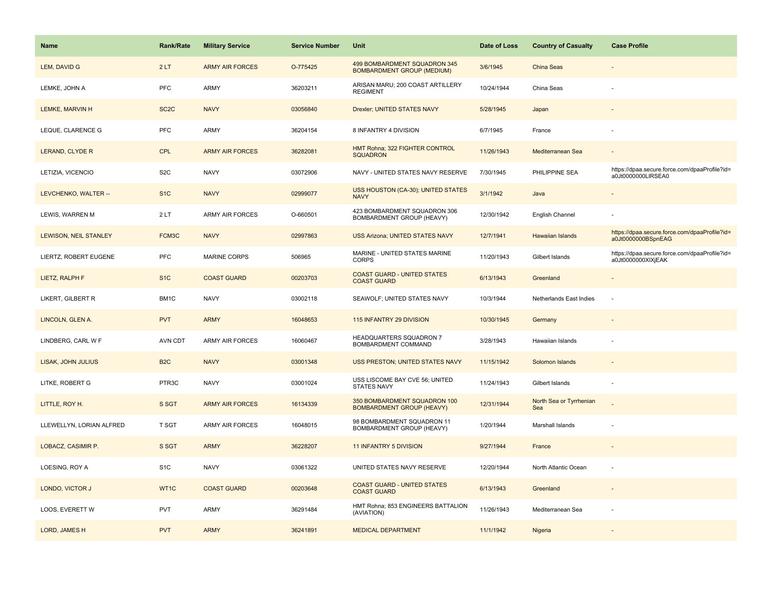| <b>Name</b>              | <b>Rank/Rate</b>  | <b>Military Service</b> | <b>Service Number</b> | Unit                                                              | Date of Loss | <b>Country of Casualty</b>     | <b>Case Profile</b>                                                 |
|--------------------------|-------------------|-------------------------|-----------------------|-------------------------------------------------------------------|--------------|--------------------------------|---------------------------------------------------------------------|
| LEM, DAVID G             | 2LT               | <b>ARMY AIR FORCES</b>  | O-775425              | 499 BOMBARDMENT SQUADRON 345<br><b>BOMBARDMENT GROUP (MEDIUM)</b> | 3/6/1945     | <b>China Seas</b>              |                                                                     |
| LEMKE, JOHN A            | PFC               | <b>ARMY</b>             | 36203211              | ARISAN MARU; 200 COAST ARTILLERY<br><b>REGIMENT</b>               | 10/24/1944   | China Seas                     |                                                                     |
| LEMKE, MARVIN H          | SC <sub>2</sub> C | <b>NAVY</b>             | 03056840              | Drexler; UNITED STATES NAVY                                       | 5/28/1945    | Japan                          |                                                                     |
| LEQUE, CLARENCE G        | PFC               | <b>ARMY</b>             | 36204154              | 8 INFANTRY 4 DIVISION                                             | 6/7/1945     | France                         |                                                                     |
| <b>LERAND, CLYDE R</b>   | <b>CPL</b>        | <b>ARMY AIR FORCES</b>  | 36282081              | HMT Rohna; 322 FIGHTER CONTROL<br><b>SQUADRON</b>                 | 11/26/1943   | Mediterranean Sea              |                                                                     |
| LETIZIA, VICENCIO        | S <sub>2</sub> C  | <b>NAVY</b>             | 03072906              | NAVY - UNITED STATES NAVY RESERVE                                 | 7/30/1945    | PHILIPPINE SEA                 | https://dpaa.secure.force.com/dpaaProfile?id=<br>a0Jt0000000LIRSEA0 |
| LEVCHENKO, WALTER --     | S <sub>1C</sub>   | <b>NAVY</b>             | 02999077              | USS HOUSTON (CA-30); UNITED STATES<br><b>NAVY</b>                 | 3/1/1942     | Java                           |                                                                     |
| LEWIS, WARREN M          | 2LT               | <b>ARMY AIR FORCES</b>  | O-660501              | 423 BOMBARDMENT SQUADRON 306<br>BOMBARDMENT GROUP (HEAVY)         | 12/30/1942   | English Channel                |                                                                     |
| LEWISON, NEIL STANLEY    | FCM3C             | <b>NAVY</b>             | 02997863              | <b>USS Arizona; UNITED STATES NAVY</b>                            | 12/7/1941    | Hawaiian Islands               | https://dpaa.secure.force.com/dpaaProfile?id=<br>a0Jt0000000BSpnEAG |
| LIERTZ, ROBERT EUGENE    | PFC               | MARINE CORPS            | 506965                | MARINE - UNITED STATES MARINE<br><b>CORPS</b>                     | 11/20/1943   | Gilbert Islands                | https://dpaa.secure.force.com/dpaaProfile?id=<br>a0Jt0000000XIXjEAK |
| LIETZ, RALPH F           | S <sub>1</sub> C  | <b>COAST GUARD</b>      | 00203703              | <b>COAST GUARD - UNITED STATES</b><br><b>COAST GUARD</b>          | 6/13/1943    | Greenland                      |                                                                     |
| LIKERT, GILBERT R        | BM <sub>1</sub> C | <b>NAVY</b>             | 03002118              | SEAWOLF; UNITED STATES NAVY                                       | 10/3/1944    | Netherlands East Indies        |                                                                     |
| LINCOLN, GLEN A.         | <b>PVT</b>        | <b>ARMY</b>             | 16048653              | 115 INFANTRY 29 DIVISION                                          | 10/30/1945   | Germany                        |                                                                     |
| LINDBERG, CARL W F       | <b>AVN CDT</b>    | <b>ARMY AIR FORCES</b>  | 16060467              | HEADQUARTERS SQUADRON 7<br>BOMBARDMENT COMMAND                    | 3/28/1943    | Hawaiian Islands               |                                                                     |
| LISAK, JOHN JULIUS       | B <sub>2</sub> C  | <b>NAVY</b>             | 03001348              | USS PRESTON; UNITED STATES NAVY                                   | 11/15/1942   | Solomon Islands                |                                                                     |
| LITKE, ROBERT G          | PTR3C             | <b>NAVY</b>             | 03001024              | USS LISCOME BAY CVE 56; UNITED<br><b>STATES NAVY</b>              | 11/24/1943   | Gilbert Islands                |                                                                     |
| LITTLE, ROY H.           | S SGT             | <b>ARMY AIR FORCES</b>  | 16134339              | 350 BOMBARDMENT SQUADRON 100<br><b>BOMBARDMENT GROUP (HEAVY)</b>  | 12/31/1944   | North Sea or Tyrrhenian<br>Sea |                                                                     |
| LLEWELLYN, LORIAN ALFRED | T SGT             | <b>ARMY AIR FORCES</b>  | 16048015              | 98 BOMBARDMENT SQUADRON 11<br>BOMBARDMENT GROUP (HEAVY)           | 1/20/1944    | Marshall Islands               |                                                                     |
| LOBACZ, CASIMIR P.       | S SGT             | <b>ARMY</b>             | 36228207              | 11 INFANTRY 5 DIVISION                                            | 9/27/1944    | France                         |                                                                     |
| LOESING, ROY A           | S <sub>1</sub> C  | <b>NAVY</b>             | 03061322              | UNITED STATES NAVY RESERVE                                        | 12/20/1944   | North Atlantic Ocean           |                                                                     |
| LONDO, VICTOR J          | WT1C              | <b>COAST GUARD</b>      | 00203648              | <b>COAST GUARD - UNITED STATES</b><br><b>COAST GUARD</b>          | 6/13/1943    | Greenland                      | $\sim$                                                              |
| LOOS, EVERETT W          | <b>PVT</b>        | <b>ARMY</b>             | 36291484              | HMT Rohna; 853 ENGINEERS BATTALION<br>(AVIATION)                  | 11/26/1943   | Mediterranean Sea              |                                                                     |
| LORD, JAMES H            | <b>PVT</b>        | <b>ARMY</b>             | 36241891              | <b>MEDICAL DEPARTMENT</b>                                         | 11/1/1942    | Nigeria                        |                                                                     |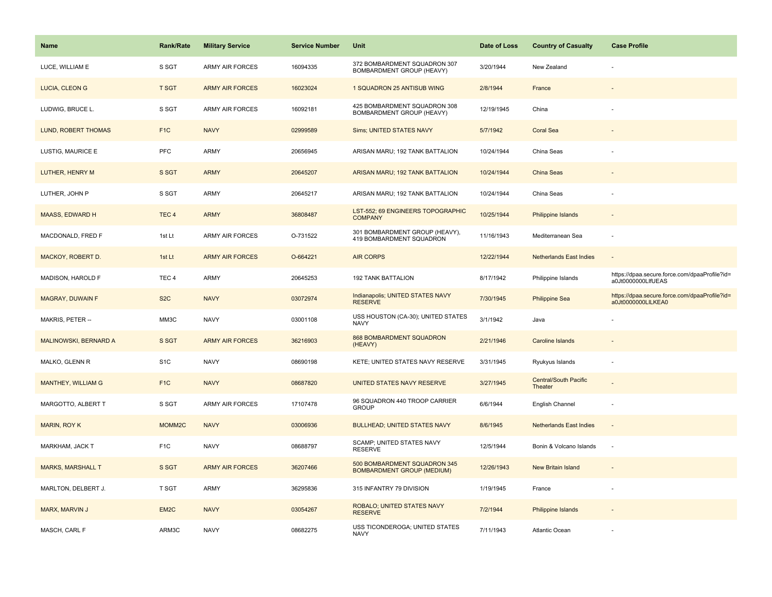| <b>Name</b>              | <b>Rank/Rate</b> | <b>Military Service</b> | <b>Service Number</b> | Unit                                                              | Date of Loss | <b>Country of Casualty</b>       | <b>Case Profile</b>                                                 |
|--------------------------|------------------|-------------------------|-----------------------|-------------------------------------------------------------------|--------------|----------------------------------|---------------------------------------------------------------------|
| LUCE, WILLIAM E          | S SGT            | ARMY AIR FORCES         | 16094335              | 372 BOMBARDMENT SQUADRON 307<br>BOMBARDMENT GROUP (HEAVY)         | 3/20/1944    | New Zealand                      |                                                                     |
| LUCIA, CLEON G           | <b>T SGT</b>     | <b>ARMY AIR FORCES</b>  | 16023024              | 1 SQUADRON 25 ANTISUB WING                                        | 2/8/1944     | France                           |                                                                     |
| LUDWIG, BRUCE L.         | S SGT            | <b>ARMY AIR FORCES</b>  | 16092181              | 425 BOMBARDMENT SQUADRON 308<br>BOMBARDMENT GROUP (HEAVY)         | 12/19/1945   | China                            |                                                                     |
| LUND, ROBERT THOMAS      | F <sub>1</sub> C | <b>NAVY</b>             | 02999589              | Sims; UNITED STATES NAVY                                          | 5/7/1942     | <b>Coral Sea</b>                 |                                                                     |
| LUSTIG, MAURICE E        | <b>PFC</b>       | ARMY                    | 20656945              | ARISAN MARU; 192 TANK BATTALION                                   | 10/24/1944   | China Seas                       |                                                                     |
| LUTHER, HENRY M          | S SGT            | <b>ARMY</b>             | 20645207              | ARISAN MARU; 192 TANK BATTALION                                   | 10/24/1944   | China Seas                       |                                                                     |
| LUTHER, JOHN P           | S SGT            | ARMY                    | 20645217              | ARISAN MARU; 192 TANK BATTALION                                   | 10/24/1944   | China Seas                       |                                                                     |
| <b>MAASS, EDWARD H</b>   | TEC <sub>4</sub> | <b>ARMY</b>             | 36808487              | LST-552; 69 ENGINEERS TOPOGRAPHIC<br><b>COMPANY</b>               | 10/25/1944   | Philippine Islands               |                                                                     |
| MACDONALD, FRED F        | 1st Lt           | <b>ARMY AIR FORCES</b>  | O-731522              | 301 BOMBARDMENT GROUP (HEAVY),<br>419 BOMBARDMENT SQUADRON        | 11/16/1943   | Mediterranean Sea                |                                                                     |
| MACKOY, ROBERT D.        | 1st Lt           | <b>ARMY AIR FORCES</b>  | O-664221              | <b>AIR CORPS</b>                                                  | 12/22/1944   | <b>Netherlands East Indies</b>   |                                                                     |
| MADISON, HAROLD F        | TEC <sub>4</sub> | ARMY                    | 20645253              | <b>192 TANK BATTALION</b>                                         | 8/17/1942    | Philippine Islands               | https://dpaa.secure.force.com/dpaaProfile?id=<br>a0Jt0000000LIfUEAS |
| MAGRAY, DUWAIN F         | S <sub>2</sub> C | <b>NAVY</b>             | 03072974              | Indianapolis; UNITED STATES NAVY<br><b>RESERVE</b>                | 7/30/1945    | <b>Philippine Sea</b>            | https://dpaa.secure.force.com/dpaaProfile?id=<br>a0Jt0000000LILKEA0 |
| MAKRIS, PETER --         | ММЗС             | <b>NAVY</b>             | 03001108              | USS HOUSTON (CA-30); UNITED STATES<br><b>NAVY</b>                 | 3/1/1942     | Java                             |                                                                     |
| MALINOWSKI, BERNARD A    | S SGT            | <b>ARMY AIR FORCES</b>  | 36216903              | 868 BOMBARDMENT SQUADRON<br>(HEAVY)                               | 2/21/1946    | Caroline Islands                 |                                                                     |
| MALKO, GLENN R           | S <sub>1</sub> C | <b>NAVY</b>             | 08690198              | KETE; UNITED STATES NAVY RESERVE                                  | 3/31/1945    | Ryukyus Islands                  |                                                                     |
| MANTHEY, WILLIAM G       | F <sub>1</sub> C | <b>NAVY</b>             | 08687820              | UNITED STATES NAVY RESERVE                                        | 3/27/1945    | Central/South Pacific<br>Theater |                                                                     |
| MARGOTTO, ALBERT T       | S SGT            | ARMY AIR FORCES         | 17107478              | 96 SQUADRON 440 TROOP CARRIER<br><b>GROUP</b>                     | 6/6/1944     | English Channel                  |                                                                     |
| <b>MARIN, ROY K</b>      | MOMM2C           | <b>NAVY</b>             | 03006936              | <b>BULLHEAD; UNITED STATES NAVY</b>                               | 8/6/1945     | <b>Netherlands East Indies</b>   |                                                                     |
| MARKHAM, JACK T          | F <sub>1</sub> C | <b>NAVY</b>             | 08688797              | SCAMP; UNITED STATES NAVY<br><b>RESERVE</b>                       | 12/5/1944    | Bonin & Volcano Islands          | $\sim$                                                              |
| <b>MARKS, MARSHALL T</b> | S SGT            | <b>ARMY AIR FORCES</b>  | 36207466              | 500 BOMBARDMENT SQUADRON 345<br><b>BOMBARDMENT GROUP (MEDIUM)</b> | 12/26/1943   | <b>New Britain Island</b>        |                                                                     |
| MARLTON, DELBERT J.      | T SGT            | ARMY                    | 36295836              | 315 INFANTRY 79 DIVISION                                          | 1/19/1945    | France                           |                                                                     |
| MARX, MARVIN J           | EM <sub>2C</sub> | <b>NAVY</b>             | 03054267              | ROBALO; UNITED STATES NAVY<br><b>RESERVE</b>                      | 7/2/1944     | Philippine Islands               |                                                                     |
| MASCH, CARL F            | ARM3C            | <b>NAVY</b>             | 08682275              | USS TICONDEROGA; UNITED STATES<br><b>NAVY</b>                     | 7/11/1943    | Atlantic Ocean                   |                                                                     |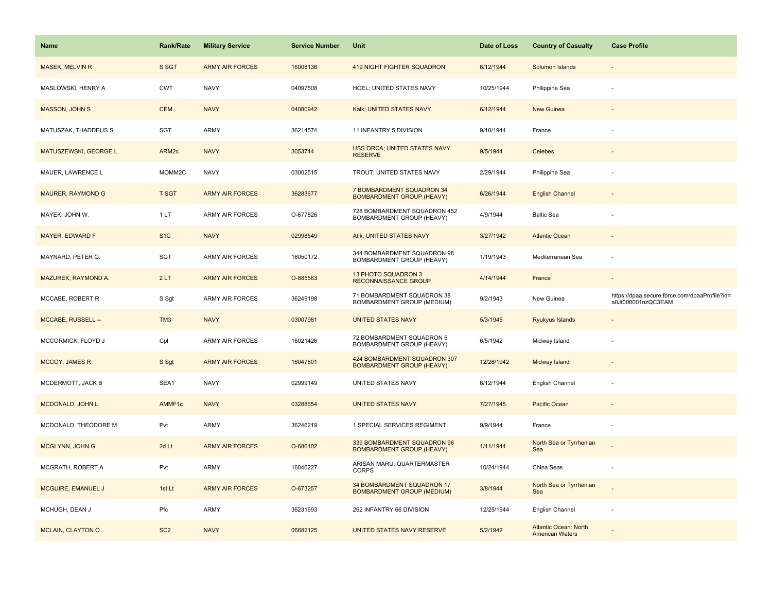| <b>Name</b>              | Rank/Rate         | <b>Military Service</b> | <b>Service Number</b> | Unit                                                             | Date of Loss | <b>Country of Casualty</b>     | <b>Case Profile</b>                                                 |
|--------------------------|-------------------|-------------------------|-----------------------|------------------------------------------------------------------|--------------|--------------------------------|---------------------------------------------------------------------|
| <b>MASEK, MELVIN R</b>   | S SGT             | <b>ARMY AIR FORCES</b>  | 16008136              | <b>419 NIGHT FIGHTER SQUADRON</b>                                | 6/12/1944    | Solomon Islands                |                                                                     |
| MASLOWSKI, HENRY A       | <b>CWT</b>        | <b>NAVY</b>             | 04097508              | HOEL; UNITED STATES NAVY                                         | 10/25/1944   | Philippine Sea                 |                                                                     |
| MASSON, JOHN S           | <b>CEM</b>        | <b>NAVY</b>             | 04080942              | Kalk; UNITED STATES NAVY                                         | 6/12/1944    | New Guinea                     |                                                                     |
| MATUSZAK, THADDEUS S.    | SGT               | <b>ARMY</b>             | 36214574              | 11 INFANTRY 5 DIVISION                                           | 9/10/1944    | France                         |                                                                     |
| MATUSZEWSKI, GEORGE L.   | ARM <sub>2c</sub> | <b>NAVY</b>             | 3053744               | USS ORCA; UNITED STATES NAVY<br><b>RESERVE</b>                   | 9/5/1944     | <b>Celebes</b>                 |                                                                     |
| MAUER, LAWRENCE L        | MOMM2C            | <b>NAVY</b>             | 03002515              | TROUT; UNITED STATES NAVY                                        | 2/29/1944    | Philippine Sea                 |                                                                     |
| <b>MAURER, RAYMOND G</b> | <b>T SGT</b>      | <b>ARMY AIR FORCES</b>  | 36283677              | 7 BOMBARDMENT SQUADRON 34<br><b>BOMBARDMENT GROUP (HEAVY)</b>    | 6/26/1944    | <b>English Channel</b>         |                                                                     |
| MAYEK, JOHN W.           | 1LT               | <b>ARMY AIR FORCES</b>  | O-677826              | 728 BOMBARDMENT SQUADRON 452<br>BOMBARDMENT GROUP (HEAVY)        | 4/9/1944     | <b>Baltic Sea</b>              |                                                                     |
| <b>MAYER, EDWARD F</b>   | S <sub>1</sub> C  | <b>NAVY</b>             | 02998549              | Atik; UNITED STATES NAVY                                         | 3/27/1942    | <b>Atlantic Ocean</b>          |                                                                     |
| MAYNARD, PETER G.        | SGT               | <b>ARMY AIR FORCES</b>  | 16050172              | 344 BOMBARDMENT SQUADRON 98<br>BOMBARDMENT GROUP (HEAVY)         | 1/19/1943    | Mediterranean Sea              |                                                                     |
| MAZUREK, RAYMOND A.      | 2LT               | <b>ARMY AIR FORCES</b>  | O-885563              | 13 PHOTO SQUADRON 3<br><b>RECONNAISSANCE GROUP</b>               | 4/14/1944    | France                         |                                                                     |
| MCCABE, ROBERT R         | S Sgt             | <b>ARMY AIR FORCES</b>  | 36249198              | 71 BOMBARDMENT SQUADRON 38<br>BOMBARDMENT GROUP (MEDIUM)         | 9/2/1943     | New Guinea                     | https://dpaa.secure.force.com/dpaaProfile?id=<br>a0Jt000001nzQC3EAM |
| MCCABE, RUSSELL --       | TM <sub>3</sub>   | <b>NAVY</b>             | 03007981              | <b>UNITED STATES NAVY</b>                                        | 5/3/1945     | Ryukyus Islands                |                                                                     |
| MCCORMICK, FLOYD J       |                   |                         |                       | 72 BOMBARDMENT SQUADRON 5                                        |              |                                |                                                                     |
|                          | Cpl               | ARMY AIR FORCES         | 16021426              | BOMBARDMENT GROUP (HEAVY)                                        | 6/5/1942     | Midway Island                  |                                                                     |
| <b>MCCOY, JAMES R</b>    | S Sgt             | <b>ARMY AIR FORCES</b>  | 16047601              | 424 BOMBARDMENT SQUADRON 307<br><b>BOMBARDMENT GROUP (HEAVY)</b> | 12/28/1942   | Midway Island                  |                                                                     |
| MCDERMOTT, JACK B        | SEA1              | <b>NAVY</b>             | 02999149              | UNITED STATES NAVY                                               | 6/12/1944    | English Channel                |                                                                     |
| MCDONALD, JOHN L         | AMMF1c            | <b>NAVY</b>             | 03288654              | <b>UNITED STATES NAVY</b>                                        | 7/27/1945    | Pacific Ocean                  |                                                                     |
| MCDONALD, THEODORE M     | Pvt               | <b>ARMY</b>             | 36246219              | 1 SPECIAL SERVICES REGIMENT                                      | 9/9/1944     | France                         |                                                                     |
| MCGLYNN, JOHN G          | 2d Lt             | <b>ARMY AIR FORCES</b>  | O-686102              | 339 BOMBARDMENT SQUADRON 96<br><b>BOMBARDMENT GROUP (HEAVY)</b>  | 1/11/1944    | North Sea or Tyrrhenian<br>Sea |                                                                     |
| MCGRATH, ROBERT A        | Pvt               | <b>ARMY</b>             | 16046227              | ARISAN MARU; QUARTERMASTER<br><b>CORPS</b>                       | 10/24/1944   | China Seas                     |                                                                     |
| MCGUIRE, EMANUEL J       | 1st Lt            | <b>ARMY AIR FORCES</b>  | O-673257              | 34 BOMBARDMENT SQUADRON 17<br><b>BOMBARDMENT GROUP (MEDIUM)</b>  | 3/8/1944     | North Sea or Tyrrhenian<br>Sea |                                                                     |
| MCHUGH, DEAN J           | Pfc               | <b>ARMY</b>             | 36231693              | 262 INFANTRY 66 DIVISION                                         | 12/25/1944   | English Channel                | $\sim$                                                              |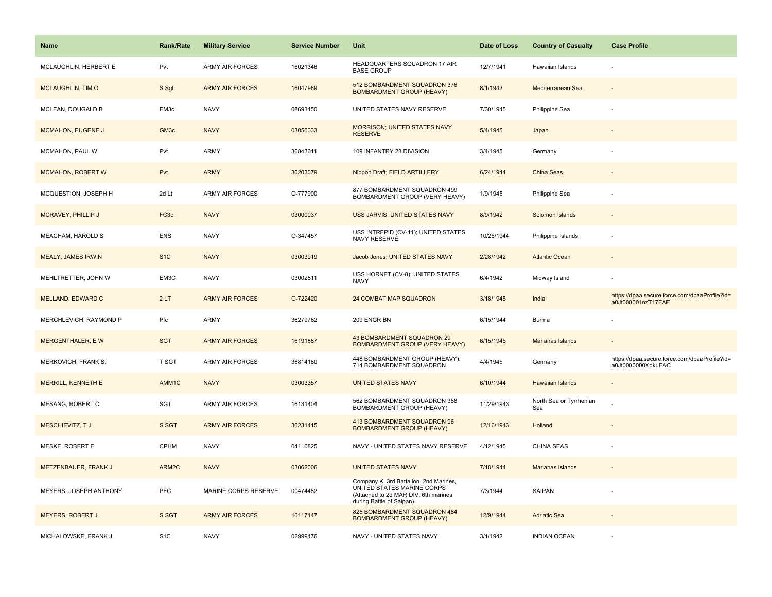| <b>Name</b>               | <b>Rank/Rate</b>  | <b>Military Service</b> | <b>Service Number</b> | Unit                                                                                                                                     | Date of Loss | <b>Country of Casualty</b>     | <b>Case Profile</b>                                                 |
|---------------------------|-------------------|-------------------------|-----------------------|------------------------------------------------------------------------------------------------------------------------------------------|--------------|--------------------------------|---------------------------------------------------------------------|
| MCLAUGHLIN, HERBERT E     | Pvt               | <b>ARMY AIR FORCES</b>  | 16021346              | HEADQUARTERS SQUADRON 17 AIR<br><b>BASE GROUP</b>                                                                                        | 12/7/1941    | Hawaiian Islands               |                                                                     |
| <b>MCLAUGHLIN, TIM O</b>  | S Sgt             | <b>ARMY AIR FORCES</b>  | 16047969              | 512 BOMBARDMENT SQUADRON 376<br><b>BOMBARDMENT GROUP (HEAVY)</b>                                                                         | 8/1/1943     | Mediterranean Sea              |                                                                     |
| MCLEAN, DOUGALD B         | EM3c              | <b>NAVY</b>             | 08693450              | UNITED STATES NAVY RESERVE                                                                                                               | 7/30/1945    | Philippine Sea                 |                                                                     |
| <b>MCMAHON, EUGENE J</b>  | GM <sub>3c</sub>  | <b>NAVY</b>             | 03056033              | <b>MORRISON; UNITED STATES NAVY</b><br><b>RESERVE</b>                                                                                    | 5/4/1945     | Japan                          |                                                                     |
| MCMAHON, PAUL W           | Pvt               | ARMY                    | 36843611              | 109 INFANTRY 28 DIVISION                                                                                                                 | 3/4/1945     | Germany                        |                                                                     |
| <b>MCMAHON, ROBERT W</b>  | Pvt               | <b>ARMY</b>             | 36203079              | Nippon Draft; FIELD ARTILLERY                                                                                                            | 6/24/1944    | <b>China Seas</b>              |                                                                     |
| MCQUESTION, JOSEPH H      | 2d Lt             | ARMY AIR FORCES         | O-777900              | 877 BOMBARDMENT SQUADRON 499<br>BOMBARDMENT GROUP (VERY HEAVY)                                                                           | 1/9/1945     | Philippine Sea                 |                                                                     |
| MCRAVEY, PHILLIP J        | FC <sub>3</sub> c | <b>NAVY</b>             | 03000037              | USS JARVIS; UNITED STATES NAVY                                                                                                           | 8/9/1942     | Solomon Islands                |                                                                     |
| MEACHAM, HAROLD S         | <b>ENS</b>        | <b>NAVY</b>             | O-347457              | USS INTREPID (CV-11); UNITED STATES<br>NAVY RESERVE                                                                                      | 10/26/1944   | Philippine Islands             |                                                                     |
| <b>MEALY, JAMES IRWIN</b> | S <sub>1</sub> C  | <b>NAVY</b>             | 03003919              | Jacob Jones; UNITED STATES NAVY                                                                                                          | 2/28/1942    | <b>Atlantic Ocean</b>          |                                                                     |
| MEHLTRETTER, JOHN W       | EM3C              | <b>NAVY</b>             | 03002511              | USS HORNET (CV-8); UNITED STATES<br><b>NAVY</b>                                                                                          | 6/4/1942     | Midway Island                  |                                                                     |
| MELLAND, EDWARD C         | 2LT               | <b>ARMY AIR FORCES</b>  | O-722420              | 24 COMBAT MAP SQUADRON                                                                                                                   | 3/18/1945    | India                          | https://dpaa.secure.force.com/dpaaProfile?id=<br>a0Jt000001nzT17EAE |
| MERCHLEVICH, RAYMOND P    | Pfc               | ARMY                    | 36279782              | 209 ENGR BN                                                                                                                              | 6/15/1944    | Burma                          |                                                                     |
| <b>MERGENTHALER, EW</b>   | <b>SGT</b>        | <b>ARMY AIR FORCES</b>  | 16191887              | 43 BOMBARDMENT SQUADRON 29<br><b>BOMBARDMENT GROUP (VERY HEAVY)</b>                                                                      | 6/15/1945    | Marianas Islands               |                                                                     |
| MERKOVICH, FRANK S.       | <b>T SGT</b>      | <b>ARMY AIR FORCES</b>  | 36814180              | 448 BOMBARDMENT GROUP (HEAVY),<br>714 BOMBARDMENT SQUADRON                                                                               | 4/4/1945     | Germany                        | https://dpaa.secure.force.com/dpaaProfile?id=<br>a0Jt0000000XdkuEAC |
| <b>MERRILL, KENNETH E</b> | AMM1C             | <b>NAVY</b>             | 03003357              | <b>UNITED STATES NAVY</b>                                                                                                                | 6/10/1944    | Hawaiian Islands               |                                                                     |
| MESANG, ROBERT C          | <b>SGT</b>        | <b>ARMY AIR FORCES</b>  | 16131404              | 562 BOMBARDMENT SQUADRON 388<br>BOMBARDMENT GROUP (HEAVY)                                                                                | 11/29/1943   | North Sea or Tyrrhenian<br>Sea |                                                                     |
| MESCHIEVITZ, TJ           | S SGT             | <b>ARMY AIR FORCES</b>  | 36231415              | 413 BOMBARDMENT SQUADRON 96<br><b>BOMBARDMENT GROUP (HEAVY)</b>                                                                          | 12/16/1943   | Holland                        |                                                                     |
| MESKE, ROBERT E           | <b>CPHM</b>       | <b>NAVY</b>             | 04110825              | NAVY - UNITED STATES NAVY RESERVE                                                                                                        | 4/12/1945    | <b>CHINA SEAS</b>              |                                                                     |
| METZENBAUER, FRANK J      | ARM2C             | <b>NAVY</b>             | 03062006              | <b>UNITED STATES NAVY</b>                                                                                                                | 7/18/1944    | Marianas Islands               |                                                                     |
| MEYERS, JOSEPH ANTHONY    | PFC               | MARINE CORPS RESERVE    | 00474482              | Company K, 3rd Battalion, 2nd Marines,<br>UNITED STATES MARINE CORPS<br>(Attached to 2d MAR DIV, 6th marines<br>during Battle of Saipan) | 7/3/1944     | <b>SAIPAN</b>                  |                                                                     |
| <b>MEYERS, ROBERT J</b>   | S SGT             | <b>ARMY AIR FORCES</b>  | 16117147              | 825 BOMBARDMENT SQUADRON 484<br><b>BOMBARDMENT GROUP (HEAVY)</b>                                                                         | 12/9/1944    | <b>Adriatic Sea</b>            |                                                                     |
| MICHALOWSKE, FRANK J      | S <sub>1</sub> C  | <b>NAVY</b>             | 02999476              | NAVY - UNITED STATES NAVY                                                                                                                | 3/1/1942     | <b>INDIAN OCEAN</b>            |                                                                     |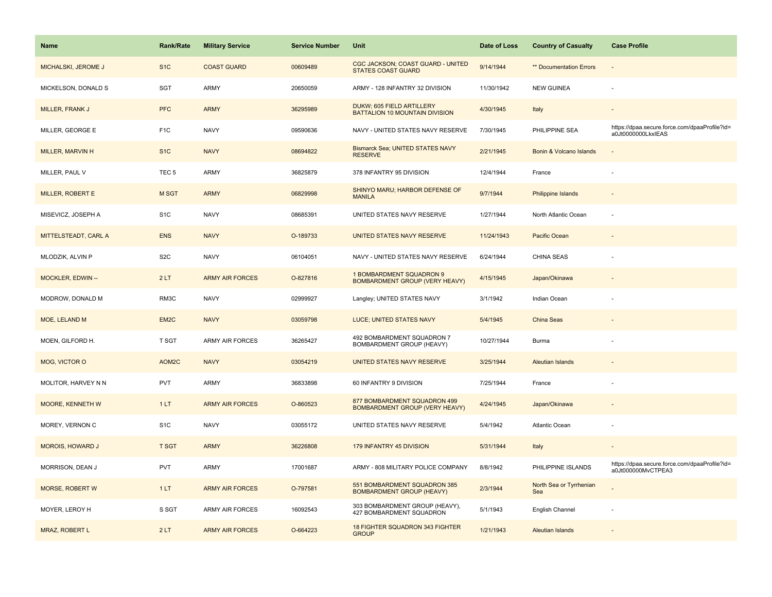| <b>Name</b>             | <b>Rank/Rate</b>  | <b>Military Service</b> | <b>Service Number</b> | Unit                                                                  | Date of Loss | <b>Country of Casualty</b>     | <b>Case Profile</b>                                                 |
|-------------------------|-------------------|-------------------------|-----------------------|-----------------------------------------------------------------------|--------------|--------------------------------|---------------------------------------------------------------------|
| MICHALSKI, JEROME J     | S <sub>1</sub> C  | <b>COAST GUARD</b>      | 00609489              | CGC JACKSON; COAST GUARD - UNITED<br><b>STATES COAST GUARD</b>        | 9/14/1944    | <b>** Documentation Errors</b> |                                                                     |
| MICKELSON, DONALD S     | SGT               | <b>ARMY</b>             | 20650059              | ARMY - 128 INFANTRY 32 DIVISION                                       | 11/30/1942   | <b>NEW GUINEA</b>              |                                                                     |
| MILLER, FRANK J         | <b>PFC</b>        | <b>ARMY</b>             | 36295989              | DUKW; 605 FIELD ARTILLERY<br>BATTALION 10 MOUNTAIN DIVISION           | 4/30/1945    | Italy                          |                                                                     |
| MILLER, GEORGE E        | F <sub>1</sub> C  | <b>NAVY</b>             | 09590636              | NAVY - UNITED STATES NAVY RESERVE                                     | 7/30/1945    | PHILIPPINE SEA                 | https://dpaa.secure.force.com/dpaaProfile?id=<br>a0Jt0000000LkxIEAS |
| MILLER, MARVIN H        | S <sub>1</sub> C  | <b>NAVY</b>             | 08694822              | <b>Bismarck Sea; UNITED STATES NAVY</b><br><b>RESERVE</b>             | 2/21/1945    | Bonin & Volcano Islands        |                                                                     |
| MILLER, PAUL V          | TEC <sub>5</sub>  | ARMY                    | 36825879              | 378 INFANTRY 95 DIVISION                                              | 12/4/1944    | France                         |                                                                     |
| MILLER, ROBERT E        | M SGT             | <b>ARMY</b>             | 06829998              | SHINYO MARU; HARBOR DEFENSE OF<br><b>MANILA</b>                       | 9/7/1944     | <b>Philippine Islands</b>      |                                                                     |
| MISEVICZ, JOSEPH A      | S <sub>1</sub> C  | <b>NAVY</b>             | 08685391              | UNITED STATES NAVY RESERVE                                            | 1/27/1944    | North Atlantic Ocean           |                                                                     |
| MITTELSTEADT, CARL A    | <b>ENS</b>        | <b>NAVY</b>             | O-189733              | UNITED STATES NAVY RESERVE                                            | 11/24/1943   | Pacific Ocean                  |                                                                     |
| MLODZIK, ALVIN P        | S <sub>2</sub> C  | <b>NAVY</b>             | 06104051              | NAVY - UNITED STATES NAVY RESERVE                                     | 6/24/1944    | <b>CHINA SEAS</b>              |                                                                     |
| MOCKLER, EDWIN --       | 2LT               | <b>ARMY AIR FORCES</b>  | O-827816              | 1 BOMBARDMENT SQUADRON 9<br><b>BOMBARDMENT GROUP (VERY HEAVY)</b>     | 4/15/1945    | Japan/Okinawa                  |                                                                     |
| MODROW, DONALD M        | RM3C              | <b>NAVY</b>             | 02999927              | Langley; UNITED STATES NAVY                                           | 3/1/1942     | Indian Ocean                   |                                                                     |
| MOE, LELAND M           | EM <sub>2</sub> C | <b>NAVY</b>             | 03059798              | LUCE; UNITED STATES NAVY                                              | 5/4/1945     | China Seas                     |                                                                     |
| MOEN, GILFORD H.        | T SGT             | <b>ARMY AIR FORCES</b>  | 36265427              | 492 BOMBARDMENT SQUADRON 7<br>BOMBARDMENT GROUP (HEAVY)               | 10/27/1944   | Burma                          |                                                                     |
| MOG, VICTOR O           | AOM2C             | <b>NAVY</b>             | 03054219              | UNITED STATES NAVY RESERVE                                            | 3/25/1944    | <b>Aleutian Islands</b>        |                                                                     |
| MOLITOR, HARVEY N N     | <b>PVT</b>        | <b>ARMY</b>             | 36833898              | 60 INFANTRY 9 DIVISION                                                | 7/25/1944    | France                         |                                                                     |
| MOORE, KENNETH W        | 1LT               | <b>ARMY AIR FORCES</b>  | O-860523              | 877 BOMBARDMENT SQUADRON 499<br><b>BOMBARDMENT GROUP (VERY HEAVY)</b> | 4/24/1945    | Japan/Okinawa                  |                                                                     |
| MOREY, VERNON C         | S <sub>1</sub> C  | <b>NAVY</b>             | 03055172              | UNITED STATES NAVY RESERVE                                            | 5/4/1942     | Atlantic Ocean                 |                                                                     |
| <b>MOROIS, HOWARD J</b> | <b>T SGT</b>      | <b>ARMY</b>             | 36226808              | 179 INFANTRY 45 DIVISION                                              | 5/31/1944    | Italy                          |                                                                     |
| MORRISON, DEAN J        | <b>PVT</b>        | ARMY                    | 17001687              | ARMY - 808 MILITARY POLICE COMPANY                                    | 8/8/1942     | PHILIPPINE ISLANDS             | https://dpaa.secure.force.com/dpaaProfile?id=<br>a0Jt000000MvCTPEA3 |
| <b>MORSE, ROBERT W</b>  | 1LT               | <b>ARMY AIR FORCES</b>  | O-797581              | 551 BOMBARDMENT SQUADRON 385<br><b>BOMBARDMENT GROUP (HEAVY)</b>      | 2/3/1944     | North Sea or Tyrrhenian<br>Sea |                                                                     |
| MOYER, LEROY H          | S SGT             | <b>ARMY AIR FORCES</b>  | 16092543              | 303 BOMBARDMENT GROUP (HEAVY),<br><b>427 BOMBARDMENT SQUADRON</b>     | 5/1/1943     | English Channel                |                                                                     |
| MRAZ, ROBERT L          | 2LT               | <b>ARMY AIR FORCES</b>  | O-664223              | 18 FIGHTER SQUADRON 343 FIGHTER<br><b>GROUP</b>                       | 1/21/1943    | <b>Aleutian Islands</b>        |                                                                     |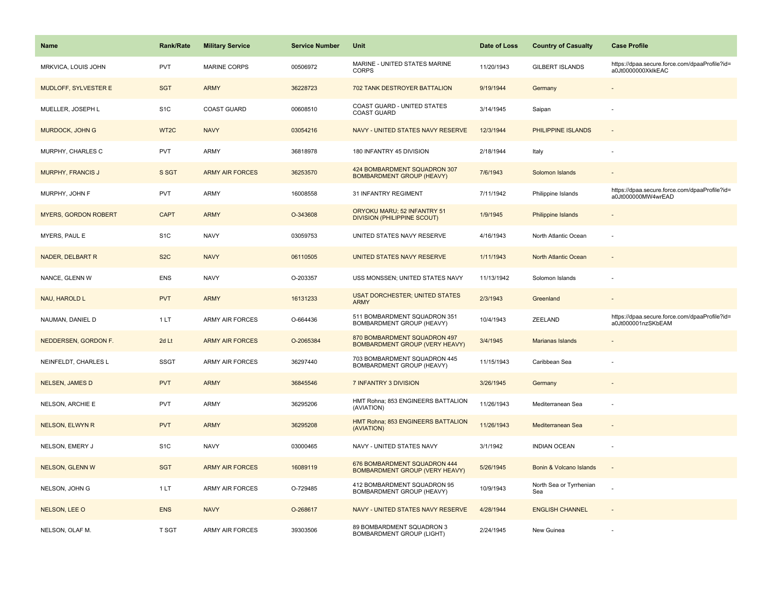| <b>Name</b>                 | Rank/Rate         | <b>Military Service</b> | <b>Service Number</b> | Unit                                                                  | Date of Loss | <b>Country of Casualty</b>     | <b>Case Profile</b>                                                 |
|-----------------------------|-------------------|-------------------------|-----------------------|-----------------------------------------------------------------------|--------------|--------------------------------|---------------------------------------------------------------------|
| MRKVICA, LOUIS JOHN         | <b>PVT</b>        | <b>MARINE CORPS</b>     | 00506972              | MARINE - UNITED STATES MARINE<br><b>CORPS</b>                         | 11/20/1943   | <b>GILBERT ISLANDS</b>         | https://dpaa.secure.force.com/dpaaProfile?id=<br>a0Jt0000000XklkEAC |
| MUDLOFF, SYLVESTER E        | <b>SGT</b>        | <b>ARMY</b>             | 36228723              | 702 TANK DESTROYER BATTALION                                          | 9/19/1944    | Germany                        |                                                                     |
| MUELLER, JOSEPH L           | S <sub>1</sub> C  | <b>COAST GUARD</b>      | 00608510              | COAST GUARD - UNITED STATES<br><b>COAST GUARD</b>                     | 3/14/1945    | Saipan                         |                                                                     |
| MURDOCK, JOHN G             | WT <sub>2</sub> C | <b>NAVY</b>             | 03054216              | NAVY - UNITED STATES NAVY RESERVE                                     | 12/3/1944    | PHILIPPINE ISLANDS             |                                                                     |
| MURPHY, CHARLES C           | <b>PVT</b>        | <b>ARMY</b>             | 36818978              | 180 INFANTRY 45 DIVISION                                              | 2/18/1944    | Italy                          |                                                                     |
| MURPHY, FRANCIS J           | S SGT             | <b>ARMY AIR FORCES</b>  | 36253570              | 424 BOMBARDMENT SQUADRON 307<br><b>BOMBARDMENT GROUP (HEAVY)</b>      | 7/6/1943     | Solomon Islands                |                                                                     |
| MURPHY, JOHN F              | <b>PVT</b>        | <b>ARMY</b>             | 16008558              | 31 INFANTRY REGIMENT                                                  | 7/11/1942    | Philippine Islands             | https://dpaa.secure.force.com/dpaaProfile?id=<br>a0Jt000000MW4wrEAD |
| <b>MYERS, GORDON ROBERT</b> | <b>CAPT</b>       | <b>ARMY</b>             | O-343608              | ORYOKU MARU; 52 INFANTRY 51<br><b>DIVISION (PHILIPPINE SCOUT)</b>     | 1/9/1945     | Philippine Islands             | $\overline{\phantom{a}}$                                            |
| MYERS, PAUL E               | S <sub>1</sub> C  | <b>NAVY</b>             | 03059753              | UNITED STATES NAVY RESERVE                                            | 4/16/1943    | North Atlantic Ocean           | ÷,                                                                  |
| <b>NADER, DELBART R</b>     | S <sub>2</sub> C  | <b>NAVY</b>             | 06110505              | UNITED STATES NAVY RESERVE                                            | 1/11/1943    | North Atlantic Ocean           |                                                                     |
| NANCE, GLENN W              | ENS               | <b>NAVY</b>             | O-203357              | USS MONSSEN; UNITED STATES NAVY                                       | 11/13/1942   | Solomon Islands                |                                                                     |
| NAU, HAROLD L               | <b>PVT</b>        | <b>ARMY</b>             | 16131233              | <b>USAT DORCHESTER; UNITED STATES</b><br><b>ARMY</b>                  | 2/3/1943     | Greenland                      |                                                                     |
| NAUMAN, DANIEL D            | 1LT               | <b>ARMY AIR FORCES</b>  | O-664436              | 511 BOMBARDMENT SQUADRON 351<br>BOMBARDMENT GROUP (HEAVY)             | 10/4/1943    | ZEELAND                        | https://dpaa.secure.force.com/dpaaProfile?id=<br>a0Jt000001nzSKbEAM |
| NEDDERSEN, GORDON F.        | 2d Lt             | <b>ARMY AIR FORCES</b>  | O-2065384             | 870 BOMBARDMENT SQUADRON 497<br><b>BOMBARDMENT GROUP (VERY HEAVY)</b> | 3/4/1945     | Marianas Islands               |                                                                     |
| NEINFELDT, CHARLES L        | <b>SSGT</b>       | <b>ARMY AIR FORCES</b>  | 36297440              | 703 BOMBARDMENT SQUADRON 445<br><b>BOMBARDMENT GROUP (HEAVY)</b>      | 11/15/1943   | Caribbean Sea                  |                                                                     |
| <b>NELSEN, JAMES D</b>      | <b>PVT</b>        | <b>ARMY</b>             | 36845546              | 7 INFANTRY 3 DIVISION                                                 | 3/26/1945    | Germany                        |                                                                     |
| NELSON, ARCHIE E            | <b>PVT</b>        | <b>ARMY</b>             | 36295206              | HMT Rohna; 853 ENGINEERS BATTALION<br>(AVIATION)                      | 11/26/1943   | Mediterranean Sea              |                                                                     |
| NELSON, ELWYN R             | <b>PVT</b>        | <b>ARMY</b>             | 36295208              | HMT Rohna; 853 ENGINEERS BATTALION<br>(AVIATION)                      | 11/26/1943   | Mediterranean Sea              |                                                                     |
| NELSON, EMERY J             | S <sub>1</sub> C  | <b>NAVY</b>             | 03000465              | NAVY - UNITED STATES NAVY                                             | 3/1/1942     | <b>INDIAN OCEAN</b>            |                                                                     |
| <b>NELSON, GLENN W</b>      | <b>SGT</b>        | <b>ARMY AIR FORCES</b>  | 16089119              | 676 BOMBARDMENT SQUADRON 444<br><b>BOMBARDMENT GROUP (VERY HEAVY)</b> | 5/26/1945    | Bonin & Volcano Islands        |                                                                     |
| NELSON, JOHN G              | 1 LT              | <b>ARMY AIR FORCES</b>  | O-729485              | 412 BOMBARDMENT SQUADRON 95<br>BOMBARDMENT GROUP (HEAVY)              | 10/9/1943    | North Sea or Tyrrhenian<br>Sea |                                                                     |
| NELSON, LEE O               | <b>ENS</b>        | <b>NAVY</b>             | O-268617              | NAVY - UNITED STATES NAVY RESERVE                                     | 4/28/1944    | <b>ENGLISH CHANNEL</b>         | $\sim$                                                              |
| NELSON, OLAF M.             | <b>T SGT</b>      | <b>ARMY AIR FORCES</b>  | 39303506              | 89 BOMBARDMENT SQUADRON 3<br><b>BOMBARDMENT GROUP (LIGHT)</b>         | 2/24/1945    | New Guinea                     |                                                                     |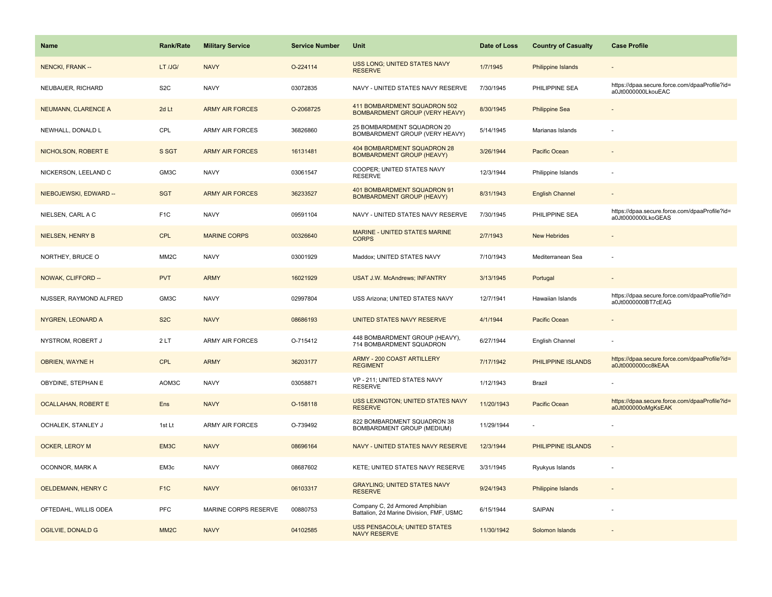| <b>Name</b>                | <b>Rank/Rate</b>  | <b>Military Service</b> | <b>Service Number</b> | Unit                                                                        | Date of Loss | <b>Country of Casualty</b> | <b>Case Profile</b>                                                 |
|----------------------------|-------------------|-------------------------|-----------------------|-----------------------------------------------------------------------------|--------------|----------------------------|---------------------------------------------------------------------|
| NENCKI, FRANK --           | LT /JG/           | <b>NAVY</b>             | O-224114              | USS LONG; UNITED STATES NAVY<br><b>RESERVE</b>                              | 1/7/1945     | <b>Philippine Islands</b>  |                                                                     |
| NEUBAUER, RICHARD          | S <sub>2</sub> C  | <b>NAVY</b>             | 03072835              | NAVY - UNITED STATES NAVY RESERVE                                           | 7/30/1945    | PHILIPPINE SEA             | https://dpaa.secure.force.com/dpaaProfile?id=<br>a0Jt0000000LkouEAC |
| NEUMANN, CLARENCE A        | 2d Lt             | <b>ARMY AIR FORCES</b>  | O-2068725             | 411 BOMBARDMENT SQUADRON 502<br><b>BOMBARDMENT GROUP (VERY HEAVY)</b>       | 8/30/1945    | <b>Philippine Sea</b>      |                                                                     |
| NEWHALL, DONALD L          | CPL               | <b>ARMY AIR FORCES</b>  | 36826860              | 25 BOMBARDMENT SQUADRON 20<br>BOMBARDMENT GROUP (VERY HEAVY)                | 5/14/1945    | Marianas Islands           |                                                                     |
| NICHOLSON, ROBERT E        | S SGT             | <b>ARMY AIR FORCES</b>  | 16131481              | 404 BOMBARDMENT SQUADRON 28<br><b>BOMBARDMENT GROUP (HEAVY)</b>             | 3/26/1944    | Pacific Ocean              |                                                                     |
| NICKERSON, LEELAND C       | GM3C              | <b>NAVY</b>             | 03061547              | COOPER; UNITED STATES NAVY<br><b>RESERVE</b>                                | 12/3/1944    | Philippine Islands         |                                                                     |
| NIEBOJEWSKI, EDWARD --     | <b>SGT</b>        | <b>ARMY AIR FORCES</b>  | 36233527              | 401 BOMBARDMENT SQUADRON 91<br><b>BOMBARDMENT GROUP (HEAVY)</b>             | 8/31/1943    | <b>English Channel</b>     |                                                                     |
| NIELSEN, CARL A C          | F <sub>1C</sub>   | <b>NAVY</b>             | 09591104              | NAVY - UNITED STATES NAVY RESERVE                                           | 7/30/1945    | PHILIPPINE SEA             | https://dpaa.secure.force.com/dpaaProfile?id=<br>a0Jt0000000LkoGEAS |
| NIELSEN, HENRY B           | <b>CPL</b>        | <b>MARINE CORPS</b>     | 00326640              | MARINE - UNITED STATES MARINE<br><b>CORPS</b>                               | 2/7/1943     | <b>New Hebrides</b>        |                                                                     |
| NORTHEY, BRUCE O           | MM <sub>2</sub> C | <b>NAVY</b>             | 03001929              | Maddox; UNITED STATES NAVY                                                  | 7/10/1943    | Mediterranean Sea          |                                                                     |
| NOWAK, CLIFFORD --         | <b>PVT</b>        | <b>ARMY</b>             | 16021929              | <b>USAT J.W. McAndrews; INFANTRY</b>                                        | 3/13/1945    | Portugal                   |                                                                     |
| NUSSER, RAYMOND ALFRED     | GM3C              | <b>NAVY</b>             | 02997804              | USS Arizona; UNITED STATES NAVY                                             | 12/7/1941    | Hawaiian Islands           | https://dpaa.secure.force.com/dpaaProfile?id=<br>a0Jt0000000BT7cEAG |
| NYGREN, LEONARD A          | S <sub>2</sub> C  | <b>NAVY</b>             | 08686193              | UNITED STATES NAVY RESERVE                                                  | 4/1/1944     | Pacific Ocean              |                                                                     |
| NYSTROM, ROBERT J          | 2LT               | <b>ARMY AIR FORCES</b>  | O-715412              | 448 BOMBARDMENT GROUP (HEAVY),<br>714 BOMBARDMENT SQUADRON                  | 6/27/1944    | English Channel            |                                                                     |
| <b>OBRIEN, WAYNE H</b>     | CPL               | <b>ARMY</b>             | 36203177              | <b>ARMY - 200 COAST ARTILLERY</b><br><b>REGIMENT</b>                        | 7/17/1942    | PHILIPPINE ISLANDS         | https://dpaa.secure.force.com/dpaaProfile?id=<br>a0Jt0000000cc8kEAA |
| OBYDINE, STEPHAN E         | AOM3C             | <b>NAVY</b>             | 03058871              | VP - 211; UNITED STATES NAVY<br><b>RESERVE</b>                              | 1/12/1943    | Brazil                     |                                                                     |
| <b>OCALLAHAN, ROBERT E</b> | Ens               | <b>NAVY</b>             | O-158118              | USS LEXINGTON; UNITED STATES NAVY<br><b>RESERVE</b>                         | 11/20/1943   | Pacific Ocean              | https://dpaa.secure.force.com/dpaaProfile?id=<br>a0Jt000000oMgKsEAK |
| <b>OCHALEK. STANLEY J</b>  | 1st Lt            | <b>ARMY AIR FORCES</b>  | O-739492              | 822 BOMBARDMENT SQUADRON 38<br>BOMBARDMENT GROUP (MEDIUM)                   | 11/29/1944   |                            |                                                                     |
| <b>OCKER, LEROY M</b>      | EM3C              | <b>NAVY</b>             | 08696164              | NAVY - UNITED STATES NAVY RESERVE                                           | 12/3/1944    | PHILIPPINE ISLANDS         |                                                                     |
| OCONNOR, MARK A            | EM3c              | <b>NAVY</b>             | 08687602              | KETE; UNITED STATES NAVY RESERVE                                            | 3/31/1945    | Ryukyus Islands            |                                                                     |
| OELDEMANN, HENRY C         | F <sub>1</sub> C  | <b>NAVY</b>             | 06103317              | <b>GRAYLING; UNITED STATES NAVY</b><br><b>RESERVE</b>                       | 9/24/1943    | <b>Philippine Islands</b>  |                                                                     |
| OFTEDAHL, WILLIS ODEA      | <b>PFC</b>        | MARINE CORPS RESERVE    | 00880753              | Company C, 2d Armored Amphibian<br>Battalion, 2d Marine Division, FMF, USMC | 6/15/1944    | <b>SAIPAN</b>              |                                                                     |
| <b>OGILVIE, DONALD G</b>   | MM <sub>2</sub> C | <b>NAVY</b>             | 04102585              | <b>USS PENSACOLA; UNITED STATES</b><br><b>NAVY RESERVE</b>                  | 11/30/1942   | Solomon Islands            |                                                                     |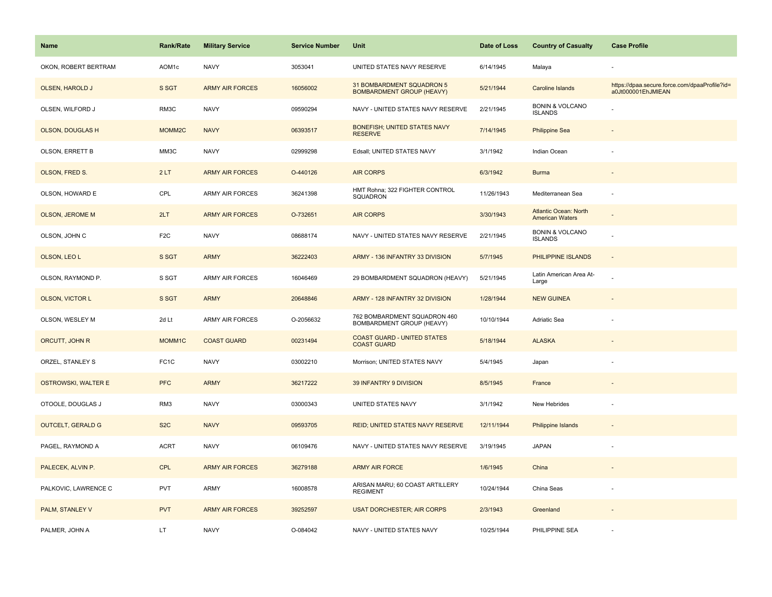| Name                       | <b>Rank/Rate</b>   | <b>Military Service</b> | <b>Service Number</b> | Unit                                                          | Date of Loss | <b>Country of Casualty</b>                             | <b>Case Profile</b>                                                 |
|----------------------------|--------------------|-------------------------|-----------------------|---------------------------------------------------------------|--------------|--------------------------------------------------------|---------------------------------------------------------------------|
| OKON, ROBERT BERTRAM       | AOM1c              | <b>NAVY</b>             | 3053041               | UNITED STATES NAVY RESERVE                                    | 6/14/1945    | Malaya                                                 |                                                                     |
| <b>OLSEN, HAROLD J</b>     | S SGT              | <b>ARMY AIR FORCES</b>  | 16056002              | 31 BOMBARDMENT SQUADRON 5<br><b>BOMBARDMENT GROUP (HEAVY)</b> | 5/21/1944    | <b>Caroline Islands</b>                                | https://dpaa.secure.force.com/dpaaProfile?id=<br>a0Jt000001EhJMIEAN |
| OLSEN, WILFORD J           | RM3C               | <b>NAVY</b>             | 09590294              | NAVY - UNITED STATES NAVY RESERVE                             | 2/21/1945    | <b>BONIN &amp; VOLCANO</b><br><b>ISLANDS</b>           |                                                                     |
| <b>OLSON, DOUGLAS H</b>    | MOMM <sub>2C</sub> | <b>NAVY</b>             | 06393517              | <b>BONEFISH; UNITED STATES NAVY</b><br><b>RESERVE</b>         | 7/14/1945    | <b>Philippine Sea</b>                                  |                                                                     |
| OLSON, ERRETT B            | MM3C               | <b>NAVY</b>             | 02999298              | Edsall; UNITED STATES NAVY                                    | 3/1/1942     | Indian Ocean                                           |                                                                     |
| OLSON, FRED S.             | 2LT                | <b>ARMY AIR FORCES</b>  | O-440126              | <b>AIR CORPS</b>                                              | 6/3/1942     | <b>Burma</b>                                           |                                                                     |
| OLSON, HOWARD E            | CPL                | ARMY AIR FORCES         | 36241398              | HMT Rohna; 322 FIGHTER CONTROL<br>SQUADRON                    | 11/26/1943   | Mediterranean Sea                                      | $\overline{\phantom{a}}$                                            |
| <b>OLSON, JEROME M</b>     | 2LT                | <b>ARMY AIR FORCES</b>  | O-732651              | <b>AIR CORPS</b>                                              | 3/30/1943    | <b>Atlantic Ocean: North</b><br><b>American Waters</b> |                                                                     |
| OLSON, JOHN C              | F <sub>2</sub> C   | <b>NAVY</b>             | 08688174              | NAVY - UNITED STATES NAVY RESERVE                             | 2/21/1945    | <b>BONIN &amp; VOLCANO</b><br><b>ISLANDS</b>           |                                                                     |
| OLSON, LEO L               | S SGT              | <b>ARMY</b>             | 36222403              | ARMY - 136 INFANTRY 33 DIVISION                               | 5/7/1945     | PHILIPPINE ISLANDS                                     |                                                                     |
| OLSON, RAYMOND P.          | S SGT              | <b>ARMY AIR FORCES</b>  | 16046469              | 29 BOMBARDMENT SQUADRON (HEAVY)                               | 5/21/1945    | Latin American Area At-<br>Large                       |                                                                     |
| <b>OLSON, VICTOR L</b>     | S SGT              | <b>ARMY</b>             | 20648846              | ARMY - 128 INFANTRY 32 DIVISION                               | 1/28/1944    | <b>NEW GUINEA</b>                                      |                                                                     |
| OLSON, WESLEY M            | 2d Lt              | ARMY AIR FORCES         | O-2056632             | 762 BOMBARDMENT SQUADRON 460<br>BOMBARDMENT GROUP (HEAVY)     | 10/10/1944   | Adriatic Sea                                           |                                                                     |
| ORCUTT, JOHN R             | MOMM1C             | <b>COAST GUARD</b>      | 00231494              | <b>COAST GUARD - UNITED STATES</b><br><b>COAST GUARD</b>      | 5/18/1944    | <b>ALASKA</b>                                          |                                                                     |
| ORZEL, STANLEY S           | FC <sub>1</sub> C  | <b>NAVY</b>             | 03002210              | Morrison; UNITED STATES NAVY                                  | 5/4/1945     | Japan                                                  |                                                                     |
| <b>OSTROWSKI, WALTER E</b> | <b>PFC</b>         | <b>ARMY</b>             | 36217222              | 39 INFANTRY 9 DIVISION                                        | 8/5/1945     | France                                                 |                                                                     |
| OTOOLE, DOUGLAS J          | RM3                | <b>NAVY</b>             | 03000343              | UNITED STATES NAVY                                            | 3/1/1942     | New Hebrides                                           |                                                                     |
| <b>OUTCELT, GERALD G</b>   | S <sub>2</sub> C   | <b>NAVY</b>             | 09593705              | REID; UNITED STATES NAVY RESERVE                              | 12/11/1944   | <b>Philippine Islands</b>                              | $\sim$                                                              |
| PAGEL, RAYMOND A           | <b>ACRT</b>        | <b>NAVY</b>             | 06109476              | NAVY - UNITED STATES NAVY RESERVE                             | 3/19/1945    | <b>JAPAN</b>                                           | ÷,                                                                  |
| PALECEK, ALVIN P.          | <b>CPL</b>         | <b>ARMY AIR FORCES</b>  | 36279188              | <b>ARMY AIR FORCE</b>                                         | 1/6/1945     | China                                                  |                                                                     |
| PALKOVIC, LAWRENCE C       | PVT                | ARMY                    | 16008578              | ARISAN MARU; 60 COAST ARTILLERY<br><b>REGIMENT</b>            | 10/24/1944   | China Seas                                             |                                                                     |
| <b>PALM, STANLEY V</b>     | <b>PVT</b>         | <b>ARMY AIR FORCES</b>  | 39252597              | <b>USAT DORCHESTER; AIR CORPS</b>                             | 2/3/1943     | Greenland                                              |                                                                     |
| PALMER, JOHN A             | LT                 | <b>NAVY</b>             | O-084042              | NAVY - UNITED STATES NAVY                                     | 10/25/1944   | PHILIPPINE SEA                                         |                                                                     |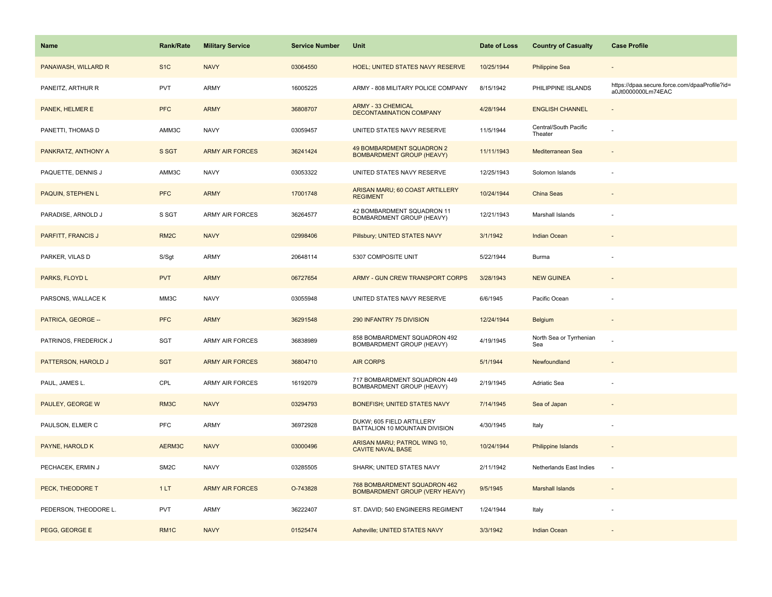| <b>Name</b>           | Rank/Rate         | <b>Military Service</b> | <b>Service Number</b> | Unit                                                                  | Date of Loss | <b>Country of Casualty</b>       | <b>Case Profile</b>                                                 |
|-----------------------|-------------------|-------------------------|-----------------------|-----------------------------------------------------------------------|--------------|----------------------------------|---------------------------------------------------------------------|
| PANAWASH, WILLARD R   | S <sub>1</sub> C  | <b>NAVY</b>             | 03064550              | <b>HOEL; UNITED STATES NAVY RESERVE</b>                               | 10/25/1944   | <b>Philippine Sea</b>            |                                                                     |
| PANEITZ, ARTHUR R     | PVT               | ARMY                    | 16005225              | ARMY - 808 MILITARY POLICE COMPANY                                    | 8/15/1942    | PHILIPPINE ISLANDS               | https://dpaa.secure.force.com/dpaaProfile?id=<br>a0Jt0000000Lm74EAC |
| PANEK, HELMER E       | <b>PFC</b>        | <b>ARMY</b>             | 36808707              | <b>ARMY - 33 CHEMICAL</b><br><b>DECONTAMINATION COMPANY</b>           | 4/28/1944    | <b>ENGLISH CHANNEL</b>           |                                                                     |
| PANETTI, THOMAS D     | AMM3C             | <b>NAVY</b>             | 03059457              | UNITED STATES NAVY RESERVE                                            | 11/5/1944    | Central/South Pacific<br>Theater |                                                                     |
| PANKRATZ, ANTHONY A   | S SGT             | <b>ARMY AIR FORCES</b>  | 36241424              | <b>49 BOMBARDMENT SQUADRON 2</b><br><b>BOMBARDMENT GROUP (HEAVY)</b>  | 11/11/1943   | Mediterranean Sea                |                                                                     |
| PAQUETTE, DENNIS J    | AMM3C             | <b>NAVY</b>             | 03053322              | UNITED STATES NAVY RESERVE                                            | 12/25/1943   | Solomon Islands                  |                                                                     |
| PAQUIN, STEPHEN L     | <b>PFC</b>        | <b>ARMY</b>             | 17001748              | ARISAN MARU; 60 COAST ARTILLERY<br><b>REGIMENT</b>                    | 10/24/1944   | China Seas                       |                                                                     |
| PARADISE, ARNOLD J    | S SGT             | <b>ARMY AIR FORCES</b>  | 36264577              | 42 BOMBARDMENT SQUADRON 11<br>BOMBARDMENT GROUP (HEAVY)               | 12/21/1943   | Marshall Islands                 |                                                                     |
| PARFITT, FRANCIS J    | RM <sub>2</sub> C | <b>NAVY</b>             | 02998406              | Pillsbury; UNITED STATES NAVY                                         | 3/1/1942     | <b>Indian Ocean</b>              |                                                                     |
| PARKER, VILAS D       | S/Sgt             | ARMY                    | 20648114              | 5307 COMPOSITE UNIT                                                   | 5/22/1944    | <b>Burma</b>                     |                                                                     |
| PARKS, FLOYD L        | <b>PVT</b>        | <b>ARMY</b>             | 06727654              | ARMY - GUN CREW TRANSPORT CORPS                                       | 3/28/1943    | <b>NEW GUINEA</b>                |                                                                     |
| PARSONS, WALLACE K    | MM3C              | <b>NAVY</b>             | 03055948              | UNITED STATES NAVY RESERVE                                            | 6/6/1945     | Pacific Ocean                    |                                                                     |
| PATRICA, GEORGE --    | <b>PFC</b>        | <b>ARMY</b>             | 36291548              | 290 INFANTRY 75 DIVISION                                              | 12/24/1944   | <b>Belgium</b>                   | $\overline{\phantom{a}}$                                            |
| PATRINOS, FREDERICK J | SGT               | ARMY AIR FORCES         | 36838989              | 858 BOMBARDMENT SQUADRON 492<br>BOMBARDMENT GROUP (HEAVY)             | 4/19/1945    | North Sea or Tyrrhenian<br>Sea   |                                                                     |
| PATTERSON, HAROLD J   | <b>SGT</b>        | <b>ARMY AIR FORCES</b>  | 36804710              | <b>AIR CORPS</b>                                                      | 5/1/1944     | Newfoundland                     |                                                                     |
| PAUL, JAMES L.        | CPL               | ARMY AIR FORCES         | 16192079              | 717 BOMBARDMENT SQUADRON 449<br>BOMBARDMENT GROUP (HEAVY)             | 2/19/1945    | Adriatic Sea                     |                                                                     |
| PAULEY, GEORGE W      | RM3C              | <b>NAVY</b>             | 03294793              | BONEFISH; UNITED STATES NAVY                                          | 7/14/1945    | Sea of Japan                     |                                                                     |
| PAULSON, ELMER C      | PFC               | ARMY                    | 36972928              | DUKW; 605 FIELD ARTILLERY<br>BATTALION 10 MOUNTAIN DIVISION           | 4/30/1945    | Italy                            | ÷,                                                                  |
| PAYNE, HAROLD K       | AERM3C            | <b>NAVY</b>             | 03000496              | ARISAN MARU; PATROL WING 10,<br><b>CAVITE NAVAL BASE</b>              | 10/24/1944   | <b>Philippine Islands</b>        |                                                                     |
| PECHACEK, ERMIN J     | SM <sub>2</sub> C | <b>NAVY</b>             | 03285505              | SHARK; UNITED STATES NAVY                                             | 2/11/1942    | Netherlands East Indies          | ÷,                                                                  |
| PECK, THEODORE T      | 1LT               | <b>ARMY AIR FORCES</b>  | O-743828              | 768 BOMBARDMENT SQUADRON 462<br><b>BOMBARDMENT GROUP (VERY HEAVY)</b> | 9/5/1945     | <b>Marshall Islands</b>          | $\sim$                                                              |
| PEDERSON, THEODORE L. | <b>PVT</b>        | <b>ARMY</b>             | 36222407              | ST. DAVID; 540 ENGINEERS REGIMENT                                     | 1/24/1944    | Italy                            |                                                                     |
| PEGG, GEORGE E        | RM <sub>1C</sub>  | <b>NAVY</b>             | 01525474              | Asheville; UNITED STATES NAVY                                         | 3/3/1942     | Indian Ocean                     |                                                                     |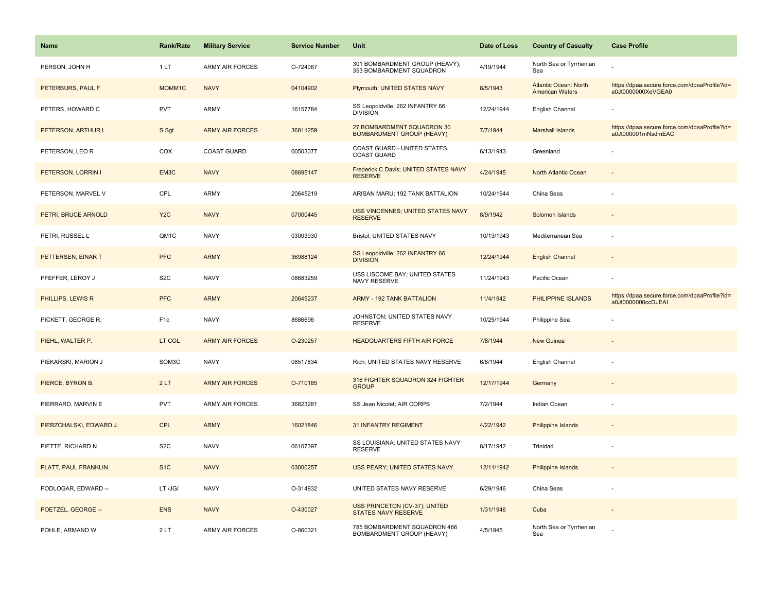| <b>Name</b>             | Rank/Rate        | <b>Military Service</b> | <b>Service Number</b> | Unit                                                             | Date of Loss | <b>Country of Casualty</b>                             | <b>Case Profile</b>                                                 |
|-------------------------|------------------|-------------------------|-----------------------|------------------------------------------------------------------|--------------|--------------------------------------------------------|---------------------------------------------------------------------|
| PERSON, JOHN H          | 1LT              | <b>ARMY AIR FORCES</b>  | O-724067              | 301 BOMBARDMENT GROUP (HEAVY),<br>353 BOMBARDMENT SQUADRON       | 4/19/1944    | North Sea or Tyrrhenian<br>Sea                         |                                                                     |
| PETERBURS, PAUL F       | MOMM1C           | <b>NAVY</b>             | 04104902              | Plymouth; UNITED STATES NAVY                                     | 8/5/1943     | <b>Atlantic Ocean: North</b><br><b>American Waters</b> | https://dpaa.secure.force.com/dpaaProfile?id=<br>a0Jt0000000XeVGEA0 |
| PETERS, HOWARD C        | <b>PVT</b>       | <b>ARMY</b>             | 16157784              | SS Leopoldville; 262 INFANTRY 66<br><b>DIVISION</b>              | 12/24/1944   | English Channel                                        |                                                                     |
| PETERSON, ARTHUR L      | S Sgt            | <b>ARMY AIR FORCES</b>  | 36811259              | 27 BOMBARDMENT SQUADRON 30<br><b>BOMBARDMENT GROUP (HEAVY)</b>   | 7/7/1944     | <b>Marshall Islands</b>                                | https://dpaa.secure.force.com/dpaaProfile?id=<br>a0Jt000001mNsdmEAC |
| PETERSON, LEO R         | COX              | <b>COAST GUARD</b>      | 00503077              | <b>COAST GUARD - UNITED STATES</b><br><b>COAST GUARD</b>         | 6/13/1943    | Greenland                                              |                                                                     |
| PETERSON, LORRIN I      | EM3C             | <b>NAVY</b>             | 08695147              | Frederick C Davis; UNITED STATES NAVY<br><b>RESERVE</b>          | 4/24/1945    | North Atlantic Ocean                                   |                                                                     |
| PETERSON, MARVEL V      | CPL              | <b>ARMY</b>             | 20645219              | ARISAN MARU; 192 TANK BATTALION                                  | 10/24/1944   | China Seas                                             |                                                                     |
| PETRI, BRUCE ARNOLD     | Y <sub>2</sub> C | <b>NAVY</b>             | 07000445              | USS VINCENNES; UNITED STATES NAVY<br><b>RESERVE</b>              | 8/9/1942     | Solomon Islands                                        |                                                                     |
| PETRI, RUSSEL L         | QM1C             | <b>NAVY</b>             | 03003930              | Bristol; UNITED STATES NAVY                                      | 10/13/1943   | Mediterranean Sea                                      |                                                                     |
| PETTERSEN, EINAR T      | <b>PFC</b>       | <b>ARMY</b>             | 36988124              | SS Leopoldville; 262 INFANTRY 66<br><b>DIVISION</b>              | 12/24/1944   | <b>English Channel</b>                                 |                                                                     |
| PFEFFER, LEROY J        | S <sub>2</sub> C | <b>NAVY</b>             | 08683259              | USS LISCOME BAY; UNITED STATES<br>NAVY RESERVE                   | 11/24/1943   | Pacific Ocean                                          |                                                                     |
| PHILLIPS, LEWIS R       | <b>PFC</b>       | <b>ARMY</b>             | 20645237              | <b>ARMY - 192 TANK BATTALION</b>                                 | 11/4/1942    | PHILIPPINE ISLANDS                                     | https://dpaa.secure.force.com/dpaaProfile?id=<br>a0Jt0000000ccDuEAI |
| PICKETT, GEORGE R.      | F <sub>1c</sub>  | <b>NAVY</b>             | 8686696               | JOHNSTON; UNITED STATES NAVY<br><b>RESERVE</b>                   | 10/25/1944   | Philippine Sea                                         |                                                                     |
| PIEHL, WALTER P.        | LT COL           | <b>ARMY AIR FORCES</b>  | O-230257              | <b>HEADQUARTERS FIFTH AIR FORCE</b>                              | 7/8/1944     | New Guinea                                             |                                                                     |
| PIEKARSKI, MARION J     | SOM3C            | <b>NAVY</b>             | 08517834              | Rich; UNITED STATES NAVY RESERVE                                 | 6/8/1944     | English Channel                                        |                                                                     |
| PIERCE, BYRON B.        | 2LT              | <b>ARMY AIR FORCES</b>  | O-710165              | 316 FIGHTER SQUADRON 324 FIGHTER<br><b>GROUP</b>                 | 12/17/1944   | Germany                                                |                                                                     |
| PIERRARD, MARVIN E      | <b>PVT</b>       | <b>ARMY AIR FORCES</b>  | 36823281              | SS Jean Nicolet; AIR CORPS                                       | 7/2/1944     | Indian Ocean                                           |                                                                     |
| PIERZCHALSKI, EDWARD J. | <b>CPL</b>       | <b>ARMY</b>             | 16021846              | <b>31 INFANTRY REGIMENT</b>                                      | 4/22/1942    | <b>Philippine Islands</b>                              |                                                                     |
| PIETTE, RICHARD N       | S <sub>2</sub> C | <b>NAVY</b>             | 06107397              | SS LOUISIANA; UNITED STATES NAVY<br><b>RESERVE</b>               | 8/17/1942    | Trinidad                                               |                                                                     |
| PLATT, PAUL FRANKLIN    | S <sub>1</sub> C | <b>NAVY</b>             | 03000257              | USS PEARY; UNITED STATES NAVY                                    | 12/11/1942   | <b>Philippine Islands</b>                              |                                                                     |
| PODLOGAR, EDWARD --     | LT /JG/          | <b>NAVY</b>             | O-314932              | UNITED STATES NAVY RESERVE                                       | 6/29/1946    | China Seas                                             |                                                                     |
| POETZEL, GEORGE --      | <b>ENS</b>       | <b>NAVY</b>             | O-430027              | USS PRINCETON (CV-37); UNITED<br><b>STATES NAVY RESERVE</b>      | 1/31/1946    | Cuba                                                   |                                                                     |
| POHLE, ARMAND W         | 2LT              | <b>ARMY AIR FORCES</b>  | O-860321              | 785 BOMBARDMENT SQUADRON 466<br><b>BOMBARDMENT GROUP (HEAVY)</b> | 4/5/1945     | North Sea or Tyrrhenian<br>Sea                         |                                                                     |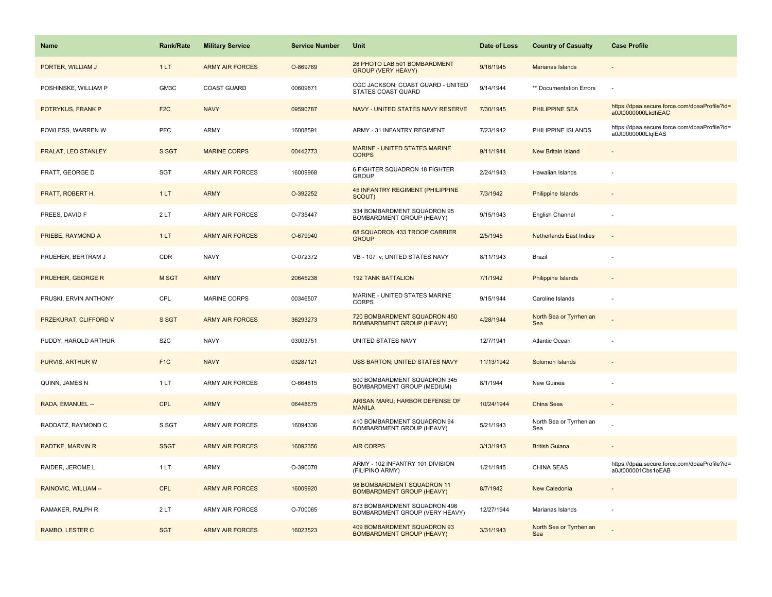| Name                     | <b>Rank/Rate</b> | <b>Military Service</b> | <b>Service Number</b> | <b>Unit</b>                                                      | Date of Loss | <b>Country of Casualty</b>     | <b>Case Profile</b>                                                 |
|--------------------------|------------------|-------------------------|-----------------------|------------------------------------------------------------------|--------------|--------------------------------|---------------------------------------------------------------------|
| PORTER, WILLIAM J        | 1LT              | <b>ARMY AIR FORCES</b>  | O-869769              | 28 PHOTO LAB 501 BOMBARDMENT<br><b>GROUP (VERY HEAVY)</b>        | 9/16/1945    | Marianas Islands               |                                                                     |
| POSHINSKE, WILLIAM P     | GM3C             | <b>COAST GUARD</b>      | 00609871              | CGC JACKSON; COAST GUARD - UNITED<br>STATES COAST GUARD          | 9/14/1944    | ** Documentation Errors        |                                                                     |
| POTRYKUS, FRANK P        | F <sub>2</sub> C | <b>NAVY</b>             | 09590787              | NAVY - UNITED STATES NAVY RESERVE                                | 7/30/1945    | PHILIPPINE SEA                 | https://dpaa.secure.force.com/dpaaProfile?id=<br>a0Jt0000000LkdhEAC |
| POWLESS, WARREN W        | PFC              | ARMY                    | 16008591              | ARMY - 31 INFANTRY REGIMENT                                      | 7/23/1942    | PHILIPPINE ISLANDS             | https://dpaa.secure.force.com/dpaaProfile?id=<br>a0Jt0000000LlqIEAS |
| PRALAT, LEO STANLEY      | S SGT            | <b>MARINE CORPS</b>     | 00442773              | <b>MARINE - UNITED STATES MARINE</b><br><b>CORPS</b>             | 9/11/1944    | <b>New Britain Island</b>      |                                                                     |
| PRATT, GEORGE D          | SGT              | <b>ARMY AIR FORCES</b>  | 16009968              | 6 FIGHTER SQUADRON 18 FIGHTER<br><b>GROUP</b>                    | 2/24/1943    | Hawaiian Islands               |                                                                     |
| PRATT, ROBERT H.         | 1LT              | <b>ARMY</b>             | O-392252              | 45 INFANTRY REGIMENT (PHILIPPINE<br>SCOUT)                       | 7/3/1942     | <b>Philippine Islands</b>      |                                                                     |
| PREES, DAVID F           | 2LT              | <b>ARMY AIR FORCES</b>  | O-735447              | 334 BOMBARDMENT SQUADRON 95<br>BOMBARDMENT GROUP (HEAVY)         | 9/15/1943    | English Channel                |                                                                     |
| PRIEBE, RAYMOND A        | 1LT              | <b>ARMY AIR FORCES</b>  | O-679940              | 68 SQUADRON 433 TROOP CARRIER<br><b>GROUP</b>                    | 2/5/1945     | <b>Netherlands East Indies</b> |                                                                     |
| PRUEHER, BERTRAM J       | CDR              | <b>NAVY</b>             | O-072372              | VB - 107 v; UNITED STATES NAVY                                   | 8/11/1943    | Brazil                         |                                                                     |
| <b>PRUEHER, GEORGE R</b> | <b>MSGT</b>      | <b>ARMY</b>             | 20645238              | <b>192 TANK BATTALION</b>                                        | 7/1/1942     | <b>Philippine Islands</b>      |                                                                     |
| PRUSKI, ERVIN ANTHONY    | CPL              | <b>MARINE CORPS</b>     | 00346507              | MARINE - UNITED STATES MARINE<br><b>CORPS</b>                    | 9/15/1944    | Caroline Islands               |                                                                     |
| PRZEKURAT, CLIFFORD V    | S SGT            | <b>ARMY AIR FORCES</b>  | 36293273              | 720 BOMBARDMENT SQUADRON 450<br><b>BOMBARDMENT GROUP (HEAVY)</b> | 4/28/1944    | North Sea or Tyrrhenian<br>Sea |                                                                     |
| PUDDY, HAROLD ARTHUR     | S <sub>2</sub> C | <b>NAVY</b>             | 03003751              | UNITED STATES NAVY                                               | 12/7/1941    | Atlantic Ocean                 |                                                                     |
| PURVIS, ARTHUR W         | F <sub>1C</sub>  | <b>NAVY</b>             | 03287121              | <b>USS BARTON; UNITED STATES NAVY</b>                            | 11/13/1942   | Solomon Islands                |                                                                     |
| QUINN, JAMES N           | 1 LT             | <b>ARMY AIR FORCES</b>  | O-664815              | 500 BOMBARDMENT SQUADRON 345<br>BOMBARDMENT GROUP (MEDIUM)       | 8/1/1944     | New Guinea                     |                                                                     |
| RADA, EMANUEL --         | <b>CPL</b>       | <b>ARMY</b>             | 06448675              | ARISAN MARU; HARBOR DEFENSE OF<br><b>MANILA</b>                  | 10/24/1944   | <b>China Seas</b>              |                                                                     |
| RADDATZ, RAYMOND C       | S SGT            | ARMY AIR FORCES         | 16094336              | 410 BOMBARDMENT SQUADRON 94<br>BOMBARDMENT GROUP (HEAVY)         | 5/21/1943    | North Sea or Tyrrhenian<br>Sea |                                                                     |
| RADTKE, MARVIN R         | <b>SSGT</b>      | <b>ARMY AIR FORCES</b>  | 16092356              | <b>AIR CORPS</b>                                                 | 3/13/1943    | <b>British Guiana</b>          |                                                                     |
| RAIDER, JEROME L         | 1 LT             | <b>ARMY</b>             | O-390078              | ARMY - 102 INFANTRY 101 DIVISION<br>(FILIPINO ARMY)              | 1/21/1945    | CHINA SEAS                     | https://dpaa.secure.force.com/dpaaProfile?id=<br>a0Jt000001Cbs1oEAB |
| RAINOVIC, WILLIAM --     | <b>CPL</b>       | <b>ARMY AIR FORCES</b>  | 16009920              | 98 BOMBARDMENT SQUADRON 11<br><b>BOMBARDMENT GROUP (HEAVY)</b>   | 8/7/1942     | <b>New Caledonia</b>           |                                                                     |
| RAMAKER, RALPH R         | 2LT              | <b>ARMY AIR FORCES</b>  | O-700065              | 873 BOMBARDMENT SQUADRON 498<br>BOMBARDMENT GROUP (VERY HEAVY)   | 12/27/1944   | Marianas Islands               |                                                                     |
| RAMBO, LESTER C          | <b>SGT</b>       | <b>ARMY AIR FORCES</b>  | 16023523              | 409 BOMBARDMENT SQUADRON 93<br><b>BOMBARDMENT GROUP (HEAVY)</b>  | 3/31/1943    | North Sea or Tyrrhenian<br>Sea |                                                                     |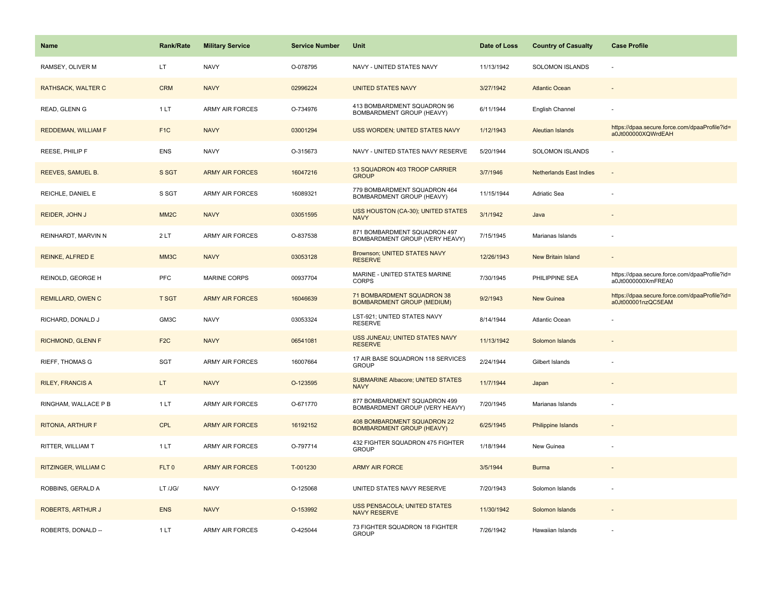| <b>Name</b>              | <b>Rank/Rate</b>  | <b>Military Service</b> | <b>Service Number</b> | Unit                                                            | Date of Loss | <b>Country of Casualty</b>     | <b>Case Profile</b>                                                 |
|--------------------------|-------------------|-------------------------|-----------------------|-----------------------------------------------------------------|--------------|--------------------------------|---------------------------------------------------------------------|
| RAMSEY, OLIVER M         | LT                | <b>NAVY</b>             | O-078795              | NAVY - UNITED STATES NAVY                                       | 11/13/1942   | <b>SOLOMON ISLANDS</b>         |                                                                     |
| RATHSACK, WALTER C       | <b>CRM</b>        | <b>NAVY</b>             | 02996224              | <b>UNITED STATES NAVY</b>                                       | 3/27/1942    | <b>Atlantic Ocean</b>          |                                                                     |
| READ, GLENN G            | 1LT               | <b>ARMY AIR FORCES</b>  | O-734976              | 413 BOMBARDMENT SQUADRON 96<br>BOMBARDMENT GROUP (HEAVY)        | 6/11/1944    | English Channel                |                                                                     |
| REDDEMAN, WILLIAM F      | F <sub>1C</sub>   | <b>NAVY</b>             | 03001294              | <b>USS WORDEN; UNITED STATES NAVY</b>                           | 1/12/1943    | Aleutian Islands               | https://dpaa.secure.force.com/dpaaProfile?id=<br>a0Jt000000XQWrdEAH |
| REESE, PHILIP F          | <b>ENS</b>        | <b>NAVY</b>             | O-315673              | NAVY - UNITED STATES NAVY RESERVE                               | 5/20/1944    | <b>SOLOMON ISLANDS</b>         |                                                                     |
| REEVES, SAMUEL B.        | S SGT             | <b>ARMY AIR FORCES</b>  | 16047216              | 13 SQUADRON 403 TROOP CARRIER<br><b>GROUP</b>                   | 3/7/1946     | <b>Netherlands East Indies</b> | $\sim$                                                              |
| REICHLE, DANIEL E        | S SGT             | <b>ARMY AIR FORCES</b>  | 16089321              | 779 BOMBARDMENT SQUADRON 464<br>BOMBARDMENT GROUP (HEAVY)       | 11/15/1944   | Adriatic Sea                   |                                                                     |
| REIDER, JOHN J           | MM <sub>2</sub> C | <b>NAVY</b>             | 03051595              | USS HOUSTON (CA-30); UNITED STATES<br><b>NAVY</b>               | 3/1/1942     | Java                           |                                                                     |
| REINHARDT, MARVIN N      | 2LT               | <b>ARMY AIR FORCES</b>  | O-837538              | 871 BOMBARDMENT SQUADRON 497<br>BOMBARDMENT GROUP (VERY HEAVY)  | 7/15/1945    | Marianas Islands               |                                                                     |
| REINKE, ALFRED E         | MM <sub>3</sub> C | <b>NAVY</b>             | 03053128              | <b>Brownson; UNITED STATES NAVY</b><br><b>RESERVE</b>           | 12/26/1943   | <b>New Britain Island</b>      |                                                                     |
| REINOLD, GEORGE H        | PFC               | MARINE CORPS            | 00937704              | MARINE - UNITED STATES MARINE<br><b>CORPS</b>                   | 7/30/1945    | PHILIPPINE SEA                 | https://dpaa.secure.force.com/dpaaProfile?id=<br>a0Jt0000000XmFREA0 |
| <b>REMILLARD, OWEN C</b> | <b>T SGT</b>      | <b>ARMY AIR FORCES</b>  | 16046639              | 71 BOMBARDMENT SQUADRON 38<br><b>BOMBARDMENT GROUP (MEDIUM)</b> | 9/2/1943     | <b>New Guinea</b>              | https://dpaa.secure.force.com/dpaaProfile?id=<br>a0Jt000001nzQC5EAM |
| RICHARD, DONALD J        | GM3C              | <b>NAVY</b>             | 03053324              | LST-921; UNITED STATES NAVY<br><b>RESERVE</b>                   | 8/14/1944    | <b>Atlantic Ocean</b>          |                                                                     |
| RICHMOND, GLENN F        | F <sub>2</sub> C  | <b>NAVY</b>             | 06541081              | USS JUNEAU; UNITED STATES NAVY<br><b>RESERVE</b>                | 11/13/1942   | Solomon Islands                |                                                                     |
| <b>RIEFF, THOMAS G</b>   | <b>SGT</b>        | <b>ARMY AIR FORCES</b>  | 16007664              | 17 AIR BASE SQUADRON 118 SERVICES<br><b>GROUP</b>               | 2/24/1944    | Gilbert Islands                |                                                                     |
| <b>RILEY, FRANCIS A</b>  | LT.               | <b>NAVY</b>             | O-123595              | <b>SUBMARINE Albacore; UNITED STATES</b><br><b>NAVY</b>         | 11/7/1944    | Japan                          |                                                                     |
| RINGHAM, WALLACE P B     | 1LT               | <b>ARMY AIR FORCES</b>  | O-671770              | 877 BOMBARDMENT SQUADRON 499<br>BOMBARDMENT GROUP (VERY HEAVY)  | 7/20/1945    | Marianas Islands               |                                                                     |
| <b>RITONIA, ARTHUR F</b> | CPL               | <b>ARMY AIR FORCES</b>  | 16192152              | 408 BOMBARDMENT SQUADRON 22<br><b>BOMBARDMENT GROUP (HEAVY)</b> | 6/25/1945    | <b>Philippine Islands</b>      |                                                                     |
| RITTER, WILLIAM T        | 1 LT              | <b>ARMY AIR FORCES</b>  | O-797714              | 432 FIGHTER SQUADRON 475 FIGHTER<br><b>GROUP</b>                | 1/18/1944    | New Guinea                     |                                                                     |
| RITZINGER, WILLIAM C     | FLT <sub>0</sub>  | <b>ARMY AIR FORCES</b>  | T-001230              | <b>ARMY AIR FORCE</b>                                           | 3/5/1944     | <b>Burma</b>                   |                                                                     |
| ROBBINS, GERALD A        | LT /JG/           | <b>NAVY</b>             | O-125068              | UNITED STATES NAVY RESERVE                                      | 7/20/1943    | Solomon Islands                |                                                                     |
| ROBERTS, ARTHUR J        | <b>ENS</b>        | <b>NAVY</b>             | O-153992              | USS PENSACOLA; UNITED STATES<br><b>NAVY RESERVE</b>             | 11/30/1942   | Solomon Islands                |                                                                     |
| ROBERTS, DONALD --       | 1LT               | <b>ARMY AIR FORCES</b>  | O-425044              | 73 FIGHTER SQUADRON 18 FIGHTER<br><b>GROUP</b>                  | 7/26/1942    | Hawaiian Islands               |                                                                     |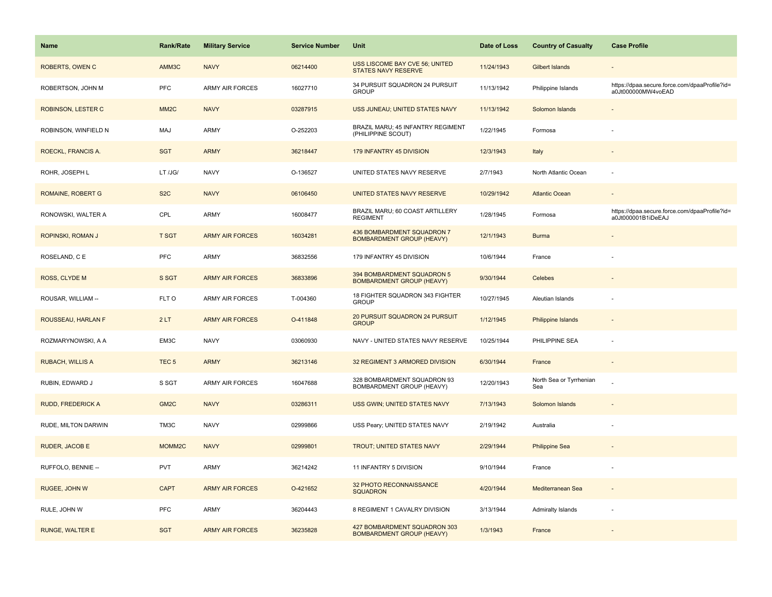| Name                     | Rank/Rate          | <b>Military Service</b> | <b>Service Number</b> | Unit                                                             | Date of Loss | <b>Country of Casualty</b>     | <b>Case Profile</b>                                                 |
|--------------------------|--------------------|-------------------------|-----------------------|------------------------------------------------------------------|--------------|--------------------------------|---------------------------------------------------------------------|
| <b>ROBERTS, OWEN C</b>   | AMM3C              | <b>NAVY</b>             | 06214400              | USS LISCOME BAY CVE 56; UNITED<br>STATES NAVY RESERVE            | 11/24/1943   | Gilbert Islands                |                                                                     |
| ROBERTSON, JOHN M        | <b>PFC</b>         | <b>ARMY AIR FORCES</b>  | 16027710              | 34 PURSUIT SQUADRON 24 PURSUIT<br><b>GROUP</b>                   | 11/13/1942   | Philippine Islands             | https://dpaa.secure.force.com/dpaaProfile?id=<br>a0Jt000000MW4voEAD |
| ROBINSON, LESTER C       | MM <sub>2</sub> C  | <b>NAVY</b>             | 03287915              | USS JUNEAU; UNITED STATES NAVY                                   | 11/13/1942   | Solomon Islands                |                                                                     |
| ROBINSON, WINFIELD N     | MAJ                | ARMY                    | O-252203              | BRAZIL MARU; 45 INFANTRY REGIMENT<br>(PHILIPPINE SCOUT)          | 1/22/1945    | Formosa                        |                                                                     |
| ROECKL, FRANCIS A.       | <b>SGT</b>         | <b>ARMY</b>             | 36218447              | 179 INFANTRY 45 DIVISION                                         | 12/3/1943    | Italy                          |                                                                     |
| ROHR, JOSEPH L           | LT /JG/            | <b>NAVY</b>             | O-136527              | UNITED STATES NAVY RESERVE                                       | 2/7/1943     | North Atlantic Ocean           |                                                                     |
| <b>ROMAINE, ROBERT G</b> | S <sub>2</sub> C   | <b>NAVY</b>             | 06106450              | UNITED STATES NAVY RESERVE                                       | 10/29/1942   | <b>Atlantic Ocean</b>          | $\sim$                                                              |
| RONOWSKI, WALTER A       | CPL                | <b>ARMY</b>             | 16008477              | BRAZIL MARU; 60 COAST ARTILLERY<br><b>REGIMENT</b>               | 1/28/1945    | Formosa                        | https://dpaa.secure.force.com/dpaaProfile?id=<br>a0Jt000001B1iDeEAJ |
| ROPINSKI, ROMAN J        | <b>T SGT</b>       | <b>ARMY AIR FORCES</b>  | 16034281              | 436 BOMBARDMENT SQUADRON 7<br><b>BOMBARDMENT GROUP (HEAVY)</b>   | 12/1/1943    | <b>Burma</b>                   |                                                                     |
| ROSELAND, C E            | <b>PFC</b>         | ARMY                    | 36832556              | 179 INFANTRY 45 DIVISION                                         | 10/6/1944    | France                         |                                                                     |
| ROSS, CLYDE M            | S SGT              | <b>ARMY AIR FORCES</b>  | 36833896              | 394 BOMBARDMENT SQUADRON 5<br><b>BOMBARDMENT GROUP (HEAVY)</b>   | 9/30/1944    | Celebes                        |                                                                     |
| ROUSAR, WILLIAM --       | FLT O              | <b>ARMY AIR FORCES</b>  | T-004360              | 18 FIGHTER SQUADRON 343 FIGHTER<br><b>GROUP</b>                  | 10/27/1945   | Aleutian Islands               |                                                                     |
| ROUSSEAU, HARLAN F       | 2LT                | <b>ARMY AIR FORCES</b>  | O-411848              | 20 PURSUIT SQUADRON 24 PURSUIT<br><b>GROUP</b>                   | 1/12/1945    | <b>Philippine Islands</b>      |                                                                     |
| ROZMARYNOWSKI, A A       | EM3C               | <b>NAVY</b>             | 03060930              | NAVY - UNITED STATES NAVY RESERVE                                | 10/25/1944   | PHILIPPINE SEA                 | ÷,                                                                  |
| <b>RUBACH, WILLIS A</b>  | TEC <sub>5</sub>   | <b>ARMY</b>             | 36213146              | 32 REGIMENT 3 ARMORED DIVISION                                   | 6/30/1944    | France                         | $\overline{a}$                                                      |
| RUBIN, EDWARD J          | S SGT              | ARMY AIR FORCES         | 16047688              | 328 BOMBARDMENT SQUADRON 93<br>BOMBARDMENT GROUP (HEAVY)         | 12/20/1943   | North Sea or Tyrrhenian<br>Sea |                                                                     |
| <b>RUDD, FREDERICK A</b> | GM <sub>2C</sub>   | <b>NAVY</b>             | 03286311              | USS GWIN; UNITED STATES NAVY                                     | 7/13/1943    | Solomon Islands                |                                                                     |
| RUDE, MILTON DARWIN      | TM3C               | <b>NAVY</b>             | 02999866              | USS Peary; UNITED STATES NAVY                                    | 2/19/1942    | Australia                      |                                                                     |
| RUDER, JACOB E           | MOMM <sub>2C</sub> | <b>NAVY</b>             | 02999801              | <b>TROUT; UNITED STATES NAVY</b>                                 | 2/29/1944    | <b>Philippine Sea</b>          |                                                                     |
| RUFFOLO, BENNIE --       | <b>PVT</b>         | <b>ARMY</b>             | 36214242              | 11 INFANTRY 5 DIVISION                                           | 9/10/1944    | France                         |                                                                     |
| RUGEE, JOHN W            | <b>CAPT</b>        | <b>ARMY AIR FORCES</b>  | O-421652              | 32 PHOTO RECONNAISSANCE<br><b>SQUADRON</b>                       | 4/20/1944    | Mediterranean Sea              | $\sim$                                                              |
| RULE, JOHN W             | <b>PFC</b>         | <b>ARMY</b>             | 36204443              | 8 REGIMENT 1 CAVALRY DIVISION                                    | 3/13/1944    | Admiralty Islands              |                                                                     |
| <b>RUNGE, WALTER E</b>   | <b>SGT</b>         | <b>ARMY AIR FORCES</b>  | 36235828              | 427 BOMBARDMENT SQUADRON 303<br><b>BOMBARDMENT GROUP (HEAVY)</b> | 1/3/1943     | France                         |                                                                     |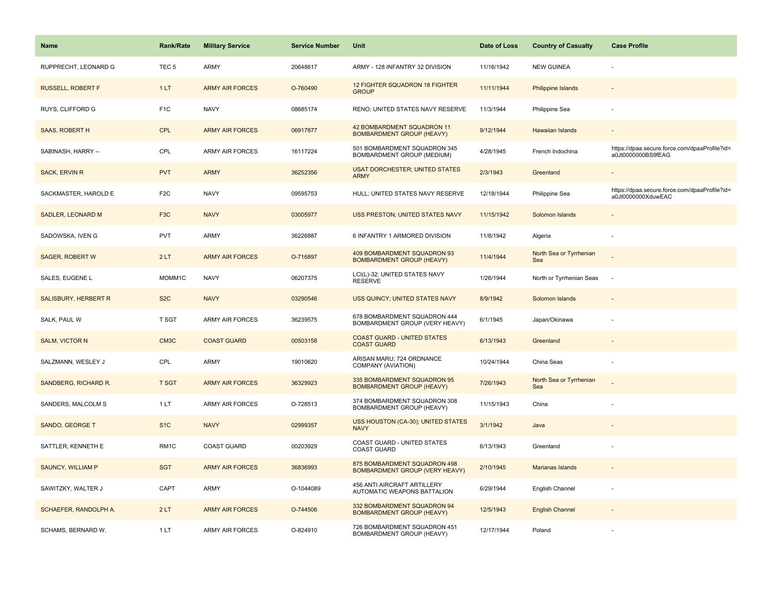| Name                     | <b>Rank/Rate</b>  | <b>Military Service</b> | <b>Service Number</b> | Unit                                                                  | Date of Loss | <b>Country of Casualty</b>     | <b>Case Profile</b>                                                 |
|--------------------------|-------------------|-------------------------|-----------------------|-----------------------------------------------------------------------|--------------|--------------------------------|---------------------------------------------------------------------|
| RUPPRECHT, LEONARD G     | TEC <sub>5</sub>  | ARMY                    | 20648617              | ARMY - 128 INFANTRY 32 DIVISION                                       | 11/16/1942   | <b>NEW GUINEA</b>              |                                                                     |
| <b>RUSSELL, ROBERT F</b> | 1LT               | <b>ARMY AIR FORCES</b>  | O-760490              | 12 FIGHTER SQUADRON 18 FIGHTER<br><b>GROUP</b>                        | 11/11/1944   | <b>Philippine Islands</b>      |                                                                     |
| RUYS, CLIFFORD G         | F <sub>1</sub> C  | <b>NAVY</b>             | 08685174              | RENO; UNITED STATES NAVY RESERVE                                      | 11/3/1944    | Philippine Sea                 |                                                                     |
| <b>SAAS, ROBERT H</b>    | <b>CPL</b>        | <b>ARMY AIR FORCES</b>  | 06917877              | 42 BOMBARDMENT SQUADRON 11<br><b>BOMBARDMENT GROUP (HEAVY)</b>        | 9/12/1944    | Hawaiian Islands               |                                                                     |
| SABINASH, HARRY --       | CPL               | <b>ARMY AIR FORCES</b>  | 16117224              | 501 BOMBARDMENT SQUADRON 345<br>BOMBARDMENT GROUP (MEDIUM)            | 4/28/1945    | French Indochina               | https://dpaa.secure.force.com/dpaaProfile?id=<br>a0Jt0000000BS9fEAG |
| <b>SACK, ERVIN R</b>     | <b>PVT</b>        | <b>ARMY</b>             | 36252356              | <b>USAT DORCHESTER; UNITED STATES</b><br><b>ARMY</b>                  | 2/3/1943     | Greenland                      |                                                                     |
| SACKMASTER, HAROLD E     | F <sub>2</sub> C  | <b>NAVY</b>             | 09595753              | HULL; UNITED STATES NAVY RESERVE                                      | 12/18/1944   | Philippine Sea                 | https://dpaa.secure.force.com/dpaaProfile?id=<br>a0Jt0000000XduwEAC |
| <b>SADLER, LEONARD M</b> | F <sub>3</sub> C  | <b>NAVY</b>             | 03005977              | USS PRESTON; UNITED STATES NAVY                                       | 11/15/1942   | Solomon Islands                |                                                                     |
| SADOWSKA, IVEN G         | PVT               | ARMY                    | 36226887              | 6 INFANTRY 1 ARMORED DIVISION                                         | 11/8/1942    | Algeria                        |                                                                     |
| <b>SAGER, ROBERT W</b>   | 2LT               | <b>ARMY AIR FORCES</b>  | O-716897              | 409 BOMBARDMENT SQUADRON 93<br><b>BOMBARDMENT GROUP (HEAVY)</b>       | 11/4/1944    | North Sea or Tyrrhenian<br>Sea |                                                                     |
| SALES, EUGENE L          | MOMM1C            | <b>NAVY</b>             | 06207375              | LCI(L)-32; UNITED STATES NAVY<br><b>RESERVE</b>                       | 1/26/1944    | North or Tyrrhenian Seas       | $\overline{\phantom{a}}$                                            |
| SALISBURY, HERBERT R     | S <sub>2</sub> C  | <b>NAVY</b>             | 03290546              | USS QUINCY; UNITED STATES NAVY                                        | 8/9/1942     | Solomon Islands                |                                                                     |
| SALK, PAUL W             | T SGT             | ARMY AIR FORCES         | 36239575              | 678 BOMBARDMENT SQUADRON 444<br>BOMBARDMENT GROUP (VERY HEAVY)        | 6/1/1945     | Japan/Okinawa                  |                                                                     |
| <b>SALM, VICTOR N</b>    | CM3C              | <b>COAST GUARD</b>      | 00503158              | <b>COAST GUARD - UNITED STATES</b><br><b>COAST GUARD</b>              | 6/13/1943    | Greenland                      |                                                                     |
| SALZMANN, WESLEY J       | CPL               | ARMY                    | 19010620              | ARISAN MARU; 724 ORDNANCE<br>COMPANY (AVIATION)                       | 10/24/1944   | China Seas                     |                                                                     |
| SANDBERG, RICHARD R.     | <b>T SGT</b>      | <b>ARMY AIR FORCES</b>  | 36329923              | 335 BOMBARDMENT SQUADRON 95<br><b>BOMBARDMENT GROUP (HEAVY)</b>       | 7/26/1943    | North Sea or Tyrrhenian<br>Sea |                                                                     |
| SANDERS, MALCOLM S       | 1LT               | <b>ARMY AIR FORCES</b>  | O-728513              | 374 BOMBARDMENT SQUADRON 308<br>BOMBARDMENT GROUP (HEAVY)             | 11/15/1943   | China                          |                                                                     |
| SANDO, GEORGE T          | S <sub>1</sub> C  | <b>NAVY</b>             | 02999357              | USS HOUSTON (CA-30); UNITED STATES<br><b>NAVY</b>                     | 3/1/1942     | Java                           |                                                                     |
| SATTLER, KENNETH E       | RM <sub>1</sub> C | <b>COAST GUARD</b>      | 00203929              | COAST GUARD - UNITED STATES<br><b>COAST GUARD</b>                     | 6/13/1943    | Greenland                      |                                                                     |
| <b>SAUNCY, WILLIAM P</b> | <b>SGT</b>        | <b>ARMY AIR FORCES</b>  | 36836993              | 875 BOMBARDMENT SQUADRON 498<br><b>BOMBARDMENT GROUP (VERY HEAVY)</b> | 2/10/1945    | Marianas Islands               |                                                                     |
| SAWITZKY, WALTER J       | CAPT              | ARMY                    | O-1044089             | 456 ANTI AIRCRAFT ARTILLERY<br>AUTOMATIC WEAPONS BATTALION            | 6/29/1944    | English Channel                |                                                                     |
| SCHAEFER, RANDOLPH A.    | 2LT               | <b>ARMY AIR FORCES</b>  | O-744506              | 332 BOMBARDMENT SQUADRON 94<br><b>BOMBARDMENT GROUP (HEAVY)</b>       | 12/5/1943    | <b>English Channel</b>         |                                                                     |
| SCHAMS, BERNARD W.       | 1LT               | <b>ARMY AIR FORCES</b>  | O-824910              | 726 BOMBARDMENT SQUADRON 451<br>BOMBARDMENT GROUP (HEAVY)             | 12/17/1944   | Poland                         |                                                                     |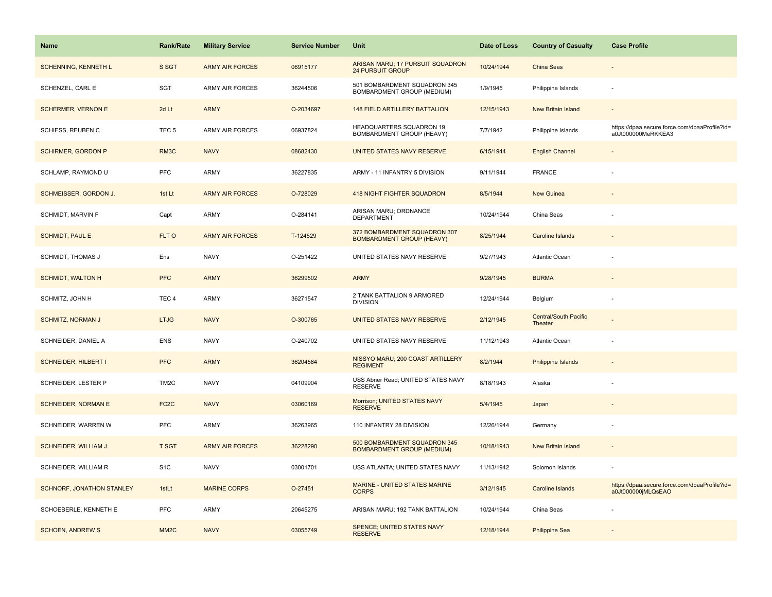| <b>Name</b>                 | <b>Rank/Rate</b>  | <b>Military Service</b> | <b>Service Number</b> | Unit                                                              | Date of Loss | <b>Country of Casualty</b>              | <b>Case Profile</b>                                                 |
|-----------------------------|-------------------|-------------------------|-----------------------|-------------------------------------------------------------------|--------------|-----------------------------------------|---------------------------------------------------------------------|
| <b>SCHENNING, KENNETH L</b> | S SGT             | <b>ARMY AIR FORCES</b>  | 06915177              | ARISAN MARU; 17 PURSUIT SQUADRON<br><b>24 PURSUIT GROUP</b>       | 10/24/1944   | China Seas                              |                                                                     |
| SCHENZEL, CARL E            | <b>SGT</b>        | <b>ARMY AIR FORCES</b>  | 36244506              | 501 BOMBARDMENT SQUADRON 345<br>BOMBARDMENT GROUP (MEDIUM)        | 1/9/1945     | Philippine Islands                      | $\sim$                                                              |
| <b>SCHERMER, VERNON E</b>   | 2d Lt             | <b>ARMY</b>             | O-2034697             | <b>148 FIELD ARTILLERY BATTALION</b>                              | 12/15/1943   | New Britain Island                      |                                                                     |
| SCHIESS, REUBEN C           | TEC <sub>5</sub>  | <b>ARMY AIR FORCES</b>  | 06937824              | HEADQUARTERS SQUADRON 19<br>BOMBARDMENT GROUP (HEAVY)             | 7/7/1942     | Philippine Islands                      | https://dpaa.secure.force.com/dpaaProfile?id=<br>a0Jt000000MeRKKEA3 |
| <b>SCHIRMER, GORDON P</b>   | RM3C              | <b>NAVY</b>             | 08682430              | UNITED STATES NAVY RESERVE                                        | 6/15/1944    | <b>English Channel</b>                  |                                                                     |
| SCHLAMP, RAYMOND U          | <b>PFC</b>        | <b>ARMY</b>             | 36227835              | ARMY - 11 INFANTRY 5 DIVISION                                     | 9/11/1944    | <b>FRANCE</b>                           |                                                                     |
| SCHMEISSER, GORDON J.       | 1st Lt            | <b>ARMY AIR FORCES</b>  | O-728029              | <b>418 NIGHT FIGHTER SQUADRON</b>                                 | 8/5/1944     | <b>New Guinea</b>                       |                                                                     |
| SCHMIDT, MARVIN F           | Capt              | <b>ARMY</b>             | O-284141              | ARISAN MARU; ORDNANCE<br><b>DEPARTMENT</b>                        | 10/24/1944   | China Seas                              |                                                                     |
| <b>SCHMIDT, PAUL E</b>      | FLT O             | <b>ARMY AIR FORCES</b>  | T-124529              | 372 BOMBARDMENT SQUADRON 307<br><b>BOMBARDMENT GROUP (HEAVY)</b>  | 8/25/1944    | <b>Caroline Islands</b>                 |                                                                     |
| <b>SCHMIDT, THOMAS J</b>    | Ens               | <b>NAVY</b>             | O-251422              | UNITED STATES NAVY RESERVE                                        | 9/27/1943    | Atlantic Ocean                          |                                                                     |
| <b>SCHMIDT, WALTON H</b>    | <b>PFC</b>        | <b>ARMY</b>             | 36299502              | <b>ARMY</b>                                                       | 9/28/1945    | <b>BURMA</b>                            |                                                                     |
| SCHMITZ, JOHN H             | TEC <sub>4</sub>  | <b>ARMY</b>             | 36271547              | 2 TANK BATTALION 9 ARMORED<br><b>DIVISION</b>                     | 12/24/1944   | Belgium                                 |                                                                     |
| <b>SCHMITZ, NORMAN J</b>    | <b>LTJG</b>       | <b>NAVY</b>             | O-300765              | UNITED STATES NAVY RESERVE                                        | 2/12/1945    | <b>Central/South Pacific</b><br>Theater |                                                                     |
| SCHNEIDER, DANIEL A         | <b>ENS</b>        | <b>NAVY</b>             | O-240702              | UNITED STATES NAVY RESERVE                                        | 11/12/1943   | Atlantic Ocean                          |                                                                     |
| <b>SCHNEIDER, HILBERT I</b> | <b>PFC</b>        | <b>ARMY</b>             | 36204584              | NISSYO MARU; 200 COAST ARTILLERY<br><b>REGIMENT</b>               | 8/2/1944     | <b>Philippine Islands</b>               |                                                                     |
| SCHNEIDER, LESTER P         | TM <sub>2</sub> C | <b>NAVY</b>             | 04109904              | USS Abner Read; UNITED STATES NAVY<br><b>RESERVE</b>              | 8/18/1943    | Alaska                                  |                                                                     |
| <b>SCHNEIDER, NORMAN E</b>  | FC <sub>2</sub> C | <b>NAVY</b>             | 03060169              | Morrison; UNITED STATES NAVY<br><b>RESERVE</b>                    | 5/4/1945     | Japan                                   |                                                                     |
| SCHNEIDER, WARREN W         | PFC               | ARMY                    | 36263965              | 110 INFANTRY 28 DIVISION                                          | 12/26/1944   | Germany                                 |                                                                     |
| SCHNEIDER, WILLIAM J.       | <b>T SGT</b>      | <b>ARMY AIR FORCES</b>  | 36228290              | 500 BOMBARDMENT SQUADRON 345<br><b>BOMBARDMENT GROUP (MEDIUM)</b> | 10/18/1943   | New Britain Island                      |                                                                     |
| SCHNEIDER, WILLIAM R        | S <sub>1</sub> C  | <b>NAVY</b>             | 03001701              | USS ATLANTA; UNITED STATES NAVY                                   | 11/13/1942   | Solomon Islands                         |                                                                     |
| SCHNORF, JONATHON STANLEY   | 1stLt             | <b>MARINE CORPS</b>     | O-27451               | MARINE - UNITED STATES MARINE<br><b>CORPS</b>                     | 3/12/1945    | <b>Caroline Islands</b>                 | https://dpaa.secure.force.com/dpaaProfile?id=<br>a0Jt000000jMLQsEAO |
| SCHOEBERLE, KENNETH E       | PFC               | <b>ARMY</b>             | 20645275              | ARISAN MARU; 192 TANK BATTALION                                   | 10/24/1944   | China Seas                              |                                                                     |
| <b>SCHOEN, ANDREW S</b>     | MM <sub>2</sub> C | <b>NAVY</b>             | 03055749              | SPENCE; UNITED STATES NAVY<br><b>RESERVE</b>                      | 12/18/1944   | <b>Philippine Sea</b>                   |                                                                     |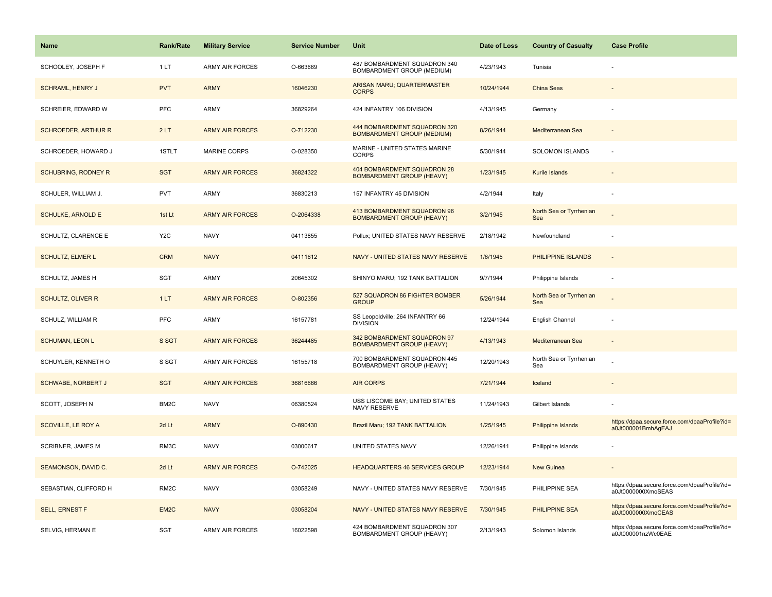| <b>Name</b>                | <b>Rank/Rate</b>  | <b>Military Service</b> | <b>Service Number</b> | Unit                                                              | Date of Loss | <b>Country of Casualty</b>     | <b>Case Profile</b>                                                 |
|----------------------------|-------------------|-------------------------|-----------------------|-------------------------------------------------------------------|--------------|--------------------------------|---------------------------------------------------------------------|
| SCHOOLEY, JOSEPH F         | 1LT               | <b>ARMY AIR FORCES</b>  | O-663669              | 487 BOMBARDMENT SQUADRON 340<br>BOMBARDMENT GROUP (MEDIUM)        | 4/23/1943    | Tunisia                        |                                                                     |
| <b>SCHRAML, HENRY J</b>    | <b>PVT</b>        | <b>ARMY</b>             | 16046230              | ARISAN MARU; QUARTERMASTER<br><b>CORPS</b>                        | 10/24/1944   | China Seas                     |                                                                     |
| SCHREIER, EDWARD W         | <b>PFC</b>        | ARMY                    | 36829264              | 424 INFANTRY 106 DIVISION                                         | 4/13/1945    | Germany                        |                                                                     |
| <b>SCHROEDER, ARTHUR R</b> | 2LT               | <b>ARMY AIR FORCES</b>  | O-712230              | 444 BOMBARDMENT SQUADRON 320<br><b>BOMBARDMENT GROUP (MEDIUM)</b> | 8/26/1944    | Mediterranean Sea              |                                                                     |
| SCHROEDER, HOWARD J        | 1STLT             | <b>MARINE CORPS</b>     | O-028350              | MARINE - UNITED STATES MARINE<br><b>CORPS</b>                     | 5/30/1944    | SOLOMON ISLANDS                |                                                                     |
| <b>SCHUBRING, RODNEY R</b> | <b>SGT</b>        | <b>ARMY AIR FORCES</b>  | 36824322              | 404 BOMBARDMENT SQUADRON 28<br><b>BOMBARDMENT GROUP (HEAVY)</b>   | 1/23/1945    | Kurile Islands                 |                                                                     |
| SCHULER, WILLIAM J.        | <b>PVT</b>        | ARMY                    | 36830213              | 157 INFANTRY 45 DIVISION                                          | 4/2/1944     | Italy                          |                                                                     |
| <b>SCHULKE, ARNOLD E</b>   | 1st Lt            | <b>ARMY AIR FORCES</b>  | O-2064338             | 413 BOMBARDMENT SQUADRON 96<br><b>BOMBARDMENT GROUP (HEAVY)</b>   | 3/2/1945     | North Sea or Tyrrhenian<br>Sea |                                                                     |
| SCHULTZ, CLARENCE E        | Y <sub>2</sub> C  | <b>NAVY</b>             | 04113855              | Pollux; UNITED STATES NAVY RESERVE                                | 2/18/1942    | Newfoundland                   | ÷.                                                                  |
| <b>SCHULTZ, ELMER L</b>    | <b>CRM</b>        | <b>NAVY</b>             | 04111612              | NAVY - UNITED STATES NAVY RESERVE                                 | 1/6/1945     | PHILIPPINE ISLANDS             |                                                                     |
| SCHULTZ, JAMES H           | SGT               | ARMY                    | 20645302              | SHINYO MARU; 192 TANK BATTALION                                   | 9/7/1944     | Philippine Islands             |                                                                     |
| SCHULTZ, OLIVER R          | 1LT               | <b>ARMY AIR FORCES</b>  | O-802356              | 527 SQUADRON 86 FIGHTER BOMBER<br><b>GROUP</b>                    | 5/26/1944    | North Sea or Tyrrhenian<br>Sea |                                                                     |
| SCHULZ, WILLIAM R          | <b>PFC</b>        | <b>ARMY</b>             | 16157781              | SS Leopoldville; 264 INFANTRY 66<br><b>DIVISION</b>               | 12/24/1944   | English Channel                |                                                                     |
| <b>SCHUMAN, LEON L</b>     | S SGT             | <b>ARMY AIR FORCES</b>  | 36244485              | 342 BOMBARDMENT SQUADRON 97<br><b>BOMBARDMENT GROUP (HEAVY)</b>   | 4/13/1943    | Mediterranean Sea              | $\overline{\phantom{a}}$                                            |
| SCHUYLER, KENNETH O        | S SGT             | ARMY AIR FORCES         | 16155718              | 700 BOMBARDMENT SQUADRON 445<br>BOMBARDMENT GROUP (HEAVY)         | 12/20/1943   | North Sea or Tyrrhenian<br>Sea |                                                                     |
| <b>SCHWABE, NORBERT J</b>  | <b>SGT</b>        | <b>ARMY AIR FORCES</b>  | 36816666              | <b>AIR CORPS</b>                                                  | 7/21/1944    | Iceland                        |                                                                     |
| SCOTT, JOSEPH N            | BM2C              | <b>NAVY</b>             | 06380524              | USS LISCOME BAY; UNITED STATES<br><b>NAVY RESERVE</b>             | 11/24/1943   | Gilbert Islands                |                                                                     |
| SCOVILLE, LE ROY A         | 2d Lt             | <b>ARMY</b>             | O-890430              | Brazil Maru; 192 TANK BATTALION                                   | 1/25/1945    | <b>Philippine Islands</b>      | https://dpaa.secure.force.com/dpaaProfile?id=<br>a0Jt000001BmhAgEAJ |
| SCRIBNER, JAMES M          | RM3C              | <b>NAVY</b>             | 03000617              | UNITED STATES NAVY                                                | 12/26/1941   | Philippine Islands             |                                                                     |
| SEAMONSON, DAVID C.        | 2d Lt             | <b>ARMY AIR FORCES</b>  | O-742025              | <b>HEADQUARTERS 46 SERVICES GROUP</b>                             | 12/23/1944   | New Guinea                     | $\blacksquare$                                                      |
| SEBASTIAN, CLIFFORD H      | RM <sub>2</sub> C | <b>NAVY</b>             | 03058249              | NAVY - UNITED STATES NAVY RESERVE                                 | 7/30/1945    | PHILIPPINE SEA                 | https://dpaa.secure.force.com/dpaaProfile?id=<br>a0Jt0000000XmoSEAS |
| <b>SELL, ERNEST F</b>      | EM <sub>2</sub> C | <b>NAVY</b>             | 03058204              | NAVY - UNITED STATES NAVY RESERVE                                 | 7/30/1945    | PHILIPPINE SEA                 | https://dpaa.secure.force.com/dpaaProfile?id=<br>a0Jt0000000XmoCEAS |
| SELVIG, HERMAN E           | <b>SGT</b>        | ARMY AIR FORCES         | 16022598              | 424 BOMBARDMENT SQUADRON 307<br>BOMBARDMENT GROUP (HEAVY)         | 2/13/1943    | Solomon Islands                | https://dpaa.secure.force.com/dpaaProfile?id=<br>a0Jt000001nzWc0EAE |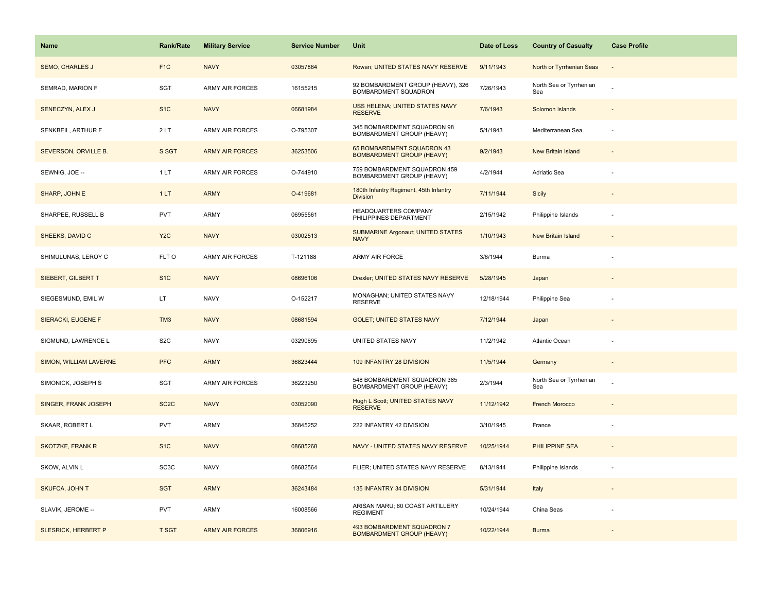| Name                       | <b>Rank/Rate</b>  | <b>Military Service</b> | <b>Service Number</b> | Unit                                                           | Date of Loss | <b>Country of Casualty</b>     | <b>Case Profile</b>      |
|----------------------------|-------------------|-------------------------|-----------------------|----------------------------------------------------------------|--------------|--------------------------------|--------------------------|
| <b>SEMO, CHARLES J</b>     | F <sub>1</sub> C  | <b>NAVY</b>             | 03057864              | Rowan; UNITED STATES NAVY RESERVE                              | 9/11/1943    | North or Tyrrhenian Seas       |                          |
| SEMRAD, MARION F           | SGT               | <b>ARMY AIR FORCES</b>  | 16155215              | 92 BOMBARDMENT GROUP (HEAVY), 326<br>BOMBARDMENT SQUADRON      | 7/26/1943    | North Sea or Tyrrhenian<br>Sea |                          |
| SENECZYN, ALEX J           | S <sub>1</sub> C  | <b>NAVY</b>             | 06681984              | USS HELENA; UNITED STATES NAVY<br><b>RESERVE</b>               | 7/6/1943     | Solomon Islands                |                          |
| SENKBEIL, ARTHUR F         | 2LT               | ARMY AIR FORCES         | O-795307              | 345 BOMBARDMENT SQUADRON 98<br>BOMBARDMENT GROUP (HEAVY)       | 5/1/1943     | Mediterranean Sea              |                          |
| SEVERSON, ORVILLE B.       | S SGT             | <b>ARMY AIR FORCES</b>  | 36253506              | 65 BOMBARDMENT SQUADRON 43<br><b>BOMBARDMENT GROUP (HEAVY)</b> | 9/2/1943     | <b>New Britain Island</b>      |                          |
| SEWNIG, JOE --             | 1LT               | <b>ARMY AIR FORCES</b>  | O-744910              | 759 BOMBARDMENT SQUADRON 459<br>BOMBARDMENT GROUP (HEAVY)      | 4/2/1944     | Adriatic Sea                   |                          |
| SHARP, JOHN E              | 1LT               | <b>ARMY</b>             | O-419681              | 180th Infantry Regiment, 45th Infantry<br><b>Division</b>      | 7/11/1944    | Sicily                         | $\sim$                   |
| SHARPEE, RUSSELL B         | <b>PVT</b>        | ARMY                    | 06955561              | HEADQUARTERS COMPANY<br>PHILIPPINES DEPARTMENT                 | 2/15/1942    | Philippine Islands             |                          |
| SHEEKS, DAVID C            | Y <sub>2</sub> C  | <b>NAVY</b>             | 03002513              | <b>SUBMARINE Argonaut; UNITED STATES</b><br><b>NAVY</b>        | 1/10/1943    | <b>New Britain Island</b>      |                          |
| SHIMULUNAS, LEROY C        | FLT O             | ARMY AIR FORCES         | T-121188              | ARMY AIR FORCE                                                 | 3/6/1944     | Burma                          |                          |
| SIEBERT, GILBERT T         | S <sub>1</sub> C  | <b>NAVY</b>             | 08696106              | Drexler; UNITED STATES NAVY RESERVE                            | 5/28/1945    | Japan                          |                          |
| SIEGESMUND, EMIL W         | LT.               | <b>NAVY</b>             | O-152217              | MONAGHAN; UNITED STATES NAVY<br><b>RESERVE</b>                 | 12/18/1944   | Philippine Sea                 |                          |
| SIERACKI, EUGENE F         | TM <sub>3</sub>   | <b>NAVY</b>             | 08681594              | <b>GOLET: UNITED STATES NAVY</b>                               | 7/12/1944    | Japan                          |                          |
| SIGMUND, LAWRENCE L        | S <sub>2</sub> C  | <b>NAVY</b>             | 03290695              | UNITED STATES NAVY                                             | 11/2/1942    | Atlantic Ocean                 |                          |
| SIMON, WILLIAM LAVERNE     | <b>PFC</b>        | <b>ARMY</b>             | 36823444              | 109 INFANTRY 28 DIVISION                                       | 11/5/1944    | Germany                        | $\overline{\phantom{a}}$ |
| SIMONICK, JOSEPH S         | SGT               | ARMY AIR FORCES         | 36223250              | 548 BOMBARDMENT SQUADRON 385<br>BOMBARDMENT GROUP (HEAVY)      | 2/3/1944     | North Sea or Tyrrhenian<br>Sea |                          |
| SINGER, FRANK JOSEPH       | SC <sub>2</sub> C | <b>NAVY</b>             | 03052090              | <b>Hugh L Scott; UNITED STATES NAVY</b><br><b>RESERVE</b>      | 11/12/1942   | <b>French Morocco</b>          |                          |
| SKAAR, ROBERT L            | <b>PVT</b>        | <b>ARMY</b>             | 36845252              | 222 INFANTRY 42 DIVISION                                       | 3/10/1945    | France                         |                          |
| <b>SKOTZKE, FRANK R</b>    | S <sub>1C</sub>   | <b>NAVY</b>             | 08685268              | NAVY - UNITED STATES NAVY RESERVE                              | 10/25/1944   | <b>PHILIPPINE SEA</b>          |                          |
| SKOW, ALVIN L              | SC <sub>3</sub> C | <b>NAVY</b>             | 08682564              | FLIER; UNITED STATES NAVY RESERVE                              | 8/13/1944    | Philippine Islands             |                          |
| SKUFCA, JOHN T             | <b>SGT</b>        | <b>ARMY</b>             | 36243484              | 135 INFANTRY 34 DIVISION                                       | 5/31/1944    | Italy                          | $\sim$                   |
| SLAVIK, JEROME --          | <b>PVT</b>        | ARMY                    | 16008566              | ARISAN MARU; 60 COAST ARTILLERY<br><b>REGIMENT</b>             | 10/24/1944   | China Seas                     |                          |
| <b>SLESRICK, HERBERT P</b> | <b>T SGT</b>      | <b>ARMY AIR FORCES</b>  | 36806916              | 493 BOMBARDMENT SQUADRON 7<br><b>BOMBARDMENT GROUP (HEAVY)</b> | 10/22/1944   | <b>Burma</b>                   |                          |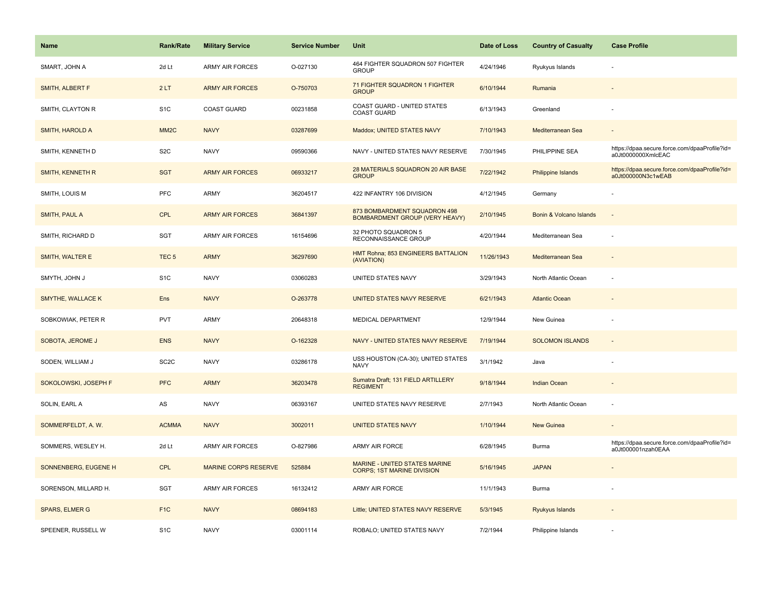| <b>Name</b>              | <b>Rank/Rate</b>  | <b>Military Service</b>     | <b>Service Number</b> | Unit                                                                  | Date of Loss | <b>Country of Casualty</b> | <b>Case Profile</b>                                                 |
|--------------------------|-------------------|-----------------------------|-----------------------|-----------------------------------------------------------------------|--------------|----------------------------|---------------------------------------------------------------------|
| SMART, JOHN A            | 2d Lt             | <b>ARMY AIR FORCES</b>      | O-027130              | 464 FIGHTER SQUADRON 507 FIGHTER<br><b>GROUP</b>                      | 4/24/1946    | Ryukyus Islands            |                                                                     |
| SMITH, ALBERT F          | 2LT               | <b>ARMY AIR FORCES</b>      | O-750703              | 71 FIGHTER SQUADRON 1 FIGHTER<br><b>GROUP</b>                         | 6/10/1944    | Rumania                    |                                                                     |
| SMITH, CLAYTON R         | S <sub>1</sub> C  | <b>COAST GUARD</b>          | 00231858              | COAST GUARD - UNITED STATES<br><b>COAST GUARD</b>                     | 6/13/1943    | Greenland                  |                                                                     |
| <b>SMITH, HAROLD A</b>   | MM <sub>2</sub> C | <b>NAVY</b>                 | 03287699              | Maddox; UNITED STATES NAVY                                            | 7/10/1943    | Mediterranean Sea          |                                                                     |
| SMITH, KENNETH D         | S <sub>2</sub> C  | <b>NAVY</b>                 | 09590366              | NAVY - UNITED STATES NAVY RESERVE                                     | 7/30/1945    | PHILIPPINE SEA             | https://dpaa.secure.force.com/dpaaProfile?id=<br>a0Jt0000000XmlcEAC |
| SMITH, KENNETH R         | <b>SGT</b>        | <b>ARMY AIR FORCES</b>      | 06933217              | 28 MATERIALS SQUADRON 20 AIR BASE<br><b>GROUP</b>                     | 7/22/1942    | Philippine Islands         | https://dpaa.secure.force.com/dpaaProfile?id=<br>a0Jt000000N3c1wEAB |
| SMITH, LOUIS M           | <b>PFC</b>        | <b>ARMY</b>                 | 36204517              | 422 INFANTRY 106 DIVISION                                             | 4/12/1945    | Germany                    |                                                                     |
| SMITH, PAUL A            | <b>CPL</b>        | <b>ARMY AIR FORCES</b>      | 36841397              | 873 BOMBARDMENT SQUADRON 498<br><b>BOMBARDMENT GROUP (VERY HEAVY)</b> | 2/10/1945    | Bonin & Volcano Islands    | $\overline{a}$                                                      |
| SMITH, RICHARD D         | <b>SGT</b>        | <b>ARMY AIR FORCES</b>      | 16154696              | 32 PHOTO SQUADRON 5<br>RECONNAISSANCE GROUP                           | 4/20/1944    | Mediterranean Sea          |                                                                     |
| SMITH, WALTER E          | TEC <sub>5</sub>  | <b>ARMY</b>                 | 36297690              | HMT Rohna; 853 ENGINEERS BATTALION<br>(AVIATION)                      | 11/26/1943   | Mediterranean Sea          |                                                                     |
| SMYTH, JOHN J            | S <sub>1</sub> C  | <b>NAVY</b>                 | 03060283              | UNITED STATES NAVY                                                    | 3/29/1943    | North Atlantic Ocean       |                                                                     |
| <b>SMYTHE, WALLACE K</b> | Ens               | <b>NAVY</b>                 | O-263778              | UNITED STATES NAVY RESERVE                                            | 6/21/1943    | <b>Atlantic Ocean</b>      |                                                                     |
| SOBKOWIAK, PETER R       | <b>PVT</b>        | ARMY                        | 20648318              | MEDICAL DEPARTMENT                                                    | 12/9/1944    | New Guinea                 |                                                                     |
| SOBOTA, JEROME J         | <b>ENS</b>        | <b>NAVY</b>                 | O-162328              | NAVY - UNITED STATES NAVY RESERVE                                     | 7/19/1944    | <b>SOLOMON ISLANDS</b>     |                                                                     |
| SODEN, WILLIAM J         | SC <sub>2</sub> C | <b>NAVY</b>                 | 03286178              | USS HOUSTON (CA-30); UNITED STATES<br><b>NAVY</b>                     | 3/1/1942     | Java                       |                                                                     |
| SOKOLOWSKI, JOSEPH F     | <b>PFC</b>        | <b>ARMY</b>                 | 36203478              | Sumatra Draft; 131 FIELD ARTILLERY<br><b>REGIMENT</b>                 | 9/18/1944    | <b>Indian Ocean</b>        |                                                                     |
| SOLIN, EARL A            | AS                | <b>NAVY</b>                 | 06393167              | UNITED STATES NAVY RESERVE                                            | 2/7/1943     | North Atlantic Ocean       |                                                                     |
| SOMMERFELDT, A. W.       | <b>ACMMA</b>      | <b>NAVY</b>                 | 3002011               | <b>UNITED STATES NAVY</b>                                             | 1/10/1944    | <b>New Guinea</b>          |                                                                     |
| SOMMERS, WESLEY H.       | 2d Lt             | ARMY AIR FORCES             | O-827986              | ARMY AIR FORCE                                                        | 6/28/1945    | Burma                      | https://dpaa.secure.force.com/dpaaProfile?id=<br>a0Jt000001nzah0EAA |
| SONNENBERG, EUGENE H     | <b>CPL</b>        | <b>MARINE CORPS RESERVE</b> | 525884                | MARINE - UNITED STATES MARINE<br><b>CORPS; 1ST MARINE DIVISION</b>    | 5/16/1945    | <b>JAPAN</b>               |                                                                     |
| SORENSON, MILLARD H.     | SGT               | <b>ARMY AIR FORCES</b>      | 16132412              | ARMY AIR FORCE                                                        | 11/1/1943    | Burma                      |                                                                     |
| <b>SPARS, ELMER G</b>    | F <sub>1</sub> C  | <b>NAVY</b>                 | 08694183              | Little; UNITED STATES NAVY RESERVE                                    | 5/3/1945     | Ryukyus Islands            |                                                                     |
| SPEENER, RUSSELL W       | S <sub>1</sub> C  | <b>NAVY</b>                 | 03001114              | ROBALO; UNITED STATES NAVY                                            | 7/2/1944     | Philippine Islands         |                                                                     |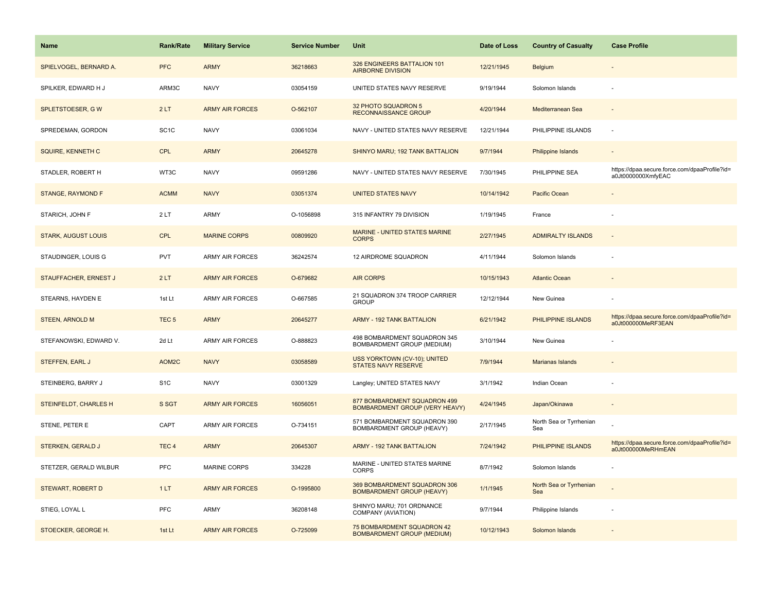| <b>Name</b>                | <b>Rank/Rate</b>  | <b>Military Service</b> | <b>Service Number</b> | <b>Unit</b>                                                           | Date of Loss | <b>Country of Casualty</b>     | <b>Case Profile</b>                                                 |
|----------------------------|-------------------|-------------------------|-----------------------|-----------------------------------------------------------------------|--------------|--------------------------------|---------------------------------------------------------------------|
| SPIELVOGEL, BERNARD A.     | <b>PFC</b>        | <b>ARMY</b>             | 36218663              | 326 ENGINEERS BATTALION 101<br><b>AIRBORNE DIVISION</b>               | 12/21/1945   | Belgium                        |                                                                     |
| SPILKER, EDWARD H J        | ARM3C             | <b>NAVY</b>             | 03054159              | UNITED STATES NAVY RESERVE                                            | 9/19/1944    | Solomon Islands                |                                                                     |
| SPLETSTOESER, GW           | 2LT               | <b>ARMY AIR FORCES</b>  | O-562107              | 32 PHOTO SQUADRON 5<br><b>RECONNAISSANCE GROUP</b>                    | 4/20/1944    | Mediterranean Sea              |                                                                     |
| SPREDEMAN, GORDON          | SC <sub>1</sub> C | <b>NAVY</b>             | 03061034              | NAVY - UNITED STATES NAVY RESERVE                                     | 12/21/1944   | PHILIPPINE ISLANDS             |                                                                     |
| SQUIRE, KENNETH C          | <b>CPL</b>        | <b>ARMY</b>             | 20645278              | SHINYO MARU; 192 TANK BATTALION                                       | 9/7/1944     | Philippine Islands             |                                                                     |
| STADLER, ROBERT H          | WT3C              | <b>NAVY</b>             | 09591286              | NAVY - UNITED STATES NAVY RESERVE                                     | 7/30/1945    | PHILIPPINE SEA                 | https://dpaa.secure.force.com/dpaaProfile?id=<br>a0Jt0000000XmfyEAC |
| <b>STANGE, RAYMOND F</b>   | <b>ACMM</b>       | <b>NAVY</b>             | 03051374              | <b>UNITED STATES NAVY</b>                                             | 10/14/1942   | Pacific Ocean                  |                                                                     |
| STARICH, JOHN F            | 2LT               | <b>ARMY</b>             | O-1056898             | 315 INFANTRY 79 DIVISION                                              | 1/19/1945    | France                         |                                                                     |
| <b>STARK, AUGUST LOUIS</b> | <b>CPL</b>        | <b>MARINE CORPS</b>     | 00809920              | MARINE - UNITED STATES MARINE<br><b>CORPS</b>                         | 2/27/1945    | <b>ADMIRALTY ISLANDS</b>       | $\sim$                                                              |
| STAUDINGER, LOUIS G        | <b>PVT</b>        | <b>ARMY AIR FORCES</b>  | 36242574              | 12 AIRDROME SQUADRON                                                  | 4/11/1944    | Solomon Islands                |                                                                     |
| STAUFFACHER, ERNEST J      | 2LT               | <b>ARMY AIR FORCES</b>  | O-679682              | <b>AIR CORPS</b>                                                      | 10/15/1943   | <b>Atlantic Ocean</b>          |                                                                     |
| STEARNS, HAYDEN E          | 1st Lt            | <b>ARMY AIR FORCES</b>  | O-667585              | 21 SQUADRON 374 TROOP CARRIER<br><b>GROUP</b>                         | 12/12/1944   | New Guinea                     |                                                                     |
| <b>STEEN, ARNOLD M</b>     | TEC <sub>5</sub>  | <b>ARMY</b>             | 20645277              | <b>ARMY - 192 TANK BATTALION</b>                                      | 6/21/1942    | PHILIPPINE ISLANDS             | https://dpaa.secure.force.com/dpaaProfile?id=<br>a0Jt000000MeRF3EAN |
| STEFANOWSKI, EDWARD V.     | 2d Lt             | <b>ARMY AIR FORCES</b>  | O-888823              | 498 BOMBARDMENT SQUADRON 345<br>BOMBARDMENT GROUP (MEDIUM)            | 3/10/1944    | New Guinea                     |                                                                     |
| STEFFEN, EARL J            | AOM2C             | <b>NAVY</b>             | 03058589              | USS YORKTOWN (CV-10); UNITED<br><b>STATES NAVY RESERVE</b>            | 7/9/1944     | Marianas Islands               |                                                                     |
| STEINBERG, BARRY J         | S <sub>1</sub> C  | <b>NAVY</b>             | 03001329              | Langley; UNITED STATES NAVY                                           | 3/1/1942     | Indian Ocean                   |                                                                     |
| STEINFELDT, CHARLES H      | S SGT             | <b>ARMY AIR FORCES</b>  | 16056051              | 877 BOMBARDMENT SQUADRON 499<br><b>BOMBARDMENT GROUP (VERY HEAVY)</b> | 4/24/1945    | Japan/Okinawa                  |                                                                     |
| STENE, PETER E             | CAPT              | <b>ARMY AIR FORCES</b>  | O-734151              | 571 BOMBARDMENT SQUADRON 390<br>BOMBARDMENT GROUP (HEAVY)             | 2/17/1945    | North Sea or Tyrrhenian<br>Sea |                                                                     |
| <b>STERKEN, GERALD J</b>   | TEC <sub>4</sub>  | <b>ARMY</b>             | 20645307              | <b>ARMY - 192 TANK BATTALION</b>                                      | 7/24/1942    | <b>PHILIPPINE ISLANDS</b>      | https://dpaa.secure.force.com/dpaaProfile?id=<br>a0Jt000000MeRHmEAN |
| STETZER, GERALD WILBUR     | PFC               | <b>MARINE CORPS</b>     | 334228                | MARINE - UNITED STATES MARINE<br><b>CORPS</b>                         | 8/7/1942     | Solomon Islands                |                                                                     |
| STEWART, ROBERT D          | 1LT               | <b>ARMY AIR FORCES</b>  | O-1995800             | 369 BOMBARDMENT SQUADRON 306<br><b>BOMBARDMENT GROUP (HEAVY)</b>      | 1/1/1945     | North Sea or Tyrrhenian<br>Sea |                                                                     |
| STIEG, LOYAL L             | PFC               | ARMY                    | 36208148              | SHINYO MARU; 701 ORDNANCE<br>COMPANY (AVIATION)                       | 9/7/1944     | Philippine Islands             |                                                                     |
| STOECKER, GEORGE H.        | 1st Lt            | <b>ARMY AIR FORCES</b>  | O-725099              | 75 BOMBARDMENT SQUADRON 42<br><b>BOMBARDMENT GROUP (MEDIUM)</b>       | 10/12/1943   | Solomon Islands                |                                                                     |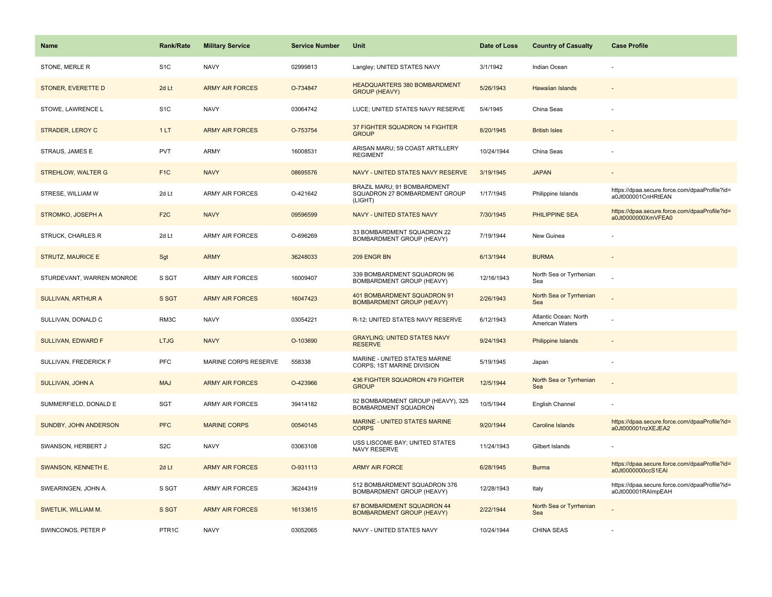| <b>Name</b>               | <b>Rank/Rate</b>  | <b>Military Service</b> | <b>Service Number</b> | Unit                                                                    | Date of Loss | <b>Country of Casualty</b>                      | <b>Case Profile</b>                                                 |
|---------------------------|-------------------|-------------------------|-----------------------|-------------------------------------------------------------------------|--------------|-------------------------------------------------|---------------------------------------------------------------------|
| STONE, MERLE R            | S <sub>1</sub> C  | <b>NAVY</b>             | 02999813              | Langley; UNITED STATES NAVY                                             | 3/1/1942     | Indian Ocean                                    |                                                                     |
| STONER, EVERETTE D        | 2d Lt             | <b>ARMY AIR FORCES</b>  | O-734847              | HEADQUARTERS 380 BOMBARDMENT<br><b>GROUP (HEAVY)</b>                    | 5/26/1943    | <b>Hawaiian Islands</b>                         |                                                                     |
| STOWE, LAWRENCE L         | S <sub>1</sub> C  | <b>NAVY</b>             | 03064742              | LUCE; UNITED STATES NAVY RESERVE                                        | 5/4/1945     | China Seas                                      |                                                                     |
| STRADER, LEROY C          | 1LT               | <b>ARMY AIR FORCES</b>  | O-753754              | 37 FIGHTER SQUADRON 14 FIGHTER<br><b>GROUP</b>                          | 8/20/1945    | <b>British Isles</b>                            |                                                                     |
| STRAUS, JAMES E           | <b>PVT</b>        | <b>ARMY</b>             | 16008531              | ARISAN MARU; 59 COAST ARTILLERY<br><b>REGIMENT</b>                      | 10/24/1944   | China Seas                                      |                                                                     |
| <b>STREHLOW, WALTER G</b> | F <sub>1C</sub>   | <b>NAVY</b>             | 08695576              | NAVY - UNITED STATES NAVY RESERVE                                       | 3/19/1945    | <b>JAPAN</b>                                    |                                                                     |
| STRESE, WILLIAM W         | 2d Lt             | <b>ARMY AIR FORCES</b>  | O-421642              | BRAZIL MARU; 91 BOMBARDMENT<br>SQUADRON 27 BOMBARDMENT GROUP<br>(LIGHT) | 1/17/1945    | Philippine Islands                              | https://dpaa.secure.force.com/dpaaProfile?id=<br>a0Jt000001CnHRtEAN |
| <b>STROMKO, JOSEPH A</b>  | F <sub>2</sub> C  | <b>NAVY</b>             | 09596599              | <b>NAVY - UNITED STATES NAVY</b>                                        | 7/30/1945    | <b>PHILIPPINE SEA</b>                           | https://dpaa.secure.force.com/dpaaProfile?id=<br>a0Jt0000000XmVFEA0 |
| STRUCK, CHARLES R         | 2d Lt             | ARMY AIR FORCES         | O-696269              | 33 BOMBARDMENT SQUADRON 22<br>BOMBARDMENT GROUP (HEAVY)                 | 7/19/1944    | New Guinea                                      |                                                                     |
| <b>STRUTZ, MAURICE E</b>  | Sgt               | <b>ARMY</b>             | 36248033              | 209 ENGR BN                                                             | 6/13/1944    | <b>BURMA</b>                                    |                                                                     |
| STURDEVANT, WARREN MONROE | S SGT             | <b>ARMY AIR FORCES</b>  | 16009407              | 339 BOMBARDMENT SQUADRON 96<br>BOMBARDMENT GROUP (HEAVY)                | 12/16/1943   | North Sea or Tyrrhenian<br>Sea                  |                                                                     |
| <b>SULLIVAN, ARTHUR A</b> | S SGT             | <b>ARMY AIR FORCES</b>  | 16047423              | 401 BOMBARDMENT SQUADRON 91<br><b>BOMBARDMENT GROUP (HEAVY)</b>         | 2/26/1943    | North Sea or Tyrrhenian<br>Sea                  |                                                                     |
| SULLIVAN, DONALD C        | RM3C              | <b>NAVY</b>             | 03054221              | R-12; UNITED STATES NAVY RESERVE                                        | 6/12/1943    | Atlantic Ocean: North<br><b>American Waters</b> |                                                                     |
| SULLIVAN, EDWARD F        | <b>LTJG</b>       | <b>NAVY</b>             | O-103690              | <b>GRAYLING; UNITED STATES NAVY</b><br><b>RESERVE</b>                   | 9/24/1943    | Philippine Islands                              |                                                                     |
| SULLIVAN, FREDERICK F     | <b>PFC</b>        | MARINE CORPS RESERVE    | 558338                | MARINE - UNITED STATES MARINE<br>CORPS; 1ST MARINE DIVISION             | 5/19/1945    | Japan                                           |                                                                     |
| <b>SULLIVAN, JOHN A</b>   | <b>MAJ</b>        | <b>ARMY AIR FORCES</b>  | O-423966              | 436 FIGHTER SQUADRON 479 FIGHTER<br><b>GROUP</b>                        | 12/5/1944    | North Sea or Tyrrhenian<br>Sea                  |                                                                     |
| SUMMERFIELD, DONALD E     | <b>SGT</b>        | <b>ARMY AIR FORCES</b>  | 39414182              | 92 BOMBARDMENT GROUP (HEAVY), 325<br>BOMBARDMENT SQUADRON               | 10/5/1944    | English Channel                                 |                                                                     |
| SUNDBY, JOHN ANDERSON     | <b>PFC</b>        | <b>MARINE CORPS</b>     | 00540145              | MARINE - UNITED STATES MARINE<br><b>CORPS</b>                           | 9/20/1944    | <b>Caroline Islands</b>                         | https://dpaa.secure.force.com/dpaaProfile?id=<br>a0Jt000001nzXEJEA2 |
| SWANSON, HERBERT J        | S <sub>2</sub> C  | <b>NAVY</b>             | 03063108              | USS LISCOME BAY; UNITED STATES<br>NAVY RESERVE                          | 11/24/1943   | Gilbert Islands                                 |                                                                     |
| SWANSON, KENNETH E.       | 2d Lt             | <b>ARMY AIR FORCES</b>  | O-931113              | <b>ARMY AIR FORCE</b>                                                   | 6/28/1945    | <b>Burma</b>                                    | https://dpaa.secure.force.com/dpaaProfile?id=<br>a0Jt0000000ccS1EAI |
| SWEARINGEN, JOHN A.       | S SGT             | <b>ARMY AIR FORCES</b>  | 36244319              | 512 BOMBARDMENT SQUADRON 376<br>BOMBARDMENT GROUP (HEAVY)               | 12/28/1943   | Italy                                           | https://dpaa.secure.force.com/dpaaProfile?id=<br>a0Jt000001RAImpEAH |
| SWETLIK, WILLIAM M.       | S SGT             | <b>ARMY AIR FORCES</b>  | 16133615              | 67 BOMBARDMENT SQUADRON 44<br><b>BOMBARDMENT GROUP (HEAVY)</b>          | 2/22/1944    | North Sea or Tyrrhenian<br>Sea                  |                                                                     |
| SWINCONOS, PETER P        | PTR <sub>1C</sub> | <b>NAVY</b>             | 03052065              | NAVY - UNITED STATES NAVY                                               | 10/24/1944   | <b>CHINA SEAS</b>                               |                                                                     |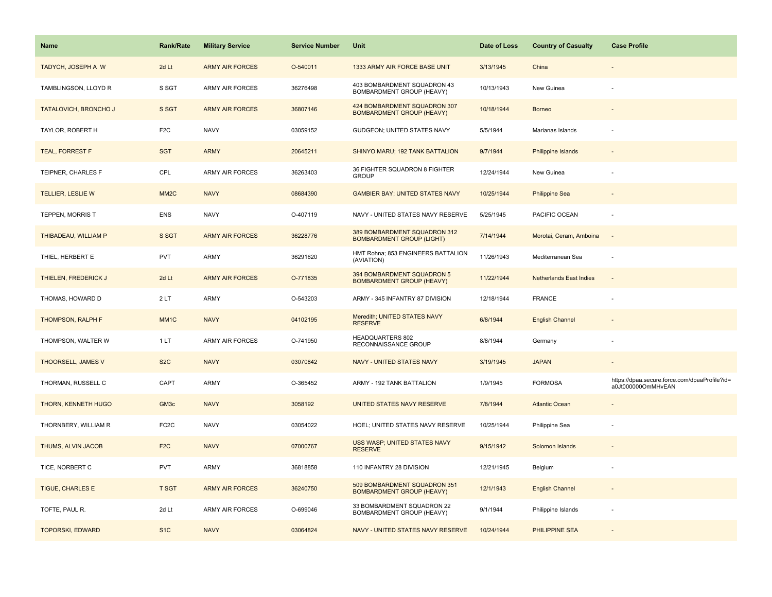| Name                         | <b>Rank/Rate</b>  | <b>Military Service</b> | <b>Service Number</b> | Unit                                                             | Date of Loss | <b>Country of Casualty</b>     | <b>Case Profile</b>                                                 |
|------------------------------|-------------------|-------------------------|-----------------------|------------------------------------------------------------------|--------------|--------------------------------|---------------------------------------------------------------------|
| TADYCH, JOSEPH A W           | 2d Lt             | <b>ARMY AIR FORCES</b>  | O-540011              | 1333 ARMY AIR FORCE BASE UNIT                                    | 3/13/1945    | China                          |                                                                     |
| TAMBLINGSON, LLOYD R         | S SGT             | ARMY AIR FORCES         | 36276498              | 403 BOMBARDMENT SQUADRON 43<br>BOMBARDMENT GROUP (HEAVY)         | 10/13/1943   | New Guinea                     |                                                                     |
| <b>TATALOVICH, BRONCHO J</b> | S SGT             | <b>ARMY AIR FORCES</b>  | 36807146              | 424 BOMBARDMENT SQUADRON 307<br><b>BOMBARDMENT GROUP (HEAVY)</b> | 10/18/1944   | <b>Borneo</b>                  |                                                                     |
| TAYLOR, ROBERT H             | F <sub>2</sub> C  | <b>NAVY</b>             | 03059152              | GUDGEON; UNITED STATES NAVY                                      | 5/5/1944     | Marianas Islands               |                                                                     |
| TEAL, FORREST F              | <b>SGT</b>        | <b>ARMY</b>             | 20645211              | SHINYO MARU; 192 TANK BATTALION                                  | 9/7/1944     | Philippine Islands             |                                                                     |
| TEIPNER, CHARLES F           | CPL               | ARMY AIR FORCES         | 36263403              | 36 FIGHTER SQUADRON 8 FIGHTER<br><b>GROUP</b>                    | 12/24/1944   | New Guinea                     |                                                                     |
| <b>TELLIER, LESLIE W</b>     | MM <sub>2</sub> C | <b>NAVY</b>             | 08684390              | <b>GAMBIER BAY; UNITED STATES NAVY</b>                           | 10/25/1944   | <b>Philippine Sea</b>          |                                                                     |
| TEPPEN, MORRIS T             | <b>ENS</b>        | <b>NAVY</b>             | O-407119              | NAVY - UNITED STATES NAVY RESERVE                                | 5/25/1945    | PACIFIC OCEAN                  |                                                                     |
| THIBADEAU, WILLIAM P         | S SGT             | <b>ARMY AIR FORCES</b>  | 36228776              | 389 BOMBARDMENT SQUADRON 312<br><b>BOMBARDMENT GROUP (LIGHT)</b> | 7/14/1944    | Morotai, Ceram, Amboina        | $\sim$                                                              |
| THIEL, HERBERT E             | <b>PVT</b>        | ARMY                    | 36291620              | HMT Rohna; 853 ENGINEERS BATTALION<br>(AVIATION)                 | 11/26/1943   | Mediterranean Sea              |                                                                     |
| THIELEN, FREDERICK J         | 2d Lt             | <b>ARMY AIR FORCES</b>  | O-771835              | 394 BOMBARDMENT SQUADRON 5<br><b>BOMBARDMENT GROUP (HEAVY)</b>   | 11/22/1944   | <b>Netherlands East Indies</b> |                                                                     |
| THOMAS, HOWARD D             | 2LT               | <b>ARMY</b>             | O-543203              | ARMY - 345 INFANTRY 87 DIVISION                                  | 12/18/1944   | <b>FRANCE</b>                  |                                                                     |
| THOMPSON, RALPH F            | MM <sub>1</sub> C | <b>NAVY</b>             | 04102195              | Meredith; UNITED STATES NAVY<br><b>RESERVE</b>                   | 6/8/1944     | <b>English Channel</b>         |                                                                     |
| THOMPSON, WALTER W           | 1 LT              | ARMY AIR FORCES         | O-741950              | HEADQUARTERS 802<br>RECONNAISSANCE GROUP                         | 8/8/1944     | Germany                        |                                                                     |
| THOORSELL, JAMES V           | S <sub>2</sub> C  | <b>NAVY</b>             | 03070842              | <b>NAVY - UNITED STATES NAVY</b>                                 | 3/19/1945    | <b>JAPAN</b>                   |                                                                     |
| THORMAN, RUSSELL C           | CAPT              | ARMY                    | O-365452              | ARMY - 192 TANK BATTALION                                        | 1/9/1945     | <b>FORMOSA</b>                 | https://dpaa.secure.force.com/dpaaProfile?id=<br>a0Jt000000OmMHvEAN |
| THORN, KENNETH HUGO          | GM <sub>3c</sub>  | <b>NAVY</b>             | 3058192               | UNITED STATES NAVY RESERVE                                       | 7/8/1944     | <b>Atlantic Ocean</b>          |                                                                     |
| THORNBERY, WILLIAM R         | FC <sub>2</sub> C | <b>NAVY</b>             | 03054022              | HOEL; UNITED STATES NAVY RESERVE                                 | 10/25/1944   | Philippine Sea                 |                                                                     |
| THUMS, ALVIN JACOB           | F <sub>2</sub> C  | <b>NAVY</b>             | 07000767              | USS WASP; UNITED STATES NAVY<br><b>RESERVE</b>                   | 9/15/1942    | Solomon Islands                |                                                                     |
| TICE, NORBERT C              | <b>PVT</b>        | ARMY                    | 36818858              | 110 INFANTRY 28 DIVISION                                         | 12/21/1945   | Belgium                        |                                                                     |
| <b>TIGUE, CHARLES E</b>      | <b>T SGT</b>      | <b>ARMY AIR FORCES</b>  | 36240750              | 509 BOMBARDMENT SQUADRON 351<br><b>BOMBARDMENT GROUP (HEAVY)</b> | 12/1/1943    | <b>English Channel</b>         |                                                                     |
| TOFTE, PAUL R.               | 2d Lt             | ARMY AIR FORCES         | O-699046              | 33 BOMBARDMENT SQUADRON 22<br>BOMBARDMENT GROUP (HEAVY)          | 9/1/1944     | Philippine Islands             |                                                                     |
| <b>TOPORSKI, EDWARD</b>      | S <sub>1C</sub>   | <b>NAVY</b>             | 03064824              | NAVY - UNITED STATES NAVY RESERVE                                | 10/24/1944   | <b>PHILIPPINE SEA</b>          |                                                                     |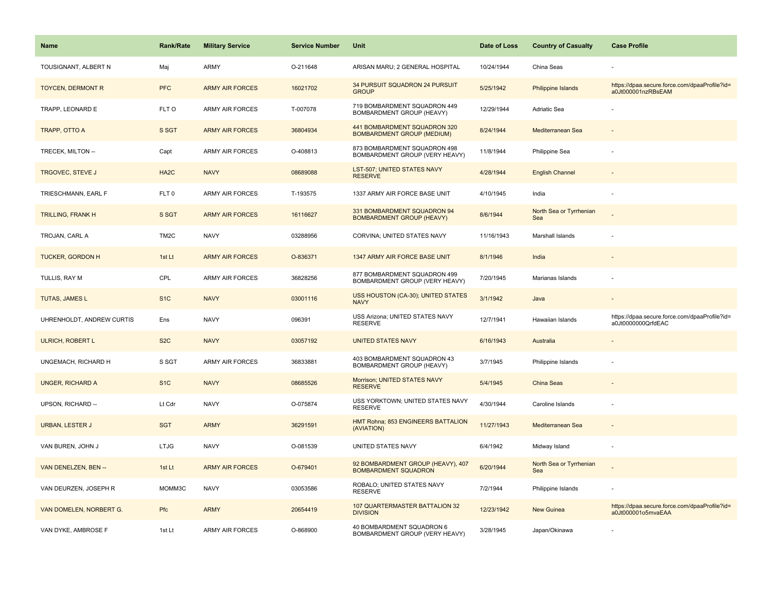| <b>Name</b>               | <b>Rank/Rate</b>  | <b>Military Service</b> | <b>Service Number</b> | Unit                                                              | Date of Loss | <b>Country of Casualty</b>     | <b>Case Profile</b>                                                 |
|---------------------------|-------------------|-------------------------|-----------------------|-------------------------------------------------------------------|--------------|--------------------------------|---------------------------------------------------------------------|
| TOUSIGNANT, ALBERT N      | Maj               | <b>ARMY</b>             | O-211648              | ARISAN MARU; 2 GENERAL HOSPITAL                                   | 10/24/1944   | China Seas                     |                                                                     |
| <b>TOYCEN, DERMONT R</b>  | <b>PFC</b>        | <b>ARMY AIR FORCES</b>  | 16021702              | 34 PURSUIT SQUADRON 24 PURSUIT<br><b>GROUP</b>                    | 5/25/1942    | <b>Philippine Islands</b>      | https://dpaa.secure.force.com/dpaaProfile?id=<br>a0Jt000001nzRBsEAM |
| TRAPP, LEONARD E          | FLT O             | <b>ARMY AIR FORCES</b>  | T-007078              | 719 BOMBARDMENT SQUADRON 449<br>BOMBARDMENT GROUP (HEAVY)         | 12/29/1944   | Adriatic Sea                   |                                                                     |
| TRAPP, OTTO A             | S SGT             | <b>ARMY AIR FORCES</b>  | 36804934              | 441 BOMBARDMENT SQUADRON 320<br><b>BOMBARDMENT GROUP (MEDIUM)</b> | 8/24/1944    | Mediterranean Sea              |                                                                     |
| TRECEK, MILTON --         | Capt              | <b>ARMY AIR FORCES</b>  | O-408813              | 873 BOMBARDMENT SQUADRON 498<br>BOMBARDMENT GROUP (VERY HEAVY)    | 11/8/1944    | Philippine Sea                 |                                                                     |
| <b>TRGOVEC, STEVE J</b>   | HA <sub>2</sub> C | <b>NAVY</b>             | 08689088              | <b>LST-507; UNITED STATES NAVY</b><br><b>RESERVE</b>              | 4/28/1944    | <b>English Channel</b>         |                                                                     |
| TRIESCHMANN, EARL F       | FLT <sub>0</sub>  | <b>ARMY AIR FORCES</b>  | T-193575              | 1337 ARMY AIR FORCE BASE UNIT                                     | 4/10/1945    | India                          |                                                                     |
| <b>TRILLING, FRANK H</b>  | S SGT             | <b>ARMY AIR FORCES</b>  | 16116627              | 331 BOMBARDMENT SQUADRON 94<br><b>BOMBARDMENT GROUP (HEAVY)</b>   | 8/6/1944     | North Sea or Tyrrhenian<br>Sea |                                                                     |
| TROJAN, CARL A            | TM <sub>2</sub> C | <b>NAVY</b>             | 03288956              | CORVINA; UNITED STATES NAVY                                       | 11/16/1943   | Marshall Islands               |                                                                     |
| <b>TUCKER, GORDON H</b>   | 1st Lt            | <b>ARMY AIR FORCES</b>  | O-836371              | 1347 ARMY AIR FORCE BASE UNIT                                     | 8/1/1946     | India                          |                                                                     |
| TULLIS, RAY M             | CPL               | ARMY AIR FORCES         | 36828256              | 877 BOMBARDMENT SQUADRON 499<br>BOMBARDMENT GROUP (VERY HEAVY)    | 7/20/1945    | Marianas Islands               |                                                                     |
| <b>TUTAS, JAMES L</b>     | S <sub>1C</sub>   | <b>NAVY</b>             | 03001116              | USS HOUSTON (CA-30); UNITED STATES<br><b>NAVY</b>                 | 3/1/1942     | Java                           |                                                                     |
| UHRENHOLDT, ANDREW CURTIS | Ens               | <b>NAVY</b>             | 096391                | USS Arizona; UNITED STATES NAVY<br><b>RESERVE</b>                 | 12/7/1941    | Hawaiian Islands               | https://dpaa.secure.force.com/dpaaProfile?id=<br>a0Jt0000000QrfdEAC |
| ULRICH, ROBERT L          | S <sub>2</sub> C  | <b>NAVY</b>             | 03057192              | <b>UNITED STATES NAVY</b>                                         | 6/16/1943    | Australia                      |                                                                     |
| UNGEMACH, RICHARD H       | S SGT             | <b>ARMY AIR FORCES</b>  | 36833881              | 403 BOMBARDMENT SQUADRON 43<br>BOMBARDMENT GROUP (HEAVY)          | 3/7/1945     | Philippine Islands             |                                                                     |
| <b>UNGER, RICHARD A</b>   | S <sub>1</sub> C  | <b>NAVY</b>             | 08685526              | Morrison; UNITED STATES NAVY<br><b>RESERVE</b>                    | 5/4/1945     | <b>China Seas</b>              |                                                                     |
| UPSON, RICHARD --         | Lt Cdr            | <b>NAVY</b>             | O-075874              | USS YORKTOWN; UNITED STATES NAVY<br><b>RESERVE</b>                | 4/30/1944    | Caroline Islands               |                                                                     |
| <b>URBAN, LESTER J</b>    | <b>SGT</b>        | <b>ARMY</b>             | 36291591              | HMT Rohna; 853 ENGINEERS BATTALION<br>(AVIATION)                  | 11/27/1943   | Mediterranean Sea              |                                                                     |
| VAN BUREN, JOHN J         | <b>LTJG</b>       | <b>NAVY</b>             | O-081539              | UNITED STATES NAVY                                                | 6/4/1942     | Midway Island                  |                                                                     |
| VAN DENELZEN, BEN --      | 1st Lt            | <b>ARMY AIR FORCES</b>  | O-679401              | 92 BOMBARDMENT GROUP (HEAVY), 407<br><b>BOMBARDMENT SQUADRON</b>  | 6/20/1944    | North Sea or Tyrrhenian<br>Sea |                                                                     |
| VAN DEURZEN, JOSEPH R     | MOMM3C            | <b>NAVY</b>             | 03053586              | ROBALO; UNITED STATES NAVY<br><b>RESERVE</b>                      | 7/2/1944     | Philippine Islands             |                                                                     |
| VAN DOMELEN, NORBERT G.   | Pfc               | <b>ARMY</b>             | 20654419              | 107 QUARTERMASTER BATTALION 32<br><b>DIVISION</b>                 | 12/23/1942   | <b>New Guinea</b>              | https://dpaa.secure.force.com/dpaaProfile?id=<br>a0Jt000001o5mvaEAA |
| VAN DYKE, AMBROSE F       | 1st Lt            | <b>ARMY AIR FORCES</b>  | O-868900              | 40 BOMBARDMENT SQUADRON 6<br>BOMBARDMENT GROUP (VERY HEAVY)       | 3/28/1945    | Japan/Okinawa                  |                                                                     |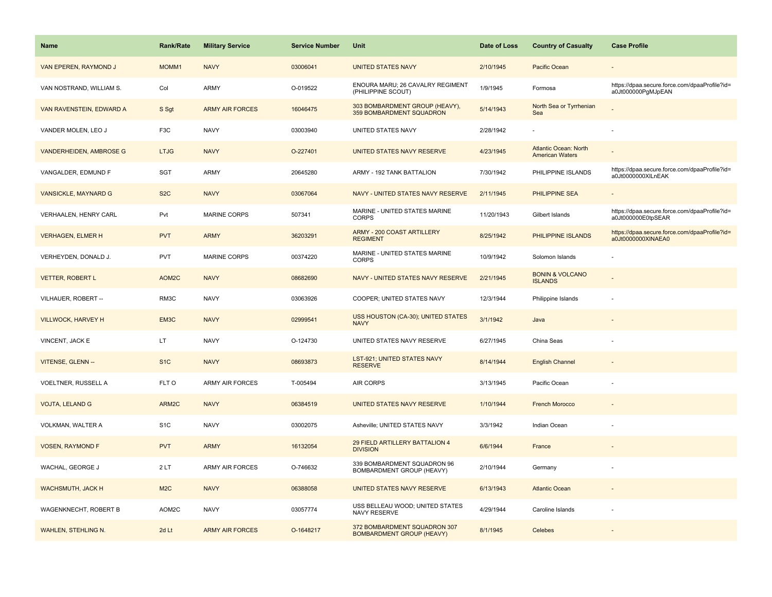| Name                           | <b>Rank/Rate</b> | <b>Military Service</b> | <b>Service Number</b> | Unit                                                             | Date of Loss | <b>Country of Casualty</b>                             | <b>Case Profile</b>                                                 |
|--------------------------------|------------------|-------------------------|-----------------------|------------------------------------------------------------------|--------------|--------------------------------------------------------|---------------------------------------------------------------------|
| VAN EPEREN, RAYMOND J          | MOMM1            | <b>NAVY</b>             | 03006041              | <b>UNITED STATES NAVY</b>                                        | 2/10/1945    | Pacific Ocean                                          |                                                                     |
| VAN NOSTRAND, WILLIAM S.       | Col              | <b>ARMY</b>             | O-019522              | ENOURA MARU; 26 CAVALRY REGIMENT<br>(PHILIPPINE SCOUT)           | 1/9/1945     | Formosa                                                | https://dpaa.secure.force.com/dpaaProfile?id=<br>a0Jt000000PgMJpEAN |
| VAN RAVENSTEIN, EDWARD A       | S Sgt            | <b>ARMY AIR FORCES</b>  | 16046475              | 303 BOMBARDMENT GROUP (HEAVY),<br>359 BOMBARDMENT SQUADRON       | 5/14/1943    | North Sea or Tyrrhenian<br>Sea                         |                                                                     |
| VANDER MOLEN, LEO J            | F3C              | <b>NAVY</b>             | 03003940              | UNITED STATES NAVY                                               | 2/28/1942    |                                                        |                                                                     |
| <b>VANDERHEIDEN, AMBROSE G</b> | <b>LTJG</b>      | <b>NAVY</b>             | O-227401              | UNITED STATES NAVY RESERVE                                       | 4/23/1945    | <b>Atlantic Ocean: North</b><br><b>American Waters</b> |                                                                     |
| VANGALDER, EDMUND F            | SGT              | <b>ARMY</b>             | 20645280              | ARMY - 192 TANK BATTALION                                        | 7/30/1942    | PHILIPPINE ISLANDS                                     | https://dpaa.secure.force.com/dpaaProfile?id=<br>a0Jt0000000XILnEAK |
| <b>VANSICKLE, MAYNARD G</b>    | S <sub>2</sub> C | <b>NAVY</b>             | 03067064              | NAVY - UNITED STATES NAVY RESERVE                                | 2/11/1945    | <b>PHILIPPINE SEA</b>                                  |                                                                     |
| VERHAALEN, HENRY CARL          | Pvt              | <b>MARINE CORPS</b>     | 507341                | MARINE - UNITED STATES MARINE<br><b>CORPS</b>                    | 11/20/1943   | Gilbert Islands                                        | https://dpaa.secure.force.com/dpaaProfile?id=<br>a0Jt000000E0tpSEAR |
| <b>VERHAGEN, ELMER H</b>       | <b>PVT</b>       | <b>ARMY</b>             | 36203291              | ARMY - 200 COAST ARTILLERY<br><b>REGIMENT</b>                    | 8/25/1942    | PHILIPPINE ISLANDS                                     | https://dpaa.secure.force.com/dpaaProfile?id=<br>a0Jt0000000XINAEA0 |
| VERHEYDEN, DONALD J.           | PVT              | <b>MARINE CORPS</b>     | 00374220              | MARINE - UNITED STATES MARINE<br><b>CORPS</b>                    | 10/9/1942    | Solomon Islands                                        |                                                                     |
| <b>VETTER, ROBERT L</b>        | AOM2C            | <b>NAVY</b>             | 08682690              | NAVY - UNITED STATES NAVY RESERVE                                | 2/21/1945    | <b>BONIN &amp; VOLCANO</b><br><b>ISLANDS</b>           |                                                                     |
| VILHAUER, ROBERT --            | RM3C             | <b>NAVY</b>             | 03063926              | COOPER; UNITED STATES NAVY                                       | 12/3/1944    | Philippine Islands                                     |                                                                     |
| <b>VILLWOCK, HARVEY H</b>      | EM3C             | <b>NAVY</b>             | 02999541              | USS HOUSTON (CA-30); UNITED STATES<br><b>NAVY</b>                | 3/1/1942     | Java                                                   |                                                                     |
| VINCENT, JACK E                | LT               | <b>NAVY</b>             | O-124730              | UNITED STATES NAVY RESERVE                                       | 6/27/1945    | China Seas                                             |                                                                     |
| VITENSE, GLENN --              | S <sub>1</sub> C | <b>NAVY</b>             | 08693873              | <b>LST-921; UNITED STATES NAVY</b><br><b>RESERVE</b>             | 8/14/1944    | <b>English Channel</b>                                 |                                                                     |
| VOELTNER, RUSSELL A            | FLT O            | ARMY AIR FORCES         | T-005494              | AIR CORPS                                                        | 3/13/1945    | Pacific Ocean                                          |                                                                     |
| VOJTA, LELAND G                | ARM2C            | <b>NAVY</b>             | 06384519              | UNITED STATES NAVY RESERVE                                       | 1/10/1944    | <b>French Morocco</b>                                  |                                                                     |
| VOLKMAN, WALTER A              | S <sub>1</sub> C | <b>NAVY</b>             | 03002075              | Asheville; UNITED STATES NAVY                                    | 3/3/1942     | Indian Ocean                                           |                                                                     |
| <b>VOSEN, RAYMOND F</b>        | <b>PVT</b>       | <b>ARMY</b>             | 16132054              | 29 FIELD ARTILLERY BATTALION 4<br><b>DIVISION</b>                | 6/6/1944     | France                                                 |                                                                     |
| WACHAL, GEORGE J               | 2LT              | <b>ARMY AIR FORCES</b>  | O-746632              | 339 BOMBARDMENT SQUADRON 96<br>BOMBARDMENT GROUP (HEAVY)         | 2/10/1944    | Germany                                                |                                                                     |
| WACHSMUTH, JACK H              | M2C              | <b>NAVY</b>             | 06388058              | UNITED STATES NAVY RESERVE                                       | 6/13/1943    | <b>Atlantic Ocean</b>                                  |                                                                     |
| WAGENKNECHT, ROBERT B          | AOM2C            | <b>NAVY</b>             | 03057774              | USS BELLEAU WOOD; UNITED STATES<br>NAVY RESERVE                  | 4/29/1944    | Caroline Islands                                       |                                                                     |
| <b>WAHLEN, STEHLING N.</b>     | 2d Lt            | <b>ARMY AIR FORCES</b>  | O-1648217             | 372 BOMBARDMENT SQUADRON 307<br><b>BOMBARDMENT GROUP (HEAVY)</b> | 8/1/1945     | Celebes                                                |                                                                     |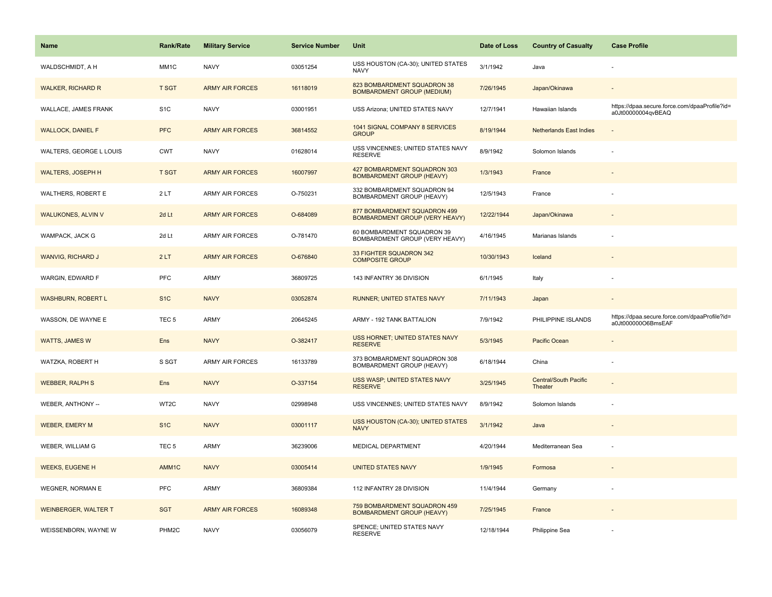| <b>Name</b>                 | <b>Rank/Rate</b>   | <b>Military Service</b> | <b>Service Number</b> | Unit                                                                  | Date of Loss | <b>Country of Casualty</b>              | <b>Case Profile</b>                                                 |
|-----------------------------|--------------------|-------------------------|-----------------------|-----------------------------------------------------------------------|--------------|-----------------------------------------|---------------------------------------------------------------------|
| WALDSCHMIDT, A H            | MM1C               | <b>NAVY</b>             | 03051254              | USS HOUSTON (CA-30); UNITED STATES<br><b>NAVY</b>                     | 3/1/1942     | Java                                    |                                                                     |
| <b>WALKER, RICHARD R</b>    | <b>T SGT</b>       | <b>ARMY AIR FORCES</b>  | 16118019              | 823 BOMBARDMENT SQUADRON 38<br><b>BOMBARDMENT GROUP (MEDIUM)</b>      | 7/26/1945    | Japan/Okinawa                           |                                                                     |
| WALLACE, JAMES FRANK        | S <sub>1</sub> C   | <b>NAVY</b>             | 03001951              | USS Arizona; UNITED STATES NAVY                                       | 12/7/1941    | Hawaiian Islands                        | https://dpaa.secure.force.com/dpaaProfile?id=<br>a0Jt00000004qvBEAQ |
| <b>WALLOCK, DANIEL F</b>    | <b>PFC</b>         | <b>ARMY AIR FORCES</b>  | 36814552              | 1041 SIGNAL COMPANY 8 SERVICES<br><b>GROUP</b>                        | 8/19/1944    | <b>Netherlands East Indies</b>          |                                                                     |
| WALTERS, GEORGE L LOUIS     | <b>CWT</b>         | <b>NAVY</b>             | 01628014              | USS VINCENNES; UNITED STATES NAVY<br><b>RESERVE</b>                   | 8/9/1942     | Solomon Islands                         |                                                                     |
| <b>WALTERS, JOSEPH H</b>    | <b>T SGT</b>       | <b>ARMY AIR FORCES</b>  | 16007997              | 427 BOMBARDMENT SQUADRON 303<br><b>BOMBARDMENT GROUP (HEAVY)</b>      | 1/3/1943     | France                                  |                                                                     |
| WALTHERS, ROBERT E          | 2LT                | ARMY AIR FORCES         | O-750231              | 332 BOMBARDMENT SQUADRON 94<br>BOMBARDMENT GROUP (HEAVY)              | 12/5/1943    | France                                  |                                                                     |
| <b>WALUKONES, ALVIN V</b>   | 2d Lt              | <b>ARMY AIR FORCES</b>  | O-684089              | 877 BOMBARDMENT SQUADRON 499<br><b>BOMBARDMENT GROUP (VERY HEAVY)</b> | 12/22/1944   | Japan/Okinawa                           |                                                                     |
| WAMPACK, JACK G             | 2d Lt              | ARMY AIR FORCES         | O-781470              | 60 BOMBARDMENT SQUADRON 39<br>BOMBARDMENT GROUP (VERY HEAVY)          | 4/16/1945    | Marianas Islands                        |                                                                     |
| <b>WANVIG, RICHARD J</b>    | 2LT                | <b>ARMY AIR FORCES</b>  | O-676840              | 33 FIGHTER SQUADRON 342<br><b>COMPOSITE GROUP</b>                     | 10/30/1943   | Iceland                                 |                                                                     |
| WARGIN, EDWARD F            | PFC                | ARMY                    | 36809725              | 143 INFANTRY 36 DIVISION                                              | 6/1/1945     | Italy                                   |                                                                     |
| <b>WASHBURN, ROBERT L</b>   | S <sub>1</sub> C   | <b>NAVY</b>             | 03052874              | RUNNER; UNITED STATES NAVY                                            | 7/11/1943    | Japan                                   |                                                                     |
| WASSON, DE WAYNE E          | TEC <sub>5</sub>   | <b>ARMY</b>             | 20645245              | ARMY - 192 TANK BATTALION                                             | 7/9/1942     | PHILIPPINE ISLANDS                      | https://dpaa.secure.force.com/dpaaProfile?id=<br>a0Jt000000O6BmsEAF |
| <b>WATTS, JAMES W</b>       | Ens                | <b>NAVY</b>             | O-382417              | USS HORNET; UNITED STATES NAVY<br><b>RESERVE</b>                      | 5/3/1945     | Pacific Ocean                           |                                                                     |
| WATZKA, ROBERT H            | S SGT              | <b>ARMY AIR FORCES</b>  | 16133789              | 373 BOMBARDMENT SQUADRON 308<br>BOMBARDMENT GROUP (HEAVY)             | 6/18/1944    | China                                   |                                                                     |
| <b>WEBBER, RALPH S</b>      | Ens                | <b>NAVY</b>             | O-337154              | <b>USS WASP; UNITED STATES NAVY</b><br><b>RESERVE</b>                 | 3/25/1945    | <b>Central/South Pacific</b><br>Theater |                                                                     |
| WEBER, ANTHONY --           | WT2C               | <b>NAVY</b>             | 02998948              | USS VINCENNES; UNITED STATES NAVY                                     | 8/9/1942     | Solomon Islands                         |                                                                     |
| <b>WEBER, EMERY M</b>       | S <sub>1</sub> C   | <b>NAVY</b>             | 03001117              | USS HOUSTON (CA-30); UNITED STATES<br><b>NAVY</b>                     | 3/1/1942     | Java                                    |                                                                     |
| WEBER, WILLIAM G            | TEC <sub>5</sub>   | ARMY                    | 36239006              | MEDICAL DEPARTMENT                                                    | 4/20/1944    | Mediterranean Sea                       |                                                                     |
| <b>WEEKS, EUGENE H</b>      | AMM <sub>1</sub> C | <b>NAVY</b>             | 03005414              | <b>UNITED STATES NAVY</b>                                             | 1/9/1945     | Formosa                                 |                                                                     |
| WEGNER, NORMAN E            | <b>PFC</b>         | ARMY                    | 36809384              | 112 INFANTRY 28 DIVISION                                              | 11/4/1944    | Germany                                 |                                                                     |
| <b>WEINBERGER, WALTER T</b> | <b>SGT</b>         | <b>ARMY AIR FORCES</b>  | 16089348              | 759 BOMBARDMENT SQUADRON 459<br><b>BOMBARDMENT GROUP (HEAVY)</b>      | 7/25/1945    | France                                  |                                                                     |
| WEISSENBORN, WAYNE W        | PHM2C              | <b>NAVY</b>             | 03056079              | SPENCE; UNITED STATES NAVY<br><b>RESERVE</b>                          | 12/18/1944   | Philippine Sea                          |                                                                     |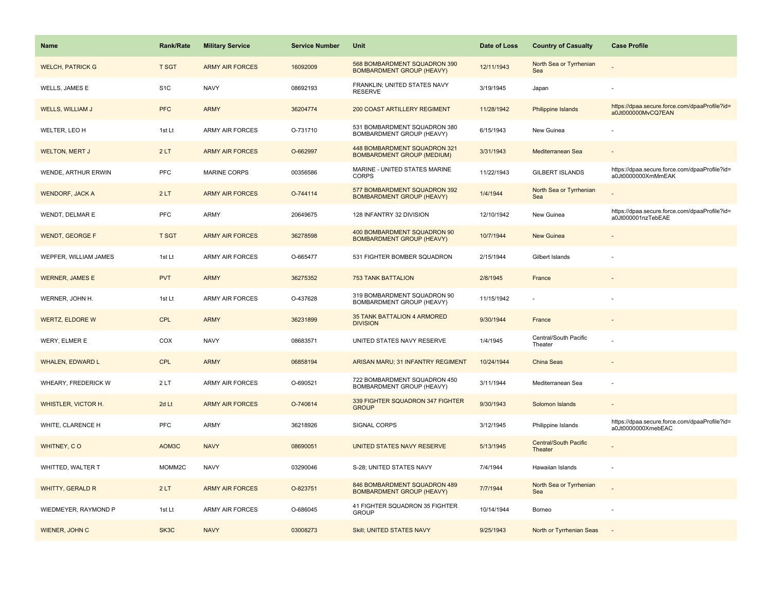| Name                    | <b>Rank/Rate</b> | <b>Military Service</b> | <b>Service Number</b> | Unit                                                              | Date of Loss | <b>Country of Casualty</b>       | <b>Case Profile</b>                                                 |
|-------------------------|------------------|-------------------------|-----------------------|-------------------------------------------------------------------|--------------|----------------------------------|---------------------------------------------------------------------|
| <b>WELCH, PATRICK G</b> | <b>T SGT</b>     | <b>ARMY AIR FORCES</b>  | 16092009              | 568 BOMBARDMENT SQUADRON 390<br><b>BOMBARDMENT GROUP (HEAVY)</b>  | 12/11/1943   | North Sea or Tyrrhenian<br>Sea   |                                                                     |
| WELLS, JAMES E          | S <sub>1</sub> C | <b>NAVY</b>             | 08692193              | FRANKLIN; UNITED STATES NAVY<br><b>RESERVE</b>                    | 3/19/1945    | Japan                            |                                                                     |
| <b>WELLS, WILLIAM J</b> | <b>PFC</b>       | <b>ARMY</b>             | 36204774              | <b>200 COAST ARTILLERY REGIMENT</b>                               | 11/28/1942   | Philippine Islands               | https://dpaa.secure.force.com/dpaaProfile?id=<br>a0Jt000000MvCQ7EAN |
| WELTER, LEO H           | 1st Lt           | ARMY AIR FORCES         | O-731710              | 531 BOMBARDMENT SQUADRON 380<br>BOMBARDMENT GROUP (HEAVY)         | 6/15/1943    | New Guinea                       |                                                                     |
| <b>WELTON, MERT J</b>   | 2LT              | <b>ARMY AIR FORCES</b>  | O-662997              | 448 BOMBARDMENT SQUADRON 321<br><b>BOMBARDMENT GROUP (MEDIUM)</b> | 3/31/1943    | Mediterranean Sea                |                                                                     |
| WENDE, ARTHUR ERWIN     | <b>PFC</b>       | <b>MARINE CORPS</b>     | 00356586              | MARINE - UNITED STATES MARINE<br><b>CORPS</b>                     | 11/22/1943   | <b>GILBERT ISLANDS</b>           | https://dpaa.secure.force.com/dpaaProfile?id=<br>a0Jt0000000XmMmEAK |
| <b>WENDORF, JACK A</b>  | 2LT              | <b>ARMY AIR FORCES</b>  | O-744114              | 577 BOMBARDMENT SQUADRON 392<br><b>BOMBARDMENT GROUP (HEAVY)</b>  | 1/4/1944     | North Sea or Tyrrhenian<br>Sea   |                                                                     |
| WENDT, DELMAR E         | <b>PFC</b>       | ARMY                    | 20649675              | 128 INFANTRY 32 DIVISION                                          | 12/10/1942   | New Guinea                       | https://dpaa.secure.force.com/dpaaProfile?id=<br>a0Jt000001nzTebEAE |
| <b>WENDT, GEORGE F</b>  | <b>T SGT</b>     | <b>ARMY AIR FORCES</b>  | 36278598              | 400 BOMBARDMENT SQUADRON 90<br><b>BOMBARDMENT GROUP (HEAVY)</b>   | 10/7/1944    | <b>New Guinea</b>                |                                                                     |
| WEPFER, WILLIAM JAMES   | 1st Lt           | ARMY AIR FORCES         | O-665477              | 531 FIGHTER BOMBER SQUADRON                                       | 2/15/1944    | Gilbert Islands                  |                                                                     |
| <b>WERNER, JAMES E</b>  | <b>PVT</b>       | <b>ARMY</b>             | 36275352              | <b>753 TANK BATTALION</b>                                         | 2/8/1945     | France                           |                                                                     |
| WERNER, JOHN H.         | 1st Lt           | <b>ARMY AIR FORCES</b>  | O-437628              | 319 BOMBARDMENT SQUADRON 90<br>BOMBARDMENT GROUP (HEAVY)          | 11/15/1942   |                                  |                                                                     |
| <b>WERTZ, ELDORE W</b>  | <b>CPL</b>       | <b>ARMY</b>             | 36231899              | 35 TANK BATTALION 4 ARMORED<br><b>DIVISION</b>                    | 9/30/1944    | France                           |                                                                     |
| WERY, ELMER E           | COX              | <b>NAVY</b>             | 08683571              | UNITED STATES NAVY RESERVE                                        | 1/4/1945     | Central/South Pacific<br>Theater |                                                                     |
| <b>WHALEN, EDWARD L</b> | <b>CPL</b>       | <b>ARMY</b>             | 06858194              | ARISAN MARU; 31 INFANTRY REGIMENT                                 | 10/24/1944   | China Seas                       |                                                                     |
| WHEARY, FREDERICK W     | 2LT              | <b>ARMY AIR FORCES</b>  | O-690521              | 722 BOMBARDMENT SQUADRON 450<br>BOMBARDMENT GROUP (HEAVY)         | 3/11/1944    | Mediterranean Sea                |                                                                     |
| WHISTLER, VICTOR H.     | 2d Lt            | <b>ARMY AIR FORCES</b>  | O-740614              | 339 FIGHTER SQUADRON 347 FIGHTER<br><b>GROUP</b>                  | 9/30/1943    | Solomon Islands                  |                                                                     |
| WHITE, CLARENCE H       | PFC              | ARMY                    | 36218926              | SIGNAL CORPS                                                      | 3/12/1945    | Philippine Islands               | https://dpaa.secure.force.com/dpaaProfile?id=<br>a0Jt0000000XmebEAC |
| WHITNEY, CO             | AOM3C            | <b>NAVY</b>             | 08690051              | UNITED STATES NAVY RESERVE                                        | 5/13/1945    | Central/South Pacific<br>Theater |                                                                     |
| WHITTED, WALTER T       | MOMM2C           | <b>NAVY</b>             | 03290046              | S-28; UNITED STATES NAVY                                          | 7/4/1944     | Hawaiian Islands                 |                                                                     |
| <b>WHITTY, GERALD R</b> | 2LT              | <b>ARMY AIR FORCES</b>  | O-823751              | 846 BOMBARDMENT SQUADRON 489<br><b>BOMBARDMENT GROUP (HEAVY)</b>  | 7/7/1944     | North Sea or Tyrrhenian<br>Sea   |                                                                     |
| WIEDMEYER, RAYMOND P    | 1st Lt           | ARMY AIR FORCES         | O-686045              | 41 FIGHTER SQUADRON 35 FIGHTER<br><b>GROUP</b>                    | 10/14/1944   | Borneo                           |                                                                     |
| <b>WIENER, JOHN C</b>   | SK3C             | <b>NAVY</b>             | 03008273              | Skill; UNITED STATES NAVY                                         | 9/25/1943    | North or Tyrrhenian Seas         |                                                                     |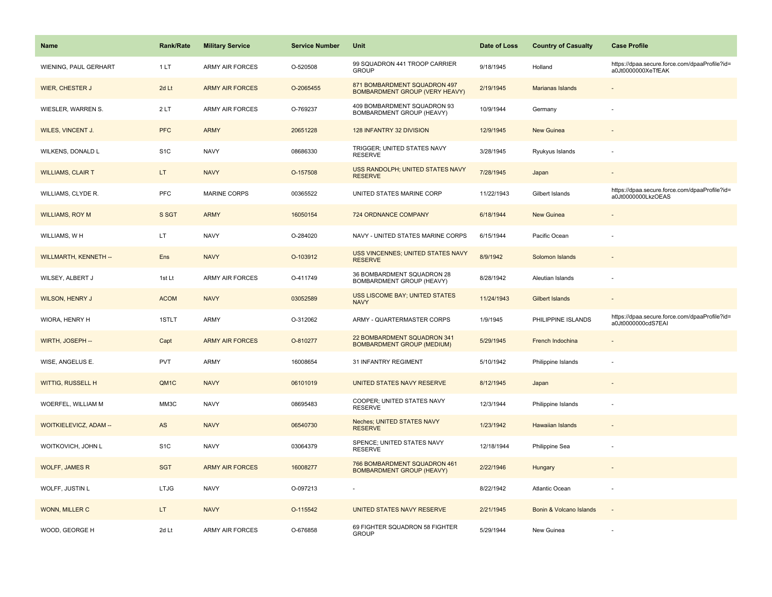| <b>Name</b>                   | <b>Rank/Rate</b> | <b>Military Service</b> | <b>Service Number</b> | Unit                                                                  | Date of Loss | <b>Country of Casualty</b> | <b>Case Profile</b>                                                 |
|-------------------------------|------------------|-------------------------|-----------------------|-----------------------------------------------------------------------|--------------|----------------------------|---------------------------------------------------------------------|
| WIENING, PAUL GERHART         | 1LT              | <b>ARMY AIR FORCES</b>  | O-520508              | 99 SQUADRON 441 TROOP CARRIER<br><b>GROUP</b>                         | 9/18/1945    | Holland                    | https://dpaa.secure.force.com/dpaaProfile?id=<br>a0Jt0000000XeTfEAK |
| <b>WIER, CHESTER J</b>        | 2d Lt            | <b>ARMY AIR FORCES</b>  | O-2065455             | 871 BOMBARDMENT SQUADRON 497<br><b>BOMBARDMENT GROUP (VERY HEAVY)</b> | 2/19/1945    | <b>Marianas Islands</b>    |                                                                     |
| WIESLER, WARREN S.            | 2LT              | <b>ARMY AIR FORCES</b>  | O-769237              | 409 BOMBARDMENT SQUADRON 93<br>BOMBARDMENT GROUP (HEAVY)              | 10/9/1944    | Germany                    |                                                                     |
| WILES, VINCENT J.             | <b>PFC</b>       | <b>ARMY</b>             | 20651228              | 128 INFANTRY 32 DIVISION                                              | 12/9/1945    | <b>New Guinea</b>          |                                                                     |
| WILKENS, DONALD L             | S <sub>1</sub> C | <b>NAVY</b>             | 08686330              | TRIGGER; UNITED STATES NAVY<br><b>RESERVE</b>                         | 3/28/1945    | Ryukyus Islands            |                                                                     |
| <b>WILLIAMS, CLAIR T</b>      | LT.              | <b>NAVY</b>             | O-157508              | USS RANDOLPH; UNITED STATES NAVY<br><b>RESERVE</b>                    | 7/28/1945    | Japan                      | $\overline{\phantom{a}}$                                            |
| WILLIAMS, CLYDE R.            | <b>PFC</b>       | <b>MARINE CORPS</b>     | 00365522              | UNITED STATES MARINE CORP                                             | 11/22/1943   | Gilbert Islands            | https://dpaa.secure.force.com/dpaaProfile?id=<br>a0Jt0000000LkzOEAS |
| <b>WILLIAMS, ROY M</b>        | S SGT            | <b>ARMY</b>             | 16050154              | 724 ORDNANCE COMPANY                                                  | 6/18/1944    | <b>New Guinea</b>          |                                                                     |
| WILLIAMS, WH                  | LT.              | <b>NAVY</b>             | O-284020              | NAVY - UNITED STATES MARINE CORPS                                     | 6/15/1944    | Pacific Ocean              |                                                                     |
| <b>WILLMARTH, KENNETH --</b>  | Ens              | <b>NAVY</b>             | O-103912              | USS VINCENNES; UNITED STATES NAVY<br><b>RESERVE</b>                   | 8/9/1942     | Solomon Islands            |                                                                     |
| WILSEY, ALBERT J              | 1st Lt           | <b>ARMY AIR FORCES</b>  | O-411749              | 36 BOMBARDMENT SQUADRON 28<br>BOMBARDMENT GROUP (HEAVY)               | 8/28/1942    | Aleutian Islands           |                                                                     |
| <b>WILSON, HENRY J</b>        | <b>ACOM</b>      | <b>NAVY</b>             | 03052589              | USS LISCOME BAY; UNITED STATES<br><b>NAVY</b>                         | 11/24/1943   | Gilbert Islands            | $\overline{\phantom{a}}$                                            |
| WIORA, HENRY H                | 1STLT            | ARMY                    | O-312062              | ARMY - QUARTERMASTER CORPS                                            | 1/9/1945     | PHILIPPINE ISLANDS         | https://dpaa.secure.force.com/dpaaProfile?id=<br>a0Jt0000000cdS7EAI |
| WIRTH, JOSEPH --              | Capt             | <b>ARMY AIR FORCES</b>  | O-810277              | 22 BOMBARDMENT SQUADRON 341<br><b>BOMBARDMENT GROUP (MEDIUM)</b>      | 5/29/1945    | French Indochina           |                                                                     |
| WISE, ANGELUS E.              | <b>PVT</b>       | <b>ARMY</b>             | 16008654              | 31 INFANTRY REGIMENT                                                  | 5/10/1942    | Philippine Islands         |                                                                     |
| WITTIG, RUSSELL H             | QM1C             | <b>NAVY</b>             | 06101019              | UNITED STATES NAVY RESERVE                                            | 8/12/1945    | Japan                      |                                                                     |
| WOERFEL, WILLIAM M            | MM3C             | <b>NAVY</b>             | 08695483              | COOPER; UNITED STATES NAVY<br><b>RESERVE</b>                          | 12/3/1944    | Philippine Islands         |                                                                     |
| <b>WOITKIELEVICZ, ADAM --</b> | AS               | <b>NAVY</b>             | 06540730              | <b>Neches: UNITED STATES NAVY</b><br><b>RESERVE</b>                   | 1/23/1942    | <b>Hawaiian Islands</b>    |                                                                     |
| WOITKOVICH, JOHN L            | S <sub>1</sub> C | <b>NAVY</b>             | 03064379              | SPENCE; UNITED STATES NAVY<br><b>RESERVE</b>                          | 12/18/1944   | Philippine Sea             |                                                                     |
| <b>WOLFF, JAMES R</b>         | <b>SGT</b>       | <b>ARMY AIR FORCES</b>  | 16008277              | 766 BOMBARDMENT SQUADRON 461<br><b>BOMBARDMENT GROUP (HEAVY)</b>      | 2/22/1946    | Hungary                    |                                                                     |
| WOLFF, JUSTIN L               | <b>LTJG</b>      | <b>NAVY</b>             | O-097213              |                                                                       | 8/22/1942    | Atlantic Ocean             |                                                                     |
| WONN, MILLER C                | LT.              | <b>NAVY</b>             | O-115542              | UNITED STATES NAVY RESERVE                                            | 2/21/1945    | Bonin & Volcano Islands    | $\overline{\phantom{a}}$                                            |
| WOOD, GEORGE H                | 2d Lt            | <b>ARMY AIR FORCES</b>  | O-676858              | 69 FIGHTER SQUADRON 58 FIGHTER<br><b>GROUP</b>                        | 5/29/1944    | New Guinea                 |                                                                     |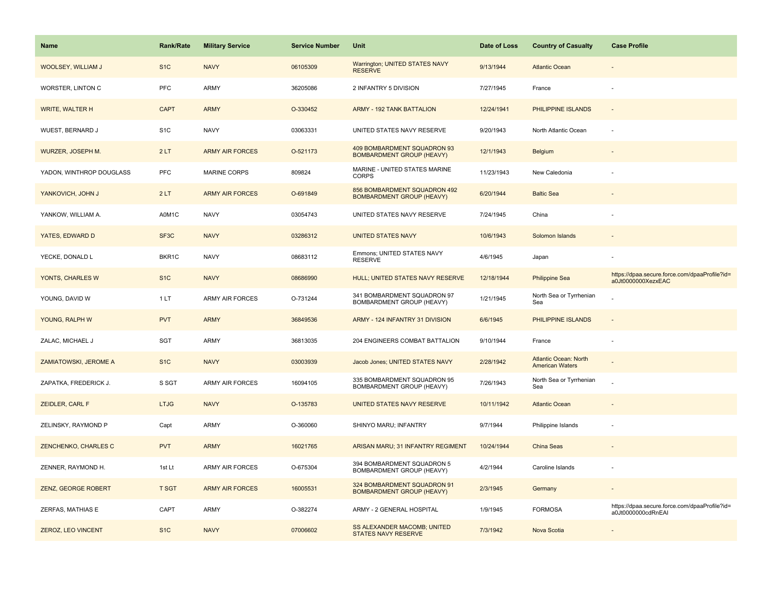| Name                     | <b>Rank/Rate</b>  | <b>Military Service</b> | <b>Service Number</b> | Unit                                                             | Date of Loss | <b>Country of Casualty</b>                             | <b>Case Profile</b>                                                 |
|--------------------------|-------------------|-------------------------|-----------------------|------------------------------------------------------------------|--------------|--------------------------------------------------------|---------------------------------------------------------------------|
| WOOLSEY, WILLIAM J       | S <sub>1</sub> C  | <b>NAVY</b>             | 06105309              | Warrington; UNITED STATES NAVY<br><b>RESERVE</b>                 | 9/13/1944    | <b>Atlantic Ocean</b>                                  |                                                                     |
| WORSTER, LINTON C        | <b>PFC</b>        | ARMY                    | 36205086              | 2 INFANTRY 5 DIVISION                                            | 7/27/1945    | France                                                 |                                                                     |
| <b>WRITE, WALTER H</b>   | <b>CAPT</b>       | <b>ARMY</b>             | O-330452              | <b>ARMY - 192 TANK BATTALION</b>                                 | 12/24/1941   | PHILIPPINE ISLANDS                                     |                                                                     |
| WUEST, BERNARD J         | S <sub>1</sub> C  | <b>NAVY</b>             | 03063331              | UNITED STATES NAVY RESERVE                                       | 9/20/1943    | North Atlantic Ocean                                   |                                                                     |
| WURZER, JOSEPH M.        | 2LT               | <b>ARMY AIR FORCES</b>  | O-521173              | 409 BOMBARDMENT SQUADRON 93<br><b>BOMBARDMENT GROUP (HEAVY)</b>  | 12/1/1943    | Belgium                                                |                                                                     |
| YADON, WINTHROP DOUGLASS | <b>PFC</b>        | <b>MARINE CORPS</b>     | 809824                | MARINE - UNITED STATES MARINE<br><b>CORPS</b>                    | 11/23/1943   | New Caledonia                                          |                                                                     |
| YANKOVICH, JOHN J        | 2LT               | <b>ARMY AIR FORCES</b>  | O-691849              | 856 BOMBARDMENT SQUADRON 492<br><b>BOMBARDMENT GROUP (HEAVY)</b> | 6/20/1944    | <b>Baltic Sea</b>                                      |                                                                     |
| YANKOW, WILLIAM A.       | A0M1C             | <b>NAVY</b>             | 03054743              | UNITED STATES NAVY RESERVE                                       | 7/24/1945    | China                                                  |                                                                     |
| YATES, EDWARD D          | SF <sub>3</sub> C | <b>NAVY</b>             | 03286312              | <b>UNITED STATES NAVY</b>                                        | 10/6/1943    | Solomon Islands                                        |                                                                     |
| YECKE, DONALD L          | BKR1C             | <b>NAVY</b>             | 08683112              | Emmons; UNITED STATES NAVY<br><b>RESERVE</b>                     | 4/6/1945     | Japan                                                  |                                                                     |
| YONTS, CHARLES W         | S <sub>1</sub> C  | <b>NAVY</b>             | 08686990              | HULL; UNITED STATES NAVY RESERVE                                 | 12/18/1944   | <b>Philippine Sea</b>                                  | https://dpaa.secure.force.com/dpaaProfile?id=<br>a0Jt0000000XezxEAC |
| YOUNG, DAVID W           | 1 LT              | ARMY AIR FORCES         | O-731244              | 341 BOMBARDMENT SQUADRON 97<br>BOMBARDMENT GROUP (HEAVY)         | 1/21/1945    | North Sea or Tyrrhenian<br>Sea                         |                                                                     |
| YOUNG, RALPH W           | <b>PVT</b>        | <b>ARMY</b>             | 36849536              | ARMY - 124 INFANTRY 31 DIVISION                                  | 6/6/1945     | PHILIPPINE ISLANDS                                     |                                                                     |
| ZALAC, MICHAEL J         | SGT               | ARMY                    | 36813035              | 204 ENGINEERS COMBAT BATTALION                                   | 9/10/1944    | France                                                 |                                                                     |
| ZAMIATOWSKI, JEROME A    | S <sub>1</sub> C  | <b>NAVY</b>             | 03003939              | Jacob Jones; UNITED STATES NAVY                                  | 2/28/1942    | <b>Atlantic Ocean: North</b><br><b>American Waters</b> |                                                                     |
| ZAPATKA, FREDERICK J.    | S SGT             | ARMY AIR FORCES         | 16094105              | 335 BOMBARDMENT SQUADRON 95<br>BOMBARDMENT GROUP (HEAVY)         | 7/26/1943    | North Sea or Tyrrhenian<br>Sea                         |                                                                     |
| <b>ZEIDLER, CARL F</b>   | <b>LTJG</b>       | <b>NAVY</b>             | O-135783              | UNITED STATES NAVY RESERVE                                       | 10/11/1942   | <b>Atlantic Ocean</b>                                  |                                                                     |
| ZELINSKY, RAYMOND P      | Capt              | ARMY                    | O-360060              | SHINYO MARU; INFANTRY                                            | 9/7/1944     | Philippine Islands                                     |                                                                     |
| ZENCHENKO, CHARLES C     | <b>PVT</b>        | <b>ARMY</b>             | 16021765              | ARISAN MARU; 31 INFANTRY REGIMENT                                | 10/24/1944   | China Seas                                             |                                                                     |
| ZENNER, RAYMOND H.       | 1st Lt            | <b>ARMY AIR FORCES</b>  | O-675304              | 394 BOMBARDMENT SQUADRON 5<br>BOMBARDMENT GROUP (HEAVY)          | 4/2/1944     | Caroline Islands                                       |                                                                     |
| ZENZ, GEORGE ROBERT      | <b>T SGT</b>      | <b>ARMY AIR FORCES</b>  | 16005531              | 324 BOMBARDMENT SQUADRON 91<br><b>BOMBARDMENT GROUP (HEAVY)</b>  | 2/3/1945     | Germany                                                |                                                                     |
| ZERFAS, MATHIAS E        | CAPT              | <b>ARMY</b>             | O-382274              | ARMY - 2 GENERAL HOSPITAL                                        | 1/9/1945     | <b>FORMOSA</b>                                         | https://dpaa.secure.force.com/dpaaProfile?id=<br>a0Jt0000000cdRnEAI |
| ZEROZ, LEO VINCENT       | S <sub>1</sub> C  | <b>NAVY</b>             | 07006602              | SS ALEXANDER MACOMB; UNITED<br><b>STATES NAVY RESERVE</b>        | 7/3/1942     | Nova Scotia                                            |                                                                     |